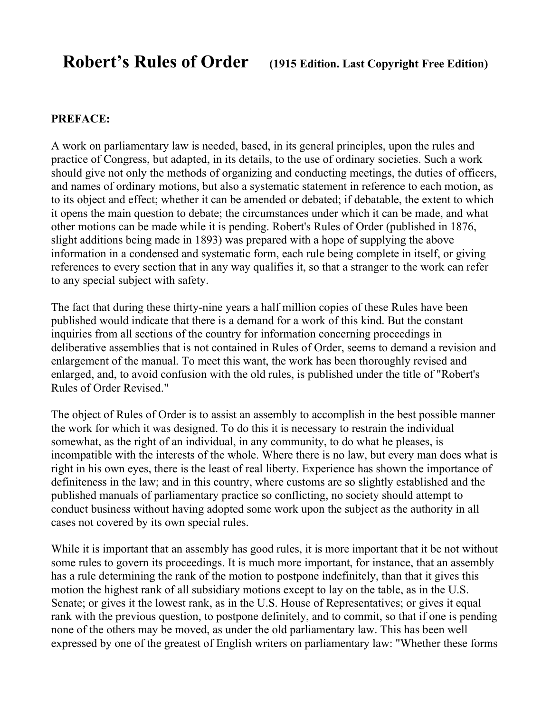#### **PREFACE:**

A work on parliamentary law is needed, based, in its general principles, upon the rules and practice of Congress, but adapted, in its details, to the use of ordinary societies. Such a work should give not only the methods of organizing and conducting meetings, the duties of officers, and names of ordinary motions, but also a systematic statement in reference to each motion, as to its object and effect; whether it can be amended or debated; if debatable, the extent to which it opens the main question to debate; the circumstances under which it can be made, and what other motions can be made while it is pending. Robert's Rules of Order (published in 1876, slight additions being made in 1893) was prepared with a hope of supplying the above information in a condensed and systematic form, each rule being complete in itself, or giving references to every section that in any way qualifies it, so that a stranger to the work can refer to any special subject with safety.

The fact that during these thirty-nine years a half million copies of these Rules have been published would indicate that there is a demand for a work of this kind. But the constant inquiries from all sections of the country for information concerning proceedings in deliberative assemblies that is not contained in Rules of Order, seems to demand a revision and enlargement of the manual. To meet this want, the work has been thoroughly revised and enlarged, and, to avoid confusion with the old rules, is published under the title of "Robert's Rules of Order Revised."

The object of Rules of Order is to assist an assembly to accomplish in the best possible manner the work for which it was designed. To do this it is necessary to restrain the individual somewhat, as the right of an individual, in any community, to do what he pleases, is incompatible with the interests of the whole. Where there is no law, but every man does what is right in his own eyes, there is the least of real liberty. Experience has shown the importance of definiteness in the law; and in this country, where customs are so slightly established and the published manuals of parliamentary practice so conflicting, no society should attempt to conduct business without having adopted some work upon the subject as the authority in all cases not covered by its own special rules.

While it is important that an assembly has good rules, it is more important that it be not without some rules to govern its proceedings. It is much more important, for instance, that an assembly has a rule determining the rank of the motion to postpone indefinitely, than that it gives this motion the highest rank of all subsidiary motions except to lay on the table, as in the U.S. Senate; or gives it the lowest rank, as in the U.S. House of Representatives; or gives it equal rank with the previous question, to postpone definitely, and to commit, so that if one is pending none of the others may be moved, as under the old parliamentary law. This has been well expressed by one of the greatest of English writers on parliamentary law: "Whether these forms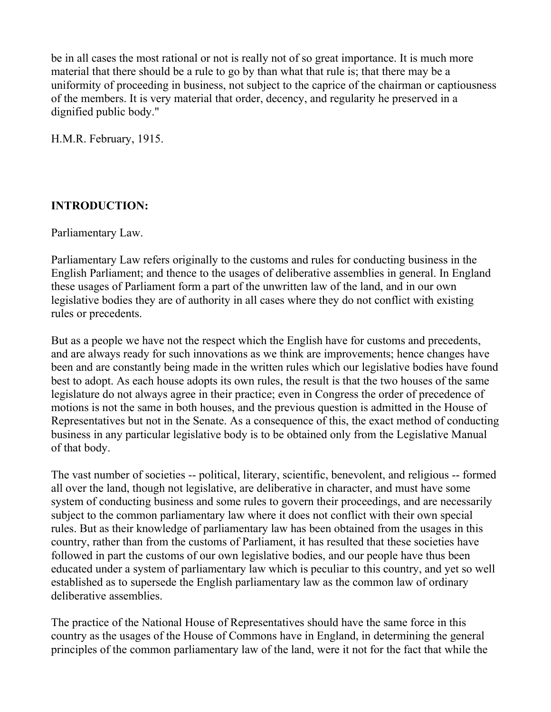be in all cases the most rational or not is really not of so great importance. It is much more material that there should be a rule to go by than what that rule is; that there may be a uniformity of proceeding in business, not subject to the caprice of the chairman or captiousness of the members. It is very material that order, decency, and regularity he preserved in a dignified public body."

H.M.R. February, 1915.

# **INTRODUCTION:**

Parliamentary Law.

Parliamentary Law refers originally to the customs and rules for conducting business in the English Parliament; and thence to the usages of deliberative assemblies in general. In England these usages of Parliament form a part of the unwritten law of the land, and in our own legislative bodies they are of authority in all cases where they do not conflict with existing rules or precedents.

But as a people we have not the respect which the English have for customs and precedents, and are always ready for such innovations as we think are improvements; hence changes have been and are constantly being made in the written rules which our legislative bodies have found best to adopt. As each house adopts its own rules, the result is that the two houses of the same legislature do not always agree in their practice; even in Congress the order of precedence of motions is not the same in both houses, and the previous question is admitted in the House of Representatives but not in the Senate. As a consequence of this, the exact method of conducting business in any particular legislative body is to be obtained only from the Legislative Manual of that body.

The vast number of societies -- political, literary, scientific, benevolent, and religious -- formed all over the land, though not legislative, are deliberative in character, and must have some system of conducting business and some rules to govern their proceedings, and are necessarily subject to the common parliamentary law where it does not conflict with their own special rules. But as their knowledge of parliamentary law has been obtained from the usages in this country, rather than from the customs of Parliament, it has resulted that these societies have followed in part the customs of our own legislative bodies, and our people have thus been educated under a system of parliamentary law which is peculiar to this country, and yet so well established as to supersede the English parliamentary law as the common law of ordinary deliberative assemblies.

The practice of the National House of Representatives should have the same force in this country as the usages of the House of Commons have in England, in determining the general principles of the common parliamentary law of the land, were it not for the fact that while the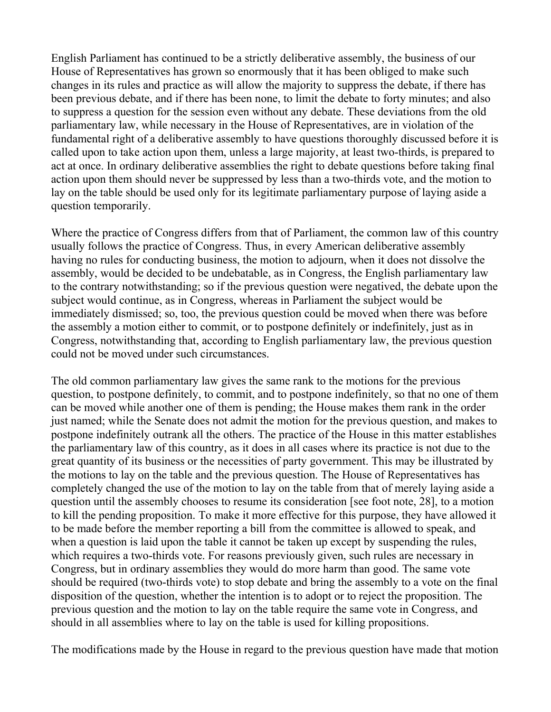English Parliament has continued to be a strictly deliberative assembly, the business of our House of Representatives has grown so enormously that it has been obliged to make such changes in its rules and practice as will allow the majority to suppress the debate, if there has been previous debate, and if there has been none, to limit the debate to forty minutes; and also to suppress a question for the session even without any debate. These deviations from the old parliamentary law, while necessary in the House of Representatives, are in violation of the fundamental right of a deliberative assembly to have questions thoroughly discussed before it is called upon to take action upon them, unless a large majority, at least two-thirds, is prepared to act at once. In ordinary deliberative assemblies the right to debate questions before taking final action upon them should never be suppressed by less than a two-thirds vote, and the motion to lay on the table should be used only for its legitimate parliamentary purpose of laying aside a question temporarily.

Where the practice of Congress differs from that of Parliament, the common law of this country usually follows the practice of Congress. Thus, in every American deliberative assembly having no rules for conducting business, the motion to adjourn, when it does not dissolve the assembly, would be decided to be undebatable, as in Congress, the English parliamentary law to the contrary notwithstanding; so if the previous question were negatived, the debate upon the subject would continue, as in Congress, whereas in Parliament the subject would be immediately dismissed; so, too, the previous question could be moved when there was before the assembly a motion either to commit, or to postpone definitely or indefinitely, just as in Congress, notwithstanding that, according to English parliamentary law, the previous question could not be moved under such circumstances.

The old common parliamentary law gives the same rank to the motions for the previous question, to postpone definitely, to commit, and to postpone indefinitely, so that no one of them can be moved while another one of them is pending; the House makes them rank in the order just named; while the Senate does not admit the motion for the previous question, and makes to postpone indefinitely outrank all the others. The practice of the House in this matter establishes the parliamentary law of this country, as it does in all cases where its practice is not due to the great quantity of its business or the necessities of party government. This may be illustrated by the motions to lay on the table and the previous question. The House of Representatives has completely changed the use of the motion to lay on the table from that of merely laying aside a question until the assembly chooses to resume its consideration [see foot note, 28], to a motion to kill the pending proposition. To make it more effective for this purpose, they have allowed it to be made before the member reporting a bill from the committee is allowed to speak, and when a question is laid upon the table it cannot be taken up except by suspending the rules, which requires a two-thirds vote. For reasons previously given, such rules are necessary in Congress, but in ordinary assemblies they would do more harm than good. The same vote should be required (two-thirds vote) to stop debate and bring the assembly to a vote on the final disposition of the question, whether the intention is to adopt or to reject the proposition. The previous question and the motion to lay on the table require the same vote in Congress, and should in all assemblies where to lay on the table is used for killing propositions.

The modifications made by the House in regard to the previous question have made that motion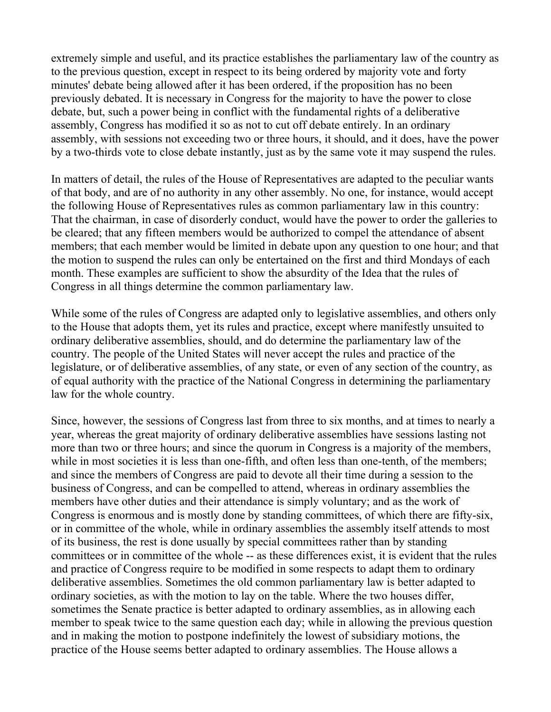extremely simple and useful, and its practice establishes the parliamentary law of the country as to the previous question, except in respect to its being ordered by majority vote and forty minutes' debate being allowed after it has been ordered, if the proposition has no been previously debated. It is necessary in Congress for the majority to have the power to close debate, but, such a power being in conflict with the fundamental rights of a deliberative assembly, Congress has modified it so as not to cut off debate entirely. In an ordinary assembly, with sessions not exceeding two or three hours, it should, and it does, have the power by a two-thirds vote to close debate instantly, just as by the same vote it may suspend the rules.

In matters of detail, the rules of the House of Representatives are adapted to the peculiar wants of that body, and are of no authority in any other assembly. No one, for instance, would accept the following House of Representatives rules as common parliamentary law in this country: That the chairman, in case of disorderly conduct, would have the power to order the galleries to be cleared; that any fifteen members would be authorized to compel the attendance of absent members; that each member would be limited in debate upon any question to one hour; and that the motion to suspend the rules can only be entertained on the first and third Mondays of each month. These examples are sufficient to show the absurdity of the Idea that the rules of Congress in all things determine the common parliamentary law.

While some of the rules of Congress are adapted only to legislative assemblies, and others only to the House that adopts them, yet its rules and practice, except where manifestly unsuited to ordinary deliberative assemblies, should, and do determine the parliamentary law of the country. The people of the United States will never accept the rules and practice of the legislature, or of deliberative assemblies, of any state, or even of any section of the country, as of equal authority with the practice of the National Congress in determining the parliamentary law for the whole country.

Since, however, the sessions of Congress last from three to six months, and at times to nearly a year, whereas the great majority of ordinary deliberative assemblies have sessions lasting not more than two or three hours; and since the quorum in Congress is a majority of the members, while in most societies it is less than one-fifth, and often less than one-tenth, of the members; and since the members of Congress are paid to devote all their time during a session to the business of Congress, and can be compelled to attend, whereas in ordinary assemblies the members have other duties and their attendance is simply voluntary; and as the work of Congress is enormous and is mostly done by standing committees, of which there are fifty-six, or in committee of the whole, while in ordinary assemblies the assembly itself attends to most of its business, the rest is done usually by special committees rather than by standing committees or in committee of the whole -- as these differences exist, it is evident that the rules and practice of Congress require to be modified in some respects to adapt them to ordinary deliberative assemblies. Sometimes the old common parliamentary law is better adapted to ordinary societies, as with the motion to lay on the table. Where the two houses differ, sometimes the Senate practice is better adapted to ordinary assemblies, as in allowing each member to speak twice to the same question each day; while in allowing the previous question and in making the motion to postpone indefinitely the lowest of subsidiary motions, the practice of the House seems better adapted to ordinary assemblies. The House allows a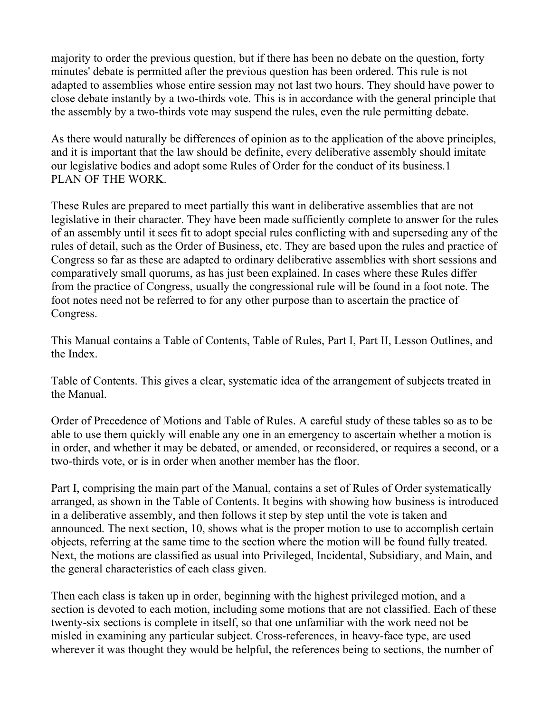majority to order the previous question, but if there has been no debate on the question, forty minutes' debate is permitted after the previous question has been ordered. This rule is not adapted to assemblies whose entire session may not last two hours. They should have power to close debate instantly by a two-thirds vote. This is in accordance with the general principle that the assembly by a two-thirds vote may suspend the rules, even the rule permitting debate.

As there would naturally be differences of opinion as to the application of the above principles, and it is important that the law should be definite, every deliberative assembly should imitate our legislative bodies and adopt some Rules of Order for the conduct of its business.1 PLAN OF THE WORK.

These Rules are prepared to meet partially this want in deliberative assemblies that are not legislative in their character. They have been made sufficiently complete to answer for the rules of an assembly until it sees fit to adopt special rules conflicting with and superseding any of the rules of detail, such as the Order of Business, etc. They are based upon the rules and practice of Congress so far as these are adapted to ordinary deliberative assemblies with short sessions and comparatively small quorums, as has just been explained. In cases where these Rules differ from the practice of Congress, usually the congressional rule will be found in a foot note. The foot notes need not be referred to for any other purpose than to ascertain the practice of Congress.

This Manual contains a Table of Contents, Table of Rules, Part I, Part II, Lesson Outlines, and the Index.

Table of Contents. This gives a clear, systematic idea of the arrangement of subjects treated in the Manual.

Order of Precedence of Motions and Table of Rules. A careful study of these tables so as to be able to use them quickly will enable any one in an emergency to ascertain whether a motion is in order, and whether it may be debated, or amended, or reconsidered, or requires a second, or a two-thirds vote, or is in order when another member has the floor.

Part I, comprising the main part of the Manual, contains a set of Rules of Order systematically arranged, as shown in the Table of Contents. It begins with showing how business is introduced in a deliberative assembly, and then follows it step by step until the vote is taken and announced. The next section, 10, shows what is the proper motion to use to accomplish certain objects, referring at the same time to the section where the motion will be found fully treated. Next, the motions are classified as usual into Privileged, Incidental, Subsidiary, and Main, and the general characteristics of each class given.

Then each class is taken up in order, beginning with the highest privileged motion, and a section is devoted to each motion, including some motions that are not classified. Each of these twenty-six sections is complete in itself, so that one unfamiliar with the work need not be misled in examining any particular subject. Cross-references, in heavy-face type, are used wherever it was thought they would be helpful, the references being to sections, the number of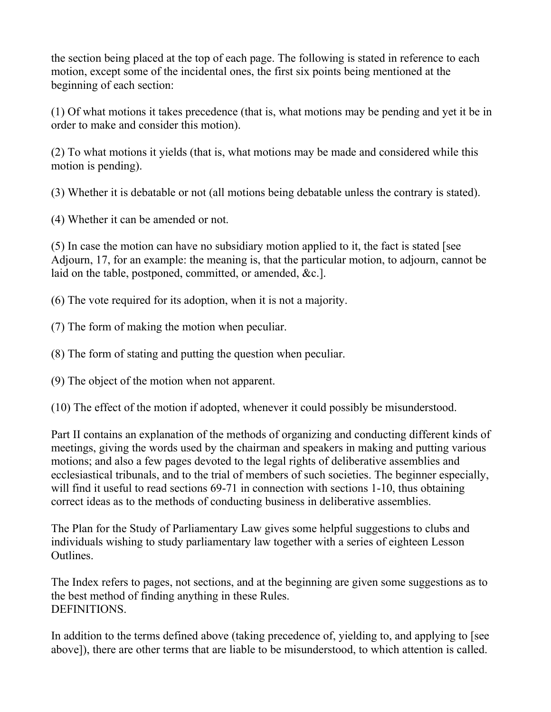the section being placed at the top of each page. The following is stated in reference to each motion, except some of the incidental ones, the first six points being mentioned at the beginning of each section:

(1) Of what motions it takes precedence (that is, what motions may be pending and yet it be in order to make and consider this motion).

(2) To what motions it yields (that is, what motions may be made and considered while this motion is pending).

(3) Whether it is debatable or not (all motions being debatable unless the contrary is stated).

(4) Whether it can be amended or not.

(5) In case the motion can have no subsidiary motion applied to it, the fact is stated [see Adjourn, 17, for an example: the meaning is, that the particular motion, to adjourn, cannot be laid on the table, postponed, committed, or amended, &c.].

(6) The vote required for its adoption, when it is not a majority.

(7) The form of making the motion when peculiar.

(8) The form of stating and putting the question when peculiar.

(9) The object of the motion when not apparent.

(10) The effect of the motion if adopted, whenever it could possibly be misunderstood.

Part II contains an explanation of the methods of organizing and conducting different kinds of meetings, giving the words used by the chairman and speakers in making and putting various motions; and also a few pages devoted to the legal rights of deliberative assemblies and ecclesiastical tribunals, and to the trial of members of such societies. The beginner especially, will find it useful to read sections 69-71 in connection with sections 1-10, thus obtaining correct ideas as to the methods of conducting business in deliberative assemblies.

The Plan for the Study of Parliamentary Law gives some helpful suggestions to clubs and individuals wishing to study parliamentary law together with a series of eighteen Lesson Outlines.

The Index refers to pages, not sections, and at the beginning are given some suggestions as to the best method of finding anything in these Rules. DEFINITIONS.

In addition to the terms defined above (taking precedence of, yielding to, and applying to [see above]), there are other terms that are liable to be misunderstood, to which attention is called.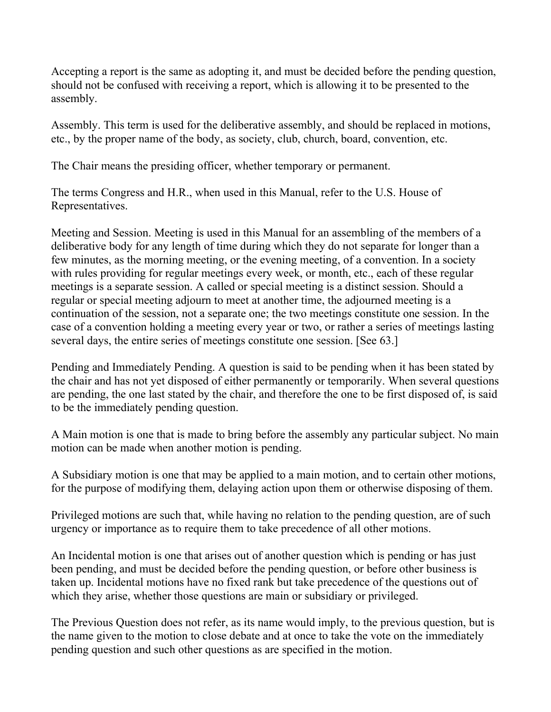Accepting a report is the same as adopting it, and must be decided before the pending question, should not be confused with receiving a report, which is allowing it to be presented to the assembly.

Assembly. This term is used for the deliberative assembly, and should be replaced in motions, etc., by the proper name of the body, as society, club, church, board, convention, etc.

The Chair means the presiding officer, whether temporary or permanent.

The terms Congress and H.R., when used in this Manual, refer to the U.S. House of Representatives.

Meeting and Session. Meeting is used in this Manual for an assembling of the members of a deliberative body for any length of time during which they do not separate for longer than a few minutes, as the morning meeting, or the evening meeting, of a convention. In a society with rules providing for regular meetings every week, or month, etc., each of these regular meetings is a separate session. A called or special meeting is a distinct session. Should a regular or special meeting adjourn to meet at another time, the adjourned meeting is a continuation of the session, not a separate one; the two meetings constitute one session. In the case of a convention holding a meeting every year or two, or rather a series of meetings lasting several days, the entire series of meetings constitute one session. [See 63.]

Pending and Immediately Pending. A question is said to be pending when it has been stated by the chair and has not yet disposed of either permanently or temporarily. When several questions are pending, the one last stated by the chair, and therefore the one to be first disposed of, is said to be the immediately pending question.

A Main motion is one that is made to bring before the assembly any particular subject. No main motion can be made when another motion is pending.

A Subsidiary motion is one that may be applied to a main motion, and to certain other motions, for the purpose of modifying them, delaying action upon them or otherwise disposing of them.

Privileged motions are such that, while having no relation to the pending question, are of such urgency or importance as to require them to take precedence of all other motions.

An Incidental motion is one that arises out of another question which is pending or has just been pending, and must be decided before the pending question, or before other business is taken up. Incidental motions have no fixed rank but take precedence of the questions out of which they arise, whether those questions are main or subsidiary or privileged.

The Previous Question does not refer, as its name would imply, to the previous question, but is the name given to the motion to close debate and at once to take the vote on the immediately pending question and such other questions as are specified in the motion.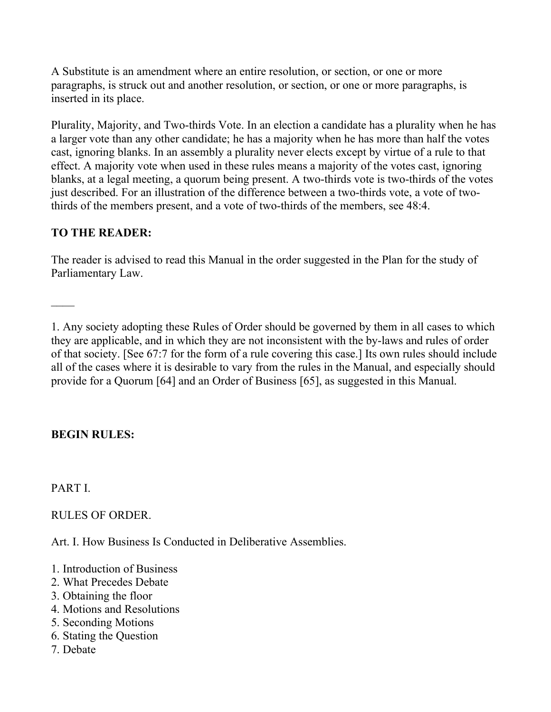A Substitute is an amendment where an entire resolution, or section, or one or more paragraphs, is struck out and another resolution, or section, or one or more paragraphs, is inserted in its place.

Plurality, Majority, and Two-thirds Vote. In an election a candidate has a plurality when he has a larger vote than any other candidate; he has a majority when he has more than half the votes cast, ignoring blanks. In an assembly a plurality never elects except by virtue of a rule to that effect. A majority vote when used in these rules means a majority of the votes cast, ignoring blanks, at a legal meeting, a quorum being present. A two-thirds vote is two-thirds of the votes just described. For an illustration of the difference between a two-thirds vote, a vote of twothirds of the members present, and a vote of two-thirds of the members, see 48:4.

# **TO THE READER:**

The reader is advised to read this Manual in the order suggested in the Plan for the study of Parliamentary Law.

1. Any society adopting these Rules of Order should be governed by them in all cases to which they are applicable, and in which they are not inconsistent with the by-laws and rules of order of that society. [See 67:7 for the form of a rule covering this case.] Its own rules should include all of the cases where it is desirable to vary from the rules in the Manual, and especially should provide for a Quorum [64] and an Order of Business [65], as suggested in this Manual.

# **BEGIN RULES:**

PART I.

RULES OF ORDER.

Art. I. How Business Is Conducted in Deliberative Assemblies.

- 1. Introduction of Business
- 2. What Precedes Debate
- 3. Obtaining the floor
- 4. Motions and Resolutions
- 5. Seconding Motions
- 6. Stating the Question
- 7. Debate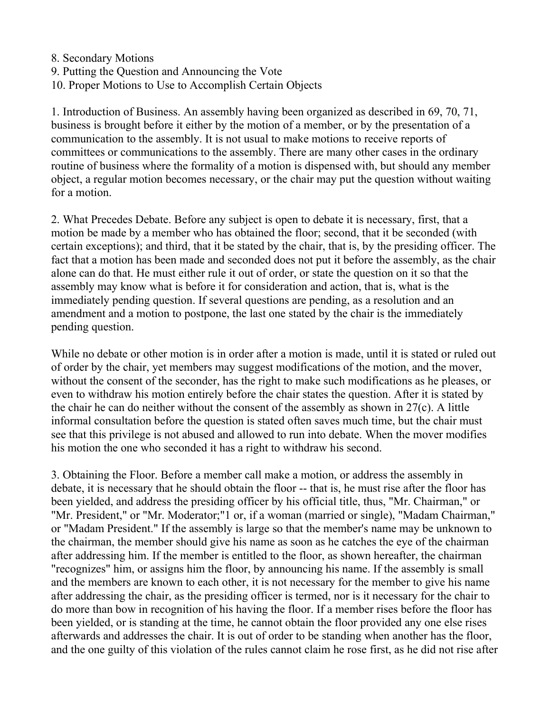8. Secondary Motions 9. Putting the Question and Announcing the Vote 10. Proper Motions to Use to Accomplish Certain Objects

1. Introduction of Business. An assembly having been organized as described in 69, 70, 71, business is brought before it either by the motion of a member, or by the presentation of a communication to the assembly. It is not usual to make motions to receive reports of committees or communications to the assembly. There are many other cases in the ordinary routine of business where the formality of a motion is dispensed with, but should any member object, a regular motion becomes necessary, or the chair may put the question without waiting for a motion.

2. What Precedes Debate. Before any subject is open to debate it is necessary, first, that a motion be made by a member who has obtained the floor; second, that it be seconded (with certain exceptions); and third, that it be stated by the chair, that is, by the presiding officer. The fact that a motion has been made and seconded does not put it before the assembly, as the chair alone can do that. He must either rule it out of order, or state the question on it so that the assembly may know what is before it for consideration and action, that is, what is the immediately pending question. If several questions are pending, as a resolution and an amendment and a motion to postpone, the last one stated by the chair is the immediately pending question.

While no debate or other motion is in order after a motion is made, until it is stated or ruled out of order by the chair, yet members may suggest modifications of the motion, and the mover, without the consent of the seconder, has the right to make such modifications as he pleases, or even to withdraw his motion entirely before the chair states the question. After it is stated by the chair he can do neither without the consent of the assembly as shown in 27(c). A little informal consultation before the question is stated often saves much time, but the chair must see that this privilege is not abused and allowed to run into debate. When the mover modifies his motion the one who seconded it has a right to withdraw his second.

3. Obtaining the Floor. Before a member call make a motion, or address the assembly in debate, it is necessary that he should obtain the floor -- that is, he must rise after the floor has been yielded, and address the presiding officer by his official title, thus, "Mr. Chairman," or "Mr. President," or "Mr. Moderator;"1 or, if a woman (married or single), "Madam Chairman," or "Madam President." If the assembly is large so that the member's name may be unknown to the chairman, the member should give his name as soon as he catches the eye of the chairman after addressing him. If the member is entitled to the floor, as shown hereafter, the chairman "recognizes" him, or assigns him the floor, by announcing his name. If the assembly is small and the members are known to each other, it is not necessary for the member to give his name after addressing the chair, as the presiding officer is termed, nor is it necessary for the chair to do more than bow in recognition of his having the floor. If a member rises before the floor has been yielded, or is standing at the time, he cannot obtain the floor provided any one else rises afterwards and addresses the chair. It is out of order to be standing when another has the floor, and the one guilty of this violation of the rules cannot claim he rose first, as he did not rise after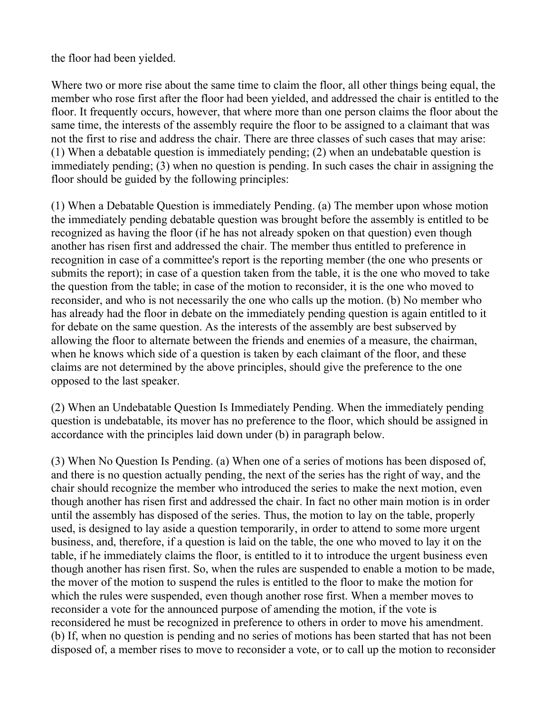the floor had been yielded.

Where two or more rise about the same time to claim the floor, all other things being equal, the member who rose first after the floor had been yielded, and addressed the chair is entitled to the floor. It frequently occurs, however, that where more than one person claims the floor about the same time, the interests of the assembly require the floor to be assigned to a claimant that was not the first to rise and address the chair. There are three classes of such cases that may arise: (1) When a debatable question is immediately pending; (2) when an undebatable question is immediately pending; (3) when no question is pending. In such cases the chair in assigning the floor should be guided by the following principles:

(1) When a Debatable Question is immediately Pending. (a) The member upon whose motion the immediately pending debatable question was brought before the assembly is entitled to be recognized as having the floor (if he has not already spoken on that question) even though another has risen first and addressed the chair. The member thus entitled to preference in recognition in case of a committee's report is the reporting member (the one who presents or submits the report); in case of a question taken from the table, it is the one who moved to take the question from the table; in case of the motion to reconsider, it is the one who moved to reconsider, and who is not necessarily the one who calls up the motion. (b) No member who has already had the floor in debate on the immediately pending question is again entitled to it for debate on the same question. As the interests of the assembly are best subserved by allowing the floor to alternate between the friends and enemies of a measure, the chairman, when he knows which side of a question is taken by each claimant of the floor, and these claims are not determined by the above principles, should give the preference to the one opposed to the last speaker.

(2) When an Undebatable Question Is Immediately Pending. When the immediately pending question is undebatable, its mover has no preference to the floor, which should be assigned in accordance with the principles laid down under (b) in paragraph below.

(3) When No Question Is Pending. (a) When one of a series of motions has been disposed of, and there is no question actually pending, the next of the series has the right of way, and the chair should recognize the member who introduced the series to make the next motion, even though another has risen first and addressed the chair. In fact no other main motion is in order until the assembly has disposed of the series. Thus, the motion to lay on the table, properly used, is designed to lay aside a question temporarily, in order to attend to some more urgent business, and, therefore, if a question is laid on the table, the one who moved to lay it on the table, if he immediately claims the floor, is entitled to it to introduce the urgent business even though another has risen first. So, when the rules are suspended to enable a motion to be made, the mover of the motion to suspend the rules is entitled to the floor to make the motion for which the rules were suspended, even though another rose first. When a member moves to reconsider a vote for the announced purpose of amending the motion, if the vote is reconsidered he must be recognized in preference to others in order to move his amendment. (b) If, when no question is pending and no series of motions has been started that has not been disposed of, a member rises to move to reconsider a vote, or to call up the motion to reconsider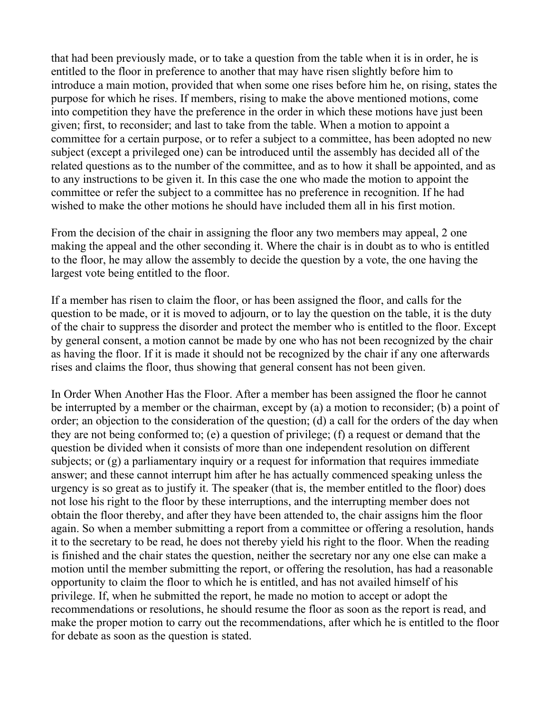that had been previously made, or to take a question from the table when it is in order, he is entitled to the floor in preference to another that may have risen slightly before him to introduce a main motion, provided that when some one rises before him he, on rising, states the purpose for which he rises. If members, rising to make the above mentioned motions, come into competition they have the preference in the order in which these motions have just been given; first, to reconsider; and last to take from the table. When a motion to appoint a committee for a certain purpose, or to refer a subject to a committee, has been adopted no new subject (except a privileged one) can be introduced until the assembly has decided all of the related questions as to the number of the committee, and as to how it shall be appointed, and as to any instructions to be given it. In this case the one who made the motion to appoint the committee or refer the subject to a committee has no preference in recognition. If he had wished to make the other motions he should have included them all in his first motion.

From the decision of the chair in assigning the floor any two members may appeal, 2 one making the appeal and the other seconding it. Where the chair is in doubt as to who is entitled to the floor, he may allow the assembly to decide the question by a vote, the one having the largest vote being entitled to the floor.

If a member has risen to claim the floor, or has been assigned the floor, and calls for the question to be made, or it is moved to adjourn, or to lay the question on the table, it is the duty of the chair to suppress the disorder and protect the member who is entitled to the floor. Except by general consent, a motion cannot be made by one who has not been recognized by the chair as having the floor. If it is made it should not be recognized by the chair if any one afterwards rises and claims the floor, thus showing that general consent has not been given.

In Order When Another Has the Floor. After a member has been assigned the floor he cannot be interrupted by a member or the chairman, except by (a) a motion to reconsider; (b) a point of order; an objection to the consideration of the question; (d) a call for the orders of the day when they are not being conformed to; (e) a question of privilege; (f) a request or demand that the question be divided when it consists of more than one independent resolution on different subjects; or (g) a parliamentary inquiry or a request for information that requires immediate answer; and these cannot interrupt him after he has actually commenced speaking unless the urgency is so great as to justify it. The speaker (that is, the member entitled to the floor) does not lose his right to the floor by these interruptions, and the interrupting member does not obtain the floor thereby, and after they have been attended to, the chair assigns him the floor again. So when a member submitting a report from a committee or offering a resolution, hands it to the secretary to be read, he does not thereby yield his right to the floor. When the reading is finished and the chair states the question, neither the secretary nor any one else can make a motion until the member submitting the report, or offering the resolution, has had a reasonable opportunity to claim the floor to which he is entitled, and has not availed himself of his privilege. If, when he submitted the report, he made no motion to accept or adopt the recommendations or resolutions, he should resume the floor as soon as the report is read, and make the proper motion to carry out the recommendations, after which he is entitled to the floor for debate as soon as the question is stated.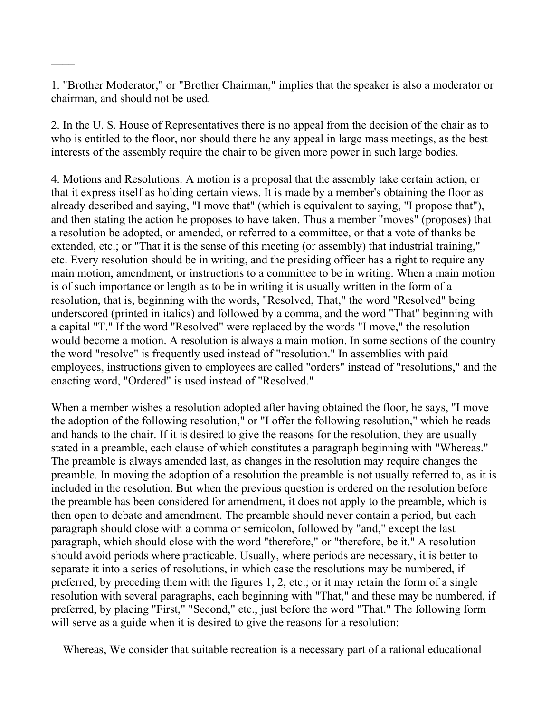1. "Brother Moderator," or "Brother Chairman," implies that the speaker is also a moderator or chairman, and should not be used.

2. In the U. S. House of Representatives there is no appeal from the decision of the chair as to who is entitled to the floor, nor should there he any appeal in large mass meetings, as the best interests of the assembly require the chair to be given more power in such large bodies.

4. Motions and Resolutions. A motion is a proposal that the assembly take certain action, or that it express itself as holding certain views. It is made by a member's obtaining the floor as already described and saying, "I move that" (which is equivalent to saying, "I propose that"), and then stating the action he proposes to have taken. Thus a member "moves" (proposes) that a resolution be adopted, or amended, or referred to a committee, or that a vote of thanks be extended, etc.; or "That it is the sense of this meeting (or assembly) that industrial training," etc. Every resolution should be in writing, and the presiding officer has a right to require any main motion, amendment, or instructions to a committee to be in writing. When a main motion is of such importance or length as to be in writing it is usually written in the form of a resolution, that is, beginning with the words, "Resolved, That," the word "Resolved" being underscored (printed in italics) and followed by a comma, and the word "That" beginning with a capital "T." If the word "Resolved" were replaced by the words "I move," the resolution would become a motion. A resolution is always a main motion. In some sections of the country the word "resolve" is frequently used instead of "resolution." In assemblies with paid employees, instructions given to employees are called "orders" instead of "resolutions," and the enacting word, "Ordered" is used instead of "Resolved."

When a member wishes a resolution adopted after having obtained the floor, he says, "I move the adoption of the following resolution," or "I offer the following resolution," which he reads and hands to the chair. If it is desired to give the reasons for the resolution, they are usually stated in a preamble, each clause of which constitutes a paragraph beginning with "Whereas." The preamble is always amended last, as changes in the resolution may require changes the preamble. In moving the adoption of a resolution the preamble is not usually referred to, as it is included in the resolution. But when the previous question is ordered on the resolution before the preamble has been considered for amendment, it does not apply to the preamble, which is then open to debate and amendment. The preamble should never contain a period, but each paragraph should close with a comma or semicolon, followed by "and," except the last paragraph, which should close with the word "therefore," or "therefore, be it." A resolution should avoid periods where practicable. Usually, where periods are necessary, it is better to separate it into a series of resolutions, in which case the resolutions may be numbered, if preferred, by preceding them with the figures 1, 2, etc.; or it may retain the form of a single resolution with several paragraphs, each beginning with "That," and these may be numbered, if preferred, by placing "First," "Second," etc., just before the word "That." The following form will serve as a guide when it is desired to give the reasons for a resolution:

Whereas, We consider that suitable recreation is a necessary part of a rational educational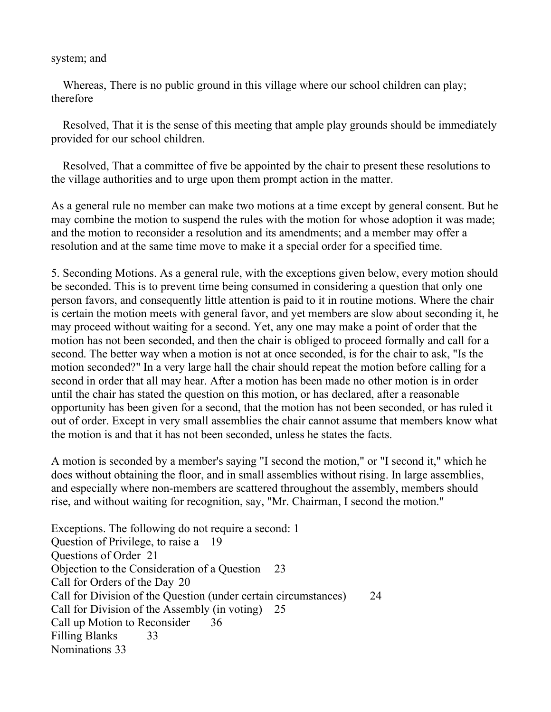#### system; and

Whereas, There is no public ground in this village where our school children can play; therefore

 Resolved, That it is the sense of this meeting that ample play grounds should be immediately provided for our school children.

 Resolved, That a committee of five be appointed by the chair to present these resolutions to the village authorities and to urge upon them prompt action in the matter.

As a general rule no member can make two motions at a time except by general consent. But he may combine the motion to suspend the rules with the motion for whose adoption it was made; and the motion to reconsider a resolution and its amendments; and a member may offer a resolution and at the same time move to make it a special order for a specified time.

5. Seconding Motions. As a general rule, with the exceptions given below, every motion should be seconded. This is to prevent time being consumed in considering a question that only one person favors, and consequently little attention is paid to it in routine motions. Where the chair is certain the motion meets with general favor, and yet members are slow about seconding it, he may proceed without waiting for a second. Yet, any one may make a point of order that the motion has not been seconded, and then the chair is obliged to proceed formally and call for a second. The better way when a motion is not at once seconded, is for the chair to ask, "Is the motion seconded?" In a very large hall the chair should repeat the motion before calling for a second in order that all may hear. After a motion has been made no other motion is in order until the chair has stated the question on this motion, or has declared, after a reasonable opportunity has been given for a second, that the motion has not been seconded, or has ruled it out of order. Except in very small assemblies the chair cannot assume that members know what the motion is and that it has not been seconded, unless he states the facts.

A motion is seconded by a member's saying "I second the motion," or "I second it," which he does without obtaining the floor, and in small assemblies without rising. In large assemblies, and especially where non-members are scattered throughout the assembly, members should rise, and without waiting for recognition, say, "Mr. Chairman, I second the motion."

Exceptions. The following do not require a second: 1 Question of Privilege, to raise a 19 Questions of Order 21 Objection to the Consideration of a Question 23 Call for Orders of the Day 20 Call for Division of the Question (under certain circumstances) 24 Call for Division of the Assembly (in voting) 25 Call up Motion to Reconsider 36 Filling Blanks 33 Nominations 33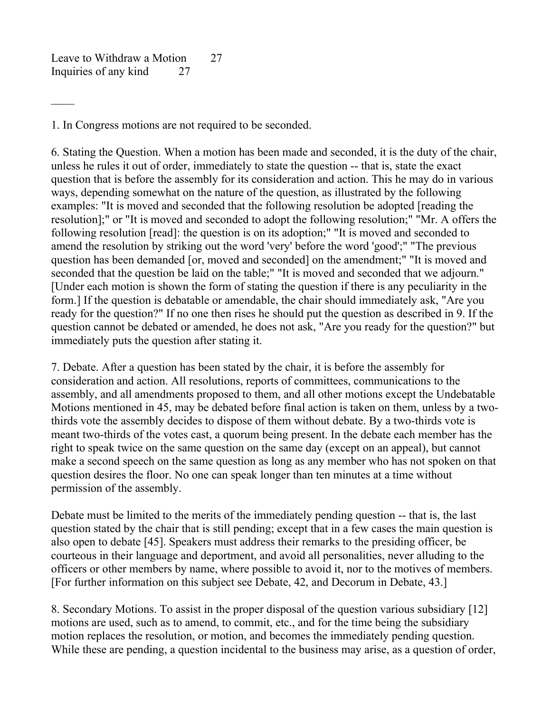Leave to Withdraw a Motion 27 Inquiries of any kind 27

1. In Congress motions are not required to be seconded.

6. Stating the Question. When a motion has been made and seconded, it is the duty of the chair, unless he rules it out of order, immediately to state the question -- that is, state the exact question that is before the assembly for its consideration and action. This he may do in various ways, depending somewhat on the nature of the question, as illustrated by the following examples: "It is moved and seconded that the following resolution be adopted [reading the resolution];" or "It is moved and seconded to adopt the following resolution;" "Mr. A offers the following resolution [read]: the question is on its adoption;" "It is moved and seconded to amend the resolution by striking out the word 'very' before the word 'good';" "The previous question has been demanded [or, moved and seconded] on the amendment;" "It is moved and seconded that the question be laid on the table;" "It is moved and seconded that we adjourn." [Under each motion is shown the form of stating the question if there is any peculiarity in the form.] If the question is debatable or amendable, the chair should immediately ask, "Are you ready for the question?" If no one then rises he should put the question as described in 9. If the question cannot be debated or amended, he does not ask, "Are you ready for the question?" but immediately puts the question after stating it.

7. Debate. After a question has been stated by the chair, it is before the assembly for consideration and action. All resolutions, reports of committees, communications to the assembly, and all amendments proposed to them, and all other motions except the Undebatable Motions mentioned in 45, may be debated before final action is taken on them, unless by a twothirds vote the assembly decides to dispose of them without debate. By a two-thirds vote is meant two-thirds of the votes cast, a quorum being present. In the debate each member has the right to speak twice on the same question on the same day (except on an appeal), but cannot make a second speech on the same question as long as any member who has not spoken on that question desires the floor. No one can speak longer than ten minutes at a time without permission of the assembly.

Debate must be limited to the merits of the immediately pending question -- that is, the last question stated by the chair that is still pending; except that in a few cases the main question is also open to debate [45]. Speakers must address their remarks to the presiding officer, be courteous in their language and deportment, and avoid all personalities, never alluding to the officers or other members by name, where possible to avoid it, nor to the motives of members. [For further information on this subject see Debate, 42, and Decorum in Debate, 43.]

8. Secondary Motions. To assist in the proper disposal of the question various subsidiary [12] motions are used, such as to amend, to commit, etc., and for the time being the subsidiary motion replaces the resolution, or motion, and becomes the immediately pending question. While these are pending, a question incidental to the business may arise, as a question of order,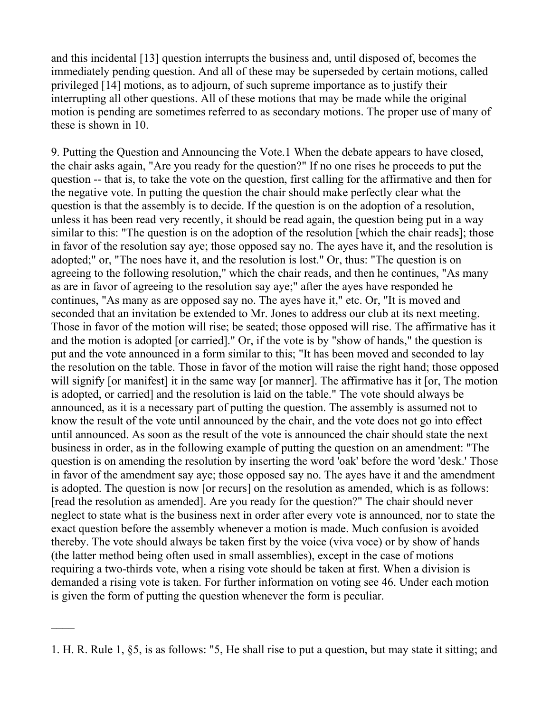and this incidental [13] question interrupts the business and, until disposed of, becomes the immediately pending question. And all of these may be superseded by certain motions, called privileged [14] motions, as to adjourn, of such supreme importance as to justify their interrupting all other questions. All of these motions that may be made while the original motion is pending are sometimes referred to as secondary motions. The proper use of many of these is shown in 10.

9. Putting the Question and Announcing the Vote.1 When the debate appears to have closed, the chair asks again, "Are you ready for the question?" If no one rises he proceeds to put the question -- that is, to take the vote on the question, first calling for the affirmative and then for the negative vote. In putting the question the chair should make perfectly clear what the question is that the assembly is to decide. If the question is on the adoption of a resolution, unless it has been read very recently, it should be read again, the question being put in a way similar to this: "The question is on the adoption of the resolution [which the chair reads]; those in favor of the resolution say aye; those opposed say no. The ayes have it, and the resolution is adopted;" or, "The noes have it, and the resolution is lost." Or, thus: "The question is on agreeing to the following resolution," which the chair reads, and then he continues, "As many as are in favor of agreeing to the resolution say aye;" after the ayes have responded he continues, "As many as are opposed say no. The ayes have it," etc. Or, "It is moved and seconded that an invitation be extended to Mr. Jones to address our club at its next meeting. Those in favor of the motion will rise; be seated; those opposed will rise. The affirmative has it and the motion is adopted [or carried]." Or, if the vote is by "show of hands," the question is put and the vote announced in a form similar to this; "It has been moved and seconded to lay the resolution on the table. Those in favor of the motion will raise the right hand; those opposed will signify [or manifest] it in the same way [or manner]. The affirmative has it [or, The motion is adopted, or carried] and the resolution is laid on the table." The vote should always be announced, as it is a necessary part of putting the question. The assembly is assumed not to know the result of the vote until announced by the chair, and the vote does not go into effect until announced. As soon as the result of the vote is announced the chair should state the next business in order, as in the following example of putting the question on an amendment: "The question is on amending the resolution by inserting the word 'oak' before the word 'desk.' Those in favor of the amendment say aye; those opposed say no. The ayes have it and the amendment is adopted. The question is now [or recurs] on the resolution as amended, which is as follows: [read the resolution as amended]. Are you ready for the question?" The chair should never neglect to state what is the business next in order after every vote is announced, nor to state the exact question before the assembly whenever a motion is made. Much confusion is avoided thereby. The vote should always be taken first by the voice (viva voce) or by show of hands (the latter method being often used in small assemblies), except in the case of motions requiring a two-thirds vote, when a rising vote should be taken at first. When a division is demanded a rising vote is taken. For further information on voting see 46. Under each motion is given the form of putting the question whenever the form is peculiar.

<sup>1.</sup> H. R. Rule 1, §5, is as follows: "5, He shall rise to put a question, but may state it sitting; and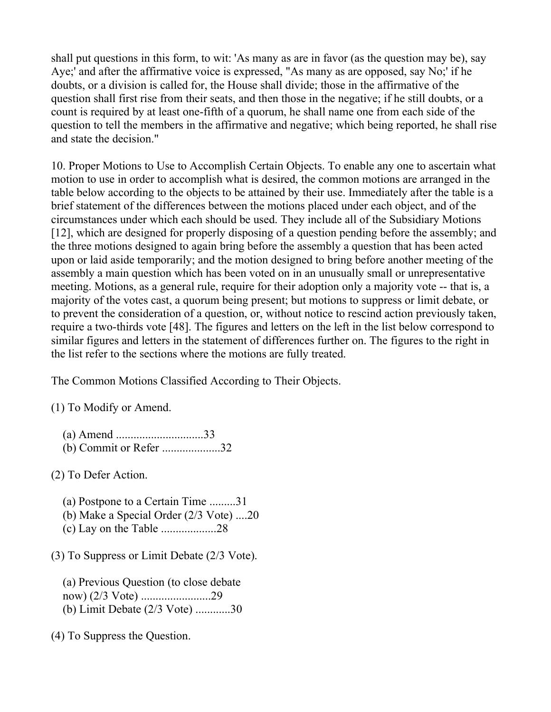shall put questions in this form, to wit: 'As many as are in favor (as the question may be), say Aye;' and after the affirmative voice is expressed, "As many as are opposed, say No;' if he doubts, or a division is called for, the House shall divide; those in the affirmative of the question shall first rise from their seats, and then those in the negative; if he still doubts, or a count is required by at least one-fifth of a quorum, he shall name one from each side of the question to tell the members in the affirmative and negative; which being reported, he shall rise and state the decision."

10. Proper Motions to Use to Accomplish Certain Objects. To enable any one to ascertain what motion to use in order to accomplish what is desired, the common motions are arranged in the table below according to the objects to be attained by their use. Immediately after the table is a brief statement of the differences between the motions placed under each object, and of the circumstances under which each should be used. They include all of the Subsidiary Motions [12], which are designed for properly disposing of a question pending before the assembly; and the three motions designed to again bring before the assembly a question that has been acted upon or laid aside temporarily; and the motion designed to bring before another meeting of the assembly a main question which has been voted on in an unusually small or unrepresentative meeting. Motions, as a general rule, require for their adoption only a majority vote -- that is, a majority of the votes cast, a quorum being present; but motions to suppress or limit debate, or to prevent the consideration of a question, or, without notice to rescind action previously taken, require a two-thirds vote [48]. The figures and letters on the left in the list below correspond to similar figures and letters in the statement of differences further on. The figures to the right in the list refer to the sections where the motions are fully treated.

The Common Motions Classified According to Their Objects.

(1) To Modify or Amend.

| (b) Commit or Refer 32 |  |
|------------------------|--|

(2) To Defer Action.

 (a) Postpone to a Certain Time .........31 (b) Make a Special Order (2/3 Vote) ....20 (c) Lay on the Table ...................28

(3) To Suppress or Limit Debate (2/3 Vote).

 (a) Previous Question (to close debate now) (2/3 Vote) ........................29 (b) Limit Debate (2/3 Vote) ............30

(4) To Suppress the Question.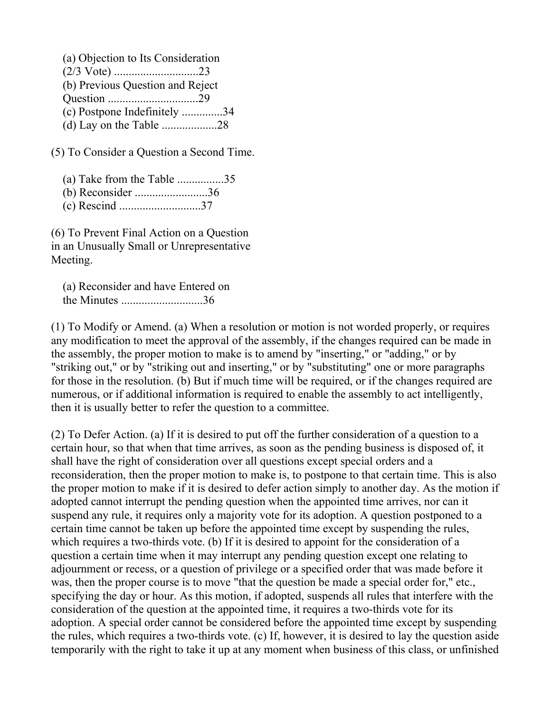| (a) Objection to Its Consideration |  |
|------------------------------------|--|
|                                    |  |
| (b) Previous Question and Reject   |  |
|                                    |  |
| (c) Postpone Indefinitely 34       |  |
|                                    |  |

(5) To Consider a Question a Second Time.

(a) Take from the Table ................35

(b) Reconsider .........................36

(c) Rescind ............................37

(6) To Prevent Final Action on a Question in an Unusually Small or Unrepresentative Meeting.

 (a) Reconsider and have Entered on the Minutes ............................36

(1) To Modify or Amend. (a) When a resolution or motion is not worded properly, or requires any modification to meet the approval of the assembly, if the changes required can be made in the assembly, the proper motion to make is to amend by "inserting," or "adding," or by "striking out," or by "striking out and inserting," or by "substituting" one or more paragraphs for those in the resolution. (b) But if much time will be required, or if the changes required are numerous, or if additional information is required to enable the assembly to act intelligently, then it is usually better to refer the question to a committee.

(2) To Defer Action. (a) If it is desired to put off the further consideration of a question to a certain hour, so that when that time arrives, as soon as the pending business is disposed of, it shall have the right of consideration over all questions except special orders and a reconsideration, then the proper motion to make is, to postpone to that certain time. This is also the proper motion to make if it is desired to defer action simply to another day. As the motion if adopted cannot interrupt the pending question when the appointed time arrives, nor can it suspend any rule, it requires only a majority vote for its adoption. A question postponed to a certain time cannot be taken up before the appointed time except by suspending the rules, which requires a two-thirds vote. (b) If it is desired to appoint for the consideration of a question a certain time when it may interrupt any pending question except one relating to adjournment or recess, or a question of privilege or a specified order that was made before it was, then the proper course is to move "that the question be made a special order for," etc., specifying the day or hour. As this motion, if adopted, suspends all rules that interfere with the consideration of the question at the appointed time, it requires a two-thirds vote for its adoption. A special order cannot be considered before the appointed time except by suspending the rules, which requires a two-thirds vote. (c) If, however, it is desired to lay the question aside temporarily with the right to take it up at any moment when business of this class, or unfinished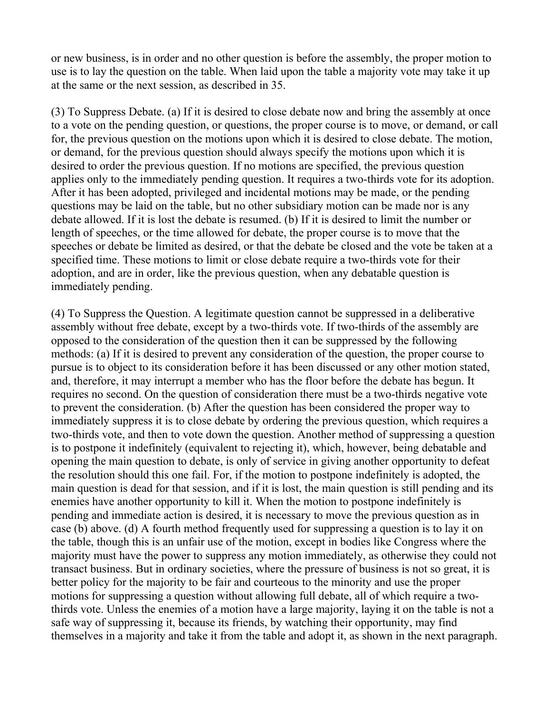or new business, is in order and no other question is before the assembly, the proper motion to use is to lay the question on the table. When laid upon the table a majority vote may take it up at the same or the next session, as described in 35.

(3) To Suppress Debate. (a) If it is desired to close debate now and bring the assembly at once to a vote on the pending question, or questions, the proper course is to move, or demand, or call for, the previous question on the motions upon which it is desired to close debate. The motion, or demand, for the previous question should always specify the motions upon which it is desired to order the previous question. If no motions are specified, the previous question applies only to the immediately pending question. It requires a two-thirds vote for its adoption. After it has been adopted, privileged and incidental motions may be made, or the pending questions may be laid on the table, but no other subsidiary motion can be made nor is any debate allowed. If it is lost the debate is resumed. (b) If it is desired to limit the number or length of speeches, or the time allowed for debate, the proper course is to move that the speeches or debate be limited as desired, or that the debate be closed and the vote be taken at a specified time. These motions to limit or close debate require a two-thirds vote for their adoption, and are in order, like the previous question, when any debatable question is immediately pending.

(4) To Suppress the Question. A legitimate question cannot be suppressed in a deliberative assembly without free debate, except by a two-thirds vote. If two-thirds of the assembly are opposed to the consideration of the question then it can be suppressed by the following methods: (a) If it is desired to prevent any consideration of the question, the proper course to pursue is to object to its consideration before it has been discussed or any other motion stated, and, therefore, it may interrupt a member who has the floor before the debate has begun. It requires no second. On the question of consideration there must be a two-thirds negative vote to prevent the consideration. (b) After the question has been considered the proper way to immediately suppress it is to close debate by ordering the previous question, which requires a two-thirds vote, and then to vote down the question. Another method of suppressing a question is to postpone it indefinitely (equivalent to rejecting it), which, however, being debatable and opening the main question to debate, is only of service in giving another opportunity to defeat the resolution should this one fail. For, if the motion to postpone indefinitely is adopted, the main question is dead for that session, and if it is lost, the main question is still pending and its enemies have another opportunity to kill it. When the motion to postpone indefinitely is pending and immediate action is desired, it is necessary to move the previous question as in case (b) above. (d) A fourth method frequently used for suppressing a question is to lay it on the table, though this is an unfair use of the motion, except in bodies like Congress where the majority must have the power to suppress any motion immediately, as otherwise they could not transact business. But in ordinary societies, where the pressure of business is not so great, it is better policy for the majority to be fair and courteous to the minority and use the proper motions for suppressing a question without allowing full debate, all of which require a twothirds vote. Unless the enemies of a motion have a large majority, laying it on the table is not a safe way of suppressing it, because its friends, by watching their opportunity, may find themselves in a majority and take it from the table and adopt it, as shown in the next paragraph.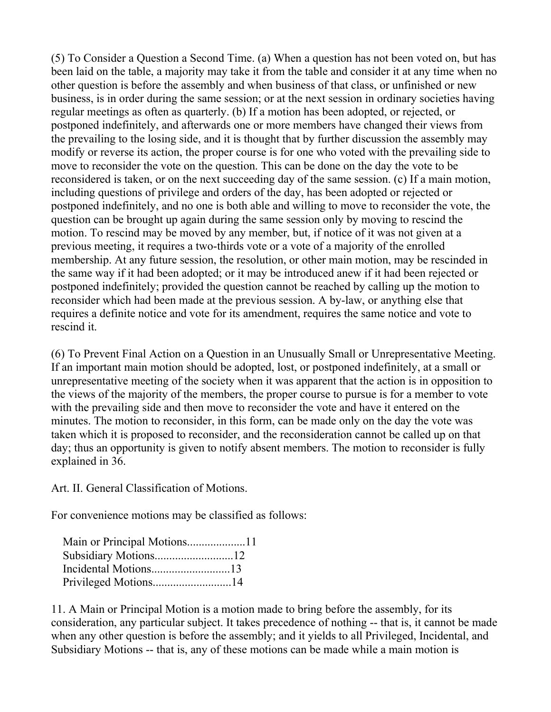(5) To Consider a Question a Second Time. (a) When a question has not been voted on, but has been laid on the table, a majority may take it from the table and consider it at any time when no other question is before the assembly and when business of that class, or unfinished or new business, is in order during the same session; or at the next session in ordinary societies having regular meetings as often as quarterly. (b) If a motion has been adopted, or rejected, or postponed indefinitely, and afterwards one or more members have changed their views from the prevailing to the losing side, and it is thought that by further discussion the assembly may modify or reverse its action, the proper course is for one who voted with the prevailing side to move to reconsider the vote on the question. This can be done on the day the vote to be reconsidered is taken, or on the next succeeding day of the same session. (c) If a main motion, including questions of privilege and orders of the day, has been adopted or rejected or postponed indefinitely, and no one is both able and willing to move to reconsider the vote, the question can be brought up again during the same session only by moving to rescind the motion. To rescind may be moved by any member, but, if notice of it was not given at a previous meeting, it requires a two-thirds vote or a vote of a majority of the enrolled membership. At any future session, the resolution, or other main motion, may be rescinded in the same way if it had been adopted; or it may be introduced anew if it had been rejected or postponed indefinitely; provided the question cannot be reached by calling up the motion to reconsider which had been made at the previous session. A by-law, or anything else that requires a definite notice and vote for its amendment, requires the same notice and vote to rescind it.

(6) To Prevent Final Action on a Question in an Unusually Small or Unrepresentative Meeting. If an important main motion should be adopted, lost, or postponed indefinitely, at a small or unrepresentative meeting of the society when it was apparent that the action is in opposition to the views of the majority of the members, the proper course to pursue is for a member to vote with the prevailing side and then move to reconsider the vote and have it entered on the minutes. The motion to reconsider, in this form, can be made only on the day the vote was taken which it is proposed to reconsider, and the reconsideration cannot be called up on that day; thus an opportunity is given to notify absent members. The motion to reconsider is fully explained in 36.

Art. II. General Classification of Motions.

For convenience motions may be classified as follows:

| Main or Principal Motions11 |  |
|-----------------------------|--|
| Subsidiary Motions12        |  |
|                             |  |
| Privileged Motions14        |  |

11. A Main or Principal Motion is a motion made to bring before the assembly, for its consideration, any particular subject. It takes precedence of nothing -- that is, it cannot be made when any other question is before the assembly; and it yields to all Privileged, Incidental, and Subsidiary Motions -- that is, any of these motions can be made while a main motion is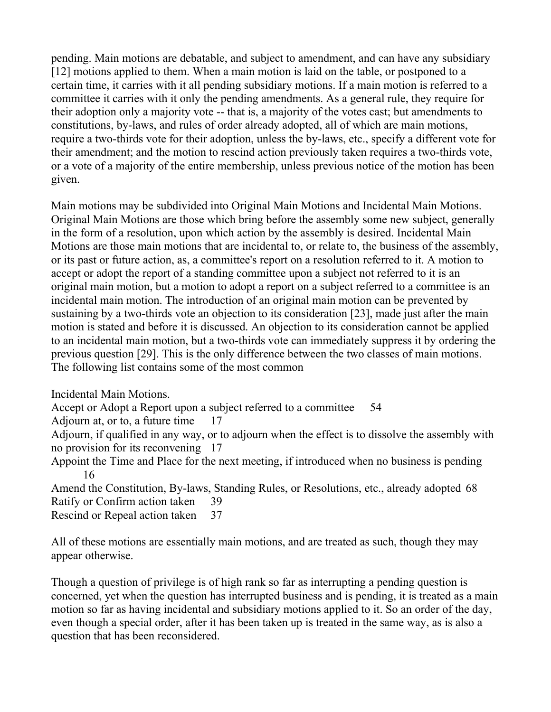pending. Main motions are debatable, and subject to amendment, and can have any subsidiary [12] motions applied to them. When a main motion is laid on the table, or postponed to a certain time, it carries with it all pending subsidiary motions. If a main motion is referred to a committee it carries with it only the pending amendments. As a general rule, they require for their adoption only a majority vote -- that is, a majority of the votes cast; but amendments to constitutions, by-laws, and rules of order already adopted, all of which are main motions, require a two-thirds vote for their adoption, unless the by-laws, etc., specify a different vote for their amendment; and the motion to rescind action previously taken requires a two-thirds vote, or a vote of a majority of the entire membership, unless previous notice of the motion has been given.

Main motions may be subdivided into Original Main Motions and Incidental Main Motions. Original Main Motions are those which bring before the assembly some new subject, generally in the form of a resolution, upon which action by the assembly is desired. Incidental Main Motions are those main motions that are incidental to, or relate to, the business of the assembly, or its past or future action, as, a committee's report on a resolution referred to it. A motion to accept or adopt the report of a standing committee upon a subject not referred to it is an original main motion, but a motion to adopt a report on a subject referred to a committee is an incidental main motion. The introduction of an original main motion can be prevented by sustaining by a two-thirds vote an objection to its consideration [23], made just after the main motion is stated and before it is discussed. An objection to its consideration cannot be applied to an incidental main motion, but a two-thirds vote can immediately suppress it by ordering the previous question [29]. This is the only difference between the two classes of main motions. The following list contains some of the most common

Incidental Main Motions.

Accept or Adopt a Report upon a subject referred to a committee 54

Adjourn at, or to, a future time 17

Adjourn, if qualified in any way, or to adjourn when the effect is to dissolve the assembly with no provision for its reconvening 17

Appoint the Time and Place for the next meeting, if introduced when no business is pending 16

Amend the Constitution, By-laws, Standing Rules, or Resolutions, etc., already adopted 68 Ratify or Confirm action taken 39

Rescind or Repeal action taken 37

All of these motions are essentially main motions, and are treated as such, though they may appear otherwise.

Though a question of privilege is of high rank so far as interrupting a pending question is concerned, yet when the question has interrupted business and is pending, it is treated as a main motion so far as having incidental and subsidiary motions applied to it. So an order of the day, even though a special order, after it has been taken up is treated in the same way, as is also a question that has been reconsidered.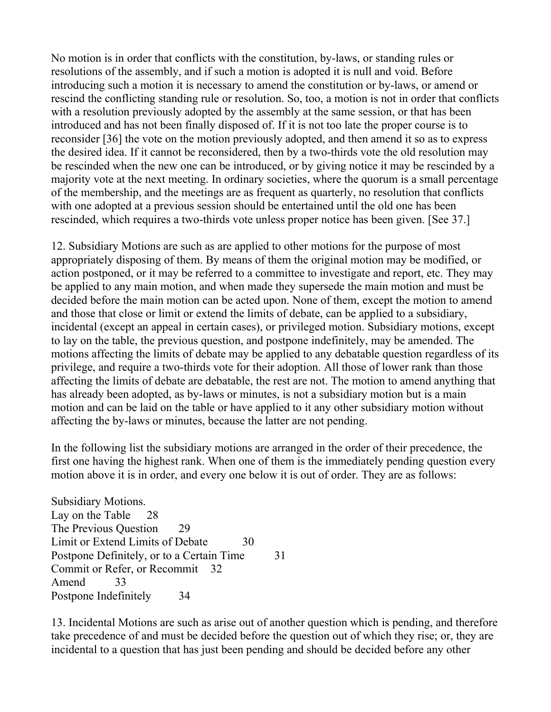No motion is in order that conflicts with the constitution, by-laws, or standing rules or resolutions of the assembly, and if such a motion is adopted it is null and void. Before introducing such a motion it is necessary to amend the constitution or by-laws, or amend or rescind the conflicting standing rule or resolution. So, too, a motion is not in order that conflicts with a resolution previously adopted by the assembly at the same session, or that has been introduced and has not been finally disposed of. If it is not too late the proper course is to reconsider [36] the vote on the motion previously adopted, and then amend it so as to express the desired idea. If it cannot be reconsidered, then by a two-thirds vote the old resolution may be rescinded when the new one can be introduced, or by giving notice it may be rescinded by a majority vote at the next meeting. In ordinary societies, where the quorum is a small percentage of the membership, and the meetings are as frequent as quarterly, no resolution that conflicts with one adopted at a previous session should be entertained until the old one has been rescinded, which requires a two-thirds vote unless proper notice has been given. [See 37.]

12. Subsidiary Motions are such as are applied to other motions for the purpose of most appropriately disposing of them. By means of them the original motion may be modified, or action postponed, or it may be referred to a committee to investigate and report, etc. They may be applied to any main motion, and when made they supersede the main motion and must be decided before the main motion can be acted upon. None of them, except the motion to amend and those that close or limit or extend the limits of debate, can be applied to a subsidiary, incidental (except an appeal in certain cases), or privileged motion. Subsidiary motions, except to lay on the table, the previous question, and postpone indefinitely, may be amended. The motions affecting the limits of debate may be applied to any debatable question regardless of its privilege, and require a two-thirds vote for their adoption. All those of lower rank than those affecting the limits of debate are debatable, the rest are not. The motion to amend anything that has already been adopted, as by-laws or minutes, is not a subsidiary motion but is a main motion and can be laid on the table or have applied to it any other subsidiary motion without affecting the by-laws or minutes, because the latter are not pending.

In the following list the subsidiary motions are arranged in the order of their precedence, the first one having the highest rank. When one of them is the immediately pending question every motion above it is in order, and every one below it is out of order. They are as follows:

Subsidiary Motions. Lay on the Table 28 The Previous Ouestion 29 Limit or Extend Limits of Debate 30 Postpone Definitely, or to a Certain Time 31 Commit or Refer, or Recommit 32 Amend 33 Postpone Indefinitely 34

13. Incidental Motions are such as arise out of another question which is pending, and therefore take precedence of and must be decided before the question out of which they rise; or, they are incidental to a question that has just been pending and should be decided before any other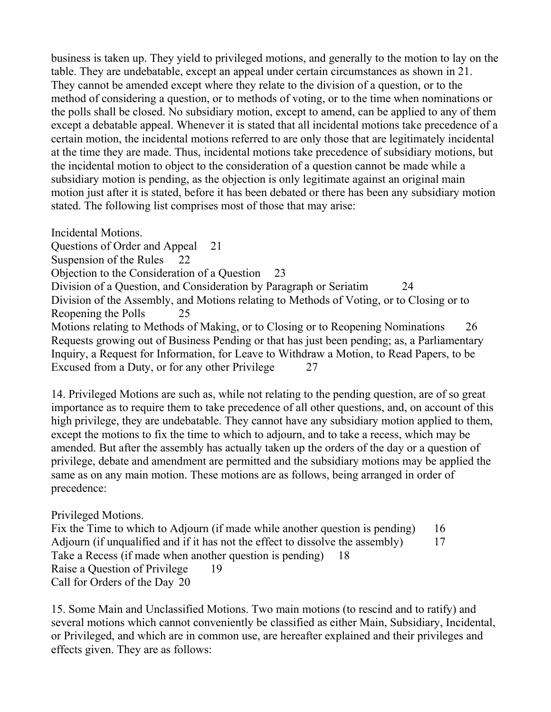business is taken up. They yield to privileged motions, and generally to the motion to lay on the table. They are undebatable, except an appeal under certain circumstances as shown in 21. They cannot be amended except where they relate to the division of a question, or to the method of considering a question, or to methods of voting, or to the time when nominations or the polls shall be closed. No subsidiary motion, except to amend, can be applied to any of them except a debatable appeal. Whenever it is stated that all incidental motions take precedence of a certain motion, the incidental motions referred to are only those that are legitimately incidental at the time they are made. Thus, incidental motions take precedence of subsidiary motions, but the incidental motion to object to the consideration of a question cannot be made while a subsidiary motion is pending, as the objection is only legitimate against an original main motion just after it is stated, before it has been debated or there has been any subsidiary motion stated. The following list comprises most of those that may arise:

Incidental Motions. Questions of Order and Appeal 21 Suspension of the Rules 22 Objection to the Consideration of a Question 23 Division of a Question, and Consideration by Paragraph or Seriatim 24 Division of the Assembly, and Motions relating to Methods of Voting, or to Closing or to Reopening the Polls 25 Motions relating to Methods of Making, or to Closing or to Reopening Nominations 26 Requests growing out of Business Pending or that has just been pending; as, a Parliamentary Inquiry, a Request for Information, for Leave to Withdraw a Motion, to Read Papers, to be Excused from a Duty, or for any other Privilege 27

14. Privileged Motions are such as, while not relating to the pending question, are of so great importance as to require them to take precedence of all other questions, and, on account of this high privilege, they are undebatable. They cannot have any subsidiary motion applied to them, except the motions to fix the time to which to adjourn, and to take a recess, which may be amended. But after the assembly has actually taken up the orders of the day or a question of privilege, debate and amendment are permitted and the subsidiary motions may be applied the same as on any main motion. These motions are as follows, being arranged in order of precedence:

Privileged Motions.

Fix the Time to which to Adjourn (if made while another question is pending) 16 Adjourn (if unqualified and if it has not the effect to dissolve the assembly) 17 Take a Recess (if made when another question is pending) 18 Raise a Question of Privilege 19 Call for Orders of the Day 20

15. Some Main and Unclassified Motions. Two main motions (to rescind and to ratify) and several motions which cannot conveniently be classified as either Main, Subsidiary, Incidental, or Privileged, and which are in common use, are hereafter explained and their privileges and effects given. They are as follows: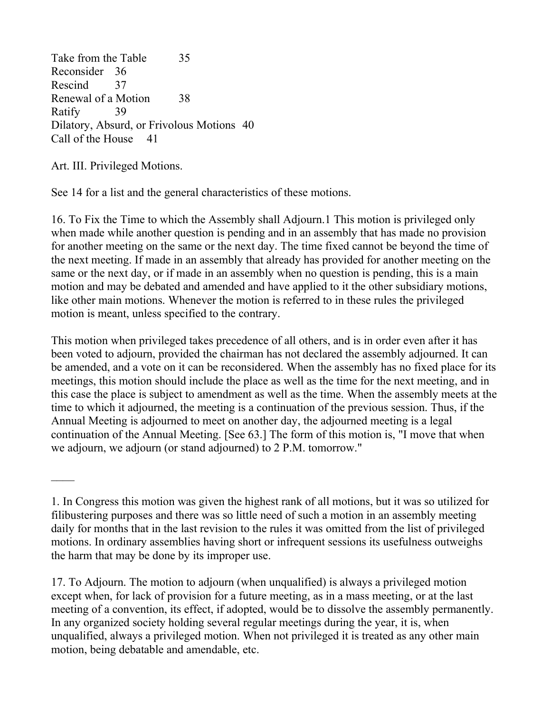Take from the Table 35 Reconsider 36 Rescind 37 Renewal of a Motion 38 Ratify 39 Dilatory, Absurd, or Frivolous Motions 40 Call of the House 41

Art. III. Privileged Motions.

See 14 for a list and the general characteristics of these motions.

16. To Fix the Time to which the Assembly shall Adjourn.1 This motion is privileged only when made while another question is pending and in an assembly that has made no provision for another meeting on the same or the next day. The time fixed cannot be beyond the time of the next meeting. If made in an assembly that already has provided for another meeting on the same or the next day, or if made in an assembly when no question is pending, this is a main motion and may be debated and amended and have applied to it the other subsidiary motions, like other main motions. Whenever the motion is referred to in these rules the privileged motion is meant, unless specified to the contrary.

This motion when privileged takes precedence of all others, and is in order even after it has been voted to adjourn, provided the chairman has not declared the assembly adjourned. It can be amended, and a vote on it can be reconsidered. When the assembly has no fixed place for its meetings, this motion should include the place as well as the time for the next meeting, and in this case the place is subject to amendment as well as the time. When the assembly meets at the time to which it adjourned, the meeting is a continuation of the previous session. Thus, if the Annual Meeting is adjourned to meet on another day, the adjourned meeting is a legal continuation of the Annual Meeting. [See 63.] The form of this motion is, "I move that when we adjourn, we adjourn (or stand adjourned) to 2 P.M. tomorrow."

17. To Adjourn. The motion to adjourn (when unqualified) is always a privileged motion except when, for lack of provision for a future meeting, as in a mass meeting, or at the last meeting of a convention, its effect, if adopted, would be to dissolve the assembly permanently. In any organized society holding several regular meetings during the year, it is, when unqualified, always a privileged motion. When not privileged it is treated as any other main motion, being debatable and amendable, etc.

<sup>1.</sup> In Congress this motion was given the highest rank of all motions, but it was so utilized for filibustering purposes and there was so little need of such a motion in an assembly meeting daily for months that in the last revision to the rules it was omitted from the list of privileged motions. In ordinary assemblies having short or infrequent sessions its usefulness outweighs the harm that may be done by its improper use.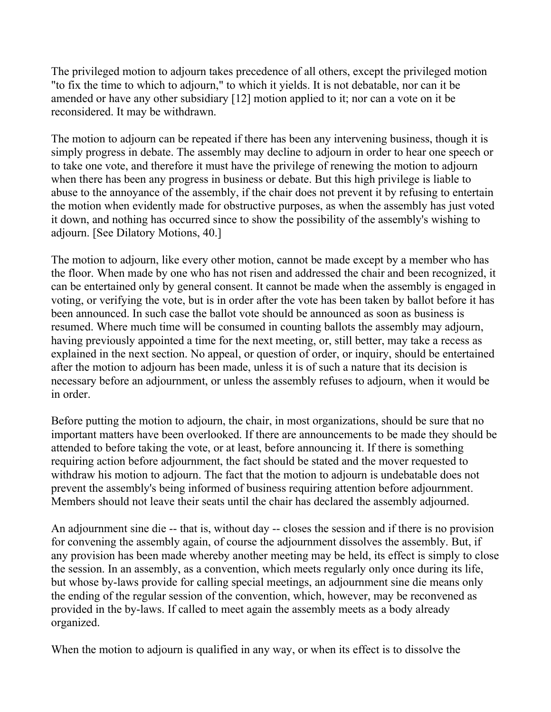The privileged motion to adjourn takes precedence of all others, except the privileged motion "to fix the time to which to adjourn," to which it yields. It is not debatable, nor can it be amended or have any other subsidiary [12] motion applied to it; nor can a vote on it be reconsidered. It may be withdrawn.

The motion to adjourn can be repeated if there has been any intervening business, though it is simply progress in debate. The assembly may decline to adjourn in order to hear one speech or to take one vote, and therefore it must have the privilege of renewing the motion to adjourn when there has been any progress in business or debate. But this high privilege is liable to abuse to the annoyance of the assembly, if the chair does not prevent it by refusing to entertain the motion when evidently made for obstructive purposes, as when the assembly has just voted it down, and nothing has occurred since to show the possibility of the assembly's wishing to adjourn. [See Dilatory Motions, 40.]

The motion to adjourn, like every other motion, cannot be made except by a member who has the floor. When made by one who has not risen and addressed the chair and been recognized, it can be entertained only by general consent. It cannot be made when the assembly is engaged in voting, or verifying the vote, but is in order after the vote has been taken by ballot before it has been announced. In such case the ballot vote should be announced as soon as business is resumed. Where much time will be consumed in counting ballots the assembly may adjourn, having previously appointed a time for the next meeting, or, still better, may take a recess as explained in the next section. No appeal, or question of order, or inquiry, should be entertained after the motion to adjourn has been made, unless it is of such a nature that its decision is necessary before an adjournment, or unless the assembly refuses to adjourn, when it would be in order.

Before putting the motion to adjourn, the chair, in most organizations, should be sure that no important matters have been overlooked. If there are announcements to be made they should be attended to before taking the vote, or at least, before announcing it. If there is something requiring action before adjournment, the fact should be stated and the mover requested to withdraw his motion to adjourn. The fact that the motion to adjourn is undebatable does not prevent the assembly's being informed of business requiring attention before adjournment. Members should not leave their seats until the chair has declared the assembly adjourned.

An adjournment sine die -- that is, without day -- closes the session and if there is no provision for convening the assembly again, of course the adjournment dissolves the assembly. But, if any provision has been made whereby another meeting may be held, its effect is simply to close the session. In an assembly, as a convention, which meets regularly only once during its life, but whose by-laws provide for calling special meetings, an adjournment sine die means only the ending of the regular session of the convention, which, however, may be reconvened as provided in the by-laws. If called to meet again the assembly meets as a body already organized.

When the motion to adjourn is qualified in any way, or when its effect is to dissolve the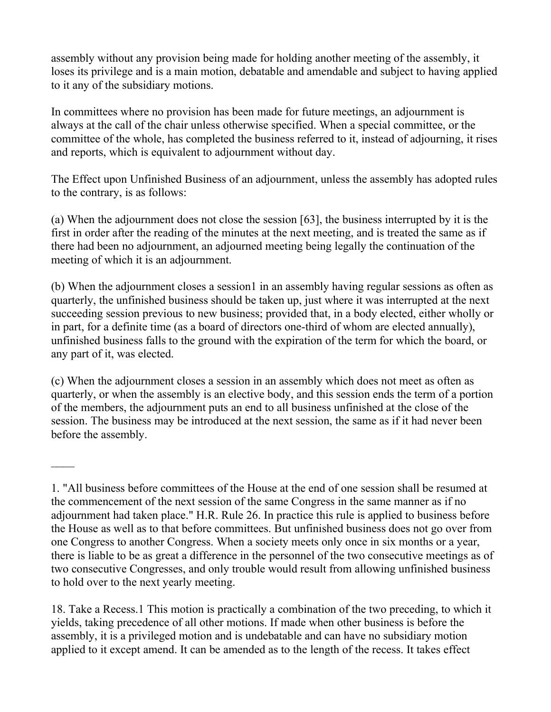assembly without any provision being made for holding another meeting of the assembly, it loses its privilege and is a main motion, debatable and amendable and subject to having applied to it any of the subsidiary motions.

In committees where no provision has been made for future meetings, an adjournment is always at the call of the chair unless otherwise specified. When a special committee, or the committee of the whole, has completed the business referred to it, instead of adjourning, it rises and reports, which is equivalent to adjournment without day.

The Effect upon Unfinished Business of an adjournment, unless the assembly has adopted rules to the contrary, is as follows:

(a) When the adjournment does not close the session [63], the business interrupted by it is the first in order after the reading of the minutes at the next meeting, and is treated the same as if there had been no adjournment, an adjourned meeting being legally the continuation of the meeting of which it is an adjournment.

(b) When the adjournment closes a session1 in an assembly having regular sessions as often as quarterly, the unfinished business should be taken up, just where it was interrupted at the next succeeding session previous to new business; provided that, in a body elected, either wholly or in part, for a definite time (as a board of directors one-third of whom are elected annually), unfinished business falls to the ground with the expiration of the term for which the board, or any part of it, was elected.

(c) When the adjournment closes a session in an assembly which does not meet as often as quarterly, or when the assembly is an elective body, and this session ends the term of a portion of the members, the adjournment puts an end to all business unfinished at the close of the session. The business may be introduced at the next session, the same as if it had never been before the assembly.

<sup>1. &</sup>quot;All business before committees of the House at the end of one session shall be resumed at the commencement of the next session of the same Congress in the same manner as if no adjournment had taken place." H.R. Rule 26. In practice this rule is applied to business before the House as well as to that before committees. But unfinished business does not go over from one Congress to another Congress. When a society meets only once in six months or a year, there is liable to be as great a difference in the personnel of the two consecutive meetings as of two consecutive Congresses, and only trouble would result from allowing unfinished business to hold over to the next yearly meeting.

<sup>18.</sup> Take a Recess.1 This motion is practically a combination of the two preceding, to which it yields, taking precedence of all other motions. If made when other business is before the assembly, it is a privileged motion and is undebatable and can have no subsidiary motion applied to it except amend. It can be amended as to the length of the recess. It takes effect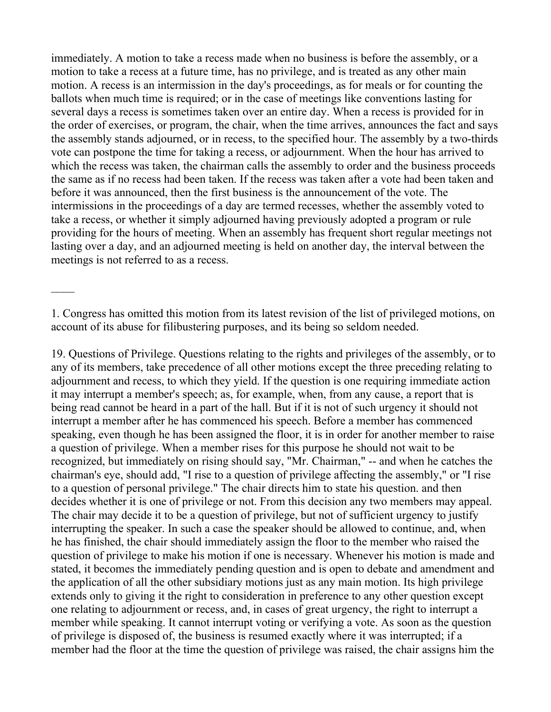immediately. A motion to take a recess made when no business is before the assembly, or a motion to take a recess at a future time, has no privilege, and is treated as any other main motion. A recess is an intermission in the day's proceedings, as for meals or for counting the ballots when much time is required; or in the case of meetings like conventions lasting for several days a recess is sometimes taken over an entire day. When a recess is provided for in the order of exercises, or program, the chair, when the time arrives, announces the fact and says the assembly stands adjourned, or in recess, to the specified hour. The assembly by a two-thirds vote can postpone the time for taking a recess, or adjournment. When the hour has arrived to which the recess was taken, the chairman calls the assembly to order and the business proceeds the same as if no recess had been taken. If the recess was taken after a vote had been taken and before it was announced, then the first business is the announcement of the vote. The intermissions in the proceedings of a day are termed recesses, whether the assembly voted to take a recess, or whether it simply adjourned having previously adopted a program or rule providing for the hours of meeting. When an assembly has frequent short regular meetings not lasting over a day, and an adjourned meeting is held on another day, the interval between the meetings is not referred to as a recess.

1. Congress has omitted this motion from its latest revision of the list of privileged motions, on account of its abuse for filibustering purposes, and its being so seldom needed.

19. Questions of Privilege. Questions relating to the rights and privileges of the assembly, or to any of its members, take precedence of all other motions except the three preceding relating to adjournment and recess, to which they yield. If the question is one requiring immediate action it may interrupt a member's speech; as, for example, when, from any cause, a report that is being read cannot be heard in a part of the hall. But if it is not of such urgency it should not interrupt a member after he has commenced his speech. Before a member has commenced speaking, even though he has been assigned the floor, it is in order for another member to raise a question of privilege. When a member rises for this purpose he should not wait to be recognized, but immediately on rising should say, "Mr. Chairman," -- and when he catches the chairman's eye, should add, "I rise to a question of privilege affecting the assembly," or "I rise to a question of personal privilege." The chair directs him to state his question. and then decides whether it is one of privilege or not. From this decision any two members may appeal. The chair may decide it to be a question of privilege, but not of sufficient urgency to justify interrupting the speaker. In such a case the speaker should be allowed to continue, and, when he has finished, the chair should immediately assign the floor to the member who raised the question of privilege to make his motion if one is necessary. Whenever his motion is made and stated, it becomes the immediately pending question and is open to debate and amendment and the application of all the other subsidiary motions just as any main motion. Its high privilege extends only to giving it the right to consideration in preference to any other question except one relating to adjournment or recess, and, in cases of great urgency, the right to interrupt a member while speaking. It cannot interrupt voting or verifying a vote. As soon as the question of privilege is disposed of, the business is resumed exactly where it was interrupted; if a member had the floor at the time the question of privilege was raised, the chair assigns him the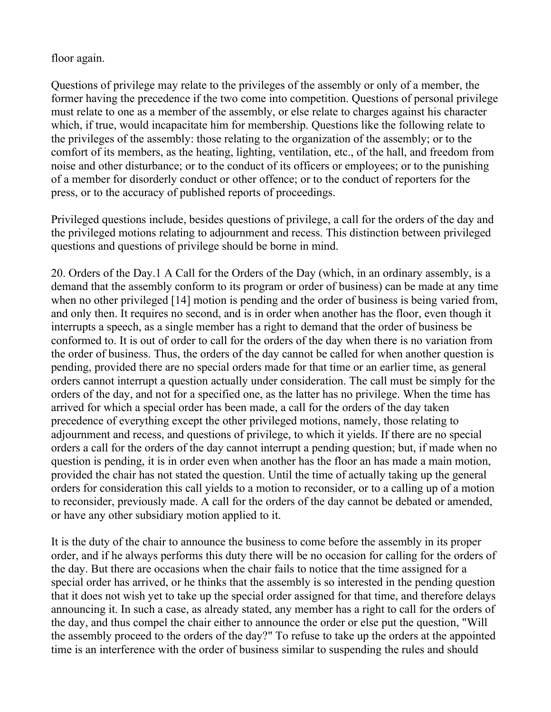#### floor again.

Questions of privilege may relate to the privileges of the assembly or only of a member, the former having the precedence if the two come into competition. Questions of personal privilege must relate to one as a member of the assembly, or else relate to charges against his character which, if true, would incapacitate him for membership. Questions like the following relate to the privileges of the assembly: those relating to the organization of the assembly; or to the comfort of its members, as the heating, lighting, ventilation, etc., of the hall, and freedom from noise and other disturbance; or to the conduct of its officers or employees; or to the punishing of a member for disorderly conduct or other offence; or to the conduct of reporters for the press, or to the accuracy of published reports of proceedings.

Privileged questions include, besides questions of privilege, a call for the orders of the day and the privileged motions relating to adjournment and recess. This distinction between privileged questions and questions of privilege should be borne in mind.

20. Orders of the Day.1 A Call for the Orders of the Day (which, in an ordinary assembly, is a demand that the assembly conform to its program or order of business) can be made at any time when no other privileged [14] motion is pending and the order of business is being varied from, and only then. It requires no second, and is in order when another has the floor, even though it interrupts a speech, as a single member has a right to demand that the order of business be conformed to. It is out of order to call for the orders of the day when there is no variation from the order of business. Thus, the orders of the day cannot be called for when another question is pending, provided there are no special orders made for that time or an earlier time, as general orders cannot interrupt a question actually under consideration. The call must be simply for the orders of the day, and not for a specified one, as the latter has no privilege. When the time has arrived for which a special order has been made, a call for the orders of the day taken precedence of everything except the other privileged motions, namely, those relating to adjournment and recess, and questions of privilege, to which it yields. If there are no special orders a call for the orders of the day cannot interrupt a pending question; but, if made when no question is pending, it is in order even when another has the floor an has made a main motion, provided the chair has not stated the question. Until the time of actually taking up the general orders for consideration this call yields to a motion to reconsider, or to a calling up of a motion to reconsider, previously made. A call for the orders of the day cannot be debated or amended, or have any other subsidiary motion applied to it.

It is the duty of the chair to announce the business to come before the assembly in its proper order, and if he always performs this duty there will be no occasion for calling for the orders of the day. But there are occasions when the chair fails to notice that the time assigned for a special order has arrived, or he thinks that the assembly is so interested in the pending question that it does not wish yet to take up the special order assigned for that time, and therefore delays announcing it. In such a case, as already stated, any member has a right to call for the orders of the day, and thus compel the chair either to announce the order or else put the question, "Will the assembly proceed to the orders of the day?" To refuse to take up the orders at the appointed time is an interference with the order of business similar to suspending the rules and should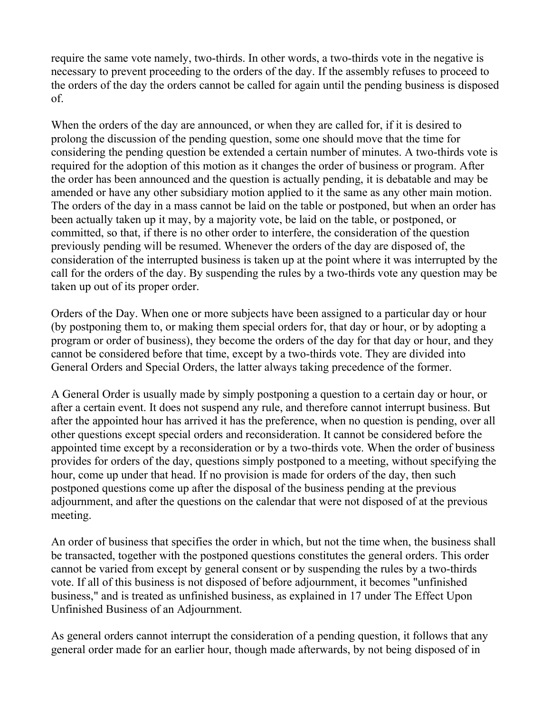require the same vote namely, two-thirds. In other words, a two-thirds vote in the negative is necessary to prevent proceeding to the orders of the day. If the assembly refuses to proceed to the orders of the day the orders cannot be called for again until the pending business is disposed of.

When the orders of the day are announced, or when they are called for, if it is desired to prolong the discussion of the pending question, some one should move that the time for considering the pending question be extended a certain number of minutes. A two-thirds vote is required for the adoption of this motion as it changes the order of business or program. After the order has been announced and the question is actually pending, it is debatable and may be amended or have any other subsidiary motion applied to it the same as any other main motion. The orders of the day in a mass cannot be laid on the table or postponed, but when an order has been actually taken up it may, by a majority vote, be laid on the table, or postponed, or committed, so that, if there is no other order to interfere, the consideration of the question previously pending will be resumed. Whenever the orders of the day are disposed of, the consideration of the interrupted business is taken up at the point where it was interrupted by the call for the orders of the day. By suspending the rules by a two-thirds vote any question may be taken up out of its proper order.

Orders of the Day. When one or more subjects have been assigned to a particular day or hour (by postponing them to, or making them special orders for, that day or hour, or by adopting a program or order of business), they become the orders of the day for that day or hour, and they cannot be considered before that time, except by a two-thirds vote. They are divided into General Orders and Special Orders, the latter always taking precedence of the former.

A General Order is usually made by simply postponing a question to a certain day or hour, or after a certain event. It does not suspend any rule, and therefore cannot interrupt business. But after the appointed hour has arrived it has the preference, when no question is pending, over all other questions except special orders and reconsideration. It cannot be considered before the appointed time except by a reconsideration or by a two-thirds vote. When the order of business provides for orders of the day, questions simply postponed to a meeting, without specifying the hour, come up under that head. If no provision is made for orders of the day, then such postponed questions come up after the disposal of the business pending at the previous adjournment, and after the questions on the calendar that were not disposed of at the previous meeting.

An order of business that specifies the order in which, but not the time when, the business shall be transacted, together with the postponed questions constitutes the general orders. This order cannot be varied from except by general consent or by suspending the rules by a two-thirds vote. If all of this business is not disposed of before adjournment, it becomes "unfinished business," and is treated as unfinished business, as explained in 17 under The Effect Upon Unfinished Business of an Adjournment.

As general orders cannot interrupt the consideration of a pending question, it follows that any general order made for an earlier hour, though made afterwards, by not being disposed of in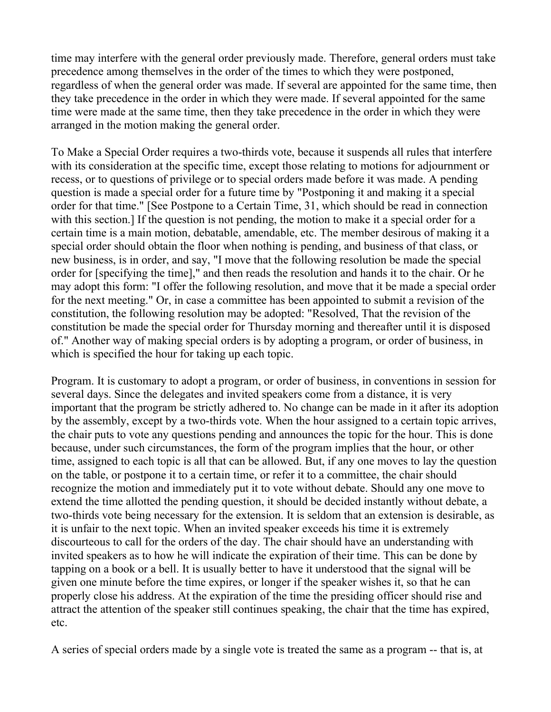time may interfere with the general order previously made. Therefore, general orders must take precedence among themselves in the order of the times to which they were postponed, regardless of when the general order was made. If several are appointed for the same time, then they take precedence in the order in which they were made. If several appointed for the same time were made at the same time, then they take precedence in the order in which they were arranged in the motion making the general order.

To Make a Special Order requires a two-thirds vote, because it suspends all rules that interfere with its consideration at the specific time, except those relating to motions for adjournment or recess, or to questions of privilege or to special orders made before it was made. A pending question is made a special order for a future time by "Postponing it and making it a special order for that time." [See Postpone to a Certain Time, 31, which should be read in connection with this section.] If the question is not pending, the motion to make it a special order for a certain time is a main motion, debatable, amendable, etc. The member desirous of making it a special order should obtain the floor when nothing is pending, and business of that class, or new business, is in order, and say, "I move that the following resolution be made the special order for [specifying the time]," and then reads the resolution and hands it to the chair. Or he may adopt this form: "I offer the following resolution, and move that it be made a special order for the next meeting." Or, in case a committee has been appointed to submit a revision of the constitution, the following resolution may be adopted: "Resolved, That the revision of the constitution be made the special order for Thursday morning and thereafter until it is disposed of." Another way of making special orders is by adopting a program, or order of business, in which is specified the hour for taking up each topic.

Program. It is customary to adopt a program, or order of business, in conventions in session for several days. Since the delegates and invited speakers come from a distance, it is very important that the program be strictly adhered to. No change can be made in it after its adoption by the assembly, except by a two-thirds vote. When the hour assigned to a certain topic arrives, the chair puts to vote any questions pending and announces the topic for the hour. This is done because, under such circumstances, the form of the program implies that the hour, or other time, assigned to each topic is all that can be allowed. But, if any one moves to lay the question on the table, or postpone it to a certain time, or refer it to a committee, the chair should recognize the motion and immediately put it to vote without debate. Should any one move to extend the time allotted the pending question, it should be decided instantly without debate, a two-thirds vote being necessary for the extension. It is seldom that an extension is desirable, as it is unfair to the next topic. When an invited speaker exceeds his time it is extremely discourteous to call for the orders of the day. The chair should have an understanding with invited speakers as to how he will indicate the expiration of their time. This can be done by tapping on a book or a bell. It is usually better to have it understood that the signal will be given one minute before the time expires, or longer if the speaker wishes it, so that he can properly close his address. At the expiration of the time the presiding officer should rise and attract the attention of the speaker still continues speaking, the chair that the time has expired, etc.

A series of special orders made by a single vote is treated the same as a program -- that is, at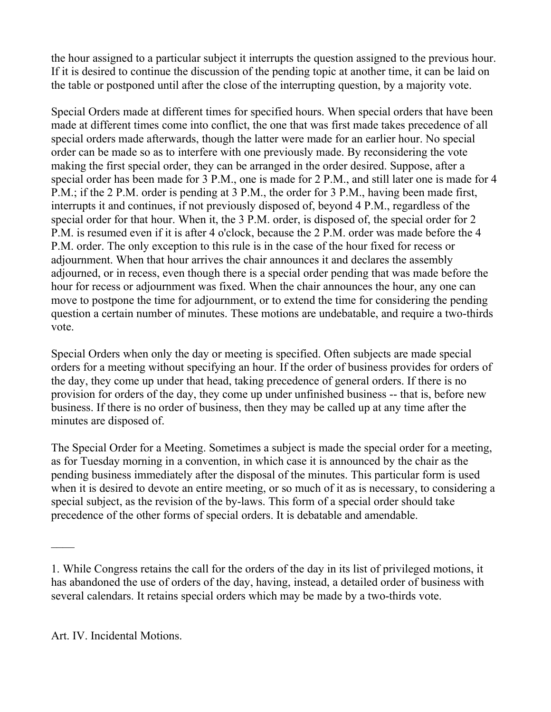the hour assigned to a particular subject it interrupts the question assigned to the previous hour. If it is desired to continue the discussion of the pending topic at another time, it can be laid on the table or postponed until after the close of the interrupting question, by a majority vote.

Special Orders made at different times for specified hours. When special orders that have been made at different times come into conflict, the one that was first made takes precedence of all special orders made afterwards, though the latter were made for an earlier hour. No special order can be made so as to interfere with one previously made. By reconsidering the vote making the first special order, they can be arranged in the order desired. Suppose, after a special order has been made for 3 P.M., one is made for 2 P.M., and still later one is made for 4 P.M.; if the 2 P.M. order is pending at 3 P.M., the order for 3 P.M., having been made first, interrupts it and continues, if not previously disposed of, beyond 4 P.M., regardless of the special order for that hour. When it, the 3 P.M. order, is disposed of, the special order for 2 P.M. is resumed even if it is after 4 o'clock, because the 2 P.M. order was made before the 4 P.M. order. The only exception to this rule is in the case of the hour fixed for recess or adjournment. When that hour arrives the chair announces it and declares the assembly adjourned, or in recess, even though there is a special order pending that was made before the hour for recess or adjournment was fixed. When the chair announces the hour, any one can move to postpone the time for adjournment, or to extend the time for considering the pending question a certain number of minutes. These motions are undebatable, and require a two-thirds vote.

Special Orders when only the day or meeting is specified. Often subjects are made special orders for a meeting without specifying an hour. If the order of business provides for orders of the day, they come up under that head, taking precedence of general orders. If there is no provision for orders of the day, they come up under unfinished business -- that is, before new business. If there is no order of business, then they may be called up at any time after the minutes are disposed of.

The Special Order for a Meeting. Sometimes a subject is made the special order for a meeting, as for Tuesday morning in a convention, in which case it is announced by the chair as the pending business immediately after the disposal of the minutes. This particular form is used when it is desired to devote an entire meeting, or so much of it as is necessary, to considering a special subject, as the revision of the by-laws. This form of a special order should take precedence of the other forms of special orders. It is debatable and amendable.

 $\mathcal{L}_\mathcal{L}$ 

<sup>1.</sup> While Congress retains the call for the orders of the day in its list of privileged motions, it has abandoned the use of orders of the day, having, instead, a detailed order of business with several calendars. It retains special orders which may be made by a two-thirds vote.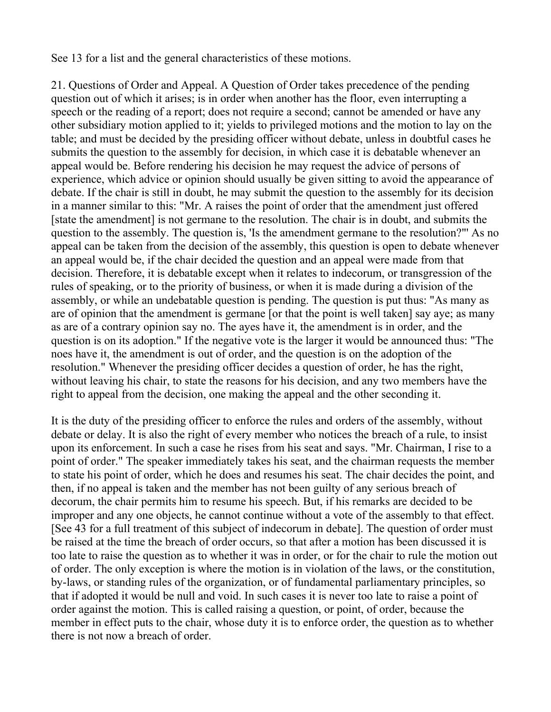See 13 for a list and the general characteristics of these motions.

21. Questions of Order and Appeal. A Question of Order takes precedence of the pending question out of which it arises; is in order when another has the floor, even interrupting a speech or the reading of a report; does not require a second; cannot be amended or have any other subsidiary motion applied to it; yields to privileged motions and the motion to lay on the table; and must be decided by the presiding officer without debate, unless in doubtful cases he submits the question to the assembly for decision, in which case it is debatable whenever an appeal would be. Before rendering his decision he may request the advice of persons of experience, which advice or opinion should usually be given sitting to avoid the appearance of debate. If the chair is still in doubt, he may submit the question to the assembly for its decision in a manner similar to this: "Mr. A raises the point of order that the amendment just offered [state the amendment] is not germane to the resolution. The chair is in doubt, and submits the question to the assembly. The question is, 'Is the amendment germane to the resolution?"' As no appeal can be taken from the decision of the assembly, this question is open to debate whenever an appeal would be, if the chair decided the question and an appeal were made from that decision. Therefore, it is debatable except when it relates to indecorum, or transgression of the rules of speaking, or to the priority of business, or when it is made during a division of the assembly, or while an undebatable question is pending. The question is put thus: "As many as are of opinion that the amendment is germane [or that the point is well taken] say aye; as many as are of a contrary opinion say no. The ayes have it, the amendment is in order, and the question is on its adoption." If the negative vote is the larger it would be announced thus: "The noes have it, the amendment is out of order, and the question is on the adoption of the resolution." Whenever the presiding officer decides a question of order, he has the right, without leaving his chair, to state the reasons for his decision, and any two members have the right to appeal from the decision, one making the appeal and the other seconding it.

It is the duty of the presiding officer to enforce the rules and orders of the assembly, without debate or delay. It is also the right of every member who notices the breach of a rule, to insist upon its enforcement. In such a case he rises from his seat and says. "Mr. Chairman, I rise to a point of order." The speaker immediately takes his seat, and the chairman requests the member to state his point of order, which he does and resumes his seat. The chair decides the point, and then, if no appeal is taken and the member has not been guilty of any serious breach of decorum, the chair permits him to resume his speech. But, if his remarks are decided to be improper and any one objects, he cannot continue without a vote of the assembly to that effect. [See 43 for a full treatment of this subject of indecorum in debate]. The question of order must be raised at the time the breach of order occurs, so that after a motion has been discussed it is too late to raise the question as to whether it was in order, or for the chair to rule the motion out of order. The only exception is where the motion is in violation of the laws, or the constitution, by-laws, or standing rules of the organization, or of fundamental parliamentary principles, so that if adopted it would be null and void. In such cases it is never too late to raise a point of order against the motion. This is called raising a question, or point, of order, because the member in effect puts to the chair, whose duty it is to enforce order, the question as to whether there is not now a breach of order.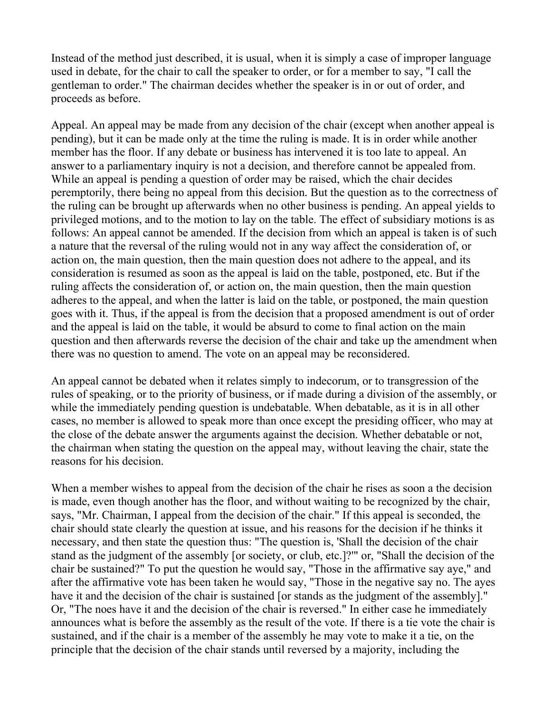Instead of the method just described, it is usual, when it is simply a case of improper language used in debate, for the chair to call the speaker to order, or for a member to say, "I call the gentleman to order." The chairman decides whether the speaker is in or out of order, and proceeds as before.

Appeal. An appeal may be made from any decision of the chair (except when another appeal is pending), but it can be made only at the time the ruling is made. It is in order while another member has the floor. If any debate or business has intervened it is too late to appeal. An answer to a parliamentary inquiry is not a decision, and therefore cannot be appealed from. While an appeal is pending a question of order may be raised, which the chair decides peremptorily, there being no appeal from this decision. But the question as to the correctness of the ruling can be brought up afterwards when no other business is pending. An appeal yields to privileged motions, and to the motion to lay on the table. The effect of subsidiary motions is as follows: An appeal cannot be amended. If the decision from which an appeal is taken is of such a nature that the reversal of the ruling would not in any way affect the consideration of, or action on, the main question, then the main question does not adhere to the appeal, and its consideration is resumed as soon as the appeal is laid on the table, postponed, etc. But if the ruling affects the consideration of, or action on, the main question, then the main question adheres to the appeal, and when the latter is laid on the table, or postponed, the main question goes with it. Thus, if the appeal is from the decision that a proposed amendment is out of order and the appeal is laid on the table, it would be absurd to come to final action on the main question and then afterwards reverse the decision of the chair and take up the amendment when there was no question to amend. The vote on an appeal may be reconsidered.

An appeal cannot be debated when it relates simply to indecorum, or to transgression of the rules of speaking, or to the priority of business, or if made during a division of the assembly, or while the immediately pending question is undebatable. When debatable, as it is in all other cases, no member is allowed to speak more than once except the presiding officer, who may at the close of the debate answer the arguments against the decision. Whether debatable or not, the chairman when stating the question on the appeal may, without leaving the chair, state the reasons for his decision.

When a member wishes to appeal from the decision of the chair he rises as soon a the decision is made, even though another has the floor, and without waiting to be recognized by the chair, says, "Mr. Chairman, I appeal from the decision of the chair." If this appeal is seconded, the chair should state clearly the question at issue, and his reasons for the decision if he thinks it necessary, and then state the question thus: "The question is, 'Shall the decision of the chair stand as the judgment of the assembly [or society, or club, etc.]?'" or, "Shall the decision of the chair be sustained?" To put the question he would say, "Those in the affirmative say aye," and after the affirmative vote has been taken he would say, "Those in the negative say no. The ayes have it and the decision of the chair is sustained [or stands as the judgment of the assembly]." Or, "The noes have it and the decision of the chair is reversed." In either case he immediately announces what is before the assembly as the result of the vote. If there is a tie vote the chair is sustained, and if the chair is a member of the assembly he may vote to make it a tie, on the principle that the decision of the chair stands until reversed by a majority, including the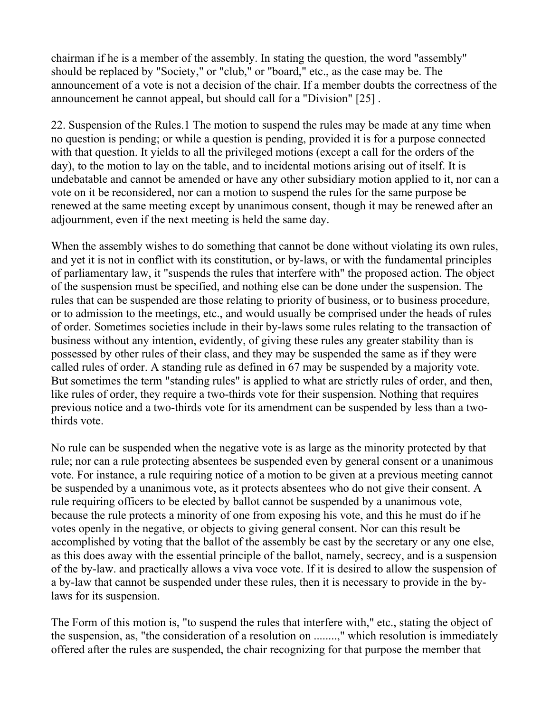chairman if he is a member of the assembly. In stating the question, the word "assembly" should be replaced by "Society," or "club," or "board," etc., as the case may be. The announcement of a vote is not a decision of the chair. If a member doubts the correctness of the announcement he cannot appeal, but should call for a "Division" [25] .

22. Suspension of the Rules.1 The motion to suspend the rules may be made at any time when no question is pending; or while a question is pending, provided it is for a purpose connected with that question. It yields to all the privileged motions (except a call for the orders of the day), to the motion to lay on the table, and to incidental motions arising out of itself. It is undebatable and cannot be amended or have any other subsidiary motion applied to it, nor can a vote on it be reconsidered, nor can a motion to suspend the rules for the same purpose be renewed at the same meeting except by unanimous consent, though it may be renewed after an adjournment, even if the next meeting is held the same day.

When the assembly wishes to do something that cannot be done without violating its own rules, and yet it is not in conflict with its constitution, or by-laws, or with the fundamental principles of parliamentary law, it "suspends the rules that interfere with" the proposed action. The object of the suspension must be specified, and nothing else can be done under the suspension. The rules that can be suspended are those relating to priority of business, or to business procedure, or to admission to the meetings, etc., and would usually be comprised under the heads of rules of order. Sometimes societies include in their by-laws some rules relating to the transaction of business without any intention, evidently, of giving these rules any greater stability than is possessed by other rules of their class, and they may be suspended the same as if they were called rules of order. A standing rule as defined in 67 may be suspended by a majority vote. But sometimes the term "standing rules" is applied to what are strictly rules of order, and then, like rules of order, they require a two-thirds vote for their suspension. Nothing that requires previous notice and a two-thirds vote for its amendment can be suspended by less than a twothirds vote.

No rule can be suspended when the negative vote is as large as the minority protected by that rule; nor can a rule protecting absentees be suspended even by general consent or a unanimous vote. For instance, a rule requiring notice of a motion to be given at a previous meeting cannot be suspended by a unanimous vote, as it protects absentees who do not give their consent. A rule requiring officers to be elected by ballot cannot be suspended by a unanimous vote, because the rule protects a minority of one from exposing his vote, and this he must do if he votes openly in the negative, or objects to giving general consent. Nor can this result be accomplished by voting that the ballot of the assembly be cast by the secretary or any one else, as this does away with the essential principle of the ballot, namely, secrecy, and is a suspension of the by-law. and practically allows a viva voce vote. If it is desired to allow the suspension of a by-law that cannot be suspended under these rules, then it is necessary to provide in the bylaws for its suspension.

The Form of this motion is, "to suspend the rules that interfere with," etc., stating the object of the suspension, as, "the consideration of a resolution on ........," which resolution is immediately offered after the rules are suspended, the chair recognizing for that purpose the member that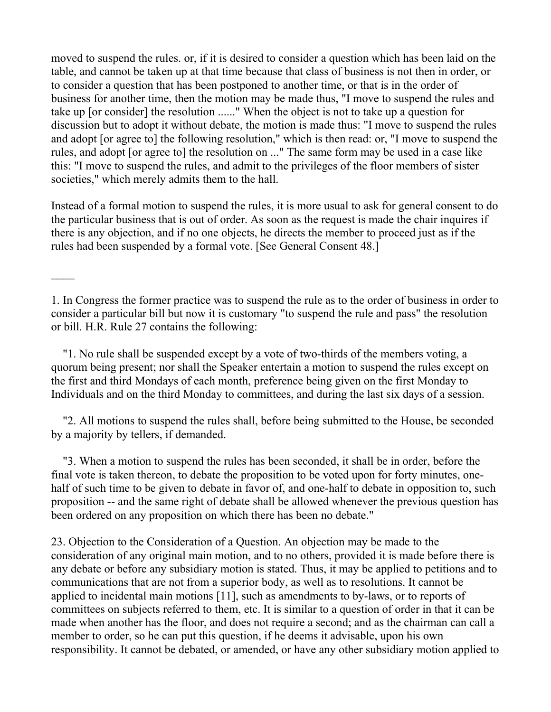moved to suspend the rules. or, if it is desired to consider a question which has been laid on the table, and cannot be taken up at that time because that class of business is not then in order, or to consider a question that has been postponed to another time, or that is in the order of business for another time, then the motion may be made thus, "I move to suspend the rules and take up [or consider] the resolution ......" When the object is not to take up a question for discussion but to adopt it without debate, the motion is made thus: "I move to suspend the rules and adopt [or agree to] the following resolution," which is then read: or, "I move to suspend the rules, and adopt [or agree to] the resolution on ..." The same form may be used in a case like this: "I move to suspend the rules, and admit to the privileges of the floor members of sister societies," which merely admits them to the hall.

Instead of a formal motion to suspend the rules, it is more usual to ask for general consent to do the particular business that is out of order. As soon as the request is made the chair inquires if there is any objection, and if no one objects, he directs the member to proceed just as if the rules had been suspended by a formal vote. [See General Consent 48.]

 "1. No rule shall be suspended except by a vote of two-thirds of the members voting, a quorum being present; nor shall the Speaker entertain a motion to suspend the rules except on the first and third Mondays of each month, preference being given on the first Monday to Individuals and on the third Monday to committees, and during the last six days of a session.

 "2. All motions to suspend the rules shall, before being submitted to the House, be seconded by a majority by tellers, if demanded.

 "3. When a motion to suspend the rules has been seconded, it shall be in order, before the final vote is taken thereon, to debate the proposition to be voted upon for forty minutes, onehalf of such time to be given to debate in favor of, and one-half to debate in opposition to, such proposition -- and the same right of debate shall be allowed whenever the previous question has been ordered on any proposition on which there has been no debate."

23. Objection to the Consideration of a Question. An objection may be made to the consideration of any original main motion, and to no others, provided it is made before there is any debate or before any subsidiary motion is stated. Thus, it may be applied to petitions and to communications that are not from a superior body, as well as to resolutions. It cannot be applied to incidental main motions [11], such as amendments to by-laws, or to reports of committees on subjects referred to them, etc. It is similar to a question of order in that it can be made when another has the floor, and does not require a second; and as the chairman can call a member to order, so he can put this question, if he deems it advisable, upon his own responsibility. It cannot be debated, or amended, or have any other subsidiary motion applied to

<sup>1.</sup> In Congress the former practice was to suspend the rule as to the order of business in order to consider a particular bill but now it is customary "to suspend the rule and pass" the resolution or bill. H.R. Rule 27 contains the following: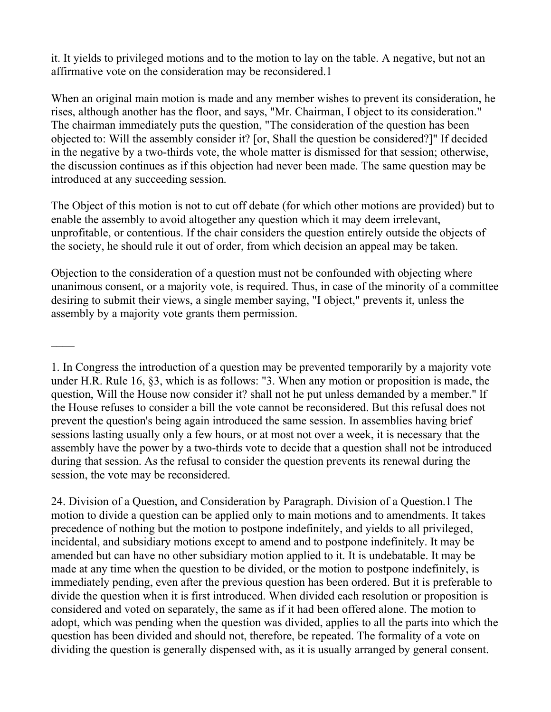it. It yields to privileged motions and to the motion to lay on the table. A negative, but not an affirmative vote on the consideration may be reconsidered.1

When an original main motion is made and any member wishes to prevent its consideration, he rises, although another has the floor, and says, "Mr. Chairman, I object to its consideration." The chairman immediately puts the question, "The consideration of the question has been objected to: Will the assembly consider it? [or, Shall the question be considered?]" If decided in the negative by a two-thirds vote, the whole matter is dismissed for that session; otherwise, the discussion continues as if this objection had never been made. The same question may be introduced at any succeeding session.

The Object of this motion is not to cut off debate (for which other motions are provided) but to enable the assembly to avoid altogether any question which it may deem irrelevant, unprofitable, or contentious. If the chair considers the question entirely outside the objects of the society, he should rule it out of order, from which decision an appeal may be taken.

Objection to the consideration of a question must not be confounded with objecting where unanimous consent, or a majority vote, is required. Thus, in case of the minority of a committee desiring to submit their views, a single member saying, "I object," prevents it, unless the assembly by a majority vote grants them permission.

 $\mathcal{L}_\mathcal{L}$ 

24. Division of a Question, and Consideration by Paragraph. Division of a Question.1 The motion to divide a question can be applied only to main motions and to amendments. It takes precedence of nothing but the motion to postpone indefinitely, and yields to all privileged, incidental, and subsidiary motions except to amend and to postpone indefinitely. It may be amended but can have no other subsidiary motion applied to it. It is undebatable. It may be made at any time when the question to be divided, or the motion to postpone indefinitely, is immediately pending, even after the previous question has been ordered. But it is preferable to divide the question when it is first introduced. When divided each resolution or proposition is considered and voted on separately, the same as if it had been offered alone. The motion to adopt, which was pending when the question was divided, applies to all the parts into which the question has been divided and should not, therefore, be repeated. The formality of a vote on dividing the question is generally dispensed with, as it is usually arranged by general consent.

<sup>1.</sup> In Congress the introduction of a question may be prevented temporarily by a majority vote under H.R. Rule 16, §3, which is as follows: "3. When any motion or proposition is made, the question, Will the House now consider it? shall not he put unless demanded by a member." lf the House refuses to consider a bill the vote cannot be reconsidered. But this refusal does not prevent the question's being again introduced the same session. In assemblies having brief sessions lasting usually only a few hours, or at most not over a week, it is necessary that the assembly have the power by a two-thirds vote to decide that a question shall not be introduced during that session. As the refusal to consider the question prevents its renewal during the session, the vote may be reconsidered.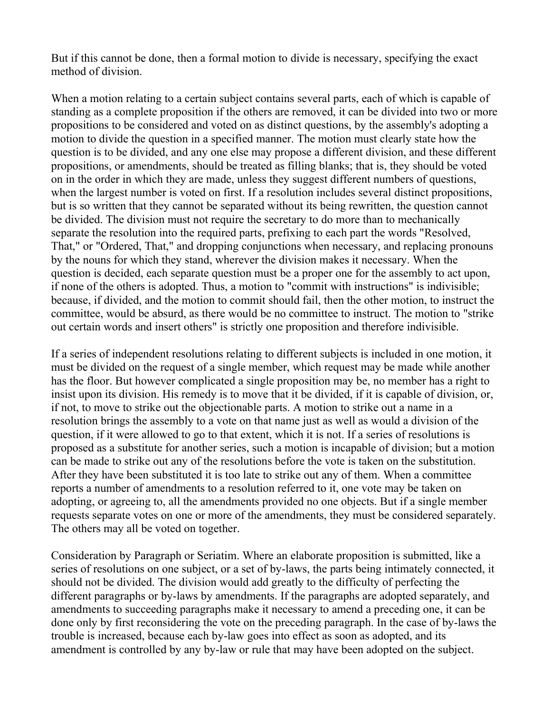But if this cannot be done, then a formal motion to divide is necessary, specifying the exact method of division.

When a motion relating to a certain subject contains several parts, each of which is capable of standing as a complete proposition if the others are removed, it can be divided into two or more propositions to be considered and voted on as distinct questions, by the assembly's adopting a motion to divide the question in a specified manner. The motion must clearly state how the question is to be divided, and any one else may propose a different division, and these different propositions, or amendments, should be treated as filling blanks; that is, they should be voted on in the order in which they are made, unless they suggest different numbers of questions, when the largest number is voted on first. If a resolution includes several distinct propositions, but is so written that they cannot be separated without its being rewritten, the question cannot be divided. The division must not require the secretary to do more than to mechanically separate the resolution into the required parts, prefixing to each part the words "Resolved, That," or "Ordered, That," and dropping conjunctions when necessary, and replacing pronouns by the nouns for which they stand, wherever the division makes it necessary. When the question is decided, each separate question must be a proper one for the assembly to act upon, if none of the others is adopted. Thus, a motion to "commit with instructions" is indivisible; because, if divided, and the motion to commit should fail, then the other motion, to instruct the committee, would be absurd, as there would be no committee to instruct. The motion to "strike out certain words and insert others" is strictly one proposition and therefore indivisible.

If a series of independent resolutions relating to different subjects is included in one motion, it must be divided on the request of a single member, which request may be made while another has the floor. But however complicated a single proposition may be, no member has a right to insist upon its division. His remedy is to move that it be divided, if it is capable of division, or, if not, to move to strike out the objectionable parts. A motion to strike out a name in a resolution brings the assembly to a vote on that name just as well as would a division of the question, if it were allowed to go to that extent, which it is not. If a series of resolutions is proposed as a substitute for another series, such a motion is incapable of division; but a motion can be made to strike out any of the resolutions before the vote is taken on the substitution. After they have been substituted it is too late to strike out any of them. When a committee reports a number of amendments to a resolution referred to it, one vote may be taken on adopting, or agreeing to, all the amendments provided no one objects. But if a single member requests separate votes on one or more of the amendments, they must be considered separately. The others may all be voted on together.

Consideration by Paragraph or Seriatim. Where an elaborate proposition is submitted, like a series of resolutions on one subject, or a set of by-laws, the parts being intimately connected, it should not be divided. The division would add greatly to the difficulty of perfecting the different paragraphs or by-laws by amendments. If the paragraphs are adopted separately, and amendments to succeeding paragraphs make it necessary to amend a preceding one, it can be done only by first reconsidering the vote on the preceding paragraph. In the case of by-laws the trouble is increased, because each by-law goes into effect as soon as adopted, and its amendment is controlled by any by-law or rule that may have been adopted on the subject.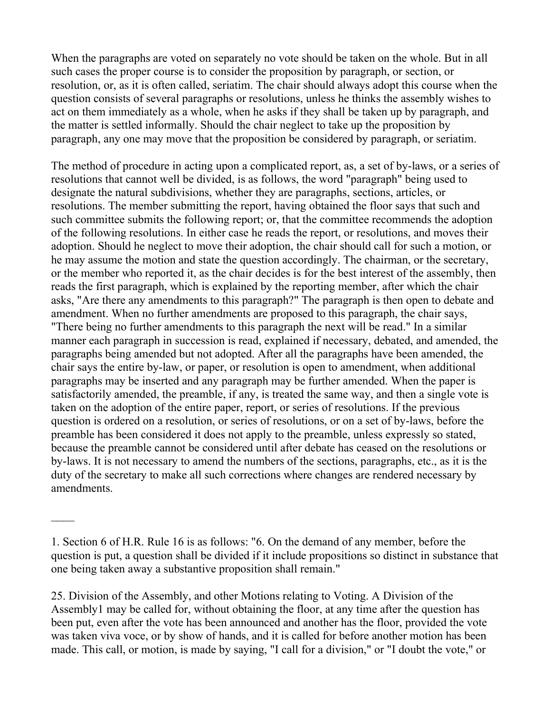When the paragraphs are voted on separately no vote should be taken on the whole. But in all such cases the proper course is to consider the proposition by paragraph, or section, or resolution, or, as it is often called, seriatim. The chair should always adopt this course when the question consists of several paragraphs or resolutions, unless he thinks the assembly wishes to act on them immediately as a whole, when he asks if they shall be taken up by paragraph, and the matter is settled informally. Should the chair neglect to take up the proposition by paragraph, any one may move that the proposition be considered by paragraph, or seriatim.

The method of procedure in acting upon a complicated report, as, a set of by-laws, or a series of resolutions that cannot well be divided, is as follows, the word "paragraph" being used to designate the natural subdivisions, whether they are paragraphs, sections, articles, or resolutions. The member submitting the report, having obtained the floor says that such and such committee submits the following report; or, that the committee recommends the adoption of the following resolutions. In either case he reads the report, or resolutions, and moves their adoption. Should he neglect to move their adoption, the chair should call for such a motion, or he may assume the motion and state the question accordingly. The chairman, or the secretary, or the member who reported it, as the chair decides is for the best interest of the assembly, then reads the first paragraph, which is explained by the reporting member, after which the chair asks, "Are there any amendments to this paragraph?" The paragraph is then open to debate and amendment. When no further amendments are proposed to this paragraph, the chair says, "There being no further amendments to this paragraph the next will be read." In a similar manner each paragraph in succession is read, explained if necessary, debated, and amended, the paragraphs being amended but not adopted. After all the paragraphs have been amended, the chair says the entire by-law, or paper, or resolution is open to amendment, when additional paragraphs may be inserted and any paragraph may be further amended. When the paper is satisfactorily amended, the preamble, if any, is treated the same way, and then a single vote is taken on the adoption of the entire paper, report, or series of resolutions. If the previous question is ordered on a resolution, or series of resolutions, or on a set of by-laws, before the preamble has been considered it does not apply to the preamble, unless expressly so stated, because the preamble cannot be considered until after debate has ceased on the resolutions or by-laws. It is not necessary to amend the numbers of the sections, paragraphs, etc., as it is the duty of the secretary to make all such corrections where changes are rendered necessary by amendments.

25. Division of the Assembly, and other Motions relating to Voting. A Division of the Assembly1 may be called for, without obtaining the floor, at any time after the question has been put, even after the vote has been announced and another has the floor, provided the vote was taken viva voce, or by show of hands, and it is called for before another motion has been made. This call, or motion, is made by saying, "I call for a division," or "I doubt the vote," or

<sup>1.</sup> Section 6 of H.R. Rule 16 is as follows: "6. On the demand of any member, before the question is put, a question shall be divided if it include propositions so distinct in substance that one being taken away a substantive proposition shall remain."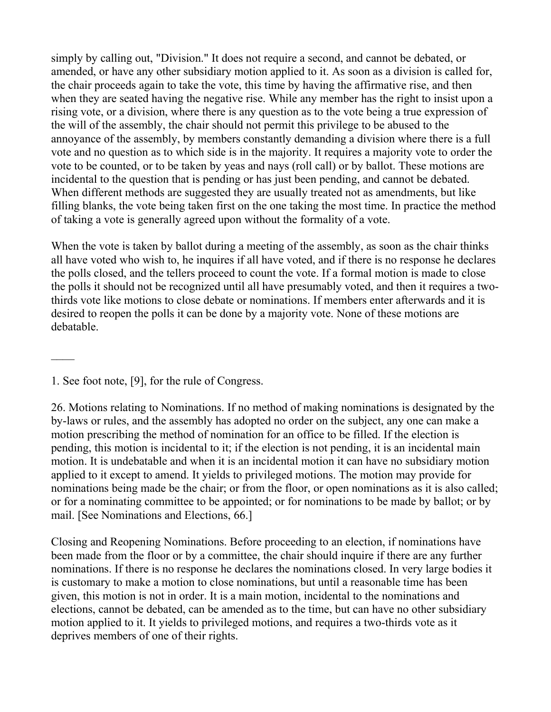simply by calling out, "Division." It does not require a second, and cannot be debated, or amended, or have any other subsidiary motion applied to it. As soon as a division is called for, the chair proceeds again to take the vote, this time by having the affirmative rise, and then when they are seated having the negative rise. While any member has the right to insist upon a rising vote, or a division, where there is any question as to the vote being a true expression of the will of the assembly, the chair should not permit this privilege to be abused to the annoyance of the assembly, by members constantly demanding a division where there is a full vote and no question as to which side is in the majority. It requires a majority vote to order the vote to be counted, or to be taken by yeas and nays (roll call) or by ballot. These motions are incidental to the question that is pending or has just been pending, and cannot be debated. When different methods are suggested they are usually treated not as amendments, but like filling blanks, the vote being taken first on the one taking the most time. In practice the method of taking a vote is generally agreed upon without the formality of a vote.

When the vote is taken by ballot during a meeting of the assembly, as soon as the chair thinks all have voted who wish to, he inquires if all have voted, and if there is no response he declares the polls closed, and the tellers proceed to count the vote. If a formal motion is made to close the polls it should not be recognized until all have presumably voted, and then it requires a twothirds vote like motions to close debate or nominations. If members enter afterwards and it is desired to reopen the polls it can be done by a majority vote. None of these motions are debatable.

1. See foot note, [9], for the rule of Congress.

 $\mathcal{L}_\mathcal{L}$ 

26. Motions relating to Nominations. If no method of making nominations is designated by the by-laws or rules, and the assembly has adopted no order on the subject, any one can make a motion prescribing the method of nomination for an office to be filled. If the election is pending, this motion is incidental to it; if the election is not pending, it is an incidental main motion. It is undebatable and when it is an incidental motion it can have no subsidiary motion applied to it except to amend. It yields to privileged motions. The motion may provide for nominations being made be the chair; or from the floor, or open nominations as it is also called; or for a nominating committee to be appointed; or for nominations to be made by ballot; or by mail. [See Nominations and Elections, 66.]

Closing and Reopening Nominations. Before proceeding to an election, if nominations have been made from the floor or by a committee, the chair should inquire if there are any further nominations. If there is no response he declares the nominations closed. In very large bodies it is customary to make a motion to close nominations, but until a reasonable time has been given, this motion is not in order. It is a main motion, incidental to the nominations and elections, cannot be debated, can be amended as to the time, but can have no other subsidiary motion applied to it. It yields to privileged motions, and requires a two-thirds vote as it deprives members of one of their rights.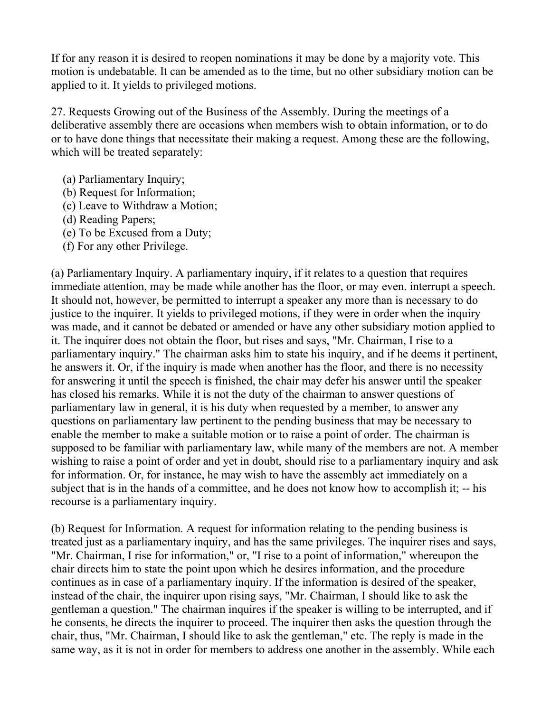If for any reason it is desired to reopen nominations it may be done by a majority vote. This motion is undebatable. It can be amended as to the time, but no other subsidiary motion can be applied to it. It yields to privileged motions.

27. Requests Growing out of the Business of the Assembly. During the meetings of a deliberative assembly there are occasions when members wish to obtain information, or to do or to have done things that necessitate their making a request. Among these are the following, which will be treated separately:

- (a) Parliamentary Inquiry;
- (b) Request for Information;
- (c) Leave to Withdraw a Motion;
- (d) Reading Papers;
- (e) To be Excused from a Duty;
- (f) For any other Privilege.

(a) Parliamentary Inquiry. A parliamentary inquiry, if it relates to a question that requires immediate attention, may be made while another has the floor, or may even. interrupt a speech. It should not, however, be permitted to interrupt a speaker any more than is necessary to do justice to the inquirer. It yields to privileged motions, if they were in order when the inquiry was made, and it cannot be debated or amended or have any other subsidiary motion applied to it. The inquirer does not obtain the floor, but rises and says, "Mr. Chairman, I rise to a parliamentary inquiry." The chairman asks him to state his inquiry, and if he deems it pertinent, he answers it. Or, if the inquiry is made when another has the floor, and there is no necessity for answering it until the speech is finished, the chair may defer his answer until the speaker has closed his remarks. While it is not the duty of the chairman to answer questions of parliamentary law in general, it is his duty when requested by a member, to answer any questions on parliamentary law pertinent to the pending business that may be necessary to enable the member to make a suitable motion or to raise a point of order. The chairman is supposed to be familiar with parliamentary law, while many of the members are not. A member wishing to raise a point of order and yet in doubt, should rise to a parliamentary inquiry and ask for information. Or, for instance, he may wish to have the assembly act immediately on a subject that is in the hands of a committee, and he does not know how to accomplish it; -- his recourse is a parliamentary inquiry.

(b) Request for Information. A request for information relating to the pending business is treated just as a parliamentary inquiry, and has the same privileges. The inquirer rises and says, "Mr. Chairman, I rise for information," or, "I rise to a point of information," whereupon the chair directs him to state the point upon which he desires information, and the procedure continues as in case of a parliamentary inquiry. If the information is desired of the speaker, instead of the chair, the inquirer upon rising says, "Mr. Chairman, I should like to ask the gentleman a question." The chairman inquires if the speaker is willing to be interrupted, and if he consents, he directs the inquirer to proceed. The inquirer then asks the question through the chair, thus, "Mr. Chairman, I should like to ask the gentleman," etc. The reply is made in the same way, as it is not in order for members to address one another in the assembly. While each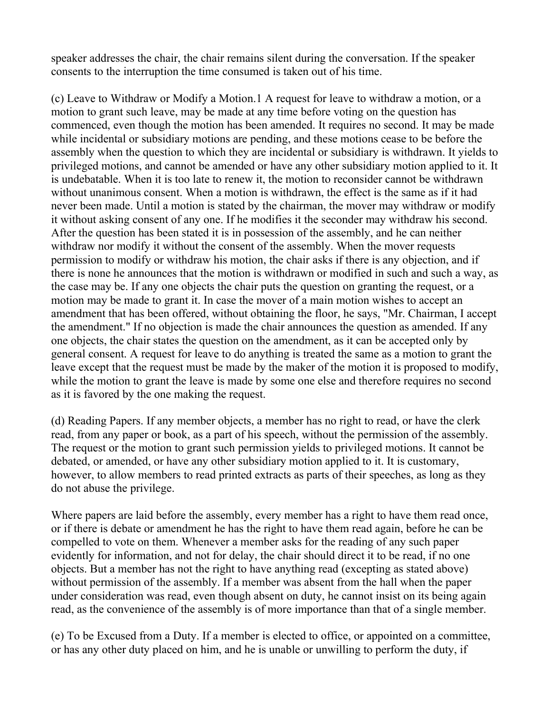speaker addresses the chair, the chair remains silent during the conversation. If the speaker consents to the interruption the time consumed is taken out of his time.

(c) Leave to Withdraw or Modify a Motion.1 A request for leave to withdraw a motion, or a motion to grant such leave, may be made at any time before voting on the question has commenced, even though the motion has been amended. It requires no second. It may be made while incidental or subsidiary motions are pending, and these motions cease to be before the assembly when the question to which they are incidental or subsidiary is withdrawn. It yields to privileged motions, and cannot be amended or have any other subsidiary motion applied to it. It is undebatable. When it is too late to renew it, the motion to reconsider cannot be withdrawn without unanimous consent. When a motion is withdrawn, the effect is the same as if it had never been made. Until a motion is stated by the chairman, the mover may withdraw or modify it without asking consent of any one. If he modifies it the seconder may withdraw his second. After the question has been stated it is in possession of the assembly, and he can neither withdraw nor modify it without the consent of the assembly. When the mover requests permission to modify or withdraw his motion, the chair asks if there is any objection, and if there is none he announces that the motion is withdrawn or modified in such and such a way, as the case may be. If any one objects the chair puts the question on granting the request, or a motion may be made to grant it. In case the mover of a main motion wishes to accept an amendment that has been offered, without obtaining the floor, he says, "Mr. Chairman, I accept the amendment." If no objection is made the chair announces the question as amended. If any one objects, the chair states the question on the amendment, as it can be accepted only by general consent. A request for leave to do anything is treated the same as a motion to grant the leave except that the request must be made by the maker of the motion it is proposed to modify, while the motion to grant the leave is made by some one else and therefore requires no second as it is favored by the one making the request.

(d) Reading Papers. If any member objects, a member has no right to read, or have the clerk read, from any paper or book, as a part of his speech, without the permission of the assembly. The request or the motion to grant such permission yields to privileged motions. It cannot be debated, or amended, or have any other subsidiary motion applied to it. It is customary, however, to allow members to read printed extracts as parts of their speeches, as long as they do not abuse the privilege.

Where papers are laid before the assembly, every member has a right to have them read once, or if there is debate or amendment he has the right to have them read again, before he can be compelled to vote on them. Whenever a member asks for the reading of any such paper evidently for information, and not for delay, the chair should direct it to be read, if no one objects. But a member has not the right to have anything read (excepting as stated above) without permission of the assembly. If a member was absent from the hall when the paper under consideration was read, even though absent on duty, he cannot insist on its being again read, as the convenience of the assembly is of more importance than that of a single member.

(e) To be Excused from a Duty. If a member is elected to office, or appointed on a committee, or has any other duty placed on him, and he is unable or unwilling to perform the duty, if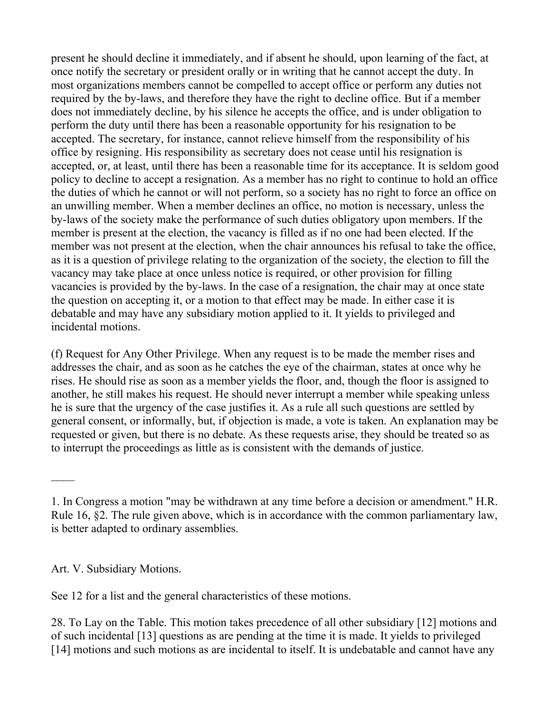present he should decline it immediately, and if absent he should, upon learning of the fact, at once notify the secretary or president orally or in writing that he cannot accept the duty. In most organizations members cannot be compelled to accept office or perform any duties not required by the by-laws, and therefore they have the right to decline office. But if a member does not immediately decline, by his silence he accepts the office, and is under obligation to perform the duty until there has been a reasonable opportunity for his resignation to be accepted. The secretary, for instance, cannot relieve himself from the responsibility of his office by resigning. His responsibility as secretary does not cease until his resignation is accepted, or, at least, until there has been a reasonable time for its acceptance. It is seldom good policy to decline to accept a resignation. As a member has no right to continue to hold an office the duties of which he cannot or will not perform, so a society has no right to force an office on an unwilling member. When a member declines an office, no motion is necessary, unless the by-laws of the society make the performance of such duties obligatory upon members. If the member is present at the election, the vacancy is filled as if no one had been elected. If the member was not present at the election, when the chair announces his refusal to take the office, as it is a question of privilege relating to the organization of the society, the election to fill the vacancy may take place at once unless notice is required, or other provision for filling vacancies is provided by the by-laws. In the case of a resignation, the chair may at once state the question on accepting it, or a motion to that effect may be made. In either case it is debatable and may have any subsidiary motion applied to it. It yields to privileged and incidental motions.

(f) Request for Any Other Privilege. When any request is to be made the member rises and addresses the chair, and as soon as he catches the eye of the chairman, states at once why he rises. He should rise as soon as a member yields the floor, and, though the floor is assigned to another, he still makes his request. He should never interrupt a member while speaking unless he is sure that the urgency of the case justifies it. As a rule all such questions are settled by general consent, or informally, but, if objection is made, a vote is taken. An explanation may be requested or given, but there is no debate. As these requests arise, they should be treated so as to interrupt the proceedings as little as is consistent with the demands of justice.

Art. V. Subsidiary Motions.

See 12 for a list and the general characteristics of these motions.

28. To Lay on the Table. This motion takes precedence of all other subsidiary [12] motions and of such incidental [13] questions as are pending at the time it is made. It yields to privileged [14] motions and such motions as are incidental to itself. It is undebatable and cannot have any

<sup>1.</sup> In Congress a motion "may be withdrawn at any time before a decision or amendment." H.R. Rule 16, §2. The rule given above, which is in accordance with the common parliamentary law, is better adapted to ordinary assemblies.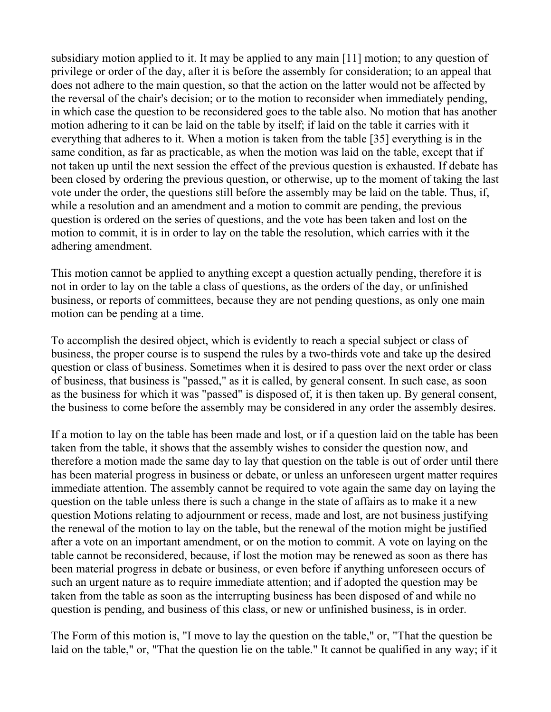subsidiary motion applied to it. It may be applied to any main [11] motion; to any question of privilege or order of the day, after it is before the assembly for consideration; to an appeal that does not adhere to the main question, so that the action on the latter would not be affected by the reversal of the chair's decision; or to the motion to reconsider when immediately pending, in which case the question to be reconsidered goes to the table also. No motion that has another motion adhering to it can be laid on the table by itself; if laid on the table it carries with it everything that adheres to it. When a motion is taken from the table [35] everything is in the same condition, as far as practicable, as when the motion was laid on the table, except that if not taken up until the next session the effect of the previous question is exhausted. If debate has been closed by ordering the previous question, or otherwise, up to the moment of taking the last vote under the order, the questions still before the assembly may be laid on the table. Thus, if, while a resolution and an amendment and a motion to commit are pending, the previous question is ordered on the series of questions, and the vote has been taken and lost on the motion to commit, it is in order to lay on the table the resolution, which carries with it the adhering amendment.

This motion cannot be applied to anything except a question actually pending, therefore it is not in order to lay on the table a class of questions, as the orders of the day, or unfinished business, or reports of committees, because they are not pending questions, as only one main motion can be pending at a time.

To accomplish the desired object, which is evidently to reach a special subject or class of business, the proper course is to suspend the rules by a two-thirds vote and take up the desired question or class of business. Sometimes when it is desired to pass over the next order or class of business, that business is "passed," as it is called, by general consent. In such case, as soon as the business for which it was "passed" is disposed of, it is then taken up. By general consent, the business to come before the assembly may be considered in any order the assembly desires.

If a motion to lay on the table has been made and lost, or if a question laid on the table has been taken from the table, it shows that the assembly wishes to consider the question now, and therefore a motion made the same day to lay that question on the table is out of order until there has been material progress in business or debate, or unless an unforeseen urgent matter requires immediate attention. The assembly cannot be required to vote again the same day on laying the question on the table unless there is such a change in the state of affairs as to make it a new question Motions relating to adjournment or recess, made and lost, are not business justifying the renewal of the motion to lay on the table, but the renewal of the motion might be justified after a vote on an important amendment, or on the motion to commit. A vote on laying on the table cannot be reconsidered, because, if lost the motion may be renewed as soon as there has been material progress in debate or business, or even before if anything unforeseen occurs of such an urgent nature as to require immediate attention; and if adopted the question may be taken from the table as soon as the interrupting business has been disposed of and while no question is pending, and business of this class, or new or unfinished business, is in order.

The Form of this motion is, "I move to lay the question on the table," or, "That the question be laid on the table," or, "That the question lie on the table." It cannot be qualified in any way; if it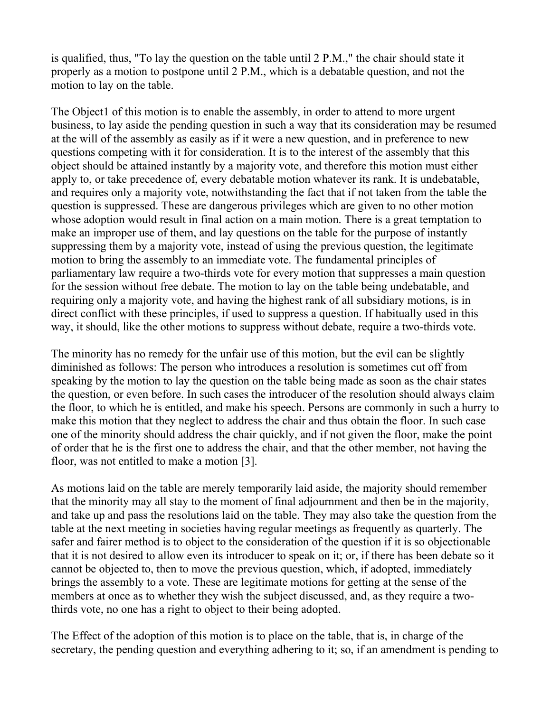is qualified, thus, "To lay the question on the table until 2 P.M.," the chair should state it properly as a motion to postpone until 2 P.M., which is a debatable question, and not the motion to lay on the table.

The Object1 of this motion is to enable the assembly, in order to attend to more urgent business, to lay aside the pending question in such a way that its consideration may be resumed at the will of the assembly as easily as if it were a new question, and in preference to new questions competing with it for consideration. It is to the interest of the assembly that this object should be attained instantly by a majority vote, and therefore this motion must either apply to, or take precedence of, every debatable motion whatever its rank. It is undebatable, and requires only a majority vote, notwithstanding the fact that if not taken from the table the question is suppressed. These are dangerous privileges which are given to no other motion whose adoption would result in final action on a main motion. There is a great temptation to make an improper use of them, and lay questions on the table for the purpose of instantly suppressing them by a majority vote, instead of using the previous question, the legitimate motion to bring the assembly to an immediate vote. The fundamental principles of parliamentary law require a two-thirds vote for every motion that suppresses a main question for the session without free debate. The motion to lay on the table being undebatable, and requiring only a majority vote, and having the highest rank of all subsidiary motions, is in direct conflict with these principles, if used to suppress a question. If habitually used in this way, it should, like the other motions to suppress without debate, require a two-thirds vote.

The minority has no remedy for the unfair use of this motion, but the evil can be slightly diminished as follows: The person who introduces a resolution is sometimes cut off from speaking by the motion to lay the question on the table being made as soon as the chair states the question, or even before. In such cases the introducer of the resolution should always claim the floor, to which he is entitled, and make his speech. Persons are commonly in such a hurry to make this motion that they neglect to address the chair and thus obtain the floor. In such case one of the minority should address the chair quickly, and if not given the floor, make the point of order that he is the first one to address the chair, and that the other member, not having the floor, was not entitled to make a motion [3].

As motions laid on the table are merely temporarily laid aside, the majority should remember that the minority may all stay to the moment of final adjournment and then be in the majority, and take up and pass the resolutions laid on the table. They may also take the question from the table at the next meeting in societies having regular meetings as frequently as quarterly. The safer and fairer method is to object to the consideration of the question if it is so objectionable that it is not desired to allow even its introducer to speak on it; or, if there has been debate so it cannot be objected to, then to move the previous question, which, if adopted, immediately brings the assembly to a vote. These are legitimate motions for getting at the sense of the members at once as to whether they wish the subject discussed, and, as they require a twothirds vote, no one has a right to object to their being adopted.

The Effect of the adoption of this motion is to place on the table, that is, in charge of the secretary, the pending question and everything adhering to it; so, if an amendment is pending to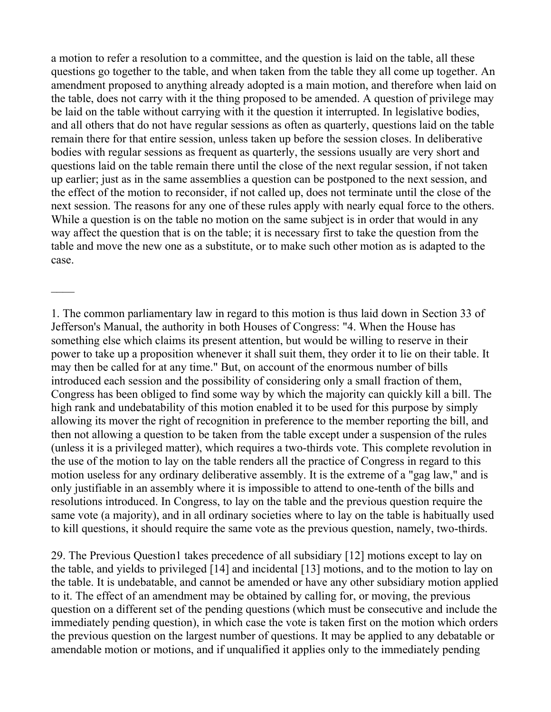a motion to refer a resolution to a committee, and the question is laid on the table, all these questions go together to the table, and when taken from the table they all come up together. An amendment proposed to anything already adopted is a main motion, and therefore when laid on the table, does not carry with it the thing proposed to be amended. A question of privilege may be laid on the table without carrying with it the question it interrupted. In legislative bodies, and all others that do not have regular sessions as often as quarterly, questions laid on the table remain there for that entire session, unless taken up before the session closes. In deliberative bodies with regular sessions as frequent as quarterly, the sessions usually are very short and questions laid on the table remain there until the close of the next regular session, if not taken up earlier; just as in the same assemblies a question can be postponed to the next session, and the effect of the motion to reconsider, if not called up, does not terminate until the close of the next session. The reasons for any one of these rules apply with nearly equal force to the others. While a question is on the table no motion on the same subject is in order that would in any way affect the question that is on the table; it is necessary first to take the question from the table and move the new one as a substitute, or to make such other motion as is adapted to the case.

1. The common parliamentary law in regard to this motion is thus laid down in Section 33 of Jefferson's Manual, the authority in both Houses of Congress: "4. When the House has something else which claims its present attention, but would be willing to reserve in their power to take up a proposition whenever it shall suit them, they order it to lie on their table. It may then be called for at any time." But, on account of the enormous number of bills introduced each session and the possibility of considering only a small fraction of them, Congress has been obliged to find some way by which the majority can quickly kill a bill. The high rank and undebatability of this motion enabled it to be used for this purpose by simply allowing its mover the right of recognition in preference to the member reporting the bill, and then not allowing a question to be taken from the table except under a suspension of the rules (unless it is a privileged matter), which requires a two-thirds vote. This complete revolution in the use of the motion to lay on the table renders all the practice of Congress in regard to this motion useless for any ordinary deliberative assembly. It is the extreme of a "gag law," and is only justifiable in an assembly where it is impossible to attend to one-tenth of the bills and resolutions introduced. In Congress, to lay on the table and the previous question require the same vote (a majority), and in all ordinary societies where to lay on the table is habitually used to kill questions, it should require the same vote as the previous question, namely, two-thirds.

29. The Previous Question1 takes precedence of all subsidiary [12] motions except to lay on the table, and yields to privileged [14] and incidental [13] motions, and to the motion to lay on the table. It is undebatable, and cannot be amended or have any other subsidiary motion applied to it. The effect of an amendment may be obtained by calling for, or moving, the previous question on a different set of the pending questions (which must be consecutive and include the immediately pending question), in which case the vote is taken first on the motion which orders the previous question on the largest number of questions. It may be applied to any debatable or amendable motion or motions, and if unqualified it applies only to the immediately pending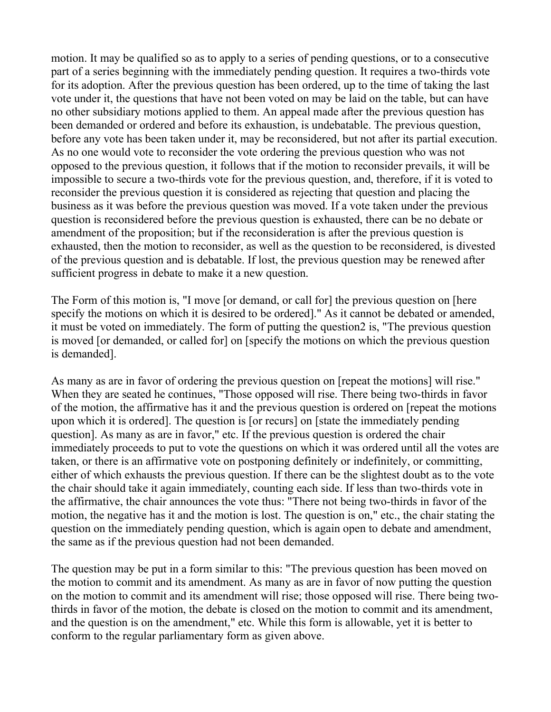motion. It may be qualified so as to apply to a series of pending questions, or to a consecutive part of a series beginning with the immediately pending question. It requires a two-thirds vote for its adoption. After the previous question has been ordered, up to the time of taking the last vote under it, the questions that have not been voted on may be laid on the table, but can have no other subsidiary motions applied to them. An appeal made after the previous question has been demanded or ordered and before its exhaustion, is undebatable. The previous question, before any vote has been taken under it, may be reconsidered, but not after its partial execution. As no one would vote to reconsider the vote ordering the previous question who was not opposed to the previous question, it follows that if the motion to reconsider prevails, it will be impossible to secure a two-thirds vote for the previous question, and, therefore, if it is voted to reconsider the previous question it is considered as rejecting that question and placing the business as it was before the previous question was moved. If a vote taken under the previous question is reconsidered before the previous question is exhausted, there can be no debate or amendment of the proposition; but if the reconsideration is after the previous question is exhausted, then the motion to reconsider, as well as the question to be reconsidered, is divested of the previous question and is debatable. If lost, the previous question may be renewed after sufficient progress in debate to make it a new question.

The Form of this motion is, "I move [or demand, or call for] the previous question on [here specify the motions on which it is desired to be ordered]." As it cannot be debated or amended, it must be voted on immediately. The form of putting the question2 is, "The previous question is moved [or demanded, or called for] on [specify the motions on which the previous question is demanded].

As many as are in favor of ordering the previous question on [repeat the motions] will rise." When they are seated he continues, "Those opposed will rise. There being two-thirds in favor of the motion, the affirmative has it and the previous question is ordered on [repeat the motions upon which it is ordered]. The question is [or recurs] on [state the immediately pending question]. As many as are in favor," etc. If the previous question is ordered the chair immediately proceeds to put to vote the questions on which it was ordered until all the votes are taken, or there is an affirmative vote on postponing definitely or indefinitely, or committing, either of which exhausts the previous question. If there can be the slightest doubt as to the vote the chair should take it again immediately, counting each side. If less than two-thirds vote in the affirmative, the chair announces the vote thus: "There not being two-thirds in favor of the motion, the negative has it and the motion is lost. The question is on," etc., the chair stating the question on the immediately pending question, which is again open to debate and amendment, the same as if the previous question had not been demanded.

The question may be put in a form similar to this: "The previous question has been moved on the motion to commit and its amendment. As many as are in favor of now putting the question on the motion to commit and its amendment will rise; those opposed will rise. There being twothirds in favor of the motion, the debate is closed on the motion to commit and its amendment, and the question is on the amendment," etc. While this form is allowable, yet it is better to conform to the regular parliamentary form as given above.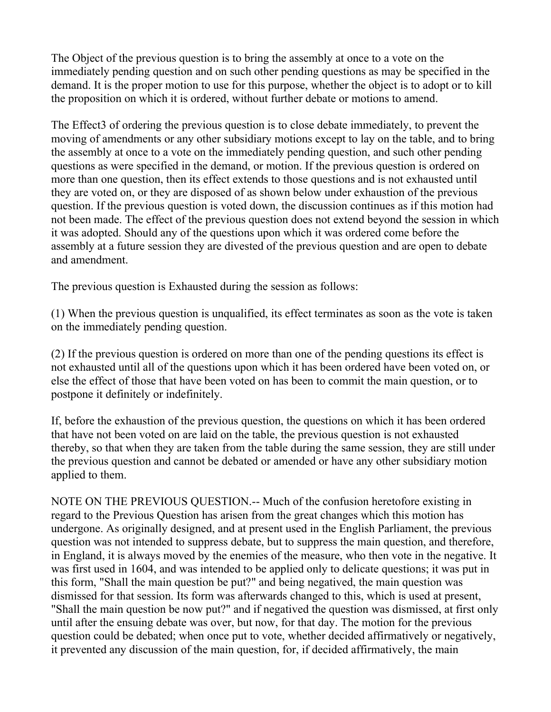The Object of the previous question is to bring the assembly at once to a vote on the immediately pending question and on such other pending questions as may be specified in the demand. It is the proper motion to use for this purpose, whether the object is to adopt or to kill the proposition on which it is ordered, without further debate or motions to amend.

The Effect3 of ordering the previous question is to close debate immediately, to prevent the moving of amendments or any other subsidiary motions except to lay on the table, and to bring the assembly at once to a vote on the immediately pending question, and such other pending questions as were specified in the demand, or motion. If the previous question is ordered on more than one question, then its effect extends to those questions and is not exhausted until they are voted on, or they are disposed of as shown below under exhaustion of the previous question. If the previous question is voted down, the discussion continues as if this motion had not been made. The effect of the previous question does not extend beyond the session in which it was adopted. Should any of the questions upon which it was ordered come before the assembly at a future session they are divested of the previous question and are open to debate and amendment.

The previous question is Exhausted during the session as follows:

(1) When the previous question is unqualified, its effect terminates as soon as the vote is taken on the immediately pending question.

(2) If the previous question is ordered on more than one of the pending questions its effect is not exhausted until all of the questions upon which it has been ordered have been voted on, or else the effect of those that have been voted on has been to commit the main question, or to postpone it definitely or indefinitely.

If, before the exhaustion of the previous question, the questions on which it has been ordered that have not been voted on are laid on the table, the previous question is not exhausted thereby, so that when they are taken from the table during the same session, they are still under the previous question and cannot be debated or amended or have any other subsidiary motion applied to them.

NOTE ON THE PREVIOUS QUESTION.-- Much of the confusion heretofore existing in regard to the Previous Question has arisen from the great changes which this motion has undergone. As originally designed, and at present used in the English Parliament, the previous question was not intended to suppress debate, but to suppress the main question, and therefore, in England, it is always moved by the enemies of the measure, who then vote in the negative. It was first used in 1604, and was intended to be applied only to delicate questions; it was put in this form, "Shall the main question be put?" and being negatived, the main question was dismissed for that session. Its form was afterwards changed to this, which is used at present, "Shall the main question be now put?" and if negatived the question was dismissed, at first only until after the ensuing debate was over, but now, for that day. The motion for the previous question could be debated; when once put to vote, whether decided affirmatively or negatively, it prevented any discussion of the main question, for, if decided affirmatively, the main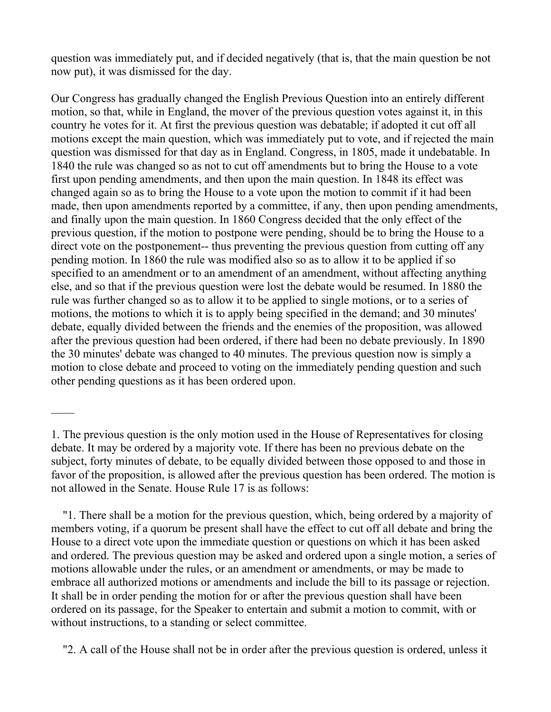question was immediately put, and if decided negatively (that is, that the main question be not now put), it was dismissed for the day.

Our Congress has gradually changed the English Previous Question into an entirely different motion, so that, while in England, the mover of the previous question votes against it, in this country he votes for it. At first the previous question was debatable; if adopted it cut off all motions except the main question, which was immediately put to vote, and if rejected the main question was dismissed for that day as in England. Congress, in 1805, made it undebatable. In 1840 the rule was changed so as not to cut off amendments but to bring the House to a vote first upon pending amendments, and then upon the main question. In 1848 its effect was changed again so as to bring the House to a vote upon the motion to commit if it had been made, then upon amendments reported by a committee, if any, then upon pending amendments, and finally upon the main question. In 1860 Congress decided that the only effect of the previous question, if the motion to postpone were pending, should be to bring the House to a direct vote on the postponement-- thus preventing the previous question from cutting off any pending motion. In 1860 the rule was modified also so as to allow it to be applied if so specified to an amendment or to an amendment of an amendment, without affecting anything else, and so that if the previous question were lost the debate would be resumed. In 1880 the rule was further changed so as to allow it to be applied to single motions, or to a series of motions, the motions to which it is to apply being specified in the demand; and 30 minutes' debate, equally divided between the friends and the enemies of the proposition, was allowed after the previous question had been ordered, if there had been no debate previously. In 1890 the 30 minutes' debate was changed to 40 minutes. The previous question now is simply a motion to close debate and proceed to voting on the immediately pending question and such other pending questions as it has been ordered upon.

 $\overline{\phantom{a}}$ 

 "1. There shall be a motion for the previous question, which, being ordered by a majority of members voting, if a quorum be present shall have the effect to cut off all debate and bring the House to a direct vote upon the immediate question or questions on which it has been asked and ordered. The previous question may be asked and ordered upon a single motion, a series of motions allowable under the rules, or an amendment or amendments, or may be made to embrace all authorized motions or amendments and include the bill to its passage or rejection. It shall be in order pending the motion for or after the previous question shall have been ordered on its passage, for the Speaker to entertain and submit a motion to commit, with or without instructions, to a standing or select committee.

"2. A call of the House shall not be in order after the previous question is ordered, unless it

<sup>1.</sup> The previous question is the only motion used in the House of Representatives for closing debate. It may be ordered by a majority vote. If there has been no previous debate on the subject, forty minutes of debate, to be equally divided between those opposed to and those in favor of the proposition, is allowed after the previous question has been ordered. The motion is not allowed in the Senate. House Rule 17 is as follows: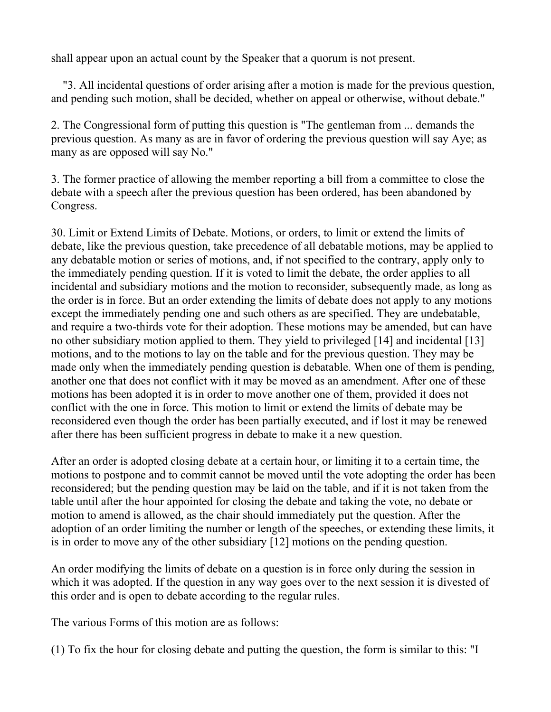shall appear upon an actual count by the Speaker that a quorum is not present.

 "3. All incidental questions of order arising after a motion is made for the previous question, and pending such motion, shall be decided, whether on appeal or otherwise, without debate."

2. The Congressional form of putting this question is "The gentleman from ... demands the previous question. As many as are in favor of ordering the previous question will say Aye; as many as are opposed will say No."

3. The former practice of allowing the member reporting a bill from a committee to close the debate with a speech after the previous question has been ordered, has been abandoned by Congress.

30. Limit or Extend Limits of Debate. Motions, or orders, to limit or extend the limits of debate, like the previous question, take precedence of all debatable motions, may be applied to any debatable motion or series of motions, and, if not specified to the contrary, apply only to the immediately pending question. If it is voted to limit the debate, the order applies to all incidental and subsidiary motions and the motion to reconsider, subsequently made, as long as the order is in force. But an order extending the limits of debate does not apply to any motions except the immediately pending one and such others as are specified. They are undebatable, and require a two-thirds vote for their adoption. These motions may be amended, but can have no other subsidiary motion applied to them. They yield to privileged [14] and incidental [13] motions, and to the motions to lay on the table and for the previous question. They may be made only when the immediately pending question is debatable. When one of them is pending, another one that does not conflict with it may be moved as an amendment. After one of these motions has been adopted it is in order to move another one of them, provided it does not conflict with the one in force. This motion to limit or extend the limits of debate may be reconsidered even though the order has been partially executed, and if lost it may be renewed after there has been sufficient progress in debate to make it a new question.

After an order is adopted closing debate at a certain hour, or limiting it to a certain time, the motions to postpone and to commit cannot be moved until the vote adopting the order has been reconsidered; but the pending question may be laid on the table, and if it is not taken from the table until after the hour appointed for closing the debate and taking the vote, no debate or motion to amend is allowed, as the chair should immediately put the question. After the adoption of an order limiting the number or length of the speeches, or extending these limits, it is in order to move any of the other subsidiary [12] motions on the pending question.

An order modifying the limits of debate on a question is in force only during the session in which it was adopted. If the question in any way goes over to the next session it is divested of this order and is open to debate according to the regular rules.

The various Forms of this motion are as follows:

(1) To fix the hour for closing debate and putting the question, the form is similar to this: "I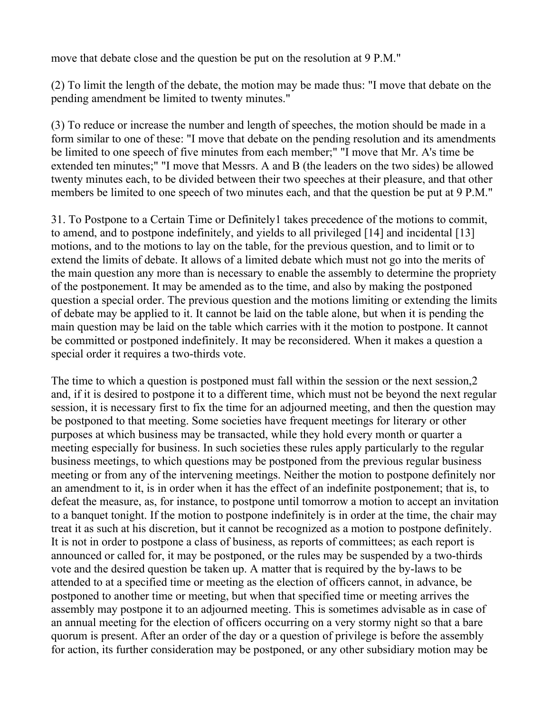move that debate close and the question be put on the resolution at 9 P.M."

(2) To limit the length of the debate, the motion may be made thus: "I move that debate on the pending amendment be limited to twenty minutes."

(3) To reduce or increase the number and length of speeches, the motion should be made in a form similar to one of these: "I move that debate on the pending resolution and its amendments be limited to one speech of five minutes from each member;" "I move that Mr. A's time be extended ten minutes;" "I move that Messrs. A and B (the leaders on the two sides) be allowed twenty minutes each, to be divided between their two speeches at their pleasure, and that other members be limited to one speech of two minutes each, and that the question be put at 9 P.M."

31. To Postpone to a Certain Time or Definitely1 takes precedence of the motions to commit, to amend, and to postpone indefinitely, and yields to all privileged [14] and incidental [13] motions, and to the motions to lay on the table, for the previous question, and to limit or to extend the limits of debate. It allows of a limited debate which must not go into the merits of the main question any more than is necessary to enable the assembly to determine the propriety of the postponement. It may be amended as to the time, and also by making the postponed question a special order. The previous question and the motions limiting or extending the limits of debate may be applied to it. It cannot be laid on the table alone, but when it is pending the main question may be laid on the table which carries with it the motion to postpone. It cannot be committed or postponed indefinitely. It may be reconsidered. When it makes a question a special order it requires a two-thirds vote.

The time to which a question is postponed must fall within the session or the next session,2 and, if it is desired to postpone it to a different time, which must not be beyond the next regular session, it is necessary first to fix the time for an adjourned meeting, and then the question may be postponed to that meeting. Some societies have frequent meetings for literary or other purposes at which business may be transacted, while they hold every month or quarter a meeting especially for business. In such societies these rules apply particularly to the regular business meetings, to which questions may be postponed from the previous regular business meeting or from any of the intervening meetings. Neither the motion to postpone definitely nor an amendment to it, is in order when it has the effect of an indefinite postponement; that is, to defeat the measure, as, for instance, to postpone until tomorrow a motion to accept an invitation to a banquet tonight. If the motion to postpone indefinitely is in order at the time, the chair may treat it as such at his discretion, but it cannot be recognized as a motion to postpone definitely. It is not in order to postpone a class of business, as reports of committees; as each report is announced or called for, it may be postponed, or the rules may be suspended by a two-thirds vote and the desired question be taken up. A matter that is required by the by-laws to be attended to at a specified time or meeting as the election of officers cannot, in advance, be postponed to another time or meeting, but when that specified time or meeting arrives the assembly may postpone it to an adjourned meeting. This is sometimes advisable as in case of an annual meeting for the election of officers occurring on a very stormy night so that a bare quorum is present. After an order of the day or a question of privilege is before the assembly for action, its further consideration may be postponed, or any other subsidiary motion may be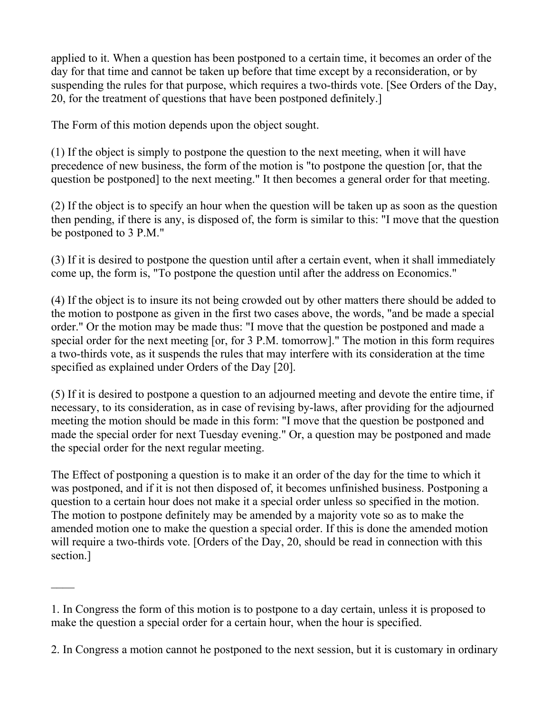applied to it. When a question has been postponed to a certain time, it becomes an order of the day for that time and cannot be taken up before that time except by a reconsideration, or by suspending the rules for that purpose, which requires a two-thirds vote. [See Orders of the Day, 20, for the treatment of questions that have been postponed definitely.]

The Form of this motion depends upon the object sought.

(1) If the object is simply to postpone the question to the next meeting, when it will have precedence of new business, the form of the motion is "to postpone the question [or, that the question be postponed] to the next meeting." It then becomes a general order for that meeting.

(2) If the object is to specify an hour when the question will be taken up as soon as the question then pending, if there is any, is disposed of, the form is similar to this: "I move that the question be postponed to 3 P.M."

(3) If it is desired to postpone the question until after a certain event, when it shall immediately come up, the form is, "To postpone the question until after the address on Economics."

(4) If the object is to insure its not being crowded out by other matters there should be added to the motion to postpone as given in the first two cases above, the words, "and be made a special order." Or the motion may be made thus: "I move that the question be postponed and made a special order for the next meeting [or, for 3 P.M. tomorrow]." The motion in this form requires a two-thirds vote, as it suspends the rules that may interfere with its consideration at the time specified as explained under Orders of the Day [20].

(5) If it is desired to postpone a question to an adjourned meeting and devote the entire time, if necessary, to its consideration, as in case of revising by-laws, after providing for the adjourned meeting the motion should be made in this form: "I move that the question be postponed and made the special order for next Tuesday evening." Or, a question may be postponed and made the special order for the next regular meeting.

The Effect of postponing a question is to make it an order of the day for the time to which it was postponed, and if it is not then disposed of, it becomes unfinished business. Postponing a question to a certain hour does not make it a special order unless so specified in the motion. The motion to postpone definitely may be amended by a majority vote so as to make the amended motion one to make the question a special order. If this is done the amended motion will require a two-thirds vote. [Orders of the Day, 20, should be read in connection with this section.]

 $\overline{\phantom{a}}$ 

<sup>1.</sup> In Congress the form of this motion is to postpone to a day certain, unless it is proposed to make the question a special order for a certain hour, when the hour is specified.

<sup>2.</sup> In Congress a motion cannot he postponed to the next session, but it is customary in ordinary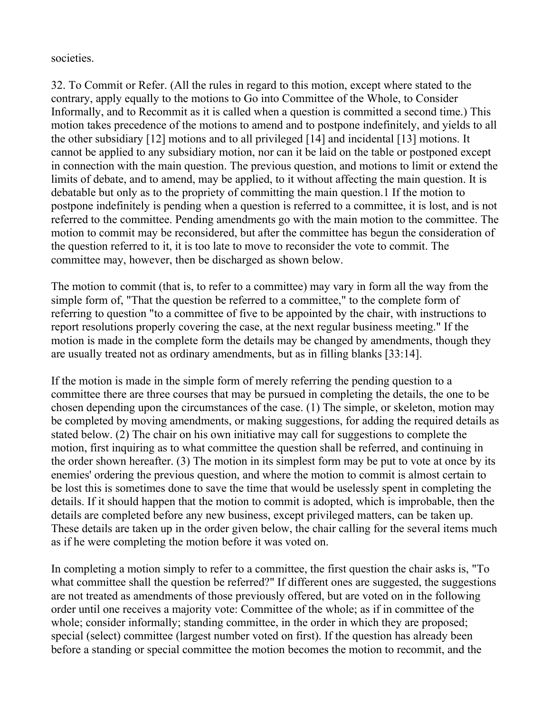societies.

32. To Commit or Refer. (All the rules in regard to this motion, except where stated to the contrary, apply equally to the motions to Go into Committee of the Whole, to Consider Informally, and to Recommit as it is called when a question is committed a second time.) This motion takes precedence of the motions to amend and to postpone indefinitely, and yields to all the other subsidiary [12] motions and to all privileged [14] and incidental [13] motions. It cannot be applied to any subsidiary motion, nor can it be laid on the table or postponed except in connection with the main question. The previous question, and motions to limit or extend the limits of debate, and to amend, may be applied, to it without affecting the main question. It is debatable but only as to the propriety of committing the main question.1 If the motion to postpone indefinitely is pending when a question is referred to a committee, it is lost, and is not referred to the committee. Pending amendments go with the main motion to the committee. The motion to commit may be reconsidered, but after the committee has begun the consideration of the question referred to it, it is too late to move to reconsider the vote to commit. The committee may, however, then be discharged as shown below.

The motion to commit (that is, to refer to a committee) may vary in form all the way from the simple form of, "That the question be referred to a committee," to the complete form of referring to question "to a committee of five to be appointed by the chair, with instructions to report resolutions properly covering the case, at the next regular business meeting." If the motion is made in the complete form the details may be changed by amendments, though they are usually treated not as ordinary amendments, but as in filling blanks [33:14].

If the motion is made in the simple form of merely referring the pending question to a committee there are three courses that may be pursued in completing the details, the one to be chosen depending upon the circumstances of the case. (1) The simple, or skeleton, motion may be completed by moving amendments, or making suggestions, for adding the required details as stated below. (2) The chair on his own initiative may call for suggestions to complete the motion, first inquiring as to what committee the question shall be referred, and continuing in the order shown hereafter. (3) The motion in its simplest form may be put to vote at once by its enemies' ordering the previous question, and where the motion to commit is almost certain to be lost this is sometimes done to save the time that would be uselessly spent in completing the details. If it should happen that the motion to commit is adopted, which is improbable, then the details are completed before any new business, except privileged matters, can be taken up. These details are taken up in the order given below, the chair calling for the several items much as if he were completing the motion before it was voted on.

In completing a motion simply to refer to a committee, the first question the chair asks is, "To what committee shall the question be referred?" If different ones are suggested, the suggestions are not treated as amendments of those previously offered, but are voted on in the following order until one receives a majority vote: Committee of the whole; as if in committee of the whole; consider informally; standing committee, in the order in which they are proposed; special (select) committee (largest number voted on first). If the question has already been before a standing or special committee the motion becomes the motion to recommit, and the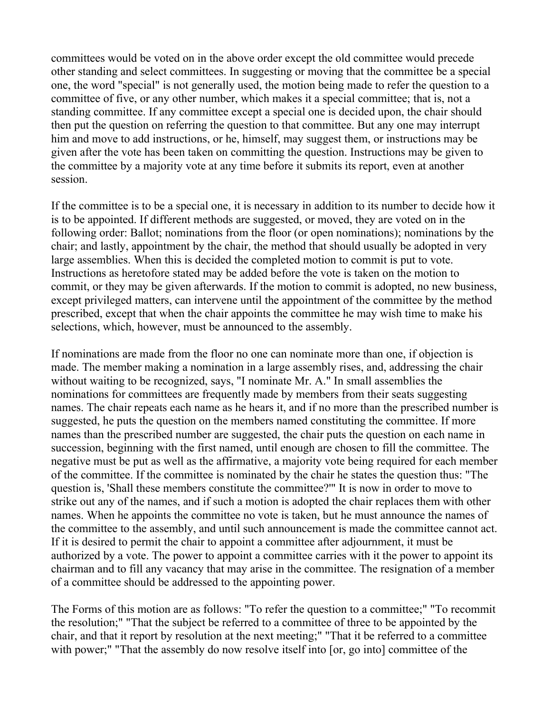committees would be voted on in the above order except the old committee would precede other standing and select committees. In suggesting or moving that the committee be a special one, the word "special" is not generally used, the motion being made to refer the question to a committee of five, or any other number, which makes it a special committee; that is, not a standing committee. If any committee except a special one is decided upon, the chair should then put the question on referring the question to that committee. But any one may interrupt him and move to add instructions, or he, himself, may suggest them, or instructions may be given after the vote has been taken on committing the question. Instructions may be given to the committee by a majority vote at any time before it submits its report, even at another session.

If the committee is to be a special one, it is necessary in addition to its number to decide how it is to be appointed. If different methods are suggested, or moved, they are voted on in the following order: Ballot; nominations from the floor (or open nominations); nominations by the chair; and lastly, appointment by the chair, the method that should usually be adopted in very large assemblies. When this is decided the completed motion to commit is put to vote. Instructions as heretofore stated may be added before the vote is taken on the motion to commit, or they may be given afterwards. If the motion to commit is adopted, no new business, except privileged matters, can intervene until the appointment of the committee by the method prescribed, except that when the chair appoints the committee he may wish time to make his selections, which, however, must be announced to the assembly.

If nominations are made from the floor no one can nominate more than one, if objection is made. The member making a nomination in a large assembly rises, and, addressing the chair without waiting to be recognized, says, "I nominate Mr. A." In small assemblies the nominations for committees are frequently made by members from their seats suggesting names. The chair repeats each name as he hears it, and if no more than the prescribed number is suggested, he puts the question on the members named constituting the committee. If more names than the prescribed number are suggested, the chair puts the question on each name in succession, beginning with the first named, until enough are chosen to fill the committee. The negative must be put as well as the affirmative, a majority vote being required for each member of the committee. If the committee is nominated by the chair he states the question thus: "The question is, 'Shall these members constitute the committee?'" It is now in order to move to strike out any of the names, and if such a motion is adopted the chair replaces them with other names. When he appoints the committee no vote is taken, but he must announce the names of the committee to the assembly, and until such announcement is made the committee cannot act. If it is desired to permit the chair to appoint a committee after adjournment, it must be authorized by a vote. The power to appoint a committee carries with it the power to appoint its chairman and to fill any vacancy that may arise in the committee. The resignation of a member of a committee should be addressed to the appointing power.

The Forms of this motion are as follows: "To refer the question to a committee;" "To recommit the resolution;" "That the subject be referred to a committee of three to be appointed by the chair, and that it report by resolution at the next meeting;" "That it be referred to a committee with power;" "That the assembly do now resolve itself into [or, go into] committee of the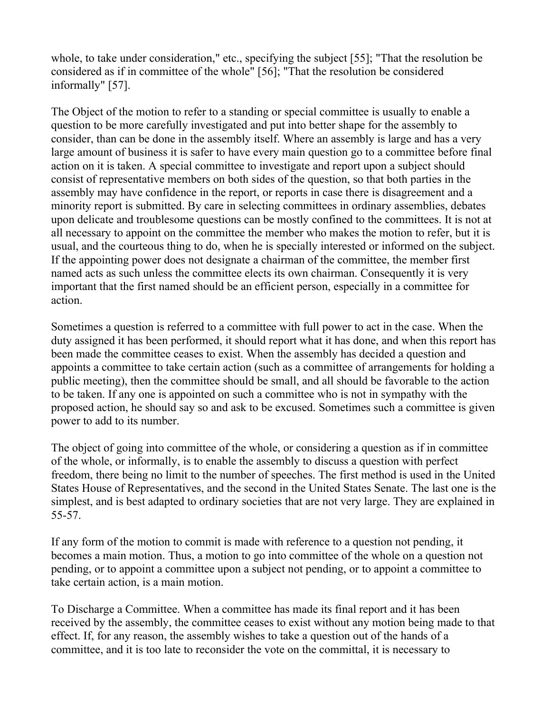whole, to take under consideration," etc., specifying the subject [55]; "That the resolution be considered as if in committee of the whole" [56]; "That the resolution be considered informally" [57].

The Object of the motion to refer to a standing or special committee is usually to enable a question to be more carefully investigated and put into better shape for the assembly to consider, than can be done in the assembly itself. Where an assembly is large and has a very large amount of business it is safer to have every main question go to a committee before final action on it is taken. A special committee to investigate and report upon a subject should consist of representative members on both sides of the question, so that both parties in the assembly may have confidence in the report, or reports in case there is disagreement and a minority report is submitted. By care in selecting committees in ordinary assemblies, debates upon delicate and troublesome questions can be mostly confined to the committees. It is not at all necessary to appoint on the committee the member who makes the motion to refer, but it is usual, and the courteous thing to do, when he is specially interested or informed on the subject. If the appointing power does not designate a chairman of the committee, the member first named acts as such unless the committee elects its own chairman. Consequently it is very important that the first named should be an efficient person, especially in a committee for action.

Sometimes a question is referred to a committee with full power to act in the case. When the duty assigned it has been performed, it should report what it has done, and when this report has been made the committee ceases to exist. When the assembly has decided a question and appoints a committee to take certain action (such as a committee of arrangements for holding a public meeting), then the committee should be small, and all should be favorable to the action to be taken. If any one is appointed on such a committee who is not in sympathy with the proposed action, he should say so and ask to be excused. Sometimes such a committee is given power to add to its number.

The object of going into committee of the whole, or considering a question as if in committee of the whole, or informally, is to enable the assembly to discuss a question with perfect freedom, there being no limit to the number of speeches. The first method is used in the United States House of Representatives, and the second in the United States Senate. The last one is the simplest, and is best adapted to ordinary societies that are not very large. They are explained in 55-57.

If any form of the motion to commit is made with reference to a question not pending, it becomes a main motion. Thus, a motion to go into committee of the whole on a question not pending, or to appoint a committee upon a subject not pending, or to appoint a committee to take certain action, is a main motion.

To Discharge a Committee. When a committee has made its final report and it has been received by the assembly, the committee ceases to exist without any motion being made to that effect. If, for any reason, the assembly wishes to take a question out of the hands of a committee, and it is too late to reconsider the vote on the committal, it is necessary to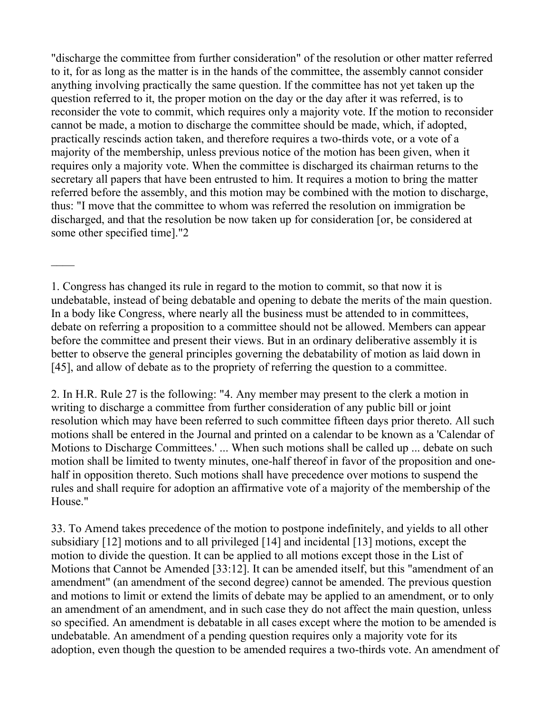"discharge the committee from further consideration" of the resolution or other matter referred to it, for as long as the matter is in the hands of the committee, the assembly cannot consider anything involving practically the same question. lf the committee has not yet taken up the question referred to it, the proper motion on the day or the day after it was referred, is to reconsider the vote to commit, which requires only a majority vote. If the motion to reconsider cannot be made, a motion to discharge the committee should be made, which, if adopted, practically rescinds action taken, and therefore requires a two-thirds vote, or a vote of a majority of the membership, unless previous notice of the motion has been given, when it requires only a majority vote. When the committee is discharged its chairman returns to the secretary all papers that have been entrusted to him. It requires a motion to bring the matter referred before the assembly, and this motion may be combined with the motion to discharge, thus: "I move that the committee to whom was referred the resolution on immigration be discharged, and that the resolution be now taken up for consideration [or, be considered at some other specified time]."2

1. Congress has changed its rule in regard to the motion to commit, so that now it is undebatable, instead of being debatable and opening to debate the merits of the main question. In a body like Congress, where nearly all the business must be attended to in committees, debate on referring a proposition to a committee should not be allowed. Members can appear before the committee and present their views. But in an ordinary deliberative assembly it is better to observe the general principles governing the debatability of motion as laid down in [45], and allow of debate as to the propriety of referring the question to a committee.

2. In H.R. Rule 27 is the following: "4. Any member may present to the clerk a motion in writing to discharge a committee from further consideration of any public bill or joint resolution which may have been referred to such committee fifteen days prior thereto. All such motions shall be entered in the Journal and printed on a calendar to be known as a 'Calendar of Motions to Discharge Committees.' ... When such motions shall be called up ... debate on such motion shall be limited to twenty minutes, one-half thereof in favor of the proposition and onehalf in opposition thereto. Such motions shall have precedence over motions to suspend the rules and shall require for adoption an affirmative vote of a majority of the membership of the House."

33. To Amend takes precedence of the motion to postpone indefinitely, and yields to all other subsidiary [12] motions and to all privileged [14] and incidental [13] motions, except the motion to divide the question. It can be applied to all motions except those in the List of Motions that Cannot be Amended [33:12]. It can be amended itself, but this "amendment of an amendment" (an amendment of the second degree) cannot be amended. The previous question and motions to limit or extend the limits of debate may be applied to an amendment, or to only an amendment of an amendment, and in such case they do not affect the main question, unless so specified. An amendment is debatable in all cases except where the motion to be amended is undebatable. An amendment of a pending question requires only a majority vote for its adoption, even though the question to be amended requires a two-thirds vote. An amendment of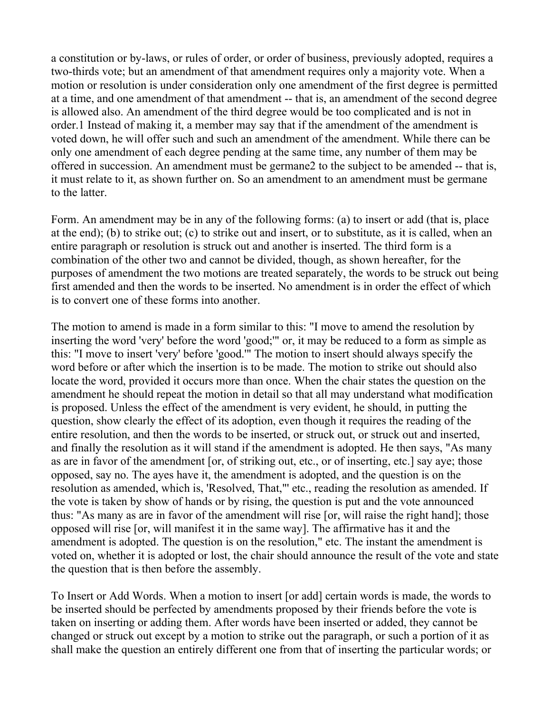a constitution or by-laws, or rules of order, or order of business, previously adopted, requires a two-thirds vote; but an amendment of that amendment requires only a majority vote. When a motion or resolution is under consideration only one amendment of the first degree is permitted at a time, and one amendment of that amendment -- that is, an amendment of the second degree is allowed also. An amendment of the third degree would be too complicated and is not in order.1 Instead of making it, a member may say that if the amendment of the amendment is voted down, he will offer such and such an amendment of the amendment. While there can be only one amendment of each degree pending at the same time, any number of them may be offered in succession. An amendment must be germane2 to the subject to be amended -- that is, it must relate to it, as shown further on. So an amendment to an amendment must be germane to the latter.

Form. An amendment may be in any of the following forms: (a) to insert or add (that is, place at the end); (b) to strike out; (c) to strike out and insert, or to substitute, as it is called, when an entire paragraph or resolution is struck out and another is inserted. The third form is a combination of the other two and cannot be divided, though, as shown hereafter, for the purposes of amendment the two motions are treated separately, the words to be struck out being first amended and then the words to be inserted. No amendment is in order the effect of which is to convert one of these forms into another.

The motion to amend is made in a form similar to this: "I move to amend the resolution by inserting the word 'very' before the word 'good;'" or, it may be reduced to a form as simple as this: "I move to insert 'very' before 'good.'" The motion to insert should always specify the word before or after which the insertion is to be made. The motion to strike out should also locate the word, provided it occurs more than once. When the chair states the question on the amendment he should repeat the motion in detail so that all may understand what modification is proposed. Unless the effect of the amendment is very evident, he should, in putting the question, show clearly the effect of its adoption, even though it requires the reading of the entire resolution, and then the words to be inserted, or struck out, or struck out and inserted, and finally the resolution as it will stand if the amendment is adopted. He then says, "As many as are in favor of the amendment [or, of striking out, etc., or of inserting, etc.] say aye; those opposed, say no. The ayes have it, the amendment is adopted, and the question is on the resolution as amended, which is, 'Resolved, That,"' etc., reading the resolution as amended. If the vote is taken by show of hands or by rising, the question is put and the vote announced thus: "As many as are in favor of the amendment will rise [or, will raise the right hand]; those opposed will rise [or, will manifest it in the same way]. The affirmative has it and the amendment is adopted. The question is on the resolution," etc. The instant the amendment is voted on, whether it is adopted or lost, the chair should announce the result of the vote and state the question that is then before the assembly.

To Insert or Add Words. When a motion to insert [or add] certain words is made, the words to be inserted should be perfected by amendments proposed by their friends before the vote is taken on inserting or adding them. After words have been inserted or added, they cannot be changed or struck out except by a motion to strike out the paragraph, or such a portion of it as shall make the question an entirely different one from that of inserting the particular words; or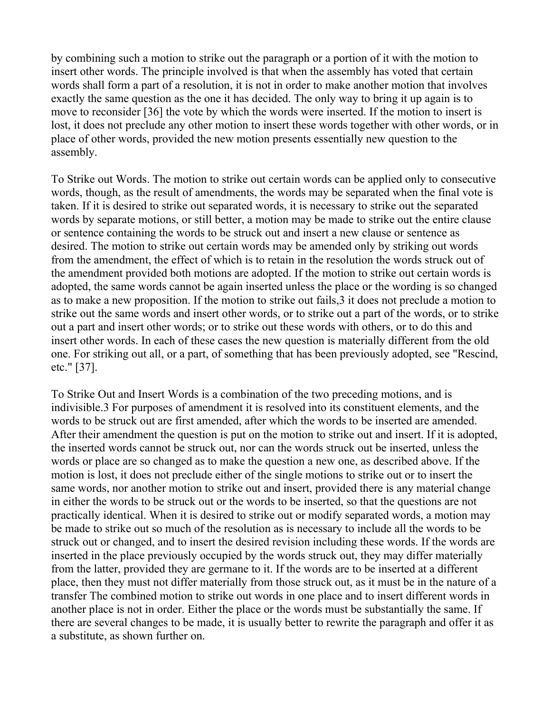by combining such a motion to strike out the paragraph or a portion of it with the motion to insert other words. The principle involved is that when the assembly has voted that certain words shall form a part of a resolution, it is not in order to make another motion that involves exactly the same question as the one it has decided. The only way to bring it up again is to move to reconsider [36] the vote by which the words were inserted. If the motion to insert is lost, it does not preclude any other motion to insert these words together with other words, or in place of other words, provided the new motion presents essentially new question to the assembly.

To Strike out Words. The motion to strike out certain words can be applied only to consecutive words, though, as the result of amendments, the words may be separated when the final vote is taken. If it is desired to strike out separated words, it is necessary to strike out the separated words by separate motions, or still better, a motion may be made to strike out the entire clause or sentence containing the words to be struck out and insert a new clause or sentence as desired. The motion to strike out certain words may be amended only by striking out words from the amendment, the effect of which is to retain in the resolution the words struck out of the amendment provided both motions are adopted. If the motion to strike out certain words is adopted, the same words cannot be again inserted unless the place or the wording is so changed as to make a new proposition. If the motion to strike out fails,3 it does not preclude a motion to strike out the same words and insert other words, or to strike out a part of the words, or to strike out a part and insert other words; or to strike out these words with others, or to do this and insert other words. In each of these cases the new question is materially different from the old one. For striking out all, or a part, of something that has been previously adopted, see "Rescind, etc." [37].

To Strike Out and Insert Words is a combination of the two preceding motions, and is indivisible.3 For purposes of amendment it is resolved into its constituent elements, and the words to be struck out are first amended, after which the words to be inserted are amended. After their amendment the question is put on the motion to strike out and insert. If it is adopted, the inserted words cannot be struck out, nor can the words struck out be inserted, unless the words or place are so changed as to make the question a new one, as described above. If the motion is lost, it does not preclude either of the single motions to strike out or to insert the same words, nor another motion to strike out and insert, provided there is any material change in either the words to be struck out or the words to be inserted, so that the questions are not practically identical. When it is desired to strike out or modify separated words, a motion may be made to strike out so much of the resolution as is necessary to include all the words to be struck out or changed, and to insert the desired revision including these words. If the words are inserted in the place previously occupied by the words struck out, they may differ materially from the latter, provided they are germane to it. If the words are to be inserted at a different place, then they must not differ materially from those struck out, as it must be in the nature of a transfer The combined motion to strike out words in one place and to insert different words in another place is not in order. Either the place or the words must be substantially the same. If there are several changes to be made, it is usually better to rewrite the paragraph and offer it as a substitute, as shown further on.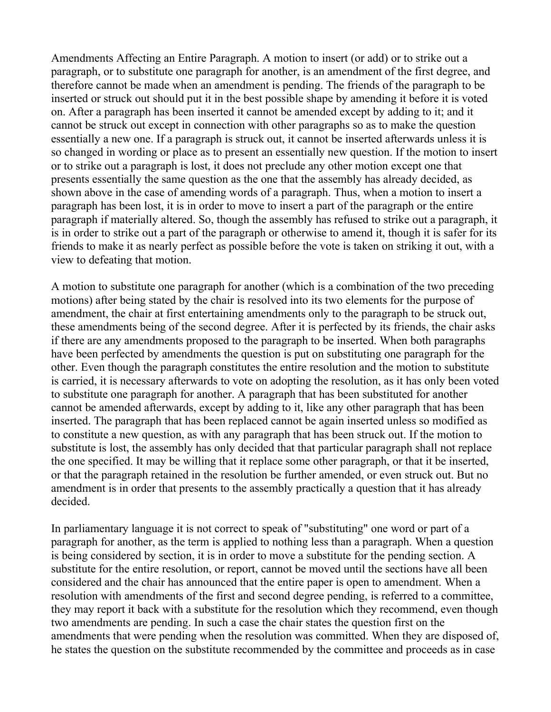Amendments Affecting an Entire Paragraph. A motion to insert (or add) or to strike out a paragraph, or to substitute one paragraph for another, is an amendment of the first degree, and therefore cannot be made when an amendment is pending. The friends of the paragraph to be inserted or struck out should put it in the best possible shape by amending it before it is voted on. After a paragraph has been inserted it cannot be amended except by adding to it; and it cannot be struck out except in connection with other paragraphs so as to make the question essentially a new one. If a paragraph is struck out, it cannot be inserted afterwards unless it is so changed in wording or place as to present an essentially new question. If the motion to insert or to strike out a paragraph is lost, it does not preclude any other motion except one that presents essentially the same question as the one that the assembly has already decided, as shown above in the case of amending words of a paragraph. Thus, when a motion to insert a paragraph has been lost, it is in order to move to insert a part of the paragraph or the entire paragraph if materially altered. So, though the assembly has refused to strike out a paragraph, it is in order to strike out a part of the paragraph or otherwise to amend it, though it is safer for its friends to make it as nearly perfect as possible before the vote is taken on striking it out, with a view to defeating that motion.

A motion to substitute one paragraph for another (which is a combination of the two preceding motions) after being stated by the chair is resolved into its two elements for the purpose of amendment, the chair at first entertaining amendments only to the paragraph to be struck out, these amendments being of the second degree. After it is perfected by its friends, the chair asks if there are any amendments proposed to the paragraph to be inserted. When both paragraphs have been perfected by amendments the question is put on substituting one paragraph for the other. Even though the paragraph constitutes the entire resolution and the motion to substitute is carried, it is necessary afterwards to vote on adopting the resolution, as it has only been voted to substitute one paragraph for another. A paragraph that has been substituted for another cannot be amended afterwards, except by adding to it, like any other paragraph that has been inserted. The paragraph that has been replaced cannot be again inserted unless so modified as to constitute a new question, as with any paragraph that has been struck out. If the motion to substitute is lost, the assembly has only decided that that particular paragraph shall not replace the one specified. It may be willing that it replace some other paragraph, or that it be inserted, or that the paragraph retained in the resolution be further amended, or even struck out. But no amendment is in order that presents to the assembly practically a question that it has already decided.

In parliamentary language it is not correct to speak of "substituting" one word or part of a paragraph for another, as the term is applied to nothing less than a paragraph. When a question is being considered by section, it is in order to move a substitute for the pending section. A substitute for the entire resolution, or report, cannot be moved until the sections have all been considered and the chair has announced that the entire paper is open to amendment. When a resolution with amendments of the first and second degree pending, is referred to a committee, they may report it back with a substitute for the resolution which they recommend, even though two amendments are pending. In such a case the chair states the question first on the amendments that were pending when the resolution was committed. When they are disposed of, he states the question on the substitute recommended by the committee and proceeds as in case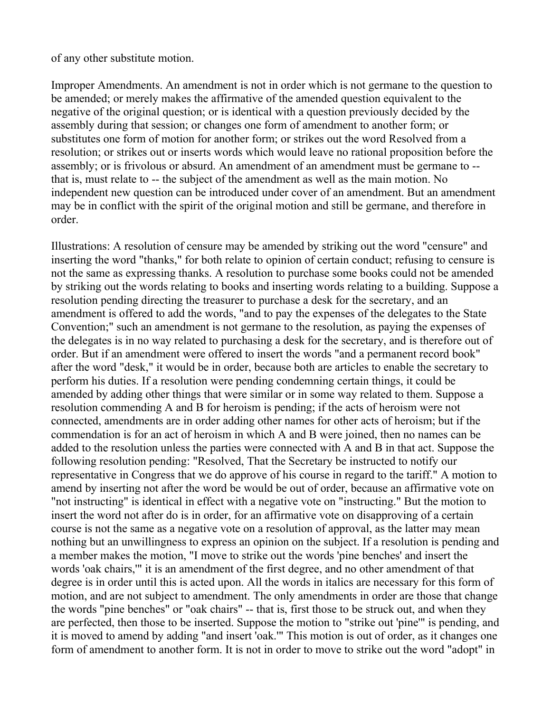of any other substitute motion.

Improper Amendments. An amendment is not in order which is not germane to the question to be amended; or merely makes the affirmative of the amended question equivalent to the negative of the original question; or is identical with a question previously decided by the assembly during that session; or changes one form of amendment to another form; or substitutes one form of motion for another form; or strikes out the word Resolved from a resolution; or strikes out or inserts words which would leave no rational proposition before the assembly; or is frivolous or absurd. An amendment of an amendment must be germane to - that is, must relate to -- the subject of the amendment as well as the main motion. No independent new question can be introduced under cover of an amendment. But an amendment may be in conflict with the spirit of the original motion and still be germane, and therefore in order.

Illustrations: A resolution of censure may be amended by striking out the word "censure" and inserting the word "thanks," for both relate to opinion of certain conduct; refusing to censure is not the same as expressing thanks. A resolution to purchase some books could not be amended by striking out the words relating to books and inserting words relating to a building. Suppose a resolution pending directing the treasurer to purchase a desk for the secretary, and an amendment is offered to add the words, "and to pay the expenses of the delegates to the State Convention;" such an amendment is not germane to the resolution, as paying the expenses of the delegates is in no way related to purchasing a desk for the secretary, and is therefore out of order. But if an amendment were offered to insert the words "and a permanent record book" after the word "desk," it would be in order, because both are articles to enable the secretary to perform his duties. If a resolution were pending condemning certain things, it could be amended by adding other things that were similar or in some way related to them. Suppose a resolution commending A and B for heroism is pending; if the acts of heroism were not connected, amendments are in order adding other names for other acts of heroism; but if the commendation is for an act of heroism in which A and B were joined, then no names can be added to the resolution unless the parties were connected with A and B in that act. Suppose the following resolution pending: "Resolved, That the Secretary be instructed to notify our representative in Congress that we do approve of his course in regard to the tariff." A motion to amend by inserting not after the word be would be out of order, because an affirmative vote on "not instructing" is identical in effect with a negative vote on "instructing." But the motion to insert the word not after do is in order, for an affirmative vote on disapproving of a certain course is not the same as a negative vote on a resolution of approval, as the latter may mean nothing but an unwillingness to express an opinion on the subject. If a resolution is pending and a member makes the motion, "I move to strike out the words 'pine benches' and insert the words 'oak chairs,'" it is an amendment of the first degree, and no other amendment of that degree is in order until this is acted upon. All the words in italics are necessary for this form of motion, and are not subject to amendment. The only amendments in order are those that change the words "pine benches" or "oak chairs" -- that is, first those to be struck out, and when they are perfected, then those to be inserted. Suppose the motion to "strike out 'pine'" is pending, and it is moved to amend by adding "and insert 'oak.'" This motion is out of order, as it changes one form of amendment to another form. It is not in order to move to strike out the word "adopt" in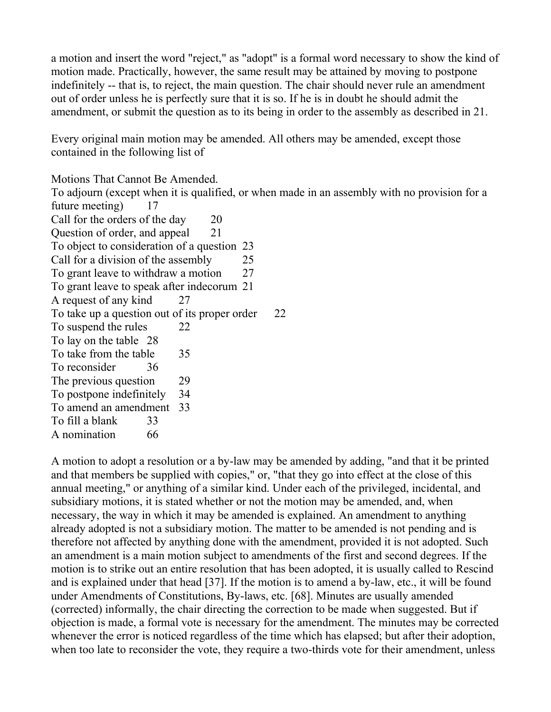a motion and insert the word "reject," as "adopt" is a formal word necessary to show the kind of motion made. Practically, however, the same result may be attained by moving to postpone indefinitely -- that is, to reject, the main question. The chair should never rule an amendment out of order unless he is perfectly sure that it is so. If he is in doubt he should admit the amendment, or submit the question as to its being in order to the assembly as described in 21.

Every original main motion may be amended. All others may be amended, except those contained in the following list of

Motions That Cannot Be Amended.

To adjourn (except when it is qualified, or when made in an assembly with no provision for a future meeting) 17 Call for the orders of the day 20 Question of order, and appeal 21 To object to consideration of a question 23 Call for a division of the assembly 25 To grant leave to withdraw a motion 27 To grant leave to speak after indecorum 21 A request of any kind 27 To take up a question out of its proper order 22 To suspend the rules 22 To lay on the table 28 To take from the table 35 To reconsider 36 The previous question 29 To postpone indefinitely 34 To amend an amendment 33 To fill a blank 33 A nomination 66

A motion to adopt a resolution or a by-law may be amended by adding, "and that it be printed and that members be supplied with copies," or, "that they go into effect at the close of this annual meeting," or anything of a similar kind. Under each of the privileged, incidental, and subsidiary motions, it is stated whether or not the motion may be amended, and, when necessary, the way in which it may be amended is explained. An amendment to anything already adopted is not a subsidiary motion. The matter to be amended is not pending and is therefore not affected by anything done with the amendment, provided it is not adopted. Such an amendment is a main motion subject to amendments of the first and second degrees. If the motion is to strike out an entire resolution that has been adopted, it is usually called to Rescind and is explained under that head [37]. If the motion is to amend a by-law, etc., it will be found under Amendments of Constitutions, By-laws, etc. [68]. Minutes are usually amended (corrected) informally, the chair directing the correction to be made when suggested. But if objection is made, a formal vote is necessary for the amendment. The minutes may be corrected whenever the error is noticed regardless of the time which has elapsed; but after their adoption, when too late to reconsider the vote, they require a two-thirds vote for their amendment, unless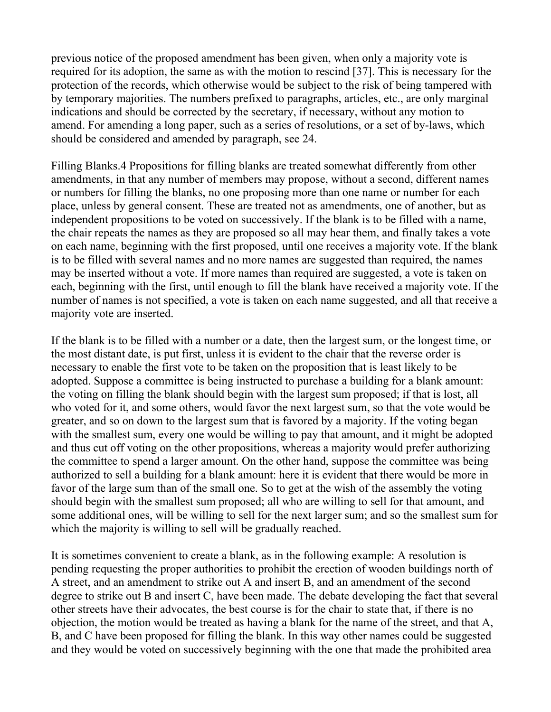previous notice of the proposed amendment has been given, when only a majority vote is required for its adoption, the same as with the motion to rescind [37]. This is necessary for the protection of the records, which otherwise would be subject to the risk of being tampered with by temporary majorities. The numbers prefixed to paragraphs, articles, etc., are only marginal indications and should be corrected by the secretary, if necessary, without any motion to amend. For amending a long paper, such as a series of resolutions, or a set of by-laws, which should be considered and amended by paragraph, see 24.

Filling Blanks.4 Propositions for filling blanks are treated somewhat differently from other amendments, in that any number of members may propose, without a second, different names or numbers for filling the blanks, no one proposing more than one name or number for each place, unless by general consent. These are treated not as amendments, one of another, but as independent propositions to be voted on successively. If the blank is to be filled with a name, the chair repeats the names as they are proposed so all may hear them, and finally takes a vote on each name, beginning with the first proposed, until one receives a majority vote. If the blank is to be filled with several names and no more names are suggested than required, the names may be inserted without a vote. If more names than required are suggested, a vote is taken on each, beginning with the first, until enough to fill the blank have received a majority vote. If the number of names is not specified, a vote is taken on each name suggested, and all that receive a majority vote are inserted.

If the blank is to be filled with a number or a date, then the largest sum, or the longest time, or the most distant date, is put first, unless it is evident to the chair that the reverse order is necessary to enable the first vote to be taken on the proposition that is least likely to be adopted. Suppose a committee is being instructed to purchase a building for a blank amount: the voting on filling the blank should begin with the largest sum proposed; if that is lost, all who voted for it, and some others, would favor the next largest sum, so that the vote would be greater, and so on down to the largest sum that is favored by a majority. If the voting began with the smallest sum, every one would be willing to pay that amount, and it might be adopted and thus cut off voting on the other propositions, whereas a majority would prefer authorizing the committee to spend a larger amount. On the other hand, suppose the committee was being authorized to sell a building for a blank amount: here it is evident that there would be more in favor of the large sum than of the small one. So to get at the wish of the assembly the voting should begin with the smallest sum proposed; all who are willing to sell for that amount, and some additional ones, will be willing to sell for the next larger sum; and so the smallest sum for which the majority is willing to sell will be gradually reached.

It is sometimes convenient to create a blank, as in the following example: A resolution is pending requesting the proper authorities to prohibit the erection of wooden buildings north of A street, and an amendment to strike out A and insert B, and an amendment of the second degree to strike out B and insert C, have been made. The debate developing the fact that several other streets have their advocates, the best course is for the chair to state that, if there is no objection, the motion would be treated as having a blank for the name of the street, and that A, B, and C have been proposed for filling the blank. In this way other names could be suggested and they would be voted on successively beginning with the one that made the prohibited area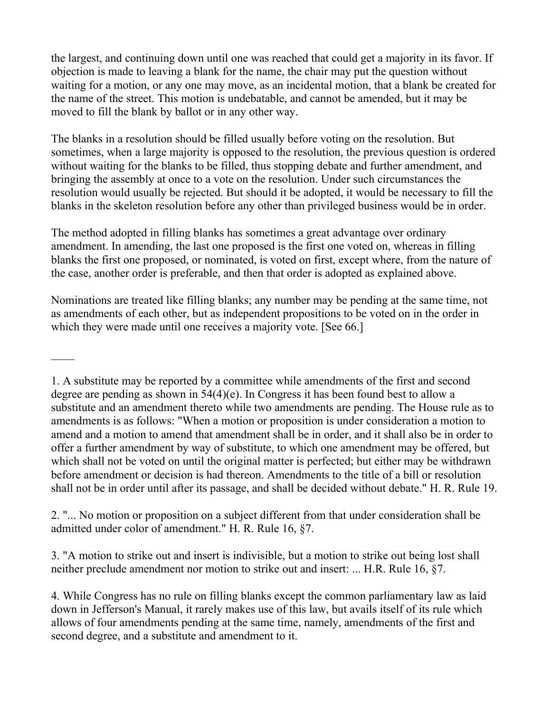the largest, and continuing down until one was reached that could get a majority in its favor. If objection is made to leaving a blank for the name, the chair may put the question without waiting for a motion, or any one may move, as an incidental motion, that a blank be created for the name of the street. This motion is undebatable, and cannot be amended, but it may be moved to fill the blank by ballot or in any other way.

The blanks in a resolution should be filled usually before voting on the resolution. But sometimes, when a large majority is opposed to the resolution, the previous question is ordered without waiting for the blanks to be filled, thus stopping debate and further amendment, and bringing the assembly at once to a vote on the resolution. Under such circumstances the resolution would usually be rejected. But should it be adopted, it would be necessary to fill the blanks in the skeleton resolution before any other than privileged business would be in order.

The method adopted in filling blanks has sometimes a great advantage over ordinary amendment. In amending, the last one proposed is the first one voted on, whereas in filling blanks the first one proposed, or nominated, is voted on first, except where, from the nature of the case, another order is preferable, and then that order is adopted as explained above.

Nominations are treated like filling blanks; any number may be pending at the same time, not as amendments of each other, but as independent propositions to be voted on in the order in which they were made until one receives a majority vote. [See 66.]

 $\mathcal{L}_\mathcal{L}$ 

1. A substitute may be reported by a committee while amendments of the first and second degree are pending as shown in 54(4)(e). In Congress it has been found best to allow a substitute and an amendment thereto while two amendments are pending. The House rule as to amendments is as follows: "When a motion or proposition is under consideration a motion to amend and a motion to amend that amendment shall be in order, and it shall also be in order to offer a further amendment by way of substitute, to which one amendment may be offered, but which shall not be voted on until the original matter is perfected; but either may be withdrawn before amendment or decision is had thereon. Amendments to the title of a bill or resolution shall not be in order until after its passage, and shall be decided without debate." H. R. Rule 19.

2. "... No motion or proposition on a subject different from that under consideration shall be admitted under color of amendment." H. R. Rule 16, §7.

3. "A motion to strike out and insert is indivisible, but a motion to strike out being lost shall neither preclude amendment nor motion to strike out and insert: ... H.R. Rule 16, §7.

4. While Congress has no rule on filling blanks except the common parliamentary law as laid down in Jefferson's Manual, it rarely makes use of this law, but avails itself of its rule which allows of four amendments pending at the same time, namely, amendments of the first and second degree, and a substitute and amendment to it.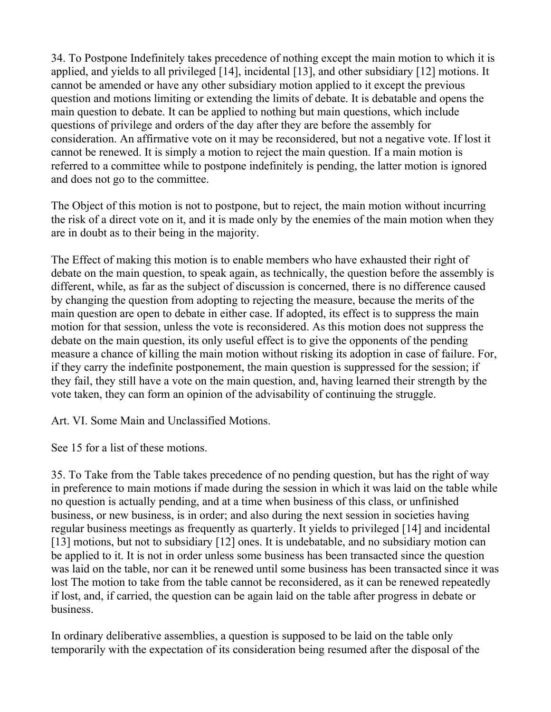34. To Postpone Indefinitely takes precedence of nothing except the main motion to which it is applied, and yields to all privileged [14], incidental [13], and other subsidiary [12] motions. It cannot be amended or have any other subsidiary motion applied to it except the previous question and motions limiting or extending the limits of debate. It is debatable and opens the main question to debate. It can be applied to nothing but main questions, which include questions of privilege and orders of the day after they are before the assembly for consideration. An affirmative vote on it may be reconsidered, but not a negative vote. If lost it cannot be renewed. It is simply a motion to reject the main question. If a main motion is referred to a committee while to postpone indefinitely is pending, the latter motion is ignored and does not go to the committee.

The Object of this motion is not to postpone, but to reject, the main motion without incurring the risk of a direct vote on it, and it is made only by the enemies of the main motion when they are in doubt as to their being in the majority.

The Effect of making this motion is to enable members who have exhausted their right of debate on the main question, to speak again, as technically, the question before the assembly is different, while, as far as the subject of discussion is concerned, there is no difference caused by changing the question from adopting to rejecting the measure, because the merits of the main question are open to debate in either case. If adopted, its effect is to suppress the main motion for that session, unless the vote is reconsidered. As this motion does not suppress the debate on the main question, its only useful effect is to give the opponents of the pending measure a chance of killing the main motion without risking its adoption in case of failure. For, if they carry the indefinite postponement, the main question is suppressed for the session; if they fail, they still have a vote on the main question, and, having learned their strength by the vote taken, they can form an opinion of the advisability of continuing the struggle.

Art. VI. Some Main and Unclassified Motions.

See 15 for a list of these motions.

35. To Take from the Table takes precedence of no pending question, but has the right of way in preference to main motions if made during the session in which it was laid on the table while no question is actually pending, and at a time when business of this class, or unfinished business, or new business, is in order; and also during the next session in societies having regular business meetings as frequently as quarterly. It yields to privileged [14] and incidental [13] motions, but not to subsidiary [12] ones. It is undebatable, and no subsidiary motion can be applied to it. It is not in order unless some business has been transacted since the question was laid on the table, nor can it be renewed until some business has been transacted since it was lost The motion to take from the table cannot be reconsidered, as it can be renewed repeatedly if lost, and, if carried, the question can be again laid on the table after progress in debate or business.

In ordinary deliberative assemblies, a question is supposed to be laid on the table only temporarily with the expectation of its consideration being resumed after the disposal of the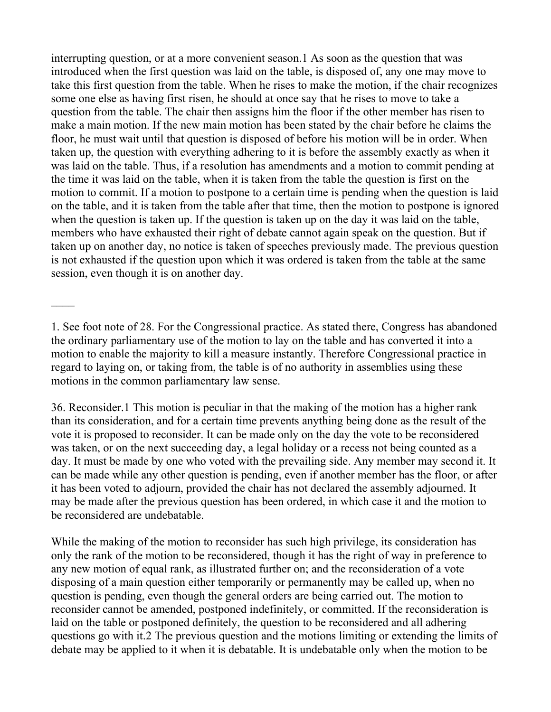interrupting question, or at a more convenient season.1 As soon as the question that was introduced when the first question was laid on the table, is disposed of, any one may move to take this first question from the table. When he rises to make the motion, if the chair recognizes some one else as having first risen, he should at once say that he rises to move to take a question from the table. The chair then assigns him the floor if the other member has risen to make a main motion. If the new main motion has been stated by the chair before he claims the floor, he must wait until that question is disposed of before his motion will be in order. When taken up, the question with everything adhering to it is before the assembly exactly as when it was laid on the table. Thus, if a resolution has amendments and a motion to commit pending at the time it was laid on the table, when it is taken from the table the question is first on the motion to commit. If a motion to postpone to a certain time is pending when the question is laid on the table, and it is taken from the table after that time, then the motion to postpone is ignored when the question is taken up. If the question is taken up on the day it was laid on the table, members who have exhausted their right of debate cannot again speak on the question. But if taken up on another day, no notice is taken of speeches previously made. The previous question is not exhausted if the question upon which it was ordered is taken from the table at the same session, even though it is on another day.

While the making of the motion to reconsider has such high privilege, its consideration has only the rank of the motion to be reconsidered, though it has the right of way in preference to any new motion of equal rank, as illustrated further on; and the reconsideration of a vote disposing of a main question either temporarily or permanently may be called up, when no question is pending, even though the general orders are being carried out. The motion to reconsider cannot be amended, postponed indefinitely, or committed. If the reconsideration is laid on the table or postponed definitely, the question to be reconsidered and all adhering questions go with it.2 The previous question and the motions limiting or extending the limits of debate may be applied to it when it is debatable. It is undebatable only when the motion to be

<sup>1.</sup> See foot note of 28. For the Congressional practice. As stated there, Congress has abandoned the ordinary parliamentary use of the motion to lay on the table and has converted it into a motion to enable the majority to kill a measure instantly. Therefore Congressional practice in regard to laying on, or taking from, the table is of no authority in assemblies using these motions in the common parliamentary law sense.

<sup>36.</sup> Reconsider.1 This motion is peculiar in that the making of the motion has a higher rank than its consideration, and for a certain time prevents anything being done as the result of the vote it is proposed to reconsider. It can be made only on the day the vote to be reconsidered was taken, or on the next succeeding day, a legal holiday or a recess not being counted as a day. It must be made by one who voted with the prevailing side. Any member may second it. It can be made while any other question is pending, even if another member has the floor, or after it has been voted to adjourn, provided the chair has not declared the assembly adjourned. It may be made after the previous question has been ordered, in which case it and the motion to be reconsidered are undebatable.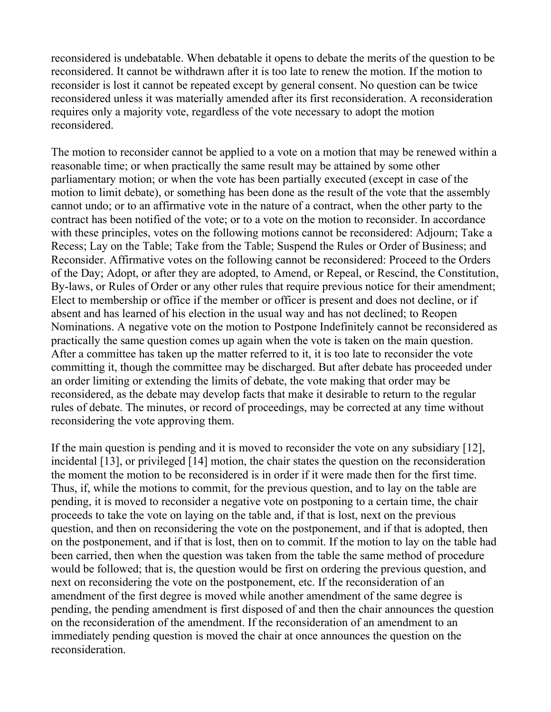reconsidered is undebatable. When debatable it opens to debate the merits of the question to be reconsidered. It cannot be withdrawn after it is too late to renew the motion. If the motion to reconsider is lost it cannot be repeated except by general consent. No question can be twice reconsidered unless it was materially amended after its first reconsideration. A reconsideration requires only a majority vote, regardless of the vote necessary to adopt the motion reconsidered.

The motion to reconsider cannot be applied to a vote on a motion that may be renewed within a reasonable time; or when practically the same result may be attained by some other parliamentary motion; or when the vote has been partially executed (except in case of the motion to limit debate), or something has been done as the result of the vote that the assembly cannot undo; or to an affirmative vote in the nature of a contract, when the other party to the contract has been notified of the vote; or to a vote on the motion to reconsider. In accordance with these principles, votes on the following motions cannot be reconsidered: Adjourn; Take a Recess; Lay on the Table; Take from the Table; Suspend the Rules or Order of Business; and Reconsider. Affirmative votes on the following cannot be reconsidered: Proceed to the Orders of the Day; Adopt, or after they are adopted, to Amend, or Repeal, or Rescind, the Constitution, By-laws, or Rules of Order or any other rules that require previous notice for their amendment; Elect to membership or office if the member or officer is present and does not decline, or if absent and has learned of his election in the usual way and has not declined; to Reopen Nominations. A negative vote on the motion to Postpone Indefinitely cannot be reconsidered as practically the same question comes up again when the vote is taken on the main question. After a committee has taken up the matter referred to it, it is too late to reconsider the vote committing it, though the committee may be discharged. But after debate has proceeded under an order limiting or extending the limits of debate, the vote making that order may be reconsidered, as the debate may develop facts that make it desirable to return to the regular rules of debate. The minutes, or record of proceedings, may be corrected at any time without reconsidering the vote approving them.

If the main question is pending and it is moved to reconsider the vote on any subsidiary [12], incidental [13], or privileged [14] motion, the chair states the question on the reconsideration the moment the motion to be reconsidered is in order if it were made then for the first time. Thus, if, while the motions to commit, for the previous question, and to lay on the table are pending, it is moved to reconsider a negative vote on postponing to a certain time, the chair proceeds to take the vote on laying on the table and, if that is lost, next on the previous question, and then on reconsidering the vote on the postponement, and if that is adopted, then on the postponement, and if that is lost, then on to commit. If the motion to lay on the table had been carried, then when the question was taken from the table the same method of procedure would be followed; that is, the question would be first on ordering the previous question, and next on reconsidering the vote on the postponement, etc. If the reconsideration of an amendment of the first degree is moved while another amendment of the same degree is pending, the pending amendment is first disposed of and then the chair announces the question on the reconsideration of the amendment. If the reconsideration of an amendment to an immediately pending question is moved the chair at once announces the question on the reconsideration.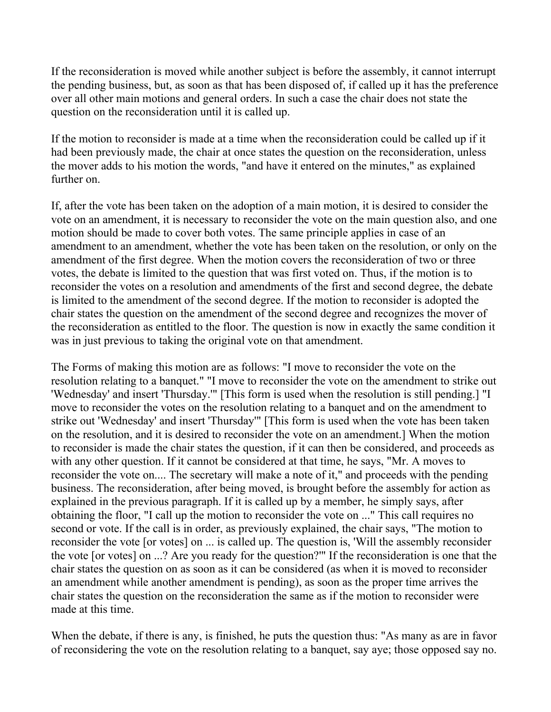If the reconsideration is moved while another subject is before the assembly, it cannot interrupt the pending business, but, as soon as that has been disposed of, if called up it has the preference over all other main motions and general orders. In such a case the chair does not state the question on the reconsideration until it is called up.

If the motion to reconsider is made at a time when the reconsideration could be called up if it had been previously made, the chair at once states the question on the reconsideration, unless the mover adds to his motion the words, "and have it entered on the minutes," as explained further on.

If, after the vote has been taken on the adoption of a main motion, it is desired to consider the vote on an amendment, it is necessary to reconsider the vote on the main question also, and one motion should be made to cover both votes. The same principle applies in case of an amendment to an amendment, whether the vote has been taken on the resolution, or only on the amendment of the first degree. When the motion covers the reconsideration of two or three votes, the debate is limited to the question that was first voted on. Thus, if the motion is to reconsider the votes on a resolution and amendments of the first and second degree, the debate is limited to the amendment of the second degree. If the motion to reconsider is adopted the chair states the question on the amendment of the second degree and recognizes the mover of the reconsideration as entitled to the floor. The question is now in exactly the same condition it was in just previous to taking the original vote on that amendment.

The Forms of making this motion are as follows: "I move to reconsider the vote on the resolution relating to a banquet." "I move to reconsider the vote on the amendment to strike out 'Wednesday' and insert 'Thursday.'" [This form is used when the resolution is still pending.] "I move to reconsider the votes on the resolution relating to a banquet and on the amendment to strike out 'Wednesday' and insert 'Thursday'" [This form is used when the vote has been taken on the resolution, and it is desired to reconsider the vote on an amendment.] When the motion to reconsider is made the chair states the question, if it can then be considered, and proceeds as with any other question. If it cannot be considered at that time, he says, "Mr. A moves to reconsider the vote on.... The secretary will make a note of it," and proceeds with the pending business. The reconsideration, after being moved, is brought before the assembly for action as explained in the previous paragraph. If it is called up by a member, he simply says, after obtaining the floor, "I call up the motion to reconsider the vote on ..." This call requires no second or vote. If the call is in order, as previously explained, the chair says, "The motion to reconsider the vote [or votes] on ... is called up. The question is, 'Will the assembly reconsider the vote [or votes] on ...? Are you ready for the question?'" If the reconsideration is one that the chair states the question on as soon as it can be considered (as when it is moved to reconsider an amendment while another amendment is pending), as soon as the proper time arrives the chair states the question on the reconsideration the same as if the motion to reconsider were made at this time.

When the debate, if there is any, is finished, he puts the question thus: "As many as are in favor of reconsidering the vote on the resolution relating to a banquet, say aye; those opposed say no.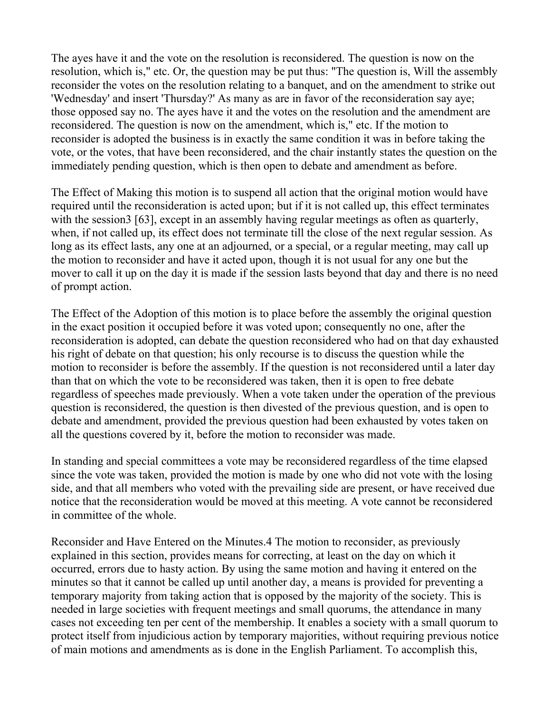The ayes have it and the vote on the resolution is reconsidered. The question is now on the resolution, which is," etc. Or, the question may be put thus: "The question is, Will the assembly reconsider the votes on the resolution relating to a banquet, and on the amendment to strike out 'Wednesday' and insert 'Thursday?' As many as are in favor of the reconsideration say aye; those opposed say no. The ayes have it and the votes on the resolution and the amendment are reconsidered. The question is now on the amendment, which is," etc. If the motion to reconsider is adopted the business is in exactly the same condition it was in before taking the vote, or the votes, that have been reconsidered, and the chair instantly states the question on the immediately pending question, which is then open to debate and amendment as before.

The Effect of Making this motion is to suspend all action that the original motion would have required until the reconsideration is acted upon; but if it is not called up, this effect terminates with the session3 [63], except in an assembly having regular meetings as often as quarterly, when, if not called up, its effect does not terminate till the close of the next regular session. As long as its effect lasts, any one at an adjourned, or a special, or a regular meeting, may call up the motion to reconsider and have it acted upon, though it is not usual for any one but the mover to call it up on the day it is made if the session lasts beyond that day and there is no need of prompt action.

The Effect of the Adoption of this motion is to place before the assembly the original question in the exact position it occupied before it was voted upon; consequently no one, after the reconsideration is adopted, can debate the question reconsidered who had on that day exhausted his right of debate on that question; his only recourse is to discuss the question while the motion to reconsider is before the assembly. If the question is not reconsidered until a later day than that on which the vote to be reconsidered was taken, then it is open to free debate regardless of speeches made previously. When a vote taken under the operation of the previous question is reconsidered, the question is then divested of the previous question, and is open to debate and amendment, provided the previous question had been exhausted by votes taken on all the questions covered by it, before the motion to reconsider was made.

In standing and special committees a vote may be reconsidered regardless of the time elapsed since the vote was taken, provided the motion is made by one who did not vote with the losing side, and that all members who voted with the prevailing side are present, or have received due notice that the reconsideration would be moved at this meeting. A vote cannot be reconsidered in committee of the whole.

Reconsider and Have Entered on the Minutes.4 The motion to reconsider, as previously explained in this section, provides means for correcting, at least on the day on which it occurred, errors due to hasty action. By using the same motion and having it entered on the minutes so that it cannot be called up until another day, a means is provided for preventing a temporary majority from taking action that is opposed by the majority of the society. This is needed in large societies with frequent meetings and small quorums, the attendance in many cases not exceeding ten per cent of the membership. It enables a society with a small quorum to protect itself from injudicious action by temporary majorities, without requiring previous notice of main motions and amendments as is done in the English Parliament. To accomplish this,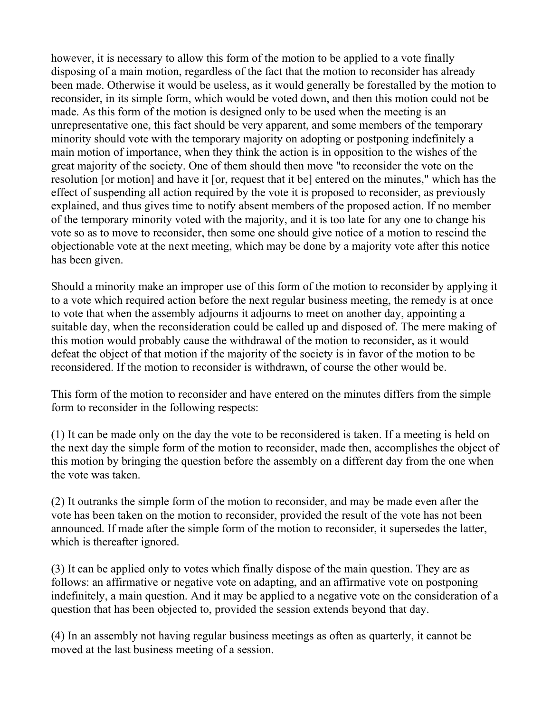however, it is necessary to allow this form of the motion to be applied to a vote finally disposing of a main motion, regardless of the fact that the motion to reconsider has already been made. Otherwise it would be useless, as it would generally be forestalled by the motion to reconsider, in its simple form, which would be voted down, and then this motion could not be made. As this form of the motion is designed only to be used when the meeting is an unrepresentative one, this fact should be very apparent, and some members of the temporary minority should vote with the temporary majority on adopting or postponing indefinitely a main motion of importance, when they think the action is in opposition to the wishes of the great majority of the society. One of them should then move "to reconsider the vote on the resolution [or motion] and have it [or, request that it be] entered on the minutes," which has the effect of suspending all action required by the vote it is proposed to reconsider, as previously explained, and thus gives time to notify absent members of the proposed action. If no member of the temporary minority voted with the majority, and it is too late for any one to change his vote so as to move to reconsider, then some one should give notice of a motion to rescind the objectionable vote at the next meeting, which may be done by a majority vote after this notice has been given.

Should a minority make an improper use of this form of the motion to reconsider by applying it to a vote which required action before the next regular business meeting, the remedy is at once to vote that when the assembly adjourns it adjourns to meet on another day, appointing a suitable day, when the reconsideration could be called up and disposed of. The mere making of this motion would probably cause the withdrawal of the motion to reconsider, as it would defeat the object of that motion if the majority of the society is in favor of the motion to be reconsidered. If the motion to reconsider is withdrawn, of course the other would be.

This form of the motion to reconsider and have entered on the minutes differs from the simple form to reconsider in the following respects:

(1) It can be made only on the day the vote to be reconsidered is taken. If a meeting is held on the next day the simple form of the motion to reconsider, made then, accomplishes the object of this motion by bringing the question before the assembly on a different day from the one when the vote was taken.

(2) It outranks the simple form of the motion to reconsider, and may be made even after the vote has been taken on the motion to reconsider, provided the result of the vote has not been announced. If made after the simple form of the motion to reconsider, it supersedes the latter, which is thereafter ignored.

(3) It can be applied only to votes which finally dispose of the main question. They are as follows: an affirmative or negative vote on adapting, and an affirmative vote on postponing indefinitely, a main question. And it may be applied to a negative vote on the consideration of a question that has been objected to, provided the session extends beyond that day.

(4) In an assembly not having regular business meetings as often as quarterly, it cannot be moved at the last business meeting of a session.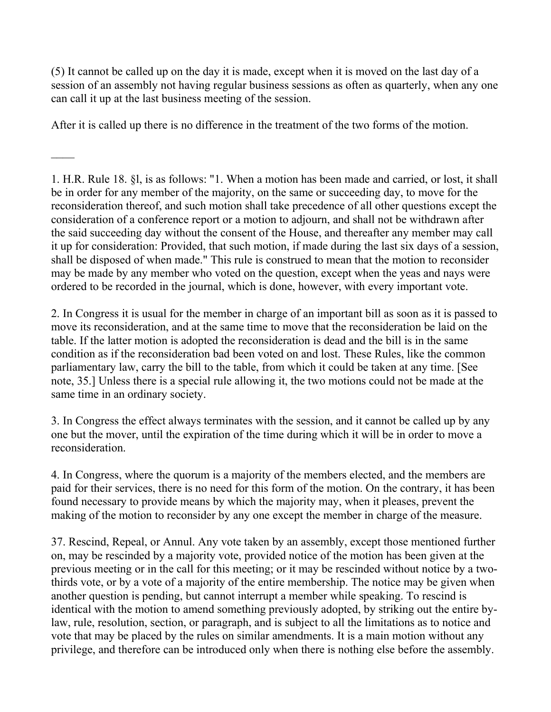(5) It cannot be called up on the day it is made, except when it is moved on the last day of a session of an assembly not having regular business sessions as often as quarterly, when any one can call it up at the last business meeting of the session.

After it is called up there is no difference in the treatment of the two forms of the motion.

 $\mathcal{L}_\mathcal{L}$ 

1. H.R. Rule 18. §l, is as follows: "1. When a motion has been made and carried, or lost, it shall be in order for any member of the majority, on the same or succeeding day, to move for the reconsideration thereof, and such motion shall take precedence of all other questions except the consideration of a conference report or a motion to adjourn, and shall not be withdrawn after the said succeeding day without the consent of the House, and thereafter any member may call it up for consideration: Provided, that such motion, if made during the last six days of a session, shall be disposed of when made." This rule is construed to mean that the motion to reconsider may be made by any member who voted on the question, except when the yeas and nays were ordered to be recorded in the journal, which is done, however, with every important vote.

2. In Congress it is usual for the member in charge of an important bill as soon as it is passed to move its reconsideration, and at the same time to move that the reconsideration be laid on the table. If the latter motion is adopted the reconsideration is dead and the bill is in the same condition as if the reconsideration bad been voted on and lost. These Rules, like the common parliamentary law, carry the bill to the table, from which it could be taken at any time. [See note, 35.] Unless there is a special rule allowing it, the two motions could not be made at the same time in an ordinary society.

3. In Congress the effect always terminates with the session, and it cannot be called up by any one but the mover, until the expiration of the time during which it will be in order to move a reconsideration.

4. In Congress, where the quorum is a majority of the members elected, and the members are paid for their services, there is no need for this form of the motion. On the contrary, it has been found necessary to provide means by which the majority may, when it pleases, prevent the making of the motion to reconsider by any one except the member in charge of the measure.

37. Rescind, Repeal, or Annul. Any vote taken by an assembly, except those mentioned further on, may be rescinded by a majority vote, provided notice of the motion has been given at the previous meeting or in the call for this meeting; or it may be rescinded without notice by a twothirds vote, or by a vote of a majority of the entire membership. The notice may be given when another question is pending, but cannot interrupt a member while speaking. To rescind is identical with the motion to amend something previously adopted, by striking out the entire bylaw, rule, resolution, section, or paragraph, and is subject to all the limitations as to notice and vote that may be placed by the rules on similar amendments. It is a main motion without any privilege, and therefore can be introduced only when there is nothing else before the assembly.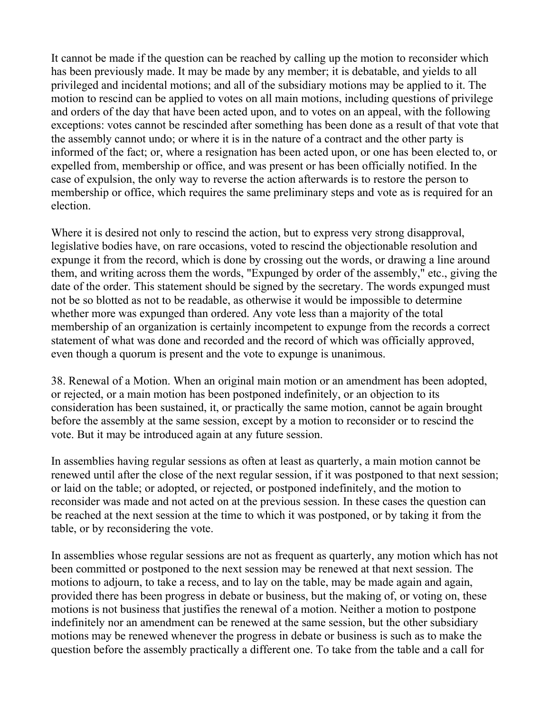It cannot be made if the question can be reached by calling up the motion to reconsider which has been previously made. It may be made by any member; it is debatable, and yields to all privileged and incidental motions; and all of the subsidiary motions may be applied to it. The motion to rescind can be applied to votes on all main motions, including questions of privilege and orders of the day that have been acted upon, and to votes on an appeal, with the following exceptions: votes cannot be rescinded after something has been done as a result of that vote that the assembly cannot undo; or where it is in the nature of a contract and the other party is informed of the fact; or, where a resignation has been acted upon, or one has been elected to, or expelled from, membership or office, and was present or has been officially notified. In the case of expulsion, the only way to reverse the action afterwards is to restore the person to membership or office, which requires the same preliminary steps and vote as is required for an election.

Where it is desired not only to rescind the action, but to express very strong disapproval, legislative bodies have, on rare occasions, voted to rescind the objectionable resolution and expunge it from the record, which is done by crossing out the words, or drawing a line around them, and writing across them the words, "Expunged by order of the assembly," etc., giving the date of the order. This statement should be signed by the secretary. The words expunged must not be so blotted as not to be readable, as otherwise it would be impossible to determine whether more was expunged than ordered. Any vote less than a majority of the total membership of an organization is certainly incompetent to expunge from the records a correct statement of what was done and recorded and the record of which was officially approved, even though a quorum is present and the vote to expunge is unanimous.

38. Renewal of a Motion. When an original main motion or an amendment has been adopted, or rejected, or a main motion has been postponed indefinitely, or an objection to its consideration has been sustained, it, or practically the same motion, cannot be again brought before the assembly at the same session, except by a motion to reconsider or to rescind the vote. But it may be introduced again at any future session.

In assemblies having regular sessions as often at least as quarterly, a main motion cannot be renewed until after the close of the next regular session, if it was postponed to that next session; or laid on the table; or adopted, or rejected, or postponed indefinitely, and the motion to reconsider was made and not acted on at the previous session. In these cases the question can be reached at the next session at the time to which it was postponed, or by taking it from the table, or by reconsidering the vote.

In assemblies whose regular sessions are not as frequent as quarterly, any motion which has not been committed or postponed to the next session may be renewed at that next session. The motions to adjourn, to take a recess, and to lay on the table, may be made again and again, provided there has been progress in debate or business, but the making of, or voting on, these motions is not business that justifies the renewal of a motion. Neither a motion to postpone indefinitely nor an amendment can be renewed at the same session, but the other subsidiary motions may be renewed whenever the progress in debate or business is such as to make the question before the assembly practically a different one. To take from the table and a call for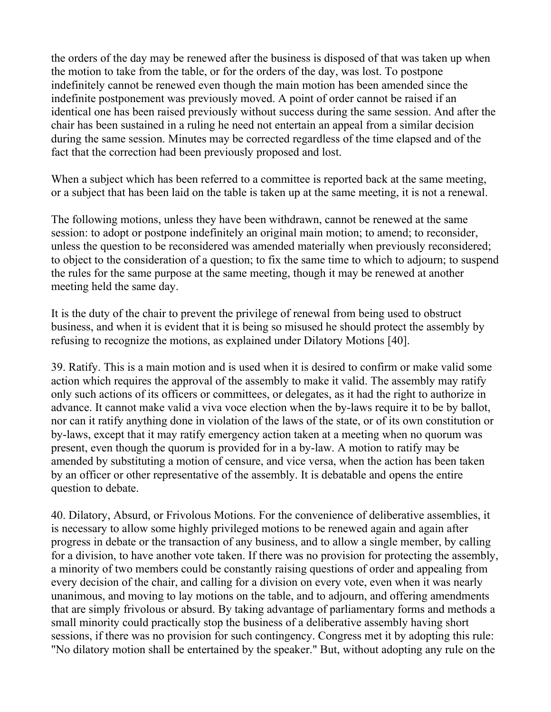the orders of the day may be renewed after the business is disposed of that was taken up when the motion to take from the table, or for the orders of the day, was lost. To postpone indefinitely cannot be renewed even though the main motion has been amended since the indefinite postponement was previously moved. A point of order cannot be raised if an identical one has been raised previously without success during the same session. And after the chair has been sustained in a ruling he need not entertain an appeal from a similar decision during the same session. Minutes may be corrected regardless of the time elapsed and of the fact that the correction had been previously proposed and lost.

When a subject which has been referred to a committee is reported back at the same meeting, or a subject that has been laid on the table is taken up at the same meeting, it is not a renewal.

The following motions, unless they have been withdrawn, cannot be renewed at the same session: to adopt or postpone indefinitely an original main motion; to amend; to reconsider, unless the question to be reconsidered was amended materially when previously reconsidered; to object to the consideration of a question; to fix the same time to which to adjourn; to suspend the rules for the same purpose at the same meeting, though it may be renewed at another meeting held the same day.

It is the duty of the chair to prevent the privilege of renewal from being used to obstruct business, and when it is evident that it is being so misused he should protect the assembly by refusing to recognize the motions, as explained under Dilatory Motions [40].

39. Ratify. This is a main motion and is used when it is desired to confirm or make valid some action which requires the approval of the assembly to make it valid. The assembly may ratify only such actions of its officers or committees, or delegates, as it had the right to authorize in advance. It cannot make valid a viva voce election when the by-laws require it to be by ballot, nor can it ratify anything done in violation of the laws of the state, or of its own constitution or by-laws, except that it may ratify emergency action taken at a meeting when no quorum was present, even though the quorum is provided for in a by-law. A motion to ratify may be amended by substituting a motion of censure, and vice versa, when the action has been taken by an officer or other representative of the assembly. It is debatable and opens the entire question to debate.

40. Dilatory, Absurd, or Frivolous Motions. For the convenience of deliberative assemblies, it is necessary to allow some highly privileged motions to be renewed again and again after progress in debate or the transaction of any business, and to allow a single member, by calling for a division, to have another vote taken. If there was no provision for protecting the assembly, a minority of two members could be constantly raising questions of order and appealing from every decision of the chair, and calling for a division on every vote, even when it was nearly unanimous, and moving to lay motions on the table, and to adjourn, and offering amendments that are simply frivolous or absurd. By taking advantage of parliamentary forms and methods a small minority could practically stop the business of a deliberative assembly having short sessions, if there was no provision for such contingency. Congress met it by adopting this rule: "No dilatory motion shall be entertained by the speaker." But, without adopting any rule on the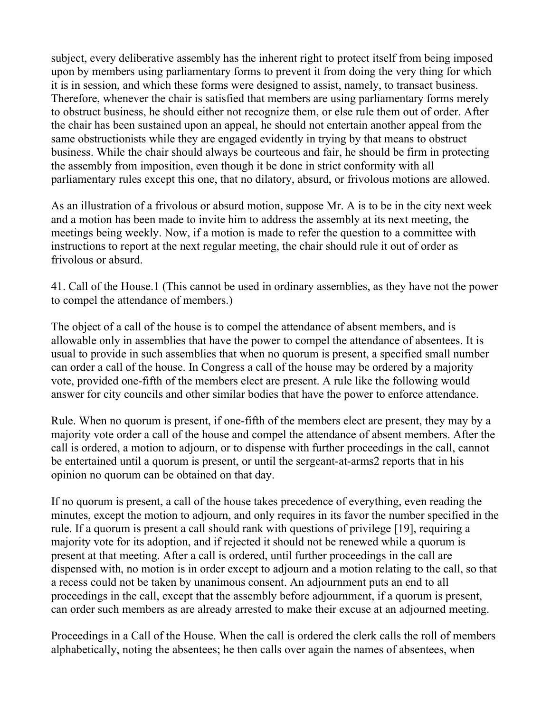subject, every deliberative assembly has the inherent right to protect itself from being imposed upon by members using parliamentary forms to prevent it from doing the very thing for which it is in session, and which these forms were designed to assist, namely, to transact business. Therefore, whenever the chair is satisfied that members are using parliamentary forms merely to obstruct business, he should either not recognize them, or else rule them out of order. After the chair has been sustained upon an appeal, he should not entertain another appeal from the same obstructionists while they are engaged evidently in trying by that means to obstruct business. While the chair should always be courteous and fair, he should be firm in protecting the assembly from imposition, even though it be done in strict conformity with all parliamentary rules except this one, that no dilatory, absurd, or frivolous motions are allowed.

As an illustration of a frivolous or absurd motion, suppose Mr. A is to be in the city next week and a motion has been made to invite him to address the assembly at its next meeting, the meetings being weekly. Now, if a motion is made to refer the question to a committee with instructions to report at the next regular meeting, the chair should rule it out of order as frivolous or absurd.

41. Call of the House.1 (This cannot be used in ordinary assemblies, as they have not the power to compel the attendance of members.)

The object of a call of the house is to compel the attendance of absent members, and is allowable only in assemblies that have the power to compel the attendance of absentees. It is usual to provide in such assemblies that when no quorum is present, a specified small number can order a call of the house. In Congress a call of the house may be ordered by a majority vote, provided one-fifth of the members elect are present. A rule like the following would answer for city councils and other similar bodies that have the power to enforce attendance.

Rule. When no quorum is present, if one-fifth of the members elect are present, they may by a majority vote order a call of the house and compel the attendance of absent members. After the call is ordered, a motion to adjourn, or to dispense with further proceedings in the call, cannot be entertained until a quorum is present, or until the sergeant-at-arms2 reports that in his opinion no quorum can be obtained on that day.

If no quorum is present, a call of the house takes precedence of everything, even reading the minutes, except the motion to adjourn, and only requires in its favor the number specified in the rule. If a quorum is present a call should rank with questions of privilege [19], requiring a majority vote for its adoption, and if rejected it should not be renewed while a quorum is present at that meeting. After a call is ordered, until further proceedings in the call are dispensed with, no motion is in order except to adjourn and a motion relating to the call, so that a recess could not be taken by unanimous consent. An adjournment puts an end to all proceedings in the call, except that the assembly before adjournment, if a quorum is present, can order such members as are already arrested to make their excuse at an adjourned meeting.

Proceedings in a Call of the House. When the call is ordered the clerk calls the roll of members alphabetically, noting the absentees; he then calls over again the names of absentees, when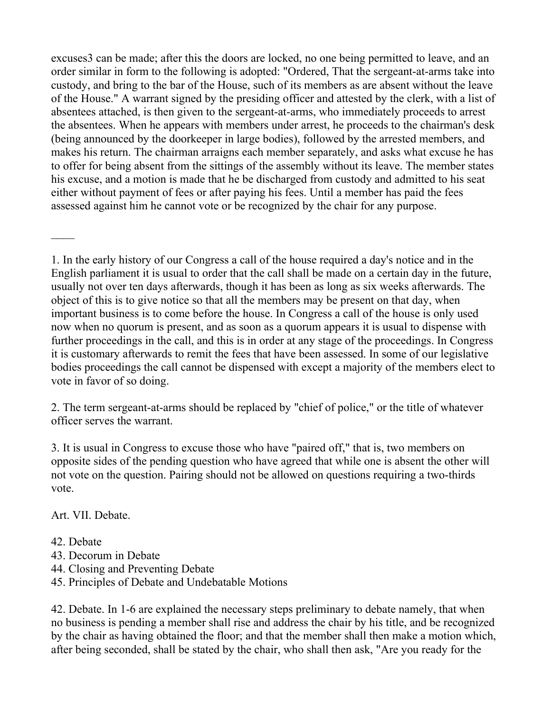excuses3 can be made; after this the doors are locked, no one being permitted to leave, and an order similar in form to the following is adopted: "Ordered, That the sergeant-at-arms take into custody, and bring to the bar of the House, such of its members as are absent without the leave of the House." A warrant signed by the presiding officer and attested by the clerk, with a list of absentees attached, is then given to the sergeant-at-arms, who immediately proceeds to arrest the absentees. When he appears with members under arrest, he proceeds to the chairman's desk (being announced by the doorkeeper in large bodies), followed by the arrested members, and makes his return. The chairman arraigns each member separately, and asks what excuse he has to offer for being absent from the sittings of the assembly without its leave. The member states his excuse, and a motion is made that he be discharged from custody and admitted to his seat either without payment of fees or after paying his fees. Until a member has paid the fees assessed against him he cannot vote or be recognized by the chair for any purpose.

1. In the early history of our Congress a call of the house required a day's notice and in the English parliament it is usual to order that the call shall be made on a certain day in the future, usually not over ten days afterwards, though it has been as long as six weeks afterwards. The object of this is to give notice so that all the members may be present on that day, when important business is to come before the house. In Congress a call of the house is only used now when no quorum is present, and as soon as a quorum appears it is usual to dispense with further proceedings in the call, and this is in order at any stage of the proceedings. In Congress it is customary afterwards to remit the fees that have been assessed. In some of our legislative bodies proceedings the call cannot be dispensed with except a majority of the members elect to vote in favor of so doing.

2. The term sergeant-at-arms should be replaced by "chief of police," or the title of whatever officer serves the warrant.

3. It is usual in Congress to excuse those who have "paired off," that is, two members on opposite sides of the pending question who have agreed that while one is absent the other will not vote on the question. Pairing should not be allowed on questions requiring a two-thirds vote.

Art. VII. Debate.

- 42. Debate
- 43. Decorum in Debate
- 44. Closing and Preventing Debate
- 45. Principles of Debate and Undebatable Motions

42. Debate. In 1-6 are explained the necessary steps preliminary to debate namely, that when no business is pending a member shall rise and address the chair by his title, and be recognized by the chair as having obtained the floor; and that the member shall then make a motion which, after being seconded, shall be stated by the chair, who shall then ask, "Are you ready for the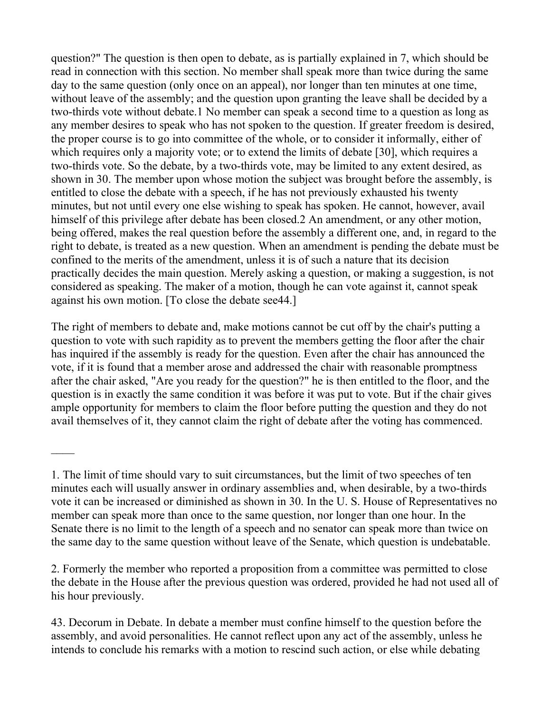question?" The question is then open to debate, as is partially explained in 7, which should be read in connection with this section. No member shall speak more than twice during the same day to the same question (only once on an appeal), nor longer than ten minutes at one time, without leave of the assembly; and the question upon granting the leave shall be decided by a two-thirds vote without debate.1 No member can speak a second time to a question as long as any member desires to speak who has not spoken to the question. If greater freedom is desired, the proper course is to go into committee of the whole, or to consider it informally, either of which requires only a majority vote; or to extend the limits of debate [30], which requires a two-thirds vote. So the debate, by a two-thirds vote, may be limited to any extent desired, as shown in 30. The member upon whose motion the subject was brought before the assembly, is entitled to close the debate with a speech, if he has not previously exhausted his twenty minutes, but not until every one else wishing to speak has spoken. He cannot, however, avail himself of this privilege after debate has been closed.2 An amendment, or any other motion, being offered, makes the real question before the assembly a different one, and, in regard to the right to debate, is treated as a new question. When an amendment is pending the debate must be confined to the merits of the amendment, unless it is of such a nature that its decision practically decides the main question. Merely asking a question, or making a suggestion, is not considered as speaking. The maker of a motion, though he can vote against it, cannot speak against his own motion. [To close the debate see44.]

The right of members to debate and, make motions cannot be cut off by the chair's putting a question to vote with such rapidity as to prevent the members getting the floor after the chair has inquired if the assembly is ready for the question. Even after the chair has announced the vote, if it is found that a member arose and addressed the chair with reasonable promptness after the chair asked, "Are you ready for the question?" he is then entitled to the floor, and the question is in exactly the same condition it was before it was put to vote. But if the chair gives ample opportunity for members to claim the floor before putting the question and they do not avail themselves of it, they cannot claim the right of debate after the voting has commenced.

2. Formerly the member who reported a proposition from a committee was permitted to close the debate in the House after the previous question was ordered, provided he had not used all of his hour previously.

43. Decorum in Debate. In debate a member must confine himself to the question before the assembly, and avoid personalities. He cannot reflect upon any act of the assembly, unless he intends to conclude his remarks with a motion to rescind such action, or else while debating

<sup>1.</sup> The limit of time should vary to suit circumstances, but the limit of two speeches of ten minutes each will usually answer in ordinary assemblies and, when desirable, by a two-thirds vote it can be increased or diminished as shown in 30. In the U. S. House of Representatives no member can speak more than once to the same question, nor longer than one hour. In the Senate there is no limit to the length of a speech and no senator can speak more than twice on the same day to the same question without leave of the Senate, which question is undebatable.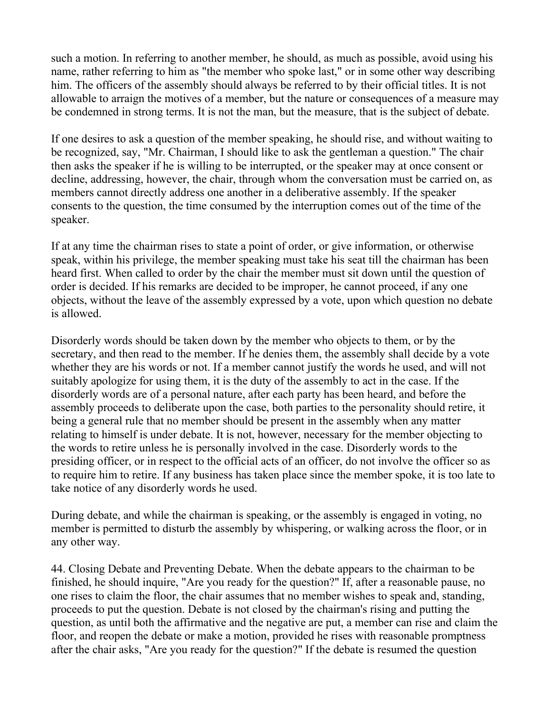such a motion. In referring to another member, he should, as much as possible, avoid using his name, rather referring to him as "the member who spoke last," or in some other way describing him. The officers of the assembly should always be referred to by their official titles. It is not allowable to arraign the motives of a member, but the nature or consequences of a measure may be condemned in strong terms. It is not the man, but the measure, that is the subject of debate.

If one desires to ask a question of the member speaking, he should rise, and without waiting to be recognized, say, "Mr. Chairman, I should like to ask the gentleman a question." The chair then asks the speaker if he is willing to be interrupted, or the speaker may at once consent or decline, addressing, however, the chair, through whom the conversation must be carried on, as members cannot directly address one another in a deliberative assembly. If the speaker consents to the question, the time consumed by the interruption comes out of the time of the speaker.

If at any time the chairman rises to state a point of order, or give information, or otherwise speak, within his privilege, the member speaking must take his seat till the chairman has been heard first. When called to order by the chair the member must sit down until the question of order is decided. If his remarks are decided to be improper, he cannot proceed, if any one objects, without the leave of the assembly expressed by a vote, upon which question no debate is allowed.

Disorderly words should be taken down by the member who objects to them, or by the secretary, and then read to the member. If he denies them, the assembly shall decide by a vote whether they are his words or not. If a member cannot justify the words he used, and will not suitably apologize for using them, it is the duty of the assembly to act in the case. If the disorderly words are of a personal nature, after each party has been heard, and before the assembly proceeds to deliberate upon the case, both parties to the personality should retire, it being a general rule that no member should be present in the assembly when any matter relating to himself is under debate. It is not, however, necessary for the member objecting to the words to retire unless he is personally involved in the case. Disorderly words to the presiding officer, or in respect to the official acts of an officer, do not involve the officer so as to require him to retire. If any business has taken place since the member spoke, it is too late to take notice of any disorderly words he used.

During debate, and while the chairman is speaking, or the assembly is engaged in voting, no member is permitted to disturb the assembly by whispering, or walking across the floor, or in any other way.

44. Closing Debate and Preventing Debate. When the debate appears to the chairman to be finished, he should inquire, "Are you ready for the question?" If, after a reasonable pause, no one rises to claim the floor, the chair assumes that no member wishes to speak and, standing, proceeds to put the question. Debate is not closed by the chairman's rising and putting the question, as until both the affirmative and the negative are put, a member can rise and claim the floor, and reopen the debate or make a motion, provided he rises with reasonable promptness after the chair asks, "Are you ready for the question?" If the debate is resumed the question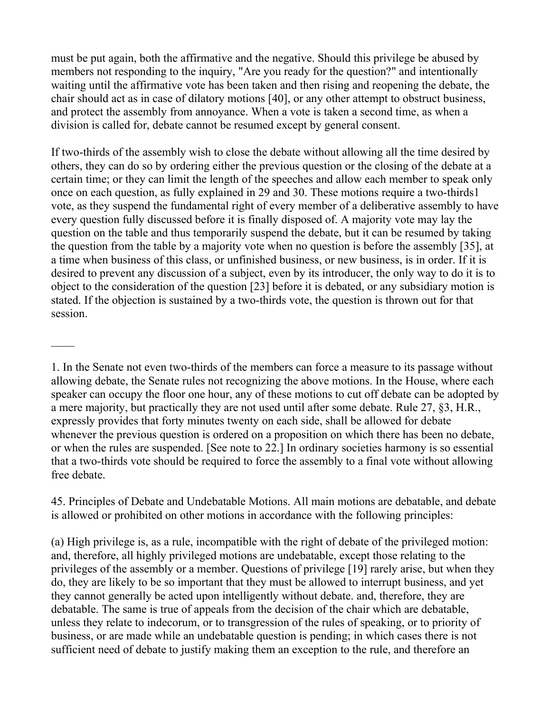must be put again, both the affirmative and the negative. Should this privilege be abused by members not responding to the inquiry, "Are you ready for the question?" and intentionally waiting until the affirmative vote has been taken and then rising and reopening the debate, the chair should act as in case of dilatory motions [40], or any other attempt to obstruct business, and protect the assembly from annoyance. When a vote is taken a second time, as when a division is called for, debate cannot be resumed except by general consent.

If two-thirds of the assembly wish to close the debate without allowing all the time desired by others, they can do so by ordering either the previous question or the closing of the debate at a certain time; or they can limit the length of the speeches and allow each member to speak only once on each question, as fully explained in 29 and 30. These motions require a two-thirds1 vote, as they suspend the fundamental right of every member of a deliberative assembly to have every question fully discussed before it is finally disposed of. A majority vote may lay the question on the table and thus temporarily suspend the debate, but it can be resumed by taking the question from the table by a majority vote when no question is before the assembly [35], at a time when business of this class, or unfinished business, or new business, is in order. If it is desired to prevent any discussion of a subject, even by its introducer, the only way to do it is to object to the consideration of the question [23] before it is debated, or any subsidiary motion is stated. If the objection is sustained by a two-thirds vote, the question is thrown out for that session.

 $\mathcal{L}_\mathcal{L}$ 

45. Principles of Debate and Undebatable Motions. All main motions are debatable, and debate is allowed or prohibited on other motions in accordance with the following principles:

(a) High privilege is, as a rule, incompatible with the right of debate of the privileged motion: and, therefore, all highly privileged motions are undebatable, except those relating to the privileges of the assembly or a member. Questions of privilege [19] rarely arise, but when they do, they are likely to be so important that they must be allowed to interrupt business, and yet they cannot generally be acted upon intelligently without debate. and, therefore, they are debatable. The same is true of appeals from the decision of the chair which are debatable, unless they relate to indecorum, or to transgression of the rules of speaking, or to priority of business, or are made while an undebatable question is pending; in which cases there is not sufficient need of debate to justify making them an exception to the rule, and therefore an

<sup>1.</sup> In the Senate not even two-thirds of the members can force a measure to its passage without allowing debate, the Senate rules not recognizing the above motions. In the House, where each speaker can occupy the floor one hour, any of these motions to cut off debate can be adopted by a mere majority, but practically they are not used until after some debate. Rule 27, §3, H.R., expressly provides that forty minutes twenty on each side, shall be allowed for debate whenever the previous question is ordered on a proposition on which there has been no debate, or when the rules are suspended. [See note to 22.] In ordinary societies harmony is so essential that a two-thirds vote should be required to force the assembly to a final vote without allowing free debate.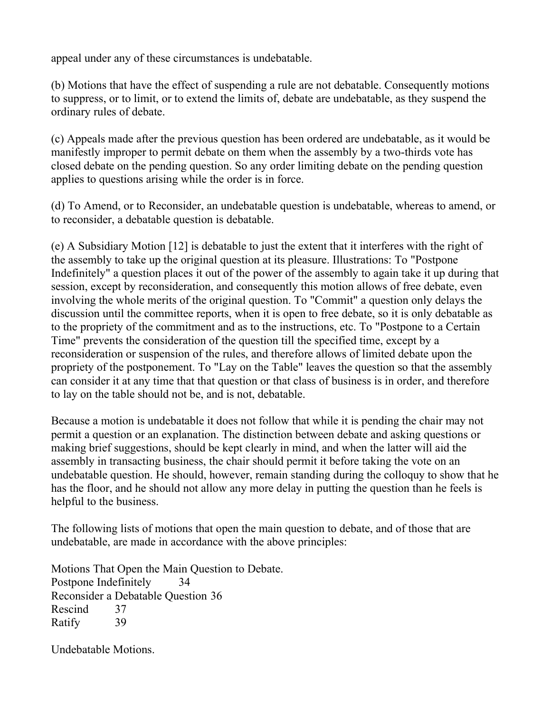appeal under any of these circumstances is undebatable.

(b) Motions that have the effect of suspending a rule are not debatable. Consequently motions to suppress, or to limit, or to extend the limits of, debate are undebatable, as they suspend the ordinary rules of debate.

(c) Appeals made after the previous question has been ordered are undebatable, as it would be manifestly improper to permit debate on them when the assembly by a two-thirds vote has closed debate on the pending question. So any order limiting debate on the pending question applies to questions arising while the order is in force.

(d) To Amend, or to Reconsider, an undebatable question is undebatable, whereas to amend, or to reconsider, a debatable question is debatable.

(e) A Subsidiary Motion [12] is debatable to just the extent that it interferes with the right of the assembly to take up the original question at its pleasure. Illustrations: To "Postpone Indefinitely" a question places it out of the power of the assembly to again take it up during that session, except by reconsideration, and consequently this motion allows of free debate, even involving the whole merits of the original question. To "Commit" a question only delays the discussion until the committee reports, when it is open to free debate, so it is only debatable as to the propriety of the commitment and as to the instructions, etc. To "Postpone to a Certain Time" prevents the consideration of the question till the specified time, except by a reconsideration or suspension of the rules, and therefore allows of limited debate upon the propriety of the postponement. To "Lay on the Table" leaves the question so that the assembly can consider it at any time that that question or that class of business is in order, and therefore to lay on the table should not be, and is not, debatable.

Because a motion is undebatable it does not follow that while it is pending the chair may not permit a question or an explanation. The distinction between debate and asking questions or making brief suggestions, should be kept clearly in mind, and when the latter will aid the assembly in transacting business, the chair should permit it before taking the vote on an undebatable question. He should, however, remain standing during the colloquy to show that he has the floor, and he should not allow any more delay in putting the question than he feels is helpful to the business.

The following lists of motions that open the main question to debate, and of those that are undebatable, are made in accordance with the above principles:

Motions That Open the Main Question to Debate. Postpone Indefinitely 34 Reconsider a Debatable Question 36 Rescind 37 Ratify 39

Undebatable Motions.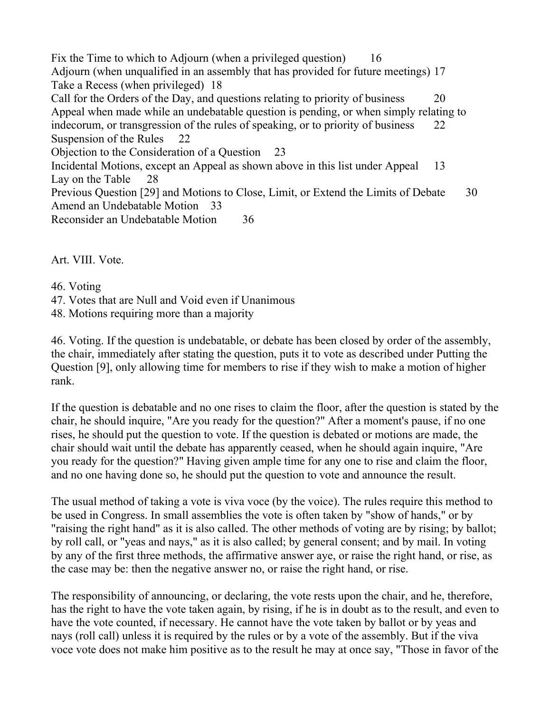Fix the Time to which to Adjourn (when a privileged question) 16 Adjourn (when unqualified in an assembly that has provided for future meetings) 17 Take a Recess (when privileged) 18 Call for the Orders of the Day, and questions relating to priority of business 20 Appeal when made while an undebatable question is pending, or when simply relating to indecorum, or transgression of the rules of speaking, or to priority of business 22 Suspension of the Rules 22 Objection to the Consideration of a Question 23 Incidental Motions, except an Appeal as shown above in this list under Appeal 13 Lay on the Table 28 Previous Question [29] and Motions to Close, Limit, or Extend the Limits of Debate 30 Amend an Undebatable Motion 33 Reconsider an Undebatable Motion 36

Art. VIII. Vote.

46. Voting

47. Votes that are Null and Void even if Unanimous

48. Motions requiring more than a majority

46. Voting. If the question is undebatable, or debate has been closed by order of the assembly, the chair, immediately after stating the question, puts it to vote as described under Putting the Question [9], only allowing time for members to rise if they wish to make a motion of higher rank.

If the question is debatable and no one rises to claim the floor, after the question is stated by the chair, he should inquire, "Are you ready for the question?" After a moment's pause, if no one rises, he should put the question to vote. If the question is debated or motions are made, the chair should wait until the debate has apparently ceased, when he should again inquire, "Are you ready for the question?" Having given ample time for any one to rise and claim the floor, and no one having done so, he should put the question to vote and announce the result.

The usual method of taking a vote is viva voce (by the voice). The rules require this method to be used in Congress. In small assemblies the vote is often taken by "show of hands," or by "raising the right hand" as it is also called. The other methods of voting are by rising; by ballot; by roll call, or "yeas and nays," as it is also called; by general consent; and by mail. In voting by any of the first three methods, the affirmative answer aye, or raise the right hand, or rise, as the case may be: then the negative answer no, or raise the right hand, or rise.

The responsibility of announcing, or declaring, the vote rests upon the chair, and he, therefore, has the right to have the vote taken again, by rising, if he is in doubt as to the result, and even to have the vote counted, if necessary. He cannot have the vote taken by ballot or by yeas and nays (roll call) unless it is required by the rules or by a vote of the assembly. But if the viva voce vote does not make him positive as to the result he may at once say, "Those in favor of the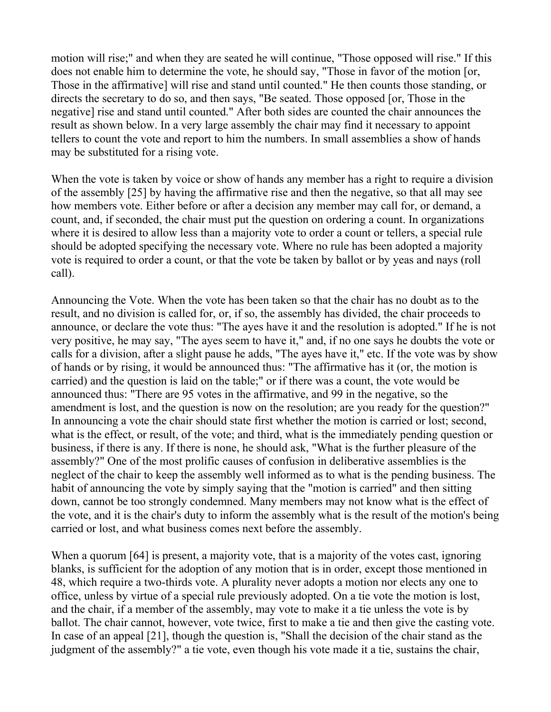motion will rise;" and when they are seated he will continue, "Those opposed will rise." If this does not enable him to determine the vote, he should say, "Those in favor of the motion [or, Those in the affirmative] will rise and stand until counted." He then counts those standing, or directs the secretary to do so, and then says, "Be seated. Those opposed [or, Those in the negative] rise and stand until counted." After both sides are counted the chair announces the result as shown below. In a very large assembly the chair may find it necessary to appoint tellers to count the vote and report to him the numbers. In small assemblies a show of hands may be substituted for a rising vote.

When the vote is taken by voice or show of hands any member has a right to require a division of the assembly [25] by having the affirmative rise and then the negative, so that all may see how members vote. Either before or after a decision any member may call for, or demand, a count, and, if seconded, the chair must put the question on ordering a count. In organizations where it is desired to allow less than a majority vote to order a count or tellers, a special rule should be adopted specifying the necessary vote. Where no rule has been adopted a majority vote is required to order a count, or that the vote be taken by ballot or by yeas and nays (roll call).

Announcing the Vote. When the vote has been taken so that the chair has no doubt as to the result, and no division is called for, or, if so, the assembly has divided, the chair proceeds to announce, or declare the vote thus: "The ayes have it and the resolution is adopted." If he is not very positive, he may say, "The ayes seem to have it," and, if no one says he doubts the vote or calls for a division, after a slight pause he adds, "The ayes have it," etc. If the vote was by show of hands or by rising, it would be announced thus: "The affirmative has it (or, the motion is carried) and the question is laid on the table;" or if there was a count, the vote would be announced thus: "There are 95 votes in the affirmative, and 99 in the negative, so the amendment is lost, and the question is now on the resolution; are you ready for the question?" In announcing a vote the chair should state first whether the motion is carried or lost; second, what is the effect, or result, of the vote; and third, what is the immediately pending question or business, if there is any. If there is none, he should ask, "What is the further pleasure of the assembly?" One of the most prolific causes of confusion in deliberative assemblies is the neglect of the chair to keep the assembly well informed as to what is the pending business. The habit of announcing the vote by simply saying that the "motion is carried" and then sitting down, cannot be too strongly condemned. Many members may not know what is the effect of the vote, and it is the chair's duty to inform the assembly what is the result of the motion's being carried or lost, and what business comes next before the assembly.

When a quorum [64] is present, a majority vote, that is a majority of the votes cast, ignoring blanks, is sufficient for the adoption of any motion that is in order, except those mentioned in 48, which require a two-thirds vote. A plurality never adopts a motion nor elects any one to office, unless by virtue of a special rule previously adopted. On a tie vote the motion is lost, and the chair, if a member of the assembly, may vote to make it a tie unless the vote is by ballot. The chair cannot, however, vote twice, first to make a tie and then give the casting vote. In case of an appeal [21], though the question is, "Shall the decision of the chair stand as the judgment of the assembly?" a tie vote, even though his vote made it a tie, sustains the chair,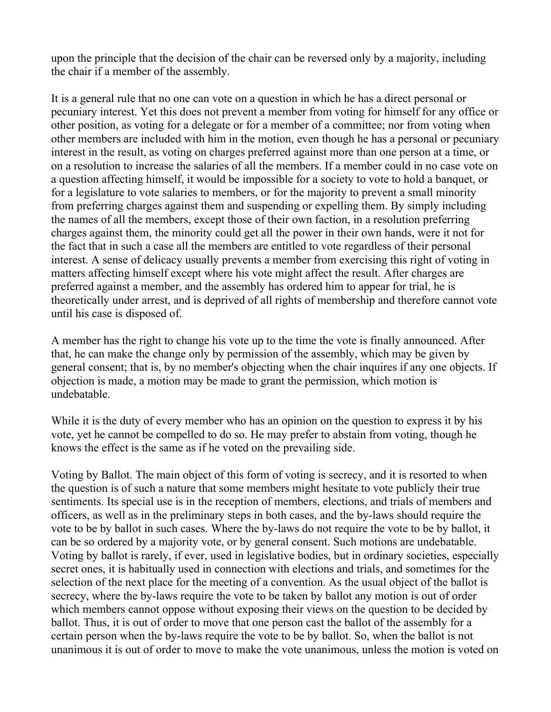upon the principle that the decision of the chair can be reversed only by a majority, including the chair if a member of the assembly.

It is a general rule that no one can vote on a question in which he has a direct personal or pecuniary interest. Yet this does not prevent a member from voting for himself for any office or other position, as voting for a delegate or for a member of a committee; nor from voting when other members are included with him in the motion, even though he has a personal or pecuniary interest in the result, as voting on charges preferred against more than one person at a time, or on a resolution to increase the salaries of all the members. If a member could in no case vote on a question affecting himself, it would be impossible for a society to vote to hold a banquet, or for a legislature to vote salaries to members, or for the majority to prevent a small minority from preferring charges against them and suspending or expelling them. By simply including the names of all the members, except those of their own faction, in a resolution preferring charges against them, the minority could get all the power in their own hands, were it not for the fact that in such a case all the members are entitled to vote regardless of their personal interest. A sense of delicacy usually prevents a member from exercising this right of voting in matters affecting himself except where his vote might affect the result. After charges are preferred against a member, and the assembly has ordered him to appear for trial, he is theoretically under arrest, and is deprived of all rights of membership and therefore cannot vote until his case is disposed of.

A member has the right to change his vote up to the time the vote is finally announced. After that, he can make the change only by permission of the assembly, which may be given by general consent; that is, by no member's objecting when the chair inquires if any one objects. If objection is made, a motion may be made to grant the permission, which motion is undebatable.

While it is the duty of every member who has an opinion on the question to express it by his vote, yet he cannot be compelled to do so. He may prefer to abstain from voting, though he knows the effect is the same as if he voted on the prevailing side.

Voting by Ballot. The main object of this form of voting is secrecy, and it is resorted to when the question is of such a nature that some members might hesitate to vote publicly their true sentiments. Its special use is in the reception of members, elections, and trials of members and officers, as well as in the preliminary steps in both cases, and the by-laws should require the vote to be by ballot in such cases. Where the by-laws do not require the vote to be by ballot, it can be so ordered by a majority vote, or by general consent. Such motions are undebatable. Voting by ballot is rarely, if ever, used in legislative bodies, but in ordinary societies, especially secret ones, it is habitually used in connection with elections and trials, and sometimes for the selection of the next place for the meeting of a convention. As the usual object of the ballot is secrecy, where the by-laws require the vote to be taken by ballot any motion is out of order which members cannot oppose without exposing their views on the question to be decided by ballot. Thus, it is out of order to move that one person cast the ballot of the assembly for a certain person when the by-laws require the vote to be by ballot. So, when the ballot is not unanimous it is out of order to move to make the vote unanimous, unless the motion is voted on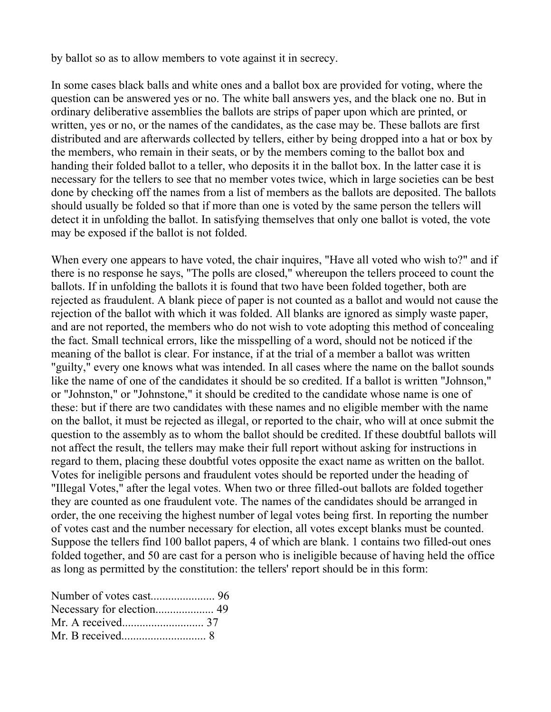by ballot so as to allow members to vote against it in secrecy.

In some cases black balls and white ones and a ballot box are provided for voting, where the question can be answered yes or no. The white ball answers yes, and the black one no. But in ordinary deliberative assemblies the ballots are strips of paper upon which are printed, or written, yes or no, or the names of the candidates, as the case may be. These ballots are first distributed and are afterwards collected by tellers, either by being dropped into a hat or box by the members, who remain in their seats, or by the members coming to the ballot box and handing their folded ballot to a teller, who deposits it in the ballot box. In the latter case it is necessary for the tellers to see that no member votes twice, which in large societies can be best done by checking off the names from a list of members as the ballots are deposited. The ballots should usually be folded so that if more than one is voted by the same person the tellers will detect it in unfolding the ballot. In satisfying themselves that only one ballot is voted, the vote may be exposed if the ballot is not folded.

When every one appears to have voted, the chair inquires, "Have all voted who wish to?" and if there is no response he says, "The polls are closed," whereupon the tellers proceed to count the ballots. If in unfolding the ballots it is found that two have been folded together, both are rejected as fraudulent. A blank piece of paper is not counted as a ballot and would not cause the rejection of the ballot with which it was folded. All blanks are ignored as simply waste paper, and are not reported, the members who do not wish to vote adopting this method of concealing the fact. Small technical errors, like the misspelling of a word, should not be noticed if the meaning of the ballot is clear. For instance, if at the trial of a member a ballot was written "guilty," every one knows what was intended. In all cases where the name on the ballot sounds like the name of one of the candidates it should be so credited. If a ballot is written "Johnson," or "Johnston," or "Johnstone," it should be credited to the candidate whose name is one of these: but if there are two candidates with these names and no eligible member with the name on the ballot, it must be rejected as illegal, or reported to the chair, who will at once submit the question to the assembly as to whom the ballot should be credited. If these doubtful ballots will not affect the result, the tellers may make their full report without asking for instructions in regard to them, placing these doubtful votes opposite the exact name as written on the ballot. Votes for ineligible persons and fraudulent votes should be reported under the heading of "Illegal Votes," after the legal votes. When two or three filled-out ballots are folded together they are counted as one fraudulent vote. The names of the candidates should be arranged in order, the one receiving the highest number of legal votes being first. In reporting the number of votes cast and the number necessary for election, all votes except blanks must be counted. Suppose the tellers find 100 ballot papers, 4 of which are blank. 1 contains two filled-out ones folded together, and 50 are cast for a person who is ineligible because of having held the office as long as permitted by the constitution: the tellers' report should be in this form:

| Necessary for election 49 |  |
|---------------------------|--|
|                           |  |
|                           |  |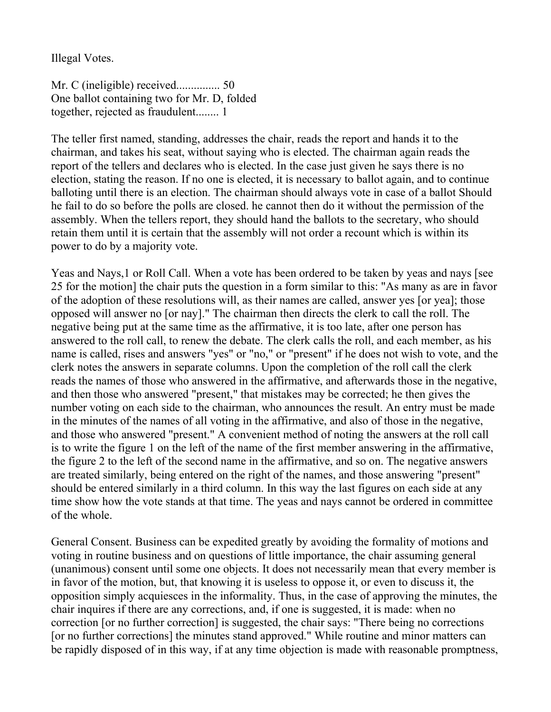Illegal Votes.

Mr. C (ineligible) received............... 50 One ballot containing two for Mr. D, folded together, rejected as fraudulent........ 1

The teller first named, standing, addresses the chair, reads the report and hands it to the chairman, and takes his seat, without saying who is elected. The chairman again reads the report of the tellers and declares who is elected. In the case just given he says there is no election, stating the reason. If no one is elected, it is necessary to ballot again, and to continue balloting until there is an election. The chairman should always vote in case of a ballot Should he fail to do so before the polls are closed. he cannot then do it without the permission of the assembly. When the tellers report, they should hand the ballots to the secretary, who should retain them until it is certain that the assembly will not order a recount which is within its power to do by a majority vote.

Yeas and Nays,1 or Roll Call. When a vote has been ordered to be taken by yeas and nays [see 25 for the motion] the chair puts the question in a form similar to this: "As many as are in favor of the adoption of these resolutions will, as their names are called, answer yes [or yea]; those opposed will answer no [or nay]." The chairman then directs the clerk to call the roll. The negative being put at the same time as the affirmative, it is too late, after one person has answered to the roll call, to renew the debate. The clerk calls the roll, and each member, as his name is called, rises and answers "yes" or "no," or "present" if he does not wish to vote, and the clerk notes the answers in separate columns. Upon the completion of the roll call the clerk reads the names of those who answered in the affirmative, and afterwards those in the negative, and then those who answered "present," that mistakes may be corrected; he then gives the number voting on each side to the chairman, who announces the result. An entry must be made in the minutes of the names of all voting in the affirmative, and also of those in the negative, and those who answered "present." A convenient method of noting the answers at the roll call is to write the figure 1 on the left of the name of the first member answering in the affirmative, the figure 2 to the left of the second name in the affirmative, and so on. The negative answers are treated similarly, being entered on the right of the names, and those answering "present" should be entered similarly in a third column. In this way the last figures on each side at any time show how the vote stands at that time. The yeas and nays cannot be ordered in committee of the whole.

General Consent. Business can be expedited greatly by avoiding the formality of motions and voting in routine business and on questions of little importance, the chair assuming general (unanimous) consent until some one objects. It does not necessarily mean that every member is in favor of the motion, but, that knowing it is useless to oppose it, or even to discuss it, the opposition simply acquiesces in the informality. Thus, in the case of approving the minutes, the chair inquires if there are any corrections, and, if one is suggested, it is made: when no correction [or no further correction] is suggested, the chair says: "There being no corrections [or no further corrections] the minutes stand approved." While routine and minor matters can be rapidly disposed of in this way, if at any time objection is made with reasonable promptness,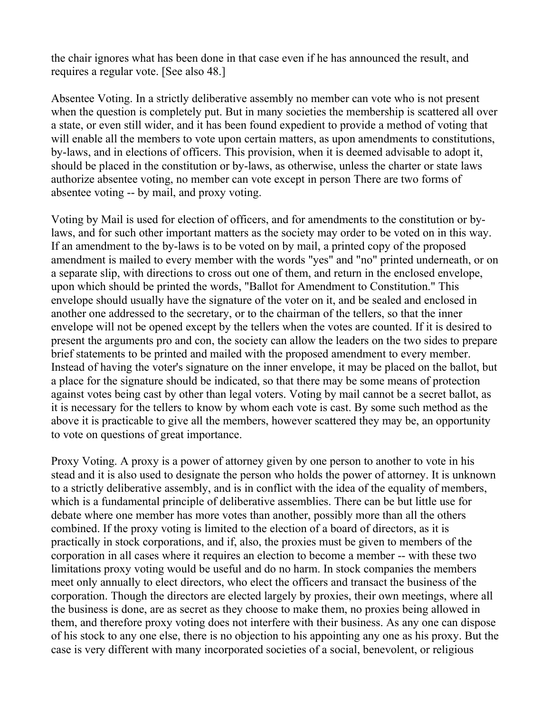the chair ignores what has been done in that case even if he has announced the result, and requires a regular vote. [See also 48.]

Absentee Voting. In a strictly deliberative assembly no member can vote who is not present when the question is completely put. But in many societies the membership is scattered all over a state, or even still wider, and it has been found expedient to provide a method of voting that will enable all the members to vote upon certain matters, as upon amendments to constitutions, by-laws, and in elections of officers. This provision, when it is deemed advisable to adopt it, should be placed in the constitution or by-laws, as otherwise, unless the charter or state laws authorize absentee voting, no member can vote except in person There are two forms of absentee voting -- by mail, and proxy voting.

Voting by Mail is used for election of officers, and for amendments to the constitution or bylaws, and for such other important matters as the society may order to be voted on in this way. If an amendment to the by-laws is to be voted on by mail, a printed copy of the proposed amendment is mailed to every member with the words "yes" and "no" printed underneath, or on a separate slip, with directions to cross out one of them, and return in the enclosed envelope, upon which should be printed the words, "Ballot for Amendment to Constitution." This envelope should usually have the signature of the voter on it, and be sealed and enclosed in another one addressed to the secretary, or to the chairman of the tellers, so that the inner envelope will not be opened except by the tellers when the votes are counted. If it is desired to present the arguments pro and con, the society can allow the leaders on the two sides to prepare brief statements to be printed and mailed with the proposed amendment to every member. Instead of having the voter's signature on the inner envelope, it may be placed on the ballot, but a place for the signature should be indicated, so that there may be some means of protection against votes being cast by other than legal voters. Voting by mail cannot be a secret ballot, as it is necessary for the tellers to know by whom each vote is cast. By some such method as the above it is practicable to give all the members, however scattered they may be, an opportunity to vote on questions of great importance.

Proxy Voting. A proxy is a power of attorney given by one person to another to vote in his stead and it is also used to designate the person who holds the power of attorney. It is unknown to a strictly deliberative assembly, and is in conflict with the idea of the equality of members, which is a fundamental principle of deliberative assemblies. There can be but little use for debate where one member has more votes than another, possibly more than all the others combined. If the proxy voting is limited to the election of a board of directors, as it is practically in stock corporations, and if, also, the proxies must be given to members of the corporation in all cases where it requires an election to become a member -- with these two limitations proxy voting would be useful and do no harm. In stock companies the members meet only annually to elect directors, who elect the officers and transact the business of the corporation. Though the directors are elected largely by proxies, their own meetings, where all the business is done, are as secret as they choose to make them, no proxies being allowed in them, and therefore proxy voting does not interfere with their business. As any one can dispose of his stock to any one else, there is no objection to his appointing any one as his proxy. But the case is very different with many incorporated societies of a social, benevolent, or religious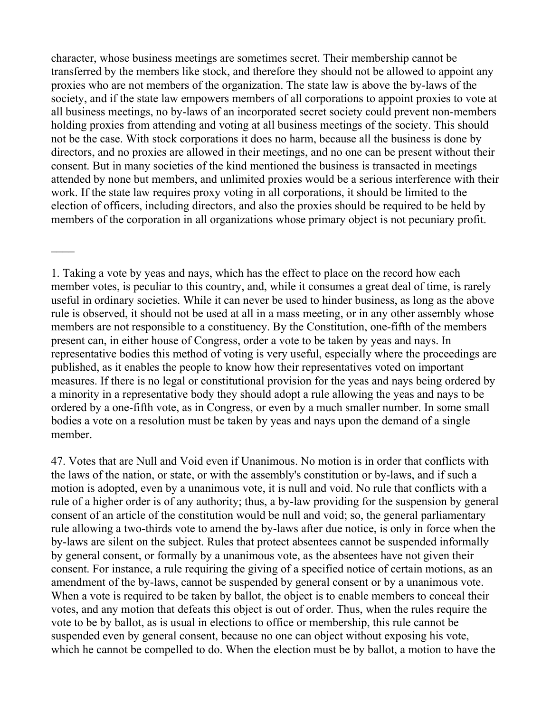character, whose business meetings are sometimes secret. Their membership cannot be transferred by the members like stock, and therefore they should not be allowed to appoint any proxies who are not members of the organization. The state law is above the by-laws of the society, and if the state law empowers members of all corporations to appoint proxies to vote at all business meetings, no by-laws of an incorporated secret society could prevent non-members holding proxies from attending and voting at all business meetings of the society. This should not be the case. With stock corporations it does no harm, because all the business is done by directors, and no proxies are allowed in their meetings, and no one can be present without their consent. But in many societies of the kind mentioned the business is transacted in meetings attended by none but members, and unlimited proxies would be a serious interference with their work. If the state law requires proxy voting in all corporations, it should be limited to the election of officers, including directors, and also the proxies should be required to be held by members of the corporation in all organizations whose primary object is not pecuniary profit.

1. Taking a vote by yeas and nays, which has the effect to place on the record how each member votes, is peculiar to this country, and, while it consumes a great deal of time, is rarely useful in ordinary societies. While it can never be used to hinder business, as long as the above rule is observed, it should not be used at all in a mass meeting, or in any other assembly whose members are not responsible to a constituency. By the Constitution, one-fifth of the members present can, in either house of Congress, order a vote to be taken by yeas and nays. In representative bodies this method of voting is very useful, especially where the proceedings are published, as it enables the people to know how their representatives voted on important measures. If there is no legal or constitutional provision for the yeas and nays being ordered by a minority in a representative body they should adopt a rule allowing the yeas and nays to be ordered by a one-fifth vote, as in Congress, or even by a much smaller number. In some small bodies a vote on a resolution must be taken by yeas and nays upon the demand of a single member.

47. Votes that are Null and Void even if Unanimous. No motion is in order that conflicts with the laws of the nation, or state, or with the assembly's constitution or by-laws, and if such a motion is adopted, even by a unanimous vote, it is null and void. No rule that conflicts with a rule of a higher order is of any authority; thus, a by-law providing for the suspension by general consent of an article of the constitution would be null and void; so, the general parliamentary rule allowing a two-thirds vote to amend the by-laws after due notice, is only in force when the by-laws are silent on the subject. Rules that protect absentees cannot be suspended informally by general consent, or formally by a unanimous vote, as the absentees have not given their consent. For instance, a rule requiring the giving of a specified notice of certain motions, as an amendment of the by-laws, cannot be suspended by general consent or by a unanimous vote. When a vote is required to be taken by ballot, the object is to enable members to conceal their votes, and any motion that defeats this object is out of order. Thus, when the rules require the vote to be by ballot, as is usual in elections to office or membership, this rule cannot be suspended even by general consent, because no one can object without exposing his vote, which he cannot be compelled to do. When the election must be by ballot, a motion to have the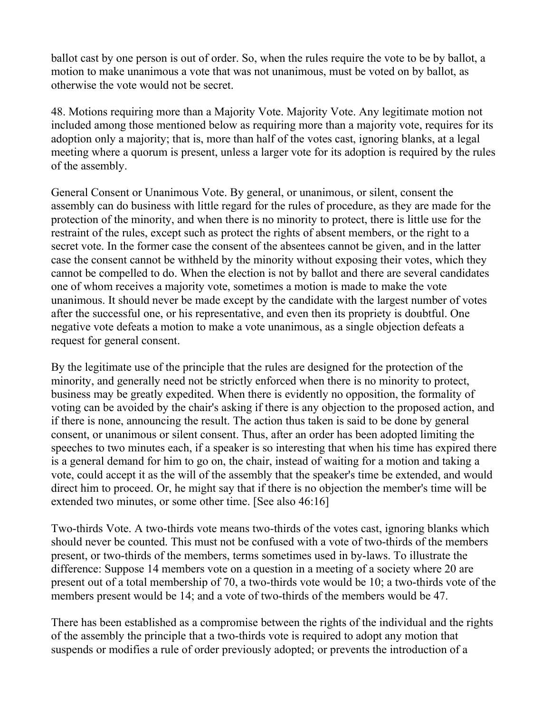ballot cast by one person is out of order. So, when the rules require the vote to be by ballot, a motion to make unanimous a vote that was not unanimous, must be voted on by ballot, as otherwise the vote would not be secret.

48. Motions requiring more than a Majority Vote. Majority Vote. Any legitimate motion not included among those mentioned below as requiring more than a majority vote, requires for its adoption only a majority; that is, more than half of the votes cast, ignoring blanks, at a legal meeting where a quorum is present, unless a larger vote for its adoption is required by the rules of the assembly.

General Consent or Unanimous Vote. By general, or unanimous, or silent, consent the assembly can do business with little regard for the rules of procedure, as they are made for the protection of the minority, and when there is no minority to protect, there is little use for the restraint of the rules, except such as protect the rights of absent members, or the right to a secret vote. In the former case the consent of the absentees cannot be given, and in the latter case the consent cannot be withheld by the minority without exposing their votes, which they cannot be compelled to do. When the election is not by ballot and there are several candidates one of whom receives a majority vote, sometimes a motion is made to make the vote unanimous. It should never be made except by the candidate with the largest number of votes after the successful one, or his representative, and even then its propriety is doubtful. One negative vote defeats a motion to make a vote unanimous, as a single objection defeats a request for general consent.

By the legitimate use of the principle that the rules are designed for the protection of the minority, and generally need not be strictly enforced when there is no minority to protect, business may be greatly expedited. When there is evidently no opposition, the formality of voting can be avoided by the chair's asking if there is any objection to the proposed action, and if there is none, announcing the result. The action thus taken is said to be done by general consent, or unanimous or silent consent. Thus, after an order has been adopted limiting the speeches to two minutes each, if a speaker is so interesting that when his time has expired there is a general demand for him to go on, the chair, instead of waiting for a motion and taking a vote, could accept it as the will of the assembly that the speaker's time be extended, and would direct him to proceed. Or, he might say that if there is no objection the member's time will be extended two minutes, or some other time. [See also 46:16]

Two-thirds Vote. A two-thirds vote means two-thirds of the votes cast, ignoring blanks which should never be counted. This must not be confused with a vote of two-thirds of the members present, or two-thirds of the members, terms sometimes used in by-laws. To illustrate the difference: Suppose 14 members vote on a question in a meeting of a society where 20 are present out of a total membership of 70, a two-thirds vote would be 10; a two-thirds vote of the members present would be 14; and a vote of two-thirds of the members would be 47.

There has been established as a compromise between the rights of the individual and the rights of the assembly the principle that a two-thirds vote is required to adopt any motion that suspends or modifies a rule of order previously adopted; or prevents the introduction of a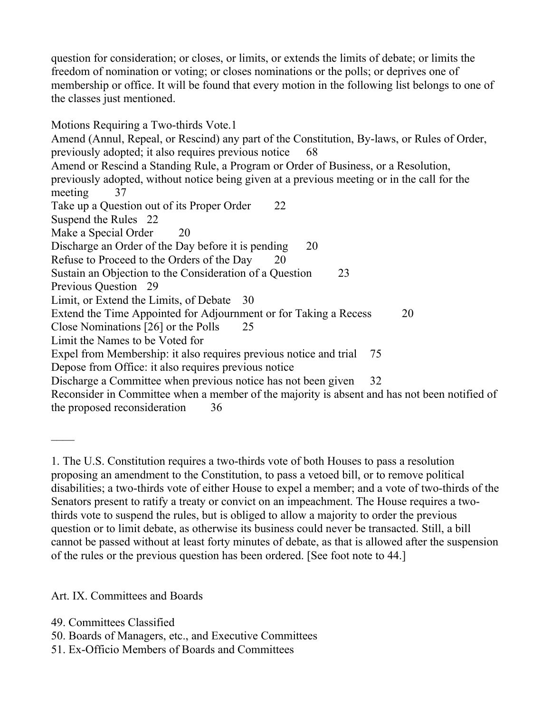question for consideration; or closes, or limits, or extends the limits of debate; or limits the freedom of nomination or voting; or closes nominations or the polls; or deprives one of membership or office. It will be found that every motion in the following list belongs to one of the classes just mentioned.

Motions Requiring a Two-thirds Vote.1 Amend (Annul, Repeal, or Rescind) any part of the Constitution, By-laws, or Rules of Order, previously adopted; it also requires previous notice 68 Amend or Rescind a Standing Rule, a Program or Order of Business, or a Resolution, previously adopted, without notice being given at a previous meeting or in the call for the meeting 37 Take up a Question out of its Proper Order 22 Suspend the Rules 22 Make a Special Order 20 Discharge an Order of the Day before it is pending 20 Refuse to Proceed to the Orders of the Day 20 Sustain an Objection to the Consideration of a Question 23 Previous Question 29 Limit, or Extend the Limits, of Debate 30 Extend the Time Appointed for Adjournment or for Taking a Recess 20 Close Nominations [26] or the Polls 25 Limit the Names to be Voted for Expel from Membership: it also requires previous notice and trial 75 Depose from Office: it also requires previous notice Discharge a Committee when previous notice has not been given 32 Reconsider in Committee when a member of the majority is absent and has not been notified of the proposed reconsideration 36

1. The U.S. Constitution requires a two-thirds vote of both Houses to pass a resolution proposing an amendment to the Constitution, to pass a vetoed bill, or to remove political disabilities; a two-thirds vote of either House to expel a member; and a vote of two-thirds of the Senators present to ratify a treaty or convict on an impeachment. The House requires a twothirds vote to suspend the rules, but is obliged to allow a majority to order the previous question or to limit debate, as otherwise its business could never be transacted. Still, a bill cannot be passed without at least forty minutes of debate, as that is allowed after the suspension of the rules or the previous question has been ordered. [See foot note to 44.]

Art. IX. Committees and Boards

- 49. Committees Classified
- 50. Boards of Managers, etc., and Executive Committees
- 51. Ex-Officio Members of Boards and Committees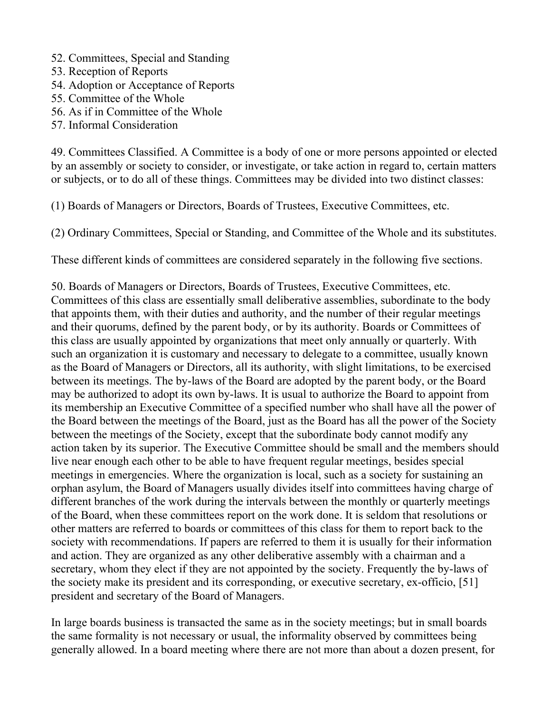- 52. Committees, Special and Standing
- 53. Reception of Reports
- 54. Adoption or Acceptance of Reports
- 55. Committee of the Whole
- 56. As if in Committee of the Whole
- 57. Informal Consideration

49. Committees Classified. A Committee is a body of one or more persons appointed or elected by an assembly or society to consider, or investigate, or take action in regard to, certain matters or subjects, or to do all of these things. Committees may be divided into two distinct classes:

(1) Boards of Managers or Directors, Boards of Trustees, Executive Committees, etc.

(2) Ordinary Committees, Special or Standing, and Committee of the Whole and its substitutes.

These different kinds of committees are considered separately in the following five sections.

50. Boards of Managers or Directors, Boards of Trustees, Executive Committees, etc. Committees of this class are essentially small deliberative assemblies, subordinate to the body that appoints them, with their duties and authority, and the number of their regular meetings and their quorums, defined by the parent body, or by its authority. Boards or Committees of this class are usually appointed by organizations that meet only annually or quarterly. With such an organization it is customary and necessary to delegate to a committee, usually known as the Board of Managers or Directors, all its authority, with slight limitations, to be exercised between its meetings. The by-laws of the Board are adopted by the parent body, or the Board may be authorized to adopt its own by-laws. It is usual to authorize the Board to appoint from its membership an Executive Committee of a specified number who shall have all the power of the Board between the meetings of the Board, just as the Board has all the power of the Society between the meetings of the Society, except that the subordinate body cannot modify any action taken by its superior. The Executive Committee should be small and the members should live near enough each other to be able to have frequent regular meetings, besides special meetings in emergencies. Where the organization is local, such as a society for sustaining an orphan asylum, the Board of Managers usually divides itself into committees having charge of different branches of the work during the intervals between the monthly or quarterly meetings of the Board, when these committees report on the work done. It is seldom that resolutions or other matters are referred to boards or committees of this class for them to report back to the society with recommendations. If papers are referred to them it is usually for their information and action. They are organized as any other deliberative assembly with a chairman and a secretary, whom they elect if they are not appointed by the society. Frequently the by-laws of the society make its president and its corresponding, or executive secretary, ex-officio, [51] president and secretary of the Board of Managers.

In large boards business is transacted the same as in the society meetings; but in small boards the same formality is not necessary or usual, the informality observed by committees being generally allowed. In a board meeting where there are not more than about a dozen present, for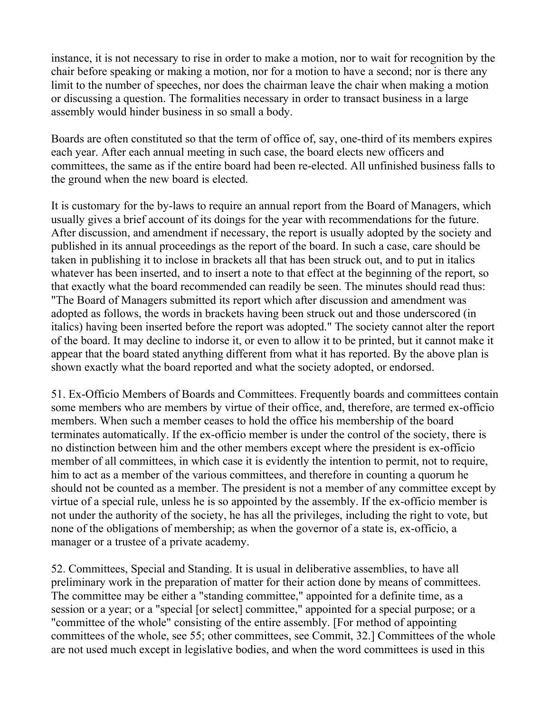instance, it is not necessary to rise in order to make a motion, nor to wait for recognition by the chair before speaking or making a motion, nor for a motion to have a second; nor is there any limit to the number of speeches, nor does the chairman leave the chair when making a motion or discussing a question. The formalities necessary in order to transact business in a large assembly would hinder business in so small a body.

Boards are often constituted so that the term of office of, say, one-third of its members expires each year. After each annual meeting in such case, the board elects new officers and committees, the same as if the entire board had been re-elected. All unfinished business falls to the ground when the new board is elected.

It is customary for the by-laws to require an annual report from the Board of Managers, which usually gives a brief account of its doings for the year with recommendations for the future. After discussion, and amendment if necessary, the report is usually adopted by the society and published in its annual proceedings as the report of the board. In such a case, care should be taken in publishing it to inclose in brackets all that has been struck out, and to put in italics whatever has been inserted, and to insert a note to that effect at the beginning of the report, so that exactly what the board recommended can readily be seen. The minutes should read thus: "The Board of Managers submitted its report which after discussion and amendment was adopted as follows, the words in brackets having been struck out and those underscored (in italics) having been inserted before the report was adopted." The society cannot alter the report of the board. It may decline to indorse it, or even to allow it to be printed, but it cannot make it appear that the board stated anything different from what it has reported. By the above plan is shown exactly what the board reported and what the society adopted, or endorsed.

51. Ex-Officio Members of Boards and Committees. Frequently boards and committees contain some members who are members by virtue of their office, and, therefore, are termed ex-officio members. When such a member ceases to hold the office his membership of the board terminates automatically. If the ex-officio member is under the control of the society, there is no distinction between him and the other members except where the president is ex-officio member of all committees, in which case it is evidently the intention to permit, not to require, him to act as a member of the various committees, and therefore in counting a quorum he should not be counted as a member. The president is not a member of any committee except by virtue of a special rule, unless he is so appointed by the assembly. If the ex-officio member is not under the authority of the society, he has all the privileges, including the right to vote, but none of the obligations of membership; as when the governor of a state is, ex-officio, a manager or a trustee of a private academy.

52. Committees, Special and Standing. It is usual in deliberative assemblies, to have all preliminary work in the preparation of matter for their action done by means of committees. The committee may be either a "standing committee," appointed for a definite time, as a session or a year; or a "special [or select] committee," appointed for a special purpose; or a "committee of the whole" consisting of the entire assembly. [For method of appointing committees of the whole, see 55; other committees, see Commit, 32.] Committees of the whole are not used much except in legislative bodies, and when the word committees is used in this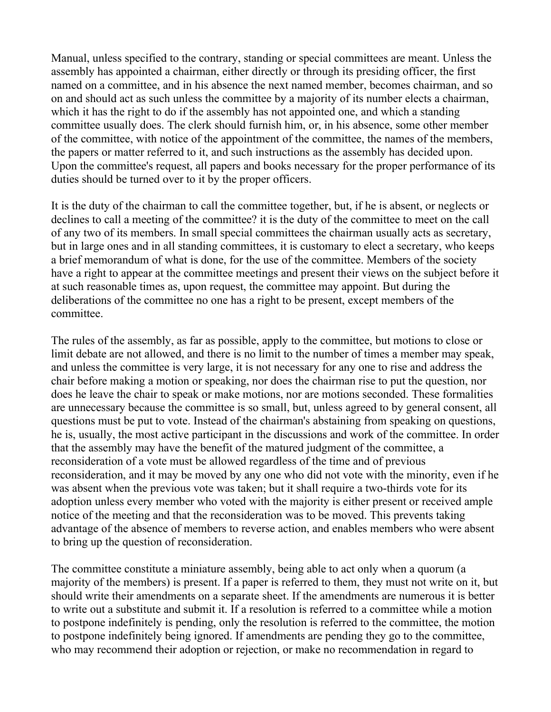Manual, unless specified to the contrary, standing or special committees are meant. Unless the assembly has appointed a chairman, either directly or through its presiding officer, the first named on a committee, and in his absence the next named member, becomes chairman, and so on and should act as such unless the committee by a majority of its number elects a chairman, which it has the right to do if the assembly has not appointed one, and which a standing committee usually does. The clerk should furnish him, or, in his absence, some other member of the committee, with notice of the appointment of the committee, the names of the members, the papers or matter referred to it, and such instructions as the assembly has decided upon. Upon the committee's request, all papers and books necessary for the proper performance of its duties should be turned over to it by the proper officers.

It is the duty of the chairman to call the committee together, but, if he is absent, or neglects or declines to call a meeting of the committee? it is the duty of the committee to meet on the call of any two of its members. In small special committees the chairman usually acts as secretary, but in large ones and in all standing committees, it is customary to elect a secretary, who keeps a brief memorandum of what is done, for the use of the committee. Members of the society have a right to appear at the committee meetings and present their views on the subject before it at such reasonable times as, upon request, the committee may appoint. But during the deliberations of the committee no one has a right to be present, except members of the committee.

The rules of the assembly, as far as possible, apply to the committee, but motions to close or limit debate are not allowed, and there is no limit to the number of times a member may speak, and unless the committee is very large, it is not necessary for any one to rise and address the chair before making a motion or speaking, nor does the chairman rise to put the question, nor does he leave the chair to speak or make motions, nor are motions seconded. These formalities are unnecessary because the committee is so small, but, unless agreed to by general consent, all questions must be put to vote. Instead of the chairman's abstaining from speaking on questions, he is, usually, the most active participant in the discussions and work of the committee. In order that the assembly may have the benefit of the matured judgment of the committee, a reconsideration of a vote must be allowed regardless of the time and of previous reconsideration, and it may be moved by any one who did not vote with the minority, even if he was absent when the previous vote was taken; but it shall require a two-thirds vote for its adoption unless every member who voted with the majority is either present or received ample notice of the meeting and that the reconsideration was to be moved. This prevents taking advantage of the absence of members to reverse action, and enables members who were absent to bring up the question of reconsideration.

The committee constitute a miniature assembly, being able to act only when a quorum (a majority of the members) is present. If a paper is referred to them, they must not write on it, but should write their amendments on a separate sheet. If the amendments are numerous it is better to write out a substitute and submit it. If a resolution is referred to a committee while a motion to postpone indefinitely is pending, only the resolution is referred to the committee, the motion to postpone indefinitely being ignored. If amendments are pending they go to the committee, who may recommend their adoption or rejection, or make no recommendation in regard to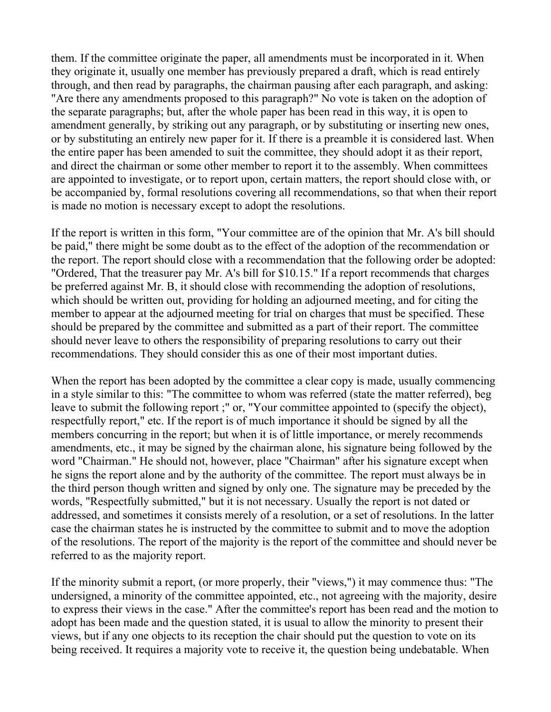them. If the committee originate the paper, all amendments must be incorporated in it. When they originate it, usually one member has previously prepared a draft, which is read entirely through, and then read by paragraphs, the chairman pausing after each paragraph, and asking: "Are there any amendments proposed to this paragraph?" No vote is taken on the adoption of the separate paragraphs; but, after the whole paper has been read in this way, it is open to amendment generally, by striking out any paragraph, or by substituting or inserting new ones, or by substituting an entirely new paper for it. If there is a preamble it is considered last. When the entire paper has been amended to suit the committee, they should adopt it as their report, and direct the chairman or some other member to report it to the assembly. When committees are appointed to investigate, or to report upon, certain matters, the report should close with, or be accompanied by, formal resolutions covering all recommendations, so that when their report is made no motion is necessary except to adopt the resolutions.

If the report is written in this form, "Your committee are of the opinion that Mr. A's bill should be paid," there might be some doubt as to the effect of the adoption of the recommendation or the report. The report should close with a recommendation that the following order be adopted: "Ordered, That the treasurer pay Mr. A's bill for \$10.15." If a report recommends that charges be preferred against Mr. B, it should close with recommending the adoption of resolutions, which should be written out, providing for holding an adjourned meeting, and for citing the member to appear at the adjourned meeting for trial on charges that must be specified. These should be prepared by the committee and submitted as a part of their report. The committee should never leave to others the responsibility of preparing resolutions to carry out their recommendations. They should consider this as one of their most important duties.

When the report has been adopted by the committee a clear copy is made, usually commencing in a style similar to this: "The committee to whom was referred (state the matter referred), beg leave to submit the following report ;" or, "Your committee appointed to (specify the object), respectfully report," etc. If the report is of much importance it should be signed by all the members concurring in the report; but when it is of little importance, or merely recommends amendments, etc., it may be signed by the chairman alone, his signature being followed by the word "Chairman." He should not, however, place "Chairman" after his signature except when he signs the report alone and by the authority of the committee. The report must always be in the third person though written and signed by only one. The signature may be preceded by the words, "Respectfully submitted," but it is not necessary. Usually the report is not dated or addressed, and sometimes it consists merely of a resolution, or a set of resolutions. In the latter case the chairman states he is instructed by the committee to submit and to move the adoption of the resolutions. The report of the majority is the report of the committee and should never be referred to as the majority report.

If the minority submit a report, (or more properly, their "views,") it may commence thus: "The undersigned, a minority of the committee appointed, etc., not agreeing with the majority, desire to express their views in the case." After the committee's report has been read and the motion to adopt has been made and the question stated, it is usual to allow the minority to present their views, but if any one objects to its reception the chair should put the question to vote on its being received. It requires a majority vote to receive it, the question being undebatable. When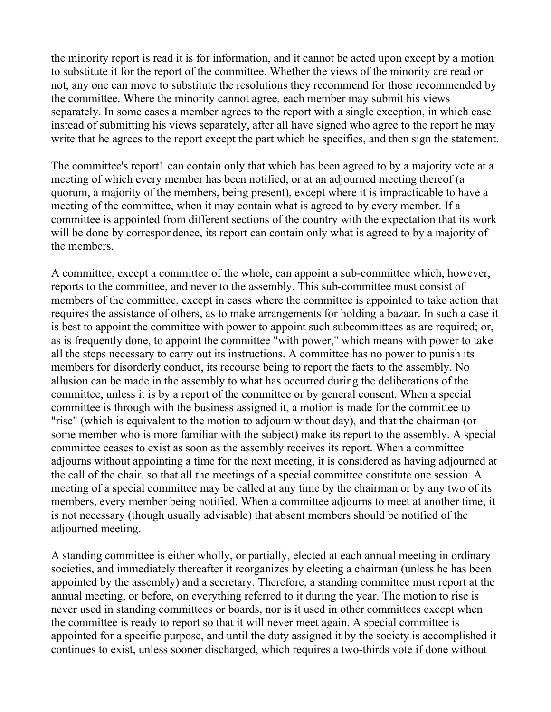the minority report is read it is for information, and it cannot be acted upon except by a motion to substitute it for the report of the committee. Whether the views of the minority are read or not, any one can move to substitute the resolutions they recommend for those recommended by the committee. Where the minority cannot agree, each member may submit his views separately. In some cases a member agrees to the report with a single exception, in which case instead of submitting his views separately, after all have signed who agree to the report he may write that he agrees to the report except the part which he specifies, and then sign the statement.

The committee's report1 can contain only that which has been agreed to by a majority vote at a meeting of which every member has been notified, or at an adjourned meeting thereof (a quorum, a majority of the members, being present), except where it is impracticable to have a meeting of the committee, when it may contain what is agreed to by every member. If a committee is appointed from different sections of the country with the expectation that its work will be done by correspondence, its report can contain only what is agreed to by a majority of the members.

A committee, except a committee of the whole, can appoint a sub-committee which, however, reports to the committee, and never to the assembly. This sub-committee must consist of members of the committee, except in cases where the committee is appointed to take action that requires the assistance of others, as to make arrangements for holding a bazaar. In such a case it is best to appoint the committee with power to appoint such subcommittees as are required; or, as is frequently done, to appoint the committee "with power," which means with power to take all the steps necessary to carry out its instructions. A committee has no power to punish its members for disorderly conduct, its recourse being to report the facts to the assembly. No allusion can be made in the assembly to what has occurred during the deliberations of the committee, unless it is by a report of the committee or by general consent. When a special committee is through with the business assigned it, a motion is made for the committee to "rise" (which is equivalent to the motion to adjourn without day), and that the chairman (or some member who is more familiar with the subject) make its report to the assembly. A special committee ceases to exist as soon as the assembly receives its report. When a committee adjourns without appointing a time for the next meeting, it is considered as having adjourned at the call of the chair, so that all the meetings of a special committee constitute one session. A meeting of a special committee may be called at any time by the chairman or by any two of its members, every member being notified. When a committee adjourns to meet at another time, it is not necessary (though usually advisable) that absent members should be notified of the adjourned meeting.

A standing committee is either wholly, or partially, elected at each annual meeting in ordinary societies, and immediately thereafter it reorganizes by electing a chairman (unless he has been appointed by the assembly) and a secretary. Therefore, a standing committee must report at the annual meeting, or before, on everything referred to it during the year. The motion to rise is never used in standing committees or boards, nor is it used in other committees except when the committee is ready to report so that it will never meet again. A special committee is appointed for a specific purpose, and until the duty assigned it by the society is accomplished it continues to exist, unless sooner discharged, which requires a two-thirds vote if done without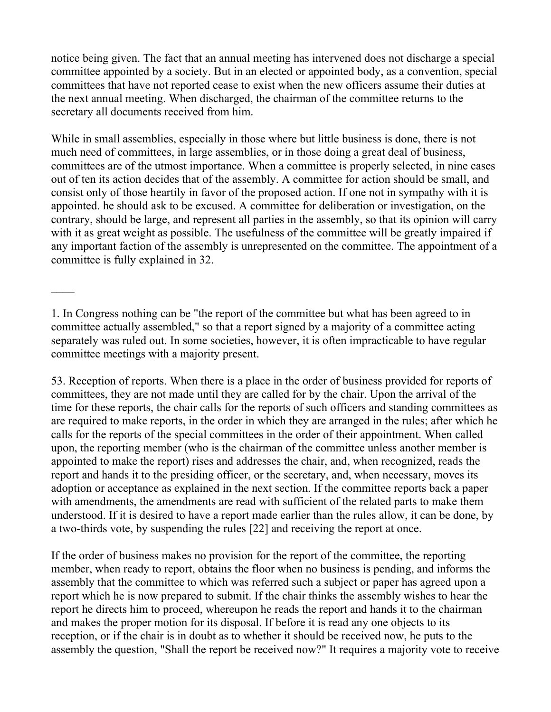notice being given. The fact that an annual meeting has intervened does not discharge a special committee appointed by a society. But in an elected or appointed body, as a convention, special committees that have not reported cease to exist when the new officers assume their duties at the next annual meeting. When discharged, the chairman of the committee returns to the secretary all documents received from him.

While in small assemblies, especially in those where but little business is done, there is not much need of committees, in large assemblies, or in those doing a great deal of business, committees are of the utmost importance. When a committee is properly selected, in nine cases out of ten its action decides that of the assembly. A committee for action should be small, and consist only of those heartily in favor of the proposed action. If one not in sympathy with it is appointed. he should ask to be excused. A committee for deliberation or investigation, on the contrary, should be large, and represent all parties in the assembly, so that its opinion will carry with it as great weight as possible. The usefulness of the committee will be greatly impaired if any important faction of the assembly is unrepresented on the committee. The appointment of a committee is fully explained in 32.

1. In Congress nothing can be "the report of the committee but what has been agreed to in committee actually assembled," so that a report signed by a majority of a committee acting separately was ruled out. In some societies, however, it is often impracticable to have regular committee meetings with a majority present.

53. Reception of reports. When there is a place in the order of business provided for reports of committees, they are not made until they are called for by the chair. Upon the arrival of the time for these reports, the chair calls for the reports of such officers and standing committees as are required to make reports, in the order in which they are arranged in the rules; after which he calls for the reports of the special committees in the order of their appointment. When called upon, the reporting member (who is the chairman of the committee unless another member is appointed to make the report) rises and addresses the chair, and, when recognized, reads the report and hands it to the presiding officer, or the secretary, and, when necessary, moves its adoption or acceptance as explained in the next section. If the committee reports back a paper with amendments, the amendments are read with sufficient of the related parts to make them understood. If it is desired to have a report made earlier than the rules allow, it can be done, by a two-thirds vote, by suspending the rules [22] and receiving the report at once.

If the order of business makes no provision for the report of the committee, the reporting member, when ready to report, obtains the floor when no business is pending, and informs the assembly that the committee to which was referred such a subject or paper has agreed upon a report which he is now prepared to submit. If the chair thinks the assembly wishes to hear the report he directs him to proceed, whereupon he reads the report and hands it to the chairman and makes the proper motion for its disposal. If before it is read any one objects to its reception, or if the chair is in doubt as to whether it should be received now, he puts to the assembly the question, "Shall the report be received now?" It requires a majority vote to receive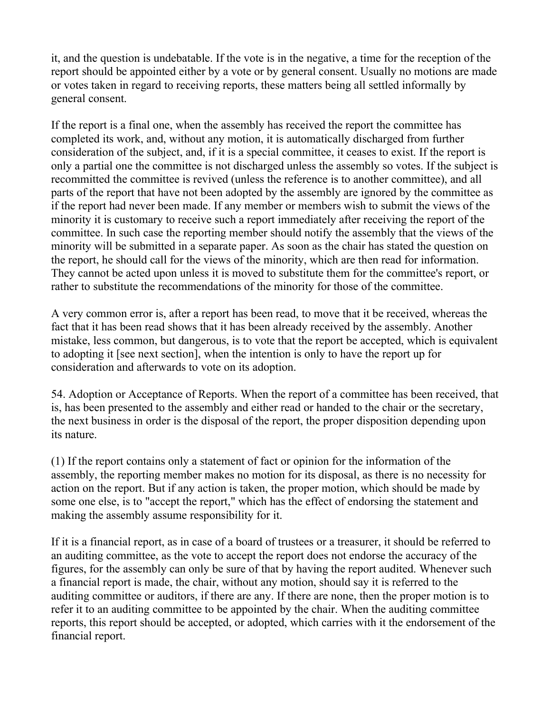it, and the question is undebatable. If the vote is in the negative, a time for the reception of the report should be appointed either by a vote or by general consent. Usually no motions are made or votes taken in regard to receiving reports, these matters being all settled informally by general consent.

If the report is a final one, when the assembly has received the report the committee has completed its work, and, without any motion, it is automatically discharged from further consideration of the subject, and, if it is a special committee, it ceases to exist. If the report is only a partial one the committee is not discharged unless the assembly so votes. If the subject is recommitted the committee is revived (unless the reference is to another committee), and all parts of the report that have not been adopted by the assembly are ignored by the committee as if the report had never been made. If any member or members wish to submit the views of the minority it is customary to receive such a report immediately after receiving the report of the committee. In such case the reporting member should notify the assembly that the views of the minority will be submitted in a separate paper. As soon as the chair has stated the question on the report, he should call for the views of the minority, which are then read for information. They cannot be acted upon unless it is moved to substitute them for the committee's report, or rather to substitute the recommendations of the minority for those of the committee.

A very common error is, after a report has been read, to move that it be received, whereas the fact that it has been read shows that it has been already received by the assembly. Another mistake, less common, but dangerous, is to vote that the report be accepted, which is equivalent to adopting it [see next section], when the intention is only to have the report up for consideration and afterwards to vote on its adoption.

54. Adoption or Acceptance of Reports. When the report of a committee has been received, that is, has been presented to the assembly and either read or handed to the chair or the secretary, the next business in order is the disposal of the report, the proper disposition depending upon its nature.

(1) If the report contains only a statement of fact or opinion for the information of the assembly, the reporting member makes no motion for its disposal, as there is no necessity for action on the report. But if any action is taken, the proper motion, which should be made by some one else, is to "accept the report," which has the effect of endorsing the statement and making the assembly assume responsibility for it.

If it is a financial report, as in case of a board of trustees or a treasurer, it should be referred to an auditing committee, as the vote to accept the report does not endorse the accuracy of the figures, for the assembly can only be sure of that by having the report audited. Whenever such a financial report is made, the chair, without any motion, should say it is referred to the auditing committee or auditors, if there are any. If there are none, then the proper motion is to refer it to an auditing committee to be appointed by the chair. When the auditing committee reports, this report should be accepted, or adopted, which carries with it the endorsement of the financial report.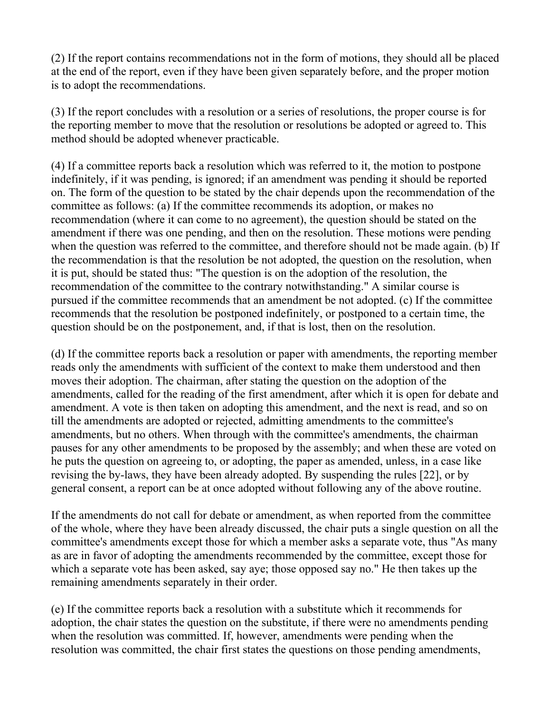(2) If the report contains recommendations not in the form of motions, they should all be placed at the end of the report, even if they have been given separately before, and the proper motion is to adopt the recommendations.

(3) If the report concludes with a resolution or a series of resolutions, the proper course is for the reporting member to move that the resolution or resolutions be adopted or agreed to. This method should be adopted whenever practicable.

(4) If a committee reports back a resolution which was referred to it, the motion to postpone indefinitely, if it was pending, is ignored; if an amendment was pending it should be reported on. The form of the question to be stated by the chair depends upon the recommendation of the committee as follows: (a) If the committee recommends its adoption, or makes no recommendation (where it can come to no agreement), the question should be stated on the amendment if there was one pending, and then on the resolution. These motions were pending when the question was referred to the committee, and therefore should not be made again. (b) If the recommendation is that the resolution be not adopted, the question on the resolution, when it is put, should be stated thus: "The question is on the adoption of the resolution, the recommendation of the committee to the contrary notwithstanding." A similar course is pursued if the committee recommends that an amendment be not adopted. (c) If the committee recommends that the resolution be postponed indefinitely, or postponed to a certain time, the question should be on the postponement, and, if that is lost, then on the resolution.

(d) If the committee reports back a resolution or paper with amendments, the reporting member reads only the amendments with sufficient of the context to make them understood and then moves their adoption. The chairman, after stating the question on the adoption of the amendments, called for the reading of the first amendment, after which it is open for debate and amendment. A vote is then taken on adopting this amendment, and the next is read, and so on till the amendments are adopted or rejected, admitting amendments to the committee's amendments, but no others. When through with the committee's amendments, the chairman pauses for any other amendments to be proposed by the assembly; and when these are voted on he puts the question on agreeing to, or adopting, the paper as amended, unless, in a case like revising the by-laws, they have been already adopted. By suspending the rules [22], or by general consent, a report can be at once adopted without following any of the above routine.

If the amendments do not call for debate or amendment, as when reported from the committee of the whole, where they have been already discussed, the chair puts a single question on all the committee's amendments except those for which a member asks a separate vote, thus "As many as are in favor of adopting the amendments recommended by the committee, except those for which a separate vote has been asked, say aye; those opposed say no." He then takes up the remaining amendments separately in their order.

(e) If the committee reports back a resolution with a substitute which it recommends for adoption, the chair states the question on the substitute, if there were no amendments pending when the resolution was committed. If, however, amendments were pending when the resolution was committed, the chair first states the questions on those pending amendments,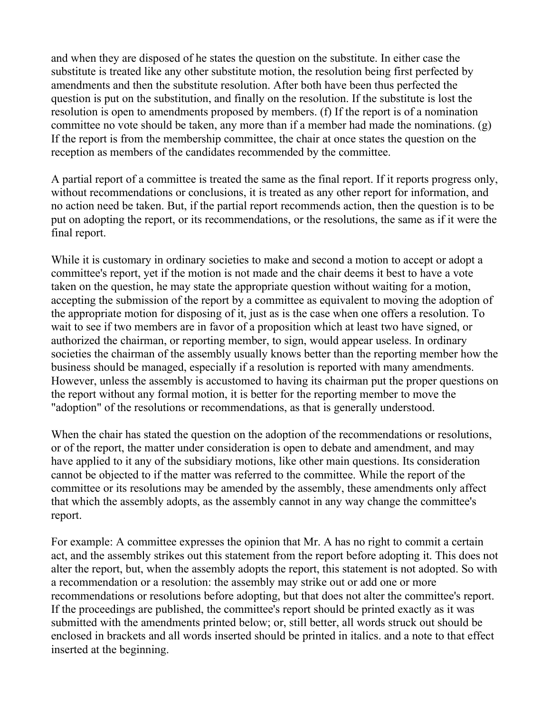and when they are disposed of he states the question on the substitute. In either case the substitute is treated like any other substitute motion, the resolution being first perfected by amendments and then the substitute resolution. After both have been thus perfected the question is put on the substitution, and finally on the resolution. If the substitute is lost the resolution is open to amendments proposed by members. (f) If the report is of a nomination committee no vote should be taken, any more than if a member had made the nominations. (g) If the report is from the membership committee, the chair at once states the question on the reception as members of the candidates recommended by the committee.

A partial report of a committee is treated the same as the final report. If it reports progress only, without recommendations or conclusions, it is treated as any other report for information, and no action need be taken. But, if the partial report recommends action, then the question is to be put on adopting the report, or its recommendations, or the resolutions, the same as if it were the final report.

While it is customary in ordinary societies to make and second a motion to accept or adopt a committee's report, yet if the motion is not made and the chair deems it best to have a vote taken on the question, he may state the appropriate question without waiting for a motion, accepting the submission of the report by a committee as equivalent to moving the adoption of the appropriate motion for disposing of it, just as is the case when one offers a resolution. To wait to see if two members are in favor of a proposition which at least two have signed, or authorized the chairman, or reporting member, to sign, would appear useless. In ordinary societies the chairman of the assembly usually knows better than the reporting member how the business should be managed, especially if a resolution is reported with many amendments. However, unless the assembly is accustomed to having its chairman put the proper questions on the report without any formal motion, it is better for the reporting member to move the "adoption" of the resolutions or recommendations, as that is generally understood.

When the chair has stated the question on the adoption of the recommendations or resolutions, or of the report, the matter under consideration is open to debate and amendment, and may have applied to it any of the subsidiary motions, like other main questions. Its consideration cannot be objected to if the matter was referred to the committee. While the report of the committee or its resolutions may be amended by the assembly, these amendments only affect that which the assembly adopts, as the assembly cannot in any way change the committee's report.

For example: A committee expresses the opinion that Mr. A has no right to commit a certain act, and the assembly strikes out this statement from the report before adopting it. This does not alter the report, but, when the assembly adopts the report, this statement is not adopted. So with a recommendation or a resolution: the assembly may strike out or add one or more recommendations or resolutions before adopting, but that does not alter the committee's report. If the proceedings are published, the committee's report should be printed exactly as it was submitted with the amendments printed below; or, still better, all words struck out should be enclosed in brackets and all words inserted should be printed in italics. and a note to that effect inserted at the beginning.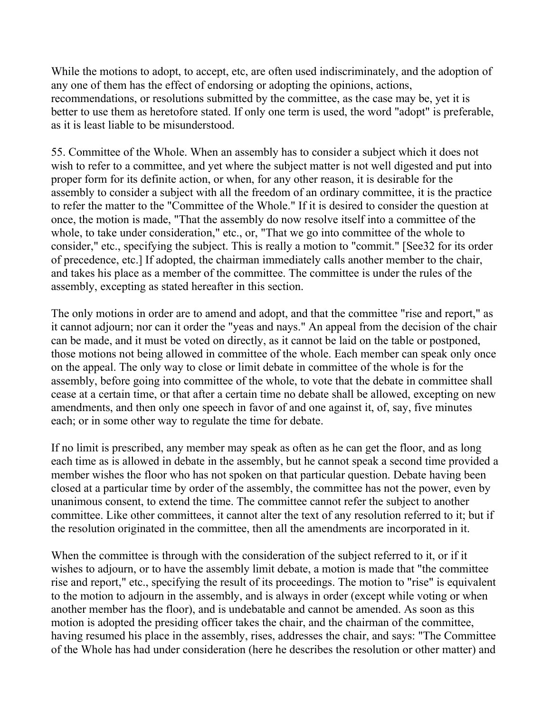While the motions to adopt, to accept, etc, are often used indiscriminately, and the adoption of any one of them has the effect of endorsing or adopting the opinions, actions, recommendations, or resolutions submitted by the committee, as the case may be, yet it is better to use them as heretofore stated. If only one term is used, the word "adopt" is preferable, as it is least liable to be misunderstood.

55. Committee of the Whole. When an assembly has to consider a subject which it does not wish to refer to a committee, and yet where the subject matter is not well digested and put into proper form for its definite action, or when, for any other reason, it is desirable for the assembly to consider a subject with all the freedom of an ordinary committee, it is the practice to refer the matter to the "Committee of the Whole." If it is desired to consider the question at once, the motion is made, "That the assembly do now resolve itself into a committee of the whole, to take under consideration," etc., or, "That we go into committee of the whole to consider," etc., specifying the subject. This is really a motion to "commit." [See32 for its order of precedence, etc.] If adopted, the chairman immediately calls another member to the chair, and takes his place as a member of the committee. The committee is under the rules of the assembly, excepting as stated hereafter in this section.

The only motions in order are to amend and adopt, and that the committee "rise and report," as it cannot adjourn; nor can it order the "yeas and nays." An appeal from the decision of the chair can be made, and it must be voted on directly, as it cannot be laid on the table or postponed, those motions not being allowed in committee of the whole. Each member can speak only once on the appeal. The only way to close or limit debate in committee of the whole is for the assembly, before going into committee of the whole, to vote that the debate in committee shall cease at a certain time, or that after a certain time no debate shall be allowed, excepting on new amendments, and then only one speech in favor of and one against it, of, say, five minutes each; or in some other way to regulate the time for debate.

If no limit is prescribed, any member may speak as often as he can get the floor, and as long each time as is allowed in debate in the assembly, but he cannot speak a second time provided a member wishes the floor who has not spoken on that particular question. Debate having been closed at a particular time by order of the assembly, the committee has not the power, even by unanimous consent, to extend the time. The committee cannot refer the subject to another committee. Like other committees, it cannot alter the text of any resolution referred to it; but if the resolution originated in the committee, then all the amendments are incorporated in it.

When the committee is through with the consideration of the subject referred to it, or if it wishes to adjourn, or to have the assembly limit debate, a motion is made that "the committee rise and report," etc., specifying the result of its proceedings. The motion to "rise" is equivalent to the motion to adjourn in the assembly, and is always in order (except while voting or when another member has the floor), and is undebatable and cannot be amended. As soon as this motion is adopted the presiding officer takes the chair, and the chairman of the committee, having resumed his place in the assembly, rises, addresses the chair, and says: "The Committee of the Whole has had under consideration (here he describes the resolution or other matter) and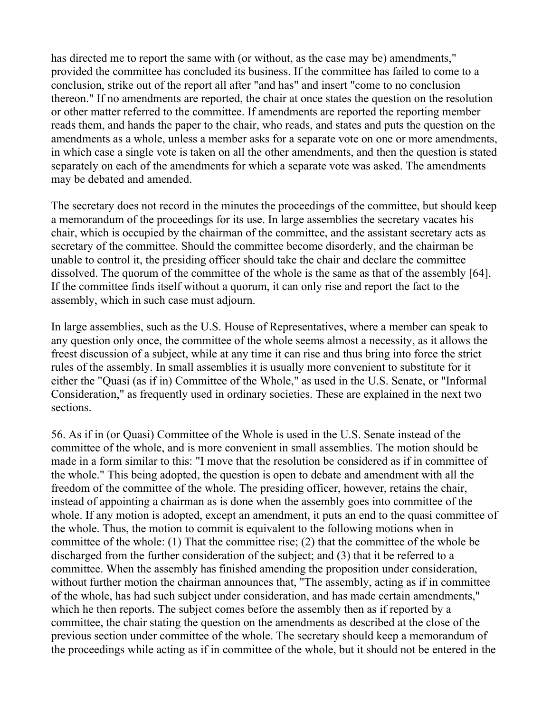has directed me to report the same with (or without, as the case may be) amendments," provided the committee has concluded its business. If the committee has failed to come to a conclusion, strike out of the report all after "and has" and insert "come to no conclusion thereon." If no amendments are reported, the chair at once states the question on the resolution or other matter referred to the committee. If amendments are reported the reporting member reads them, and hands the paper to the chair, who reads, and states and puts the question on the amendments as a whole, unless a member asks for a separate vote on one or more amendments, in which case a single vote is taken on all the other amendments, and then the question is stated separately on each of the amendments for which a separate vote was asked. The amendments may be debated and amended.

The secretary does not record in the minutes the proceedings of the committee, but should keep a memorandum of the proceedings for its use. In large assemblies the secretary vacates his chair, which is occupied by the chairman of the committee, and the assistant secretary acts as secretary of the committee. Should the committee become disorderly, and the chairman be unable to control it, the presiding officer should take the chair and declare the committee dissolved. The quorum of the committee of the whole is the same as that of the assembly [64]. If the committee finds itself without a quorum, it can only rise and report the fact to the assembly, which in such case must adjourn.

In large assemblies, such as the U.S. House of Representatives, where a member can speak to any question only once, the committee of the whole seems almost a necessity, as it allows the freest discussion of a subject, while at any time it can rise and thus bring into force the strict rules of the assembly. In small assemblies it is usually more convenient to substitute for it either the "Quasi (as if in) Committee of the Whole," as used in the U.S. Senate, or "Informal Consideration," as frequently used in ordinary societies. These are explained in the next two sections.

56. As if in (or Quasi) Committee of the Whole is used in the U.S. Senate instead of the committee of the whole, and is more convenient in small assemblies. The motion should be made in a form similar to this: "I move that the resolution be considered as if in committee of the whole." This being adopted, the question is open to debate and amendment with all the freedom of the committee of the whole. The presiding officer, however, retains the chair, instead of appointing a chairman as is done when the assembly goes into committee of the whole. If any motion is adopted, except an amendment, it puts an end to the quasi committee of the whole. Thus, the motion to commit is equivalent to the following motions when in committee of the whole: (1) That the committee rise; (2) that the committee of the whole be discharged from the further consideration of the subject; and (3) that it be referred to a committee. When the assembly has finished amending the proposition under consideration, without further motion the chairman announces that, "The assembly, acting as if in committee of the whole, has had such subject under consideration, and has made certain amendments," which he then reports. The subject comes before the assembly then as if reported by a committee, the chair stating the question on the amendments as described at the close of the previous section under committee of the whole. The secretary should keep a memorandum of the proceedings while acting as if in committee of the whole, but it should not be entered in the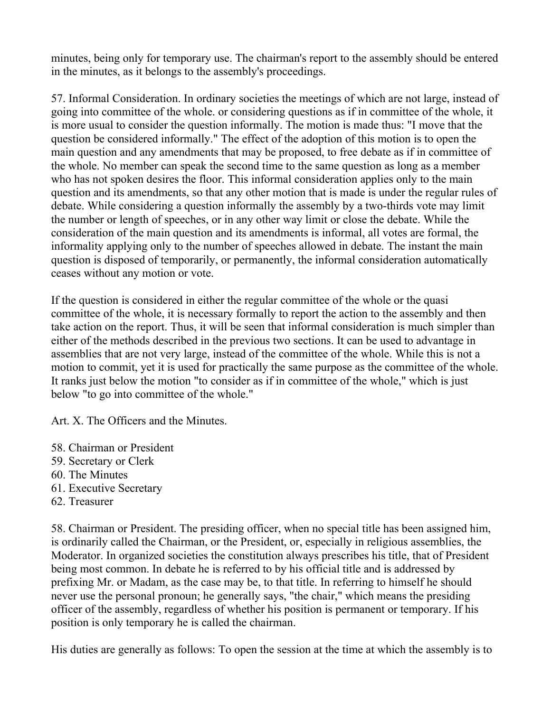minutes, being only for temporary use. The chairman's report to the assembly should be entered in the minutes, as it belongs to the assembly's proceedings.

57. Informal Consideration. In ordinary societies the meetings of which are not large, instead of going into committee of the whole. or considering questions as if in committee of the whole, it is more usual to consider the question informally. The motion is made thus: "I move that the question be considered informally." The effect of the adoption of this motion is to open the main question and any amendments that may be proposed, to free debate as if in committee of the whole. No member can speak the second time to the same question as long as a member who has not spoken desires the floor. This informal consideration applies only to the main question and its amendments, so that any other motion that is made is under the regular rules of debate. While considering a question informally the assembly by a two-thirds vote may limit the number or length of speeches, or in any other way limit or close the debate. While the consideration of the main question and its amendments is informal, all votes are formal, the informality applying only to the number of speeches allowed in debate. The instant the main question is disposed of temporarily, or permanently, the informal consideration automatically ceases without any motion or vote.

If the question is considered in either the regular committee of the whole or the quasi committee of the whole, it is necessary formally to report the action to the assembly and then take action on the report. Thus, it will be seen that informal consideration is much simpler than either of the methods described in the previous two sections. It can be used to advantage in assemblies that are not very large, instead of the committee of the whole. While this is not a motion to commit, yet it is used for practically the same purpose as the committee of the whole. It ranks just below the motion "to consider as if in committee of the whole," which is just below "to go into committee of the whole."

Art. X. The Officers and the Minutes.

- 58. Chairman or President
- 59. Secretary or Clerk
- 60. The Minutes
- 61. Executive Secretary
- 62. Treasurer

58. Chairman or President. The presiding officer, when no special title has been assigned him, is ordinarily called the Chairman, or the President, or, especially in religious assemblies, the Moderator. In organized societies the constitution always prescribes his title, that of President being most common. In debate he is referred to by his official title and is addressed by prefixing Mr. or Madam, as the case may be, to that title. In referring to himself he should never use the personal pronoun; he generally says, "the chair," which means the presiding officer of the assembly, regardless of whether his position is permanent or temporary. If his position is only temporary he is called the chairman.

His duties are generally as follows: To open the session at the time at which the assembly is to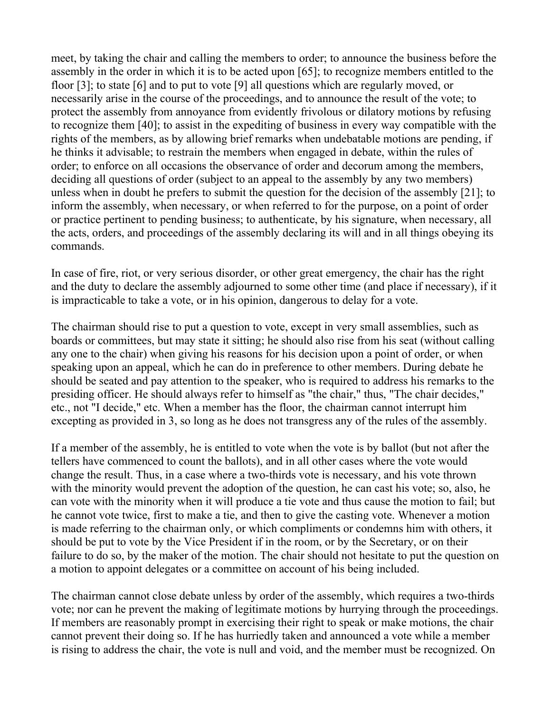meet, by taking the chair and calling the members to order; to announce the business before the assembly in the order in which it is to be acted upon [65]; to recognize members entitled to the floor [3]; to state [6] and to put to vote [9] all questions which are regularly moved, or necessarily arise in the course of the proceedings, and to announce the result of the vote; to protect the assembly from annoyance from evidently frivolous or dilatory motions by refusing to recognize them [40]; to assist in the expediting of business in every way compatible with the rights of the members, as by allowing brief remarks when undebatable motions are pending, if he thinks it advisable; to restrain the members when engaged in debate, within the rules of order; to enforce on all occasions the observance of order and decorum among the members, deciding all questions of order (subject to an appeal to the assembly by any two members) unless when in doubt he prefers to submit the question for the decision of the assembly [21]; to inform the assembly, when necessary, or when referred to for the purpose, on a point of order or practice pertinent to pending business; to authenticate, by his signature, when necessary, all the acts, orders, and proceedings of the assembly declaring its will and in all things obeying its commands.

In case of fire, riot, or very serious disorder, or other great emergency, the chair has the right and the duty to declare the assembly adjourned to some other time (and place if necessary), if it is impracticable to take a vote, or in his opinion, dangerous to delay for a vote.

The chairman should rise to put a question to vote, except in very small assemblies, such as boards or committees, but may state it sitting; he should also rise from his seat (without calling any one to the chair) when giving his reasons for his decision upon a point of order, or when speaking upon an appeal, which he can do in preference to other members. During debate he should be seated and pay attention to the speaker, who is required to address his remarks to the presiding officer. He should always refer to himself as "the chair," thus, "The chair decides," etc., not "I decide," etc. When a member has the floor, the chairman cannot interrupt him excepting as provided in 3, so long as he does not transgress any of the rules of the assembly.

If a member of the assembly, he is entitled to vote when the vote is by ballot (but not after the tellers have commenced to count the ballots), and in all other cases where the vote would change the result. Thus, in a case where a two-thirds vote is necessary, and his vote thrown with the minority would prevent the adoption of the question, he can cast his vote; so, also, he can vote with the minority when it will produce a tie vote and thus cause the motion to fail; but he cannot vote twice, first to make a tie, and then to give the casting vote. Whenever a motion is made referring to the chairman only, or which compliments or condemns him with others, it should be put to vote by the Vice President if in the room, or by the Secretary, or on their failure to do so, by the maker of the motion. The chair should not hesitate to put the question on a motion to appoint delegates or a committee on account of his being included.

The chairman cannot close debate unless by order of the assembly, which requires a two-thirds vote; nor can he prevent the making of legitimate motions by hurrying through the proceedings. If members are reasonably prompt in exercising their right to speak or make motions, the chair cannot prevent their doing so. If he has hurriedly taken and announced a vote while a member is rising to address the chair, the vote is null and void, and the member must be recognized. On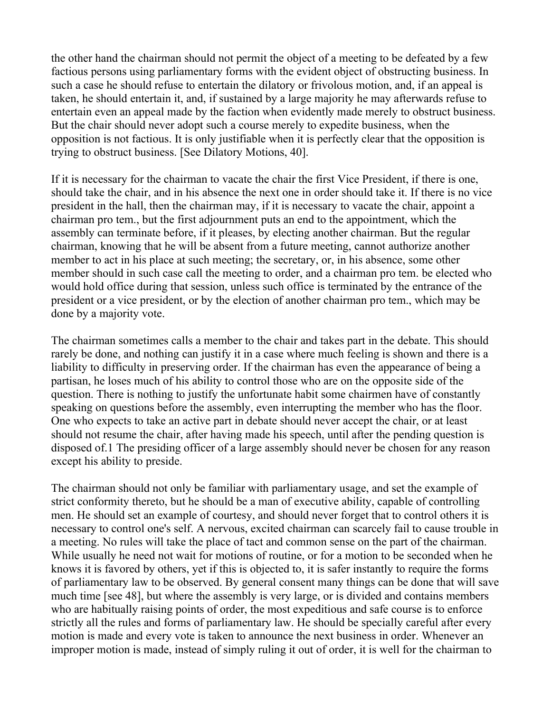the other hand the chairman should not permit the object of a meeting to be defeated by a few factious persons using parliamentary forms with the evident object of obstructing business. In such a case he should refuse to entertain the dilatory or frivolous motion, and, if an appeal is taken, he should entertain it, and, if sustained by a large majority he may afterwards refuse to entertain even an appeal made by the faction when evidently made merely to obstruct business. But the chair should never adopt such a course merely to expedite business, when the opposition is not factious. It is only justifiable when it is perfectly clear that the opposition is trying to obstruct business. [See Dilatory Motions, 40].

If it is necessary for the chairman to vacate the chair the first Vice President, if there is one, should take the chair, and in his absence the next one in order should take it. If there is no vice president in the hall, then the chairman may, if it is necessary to vacate the chair, appoint a chairman pro tem., but the first adjournment puts an end to the appointment, which the assembly can terminate before, if it pleases, by electing another chairman. But the regular chairman, knowing that he will be absent from a future meeting, cannot authorize another member to act in his place at such meeting; the secretary, or, in his absence, some other member should in such case call the meeting to order, and a chairman pro tem. be elected who would hold office during that session, unless such office is terminated by the entrance of the president or a vice president, or by the election of another chairman pro tem., which may be done by a majority vote.

The chairman sometimes calls a member to the chair and takes part in the debate. This should rarely be done, and nothing can justify it in a case where much feeling is shown and there is a liability to difficulty in preserving order. If the chairman has even the appearance of being a partisan, he loses much of his ability to control those who are on the opposite side of the question. There is nothing to justify the unfortunate habit some chairmen have of constantly speaking on questions before the assembly, even interrupting the member who has the floor. One who expects to take an active part in debate should never accept the chair, or at least should not resume the chair, after having made his speech, until after the pending question is disposed of.1 The presiding officer of a large assembly should never be chosen for any reason except his ability to preside.

The chairman should not only be familiar with parliamentary usage, and set the example of strict conformity thereto, but he should be a man of executive ability, capable of controlling men. He should set an example of courtesy, and should never forget that to control others it is necessary to control one's self. A nervous, excited chairman can scarcely fail to cause trouble in a meeting. No rules will take the place of tact and common sense on the part of the chairman. While usually he need not wait for motions of routine, or for a motion to be seconded when he knows it is favored by others, yet if this is objected to, it is safer instantly to require the forms of parliamentary law to be observed. By general consent many things can be done that will save much time [see 48], but where the assembly is very large, or is divided and contains members who are habitually raising points of order, the most expeditious and safe course is to enforce strictly all the rules and forms of parliamentary law. He should be specially careful after every motion is made and every vote is taken to announce the next business in order. Whenever an improper motion is made, instead of simply ruling it out of order, it is well for the chairman to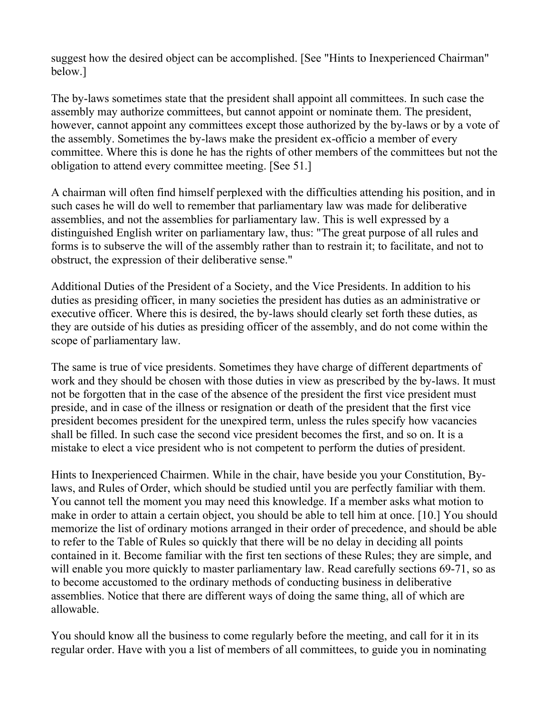suggest how the desired object can be accomplished. [See "Hints to Inexperienced Chairman" below.]

The by-laws sometimes state that the president shall appoint all committees. In such case the assembly may authorize committees, but cannot appoint or nominate them. The president, however, cannot appoint any committees except those authorized by the by-laws or by a vote of the assembly. Sometimes the by-laws make the president ex-officio a member of every committee. Where this is done he has the rights of other members of the committees but not the obligation to attend every committee meeting. [See 51.]

A chairman will often find himself perplexed with the difficulties attending his position, and in such cases he will do well to remember that parliamentary law was made for deliberative assemblies, and not the assemblies for parliamentary law. This is well expressed by a distinguished English writer on parliamentary law, thus: "The great purpose of all rules and forms is to subserve the will of the assembly rather than to restrain it; to facilitate, and not to obstruct, the expression of their deliberative sense."

Additional Duties of the President of a Society, and the Vice Presidents. In addition to his duties as presiding officer, in many societies the president has duties as an administrative or executive officer. Where this is desired, the by-laws should clearly set forth these duties, as they are outside of his duties as presiding officer of the assembly, and do not come within the scope of parliamentary law.

The same is true of vice presidents. Sometimes they have charge of different departments of work and they should be chosen with those duties in view as prescribed by the by-laws. It must not be forgotten that in the case of the absence of the president the first vice president must preside, and in case of the illness or resignation or death of the president that the first vice president becomes president for the unexpired term, unless the rules specify how vacancies shall be filled. In such case the second vice president becomes the first, and so on. It is a mistake to elect a vice president who is not competent to perform the duties of president.

Hints to Inexperienced Chairmen. While in the chair, have beside you your Constitution, Bylaws, and Rules of Order, which should be studied until you are perfectly familiar with them. You cannot tell the moment you may need this knowledge. If a member asks what motion to make in order to attain a certain object, you should be able to tell him at once. [10.] You should memorize the list of ordinary motions arranged in their order of precedence, and should be able to refer to the Table of Rules so quickly that there will be no delay in deciding all points contained in it. Become familiar with the first ten sections of these Rules; they are simple, and will enable you more quickly to master parliamentary law. Read carefully sections 69-71, so as to become accustomed to the ordinary methods of conducting business in deliberative assemblies. Notice that there are different ways of doing the same thing, all of which are allowable.

You should know all the business to come regularly before the meeting, and call for it in its regular order. Have with you a list of members of all committees, to guide you in nominating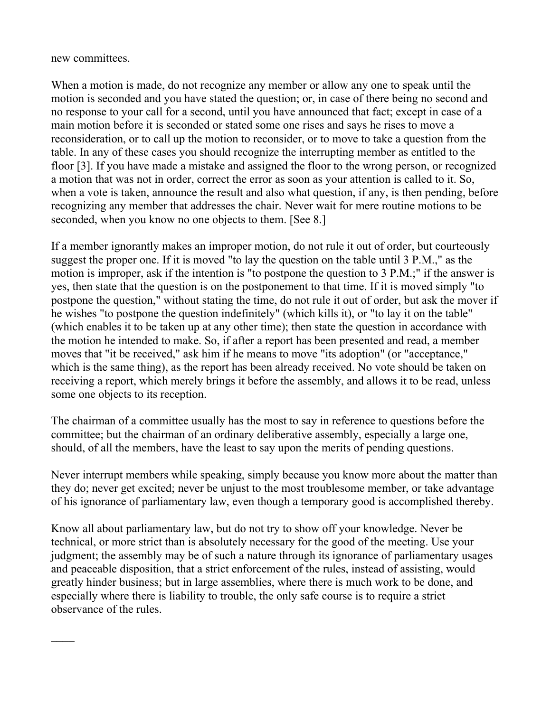new committees.

When a motion is made, do not recognize any member or allow any one to speak until the motion is seconded and you have stated the question; or, in case of there being no second and no response to your call for a second, until you have announced that fact; except in case of a main motion before it is seconded or stated some one rises and says he rises to move a reconsideration, or to call up the motion to reconsider, or to move to take a question from the table. In any of these cases you should recognize the interrupting member as entitled to the floor [3]. If you have made a mistake and assigned the floor to the wrong person, or recognized a motion that was not in order, correct the error as soon as your attention is called to it. So, when a vote is taken, announce the result and also what question, if any, is then pending, before recognizing any member that addresses the chair. Never wait for mere routine motions to be seconded, when you know no one objects to them. [See 8.]

If a member ignorantly makes an improper motion, do not rule it out of order, but courteously suggest the proper one. If it is moved "to lay the question on the table until 3 P.M.," as the motion is improper, ask if the intention is "to postpone the question to 3 P.M.;" if the answer is yes, then state that the question is on the postponement to that time. If it is moved simply "to postpone the question," without stating the time, do not rule it out of order, but ask the mover if he wishes "to postpone the question indefinitely" (which kills it), or "to lay it on the table" (which enables it to be taken up at any other time); then state the question in accordance with the motion he intended to make. So, if after a report has been presented and read, a member moves that "it be received," ask him if he means to move "its adoption" (or "acceptance," which is the same thing), as the report has been already received. No vote should be taken on receiving a report, which merely brings it before the assembly, and allows it to be read, unless some one objects to its reception.

The chairman of a committee usually has the most to say in reference to questions before the committee; but the chairman of an ordinary deliberative assembly, especially a large one, should, of all the members, have the least to say upon the merits of pending questions.

Never interrupt members while speaking, simply because you know more about the matter than they do; never get excited; never be unjust to the most troublesome member, or take advantage of his ignorance of parliamentary law, even though a temporary good is accomplished thereby.

Know all about parliamentary law, but do not try to show off your knowledge. Never be technical, or more strict than is absolutely necessary for the good of the meeting. Use your judgment; the assembly may be of such a nature through its ignorance of parliamentary usages and peaceable disposition, that a strict enforcement of the rules, instead of assisting, would greatly hinder business; but in large assemblies, where there is much work to be done, and especially where there is liability to trouble, the only safe course is to require a strict observance of the rules.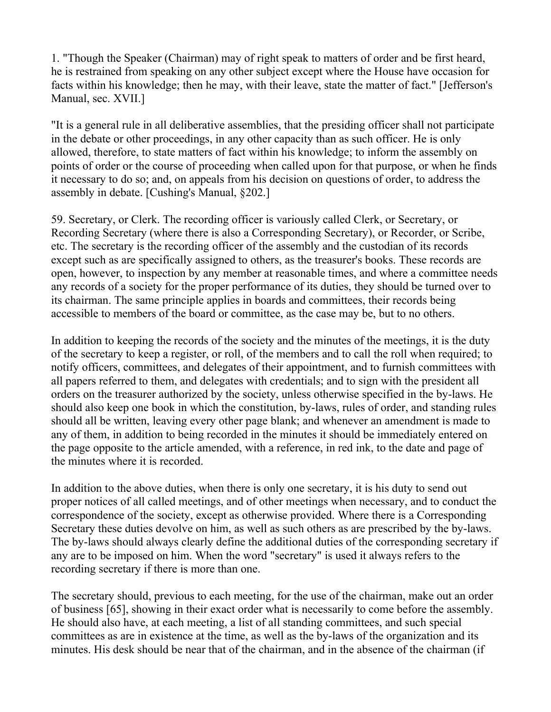1. "Though the Speaker (Chairman) may of right speak to matters of order and be first heard, he is restrained from speaking on any other subject except where the House have occasion for facts within his knowledge; then he may, with their leave, state the matter of fact." [Jefferson's Manual, sec. XVII.]

"It is a general rule in all deliberative assemblies, that the presiding officer shall not participate in the debate or other proceedings, in any other capacity than as such officer. He is only allowed, therefore, to state matters of fact within his knowledge; to inform the assembly on points of order or the course of proceeding when called upon for that purpose, or when he finds it necessary to do so; and, on appeals from his decision on questions of order, to address the assembly in debate. [Cushing's Manual, §202.]

59. Secretary, or Clerk. The recording officer is variously called Clerk, or Secretary, or Recording Secretary (where there is also a Corresponding Secretary), or Recorder, or Scribe, etc. The secretary is the recording officer of the assembly and the custodian of its records except such as are specifically assigned to others, as the treasurer's books. These records are open, however, to inspection by any member at reasonable times, and where a committee needs any records of a society for the proper performance of its duties, they should be turned over to its chairman. The same principle applies in boards and committees, their records being accessible to members of the board or committee, as the case may be, but to no others.

In addition to keeping the records of the society and the minutes of the meetings, it is the duty of the secretary to keep a register, or roll, of the members and to call the roll when required; to notify officers, committees, and delegates of their appointment, and to furnish committees with all papers referred to them, and delegates with credentials; and to sign with the president all orders on the treasurer authorized by the society, unless otherwise specified in the by-laws. He should also keep one book in which the constitution, by-laws, rules of order, and standing rules should all be written, leaving every other page blank; and whenever an amendment is made to any of them, in addition to being recorded in the minutes it should be immediately entered on the page opposite to the article amended, with a reference, in red ink, to the date and page of the minutes where it is recorded.

In addition to the above duties, when there is only one secretary, it is his duty to send out proper notices of all called meetings, and of other meetings when necessary, and to conduct the correspondence of the society, except as otherwise provided. Where there is a Corresponding Secretary these duties devolve on him, as well as such others as are prescribed by the by-laws. The by-laws should always clearly define the additional duties of the corresponding secretary if any are to be imposed on him. When the word "secretary" is used it always refers to the recording secretary if there is more than one.

The secretary should, previous to each meeting, for the use of the chairman, make out an order of business [65], showing in their exact order what is necessarily to come before the assembly. He should also have, at each meeting, a list of all standing committees, and such special committees as are in existence at the time, as well as the by-laws of the organization and its minutes. His desk should be near that of the chairman, and in the absence of the chairman (if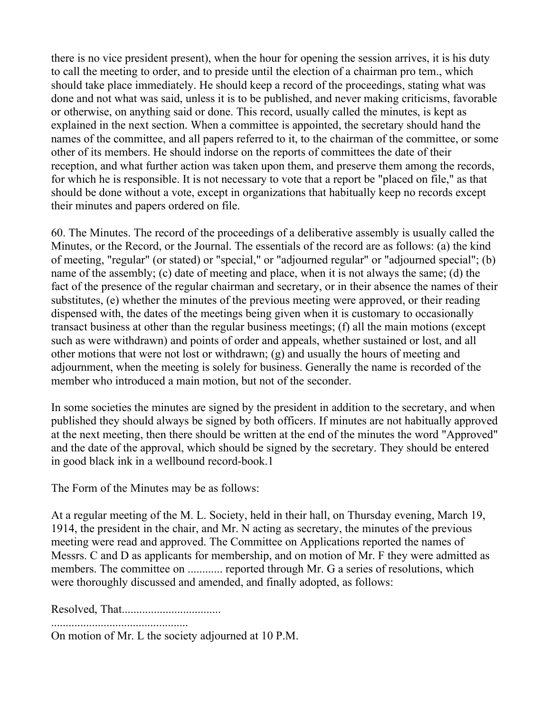there is no vice president present), when the hour for opening the session arrives, it is his duty to call the meeting to order, and to preside until the election of a chairman pro tem., which should take place immediately. He should keep a record of the proceedings, stating what was done and not what was said, unless it is to be published, and never making criticisms, favorable or otherwise, on anything said or done. This record, usually called the minutes, is kept as explained in the next section. When a committee is appointed, the secretary should hand the names of the committee, and all papers referred to it, to the chairman of the committee, or some other of its members. He should indorse on the reports of committees the date of their reception, and what further action was taken upon them, and preserve them among the records, for which he is responsible. It is not necessary to vote that a report be "placed on file," as that should be done without a vote, except in organizations that habitually keep no records except their minutes and papers ordered on file.

60. The Minutes. The record of the proceedings of a deliberative assembly is usually called the Minutes, or the Record, or the Journal. The essentials of the record are as follows: (a) the kind of meeting, "regular" (or stated) or "special," or "adjourned regular" or "adjourned special"; (b) name of the assembly; (c) date of meeting and place, when it is not always the same; (d) the fact of the presence of the regular chairman and secretary, or in their absence the names of their substitutes, (e) whether the minutes of the previous meeting were approved, or their reading dispensed with, the dates of the meetings being given when it is customary to occasionally transact business at other than the regular business meetings; (f) all the main motions (except such as were withdrawn) and points of order and appeals, whether sustained or lost, and all other motions that were not lost or withdrawn; (g) and usually the hours of meeting and adjournment, when the meeting is solely for business. Generally the name is recorded of the member who introduced a main motion, but not of the seconder.

In some societies the minutes are signed by the president in addition to the secretary, and when published they should always be signed by both officers. If minutes are not habitually approved at the next meeting, then there should be written at the end of the minutes the word "Approved" and the date of the approval, which should be signed by the secretary. They should be entered in good black ink in a wellbound record-book.1

The Form of the Minutes may be as follows:

At a regular meeting of the M. L. Society, held in their hall, on Thursday evening, March 19, 1914, the president in the chair, and Mr. N acting as secretary, the minutes of the previous meeting were read and approved. The Committee on Applications reported the names of Messrs. C and D as applicants for membership, and on motion of Mr. F they were admitted as members. The committee on .............. reported through Mr. G a series of resolutions, which were thoroughly discussed and amended, and finally adopted, as follows:

Resolved, That..................................

...............................................

On motion of Mr. L the society adjourned at 10 P.M.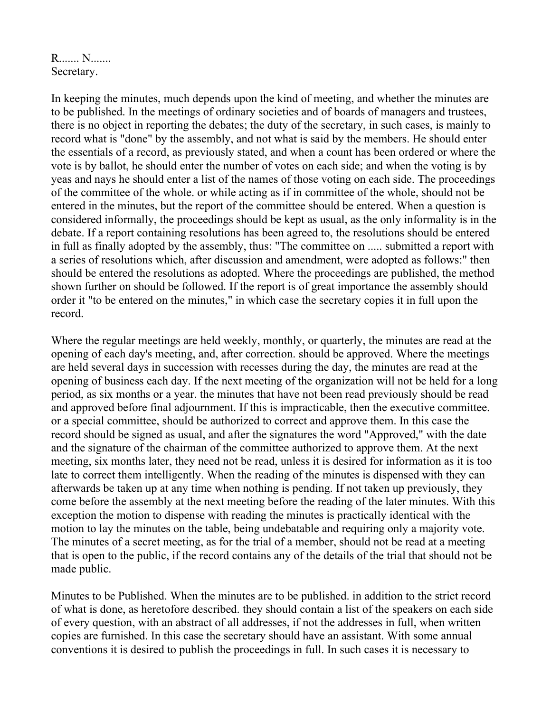R....... N....... Secretary.

In keeping the minutes, much depends upon the kind of meeting, and whether the minutes are to be published. In the meetings of ordinary societies and of boards of managers and trustees, there is no object in reporting the debates; the duty of the secretary, in such cases, is mainly to record what is "done" by the assembly, and not what is said by the members. He should enter the essentials of a record, as previously stated, and when a count has been ordered or where the vote is by ballot, he should enter the number of votes on each side; and when the voting is by yeas and nays he should enter a list of the names of those voting on each side. The proceedings of the committee of the whole. or while acting as if in committee of the whole, should not be entered in the minutes, but the report of the committee should be entered. When a question is considered informally, the proceedings should be kept as usual, as the only informality is in the debate. If a report containing resolutions has been agreed to, the resolutions should be entered in full as finally adopted by the assembly, thus: "The committee on ..... submitted a report with a series of resolutions which, after discussion and amendment, were adopted as follows:" then should be entered the resolutions as adopted. Where the proceedings are published, the method shown further on should be followed. If the report is of great importance the assembly should order it "to be entered on the minutes," in which case the secretary copies it in full upon the record.

Where the regular meetings are held weekly, monthly, or quarterly, the minutes are read at the opening of each day's meeting, and, after correction. should be approved. Where the meetings are held several days in succession with recesses during the day, the minutes are read at the opening of business each day. If the next meeting of the organization will not be held for a long period, as six months or a year. the minutes that have not been read previously should be read and approved before final adjournment. If this is impracticable, then the executive committee. or a special committee, should be authorized to correct and approve them. In this case the record should be signed as usual, and after the signatures the word "Approved," with the date and the signature of the chairman of the committee authorized to approve them. At the next meeting, six months later, they need not be read, unless it is desired for information as it is too late to correct them intelligently. When the reading of the minutes is dispensed with they can afterwards be taken up at any time when nothing is pending. If not taken up previously, they come before the assembly at the next meeting before the reading of the later minutes. With this exception the motion to dispense with reading the minutes is practically identical with the motion to lay the minutes on the table, being undebatable and requiring only a majority vote. The minutes of a secret meeting, as for the trial of a member, should not be read at a meeting that is open to the public, if the record contains any of the details of the trial that should not be made public.

Minutes to be Published. When the minutes are to be published. in addition to the strict record of what is done, as heretofore described. they should contain a list of the speakers on each side of every question, with an abstract of all addresses, if not the addresses in full, when written copies are furnished. In this case the secretary should have an assistant. With some annual conventions it is desired to publish the proceedings in full. In such cases it is necessary to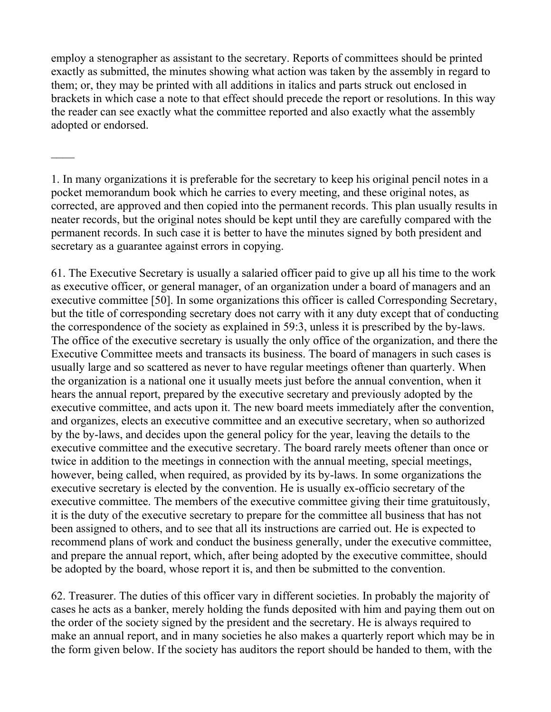employ a stenographer as assistant to the secretary. Reports of committees should be printed exactly as submitted, the minutes showing what action was taken by the assembly in regard to them; or, they may be printed with all additions in italics and parts struck out enclosed in brackets in which case a note to that effect should precede the report or resolutions. In this way the reader can see exactly what the committee reported and also exactly what the assembly adopted or endorsed.

 $\mathcal{L}_\mathcal{L}$ 

61. The Executive Secretary is usually a salaried officer paid to give up all his time to the work as executive officer, or general manager, of an organization under a board of managers and an executive committee [50]. In some organizations this officer is called Corresponding Secretary, but the title of corresponding secretary does not carry with it any duty except that of conducting the correspondence of the society as explained in 59:3, unless it is prescribed by the by-laws. The office of the executive secretary is usually the only office of the organization, and there the Executive Committee meets and transacts its business. The board of managers in such cases is usually large and so scattered as never to have regular meetings oftener than quarterly. When the organization is a national one it usually meets just before the annual convention, when it hears the annual report, prepared by the executive secretary and previously adopted by the executive committee, and acts upon it. The new board meets immediately after the convention, and organizes, elects an executive committee and an executive secretary, when so authorized by the by-laws, and decides upon the general policy for the year, leaving the details to the executive committee and the executive secretary. The board rarely meets oftener than once or twice in addition to the meetings in connection with the annual meeting, special meetings, however, being called, when required, as provided by its by-laws. In some organizations the executive secretary is elected by the convention. He is usually ex-officio secretary of the executive committee. The members of the executive committee giving their time gratuitously, it is the duty of the executive secretary to prepare for the committee all business that has not been assigned to others, and to see that all its instructions are carried out. He is expected to recommend plans of work and conduct the business generally, under the executive committee, and prepare the annual report, which, after being adopted by the executive committee, should be adopted by the board, whose report it is, and then be submitted to the convention.

62. Treasurer. The duties of this officer vary in different societies. In probably the majority of cases he acts as a banker, merely holding the funds deposited with him and paying them out on the order of the society signed by the president and the secretary. He is always required to make an annual report, and in many societies he also makes a quarterly report which may be in the form given below. If the society has auditors the report should be handed to them, with the

<sup>1.</sup> In many organizations it is preferable for the secretary to keep his original pencil notes in a pocket memorandum book which he carries to every meeting, and these original notes, as corrected, are approved and then copied into the permanent records. This plan usually results in neater records, but the original notes should be kept until they are carefully compared with the permanent records. In such case it is better to have the minutes signed by both president and secretary as a guarantee against errors in copying.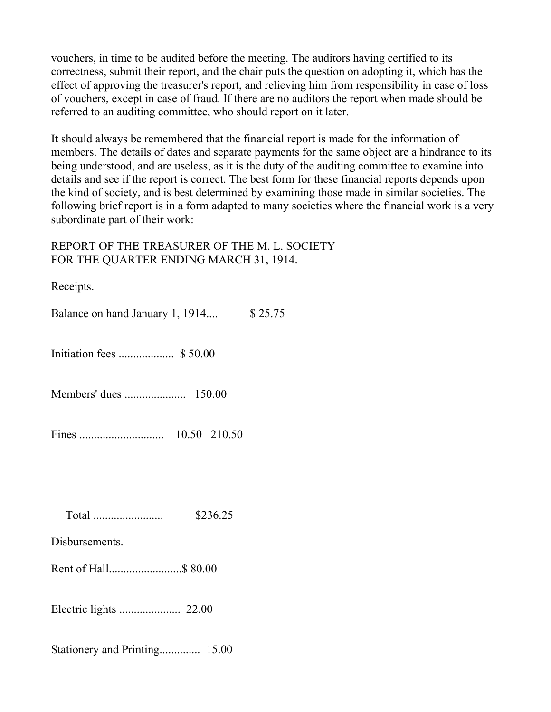vouchers, in time to be audited before the meeting. The auditors having certified to its correctness, submit their report, and the chair puts the question on adopting it, which has the effect of approving the treasurer's report, and relieving him from responsibility in case of loss of vouchers, except in case of fraud. If there are no auditors the report when made should be referred to an auditing committee, who should report on it later.

It should always be remembered that the financial report is made for the information of members. The details of dates and separate payments for the same object are a hindrance to its being understood, and are useless, as it is the duty of the auditing committee to examine into details and see if the report is correct. The best form for these financial reports depends upon the kind of society, and is best determined by examining those made in similar societies. The following brief report is in a form adapted to many societies where the financial work is a very subordinate part of their work:

## REPORT OF THE TREASURER OF THE M. L. SOCIETY FOR THE QUARTER ENDING MARCH 31, 1914.

Receipts.

Balance on hand January 1, 1914.... \$ 25.75

Initiation fees ................... \$ 50.00

Members' dues ..................... 150.00

Fines ............................. 10.50 210.50

Total ........................ \$236.25

Disbursements.

Rent of Hall.........................\$ 80.00

Electric lights ..................... 22.00

Stationery and Printing.............. 15.00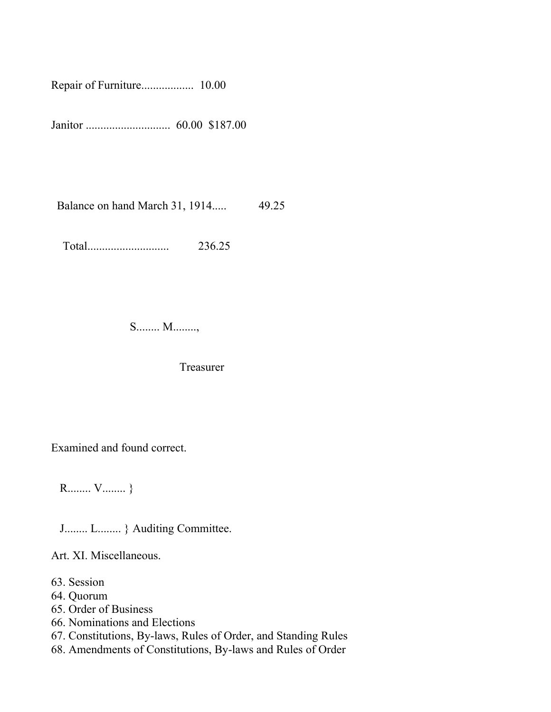Repair of Furniture.................. 10.00

Janitor ............................. 60.00 \$187.00

Balance on hand March 31, 1914..... 49.25

Total............................ 236.25

S........ M........,

Treasurer

Examined and found correct.

R........ V........ }

J........ L........ } Auditing Committee.

Art. XI. Miscellaneous.

- 63. Session
- 64. Quorum
- 65. Order of Business
- 66. Nominations and Elections
- 67. Constitutions, By-laws, Rules of Order, and Standing Rules
- 68. Amendments of Constitutions, By-laws and Rules of Order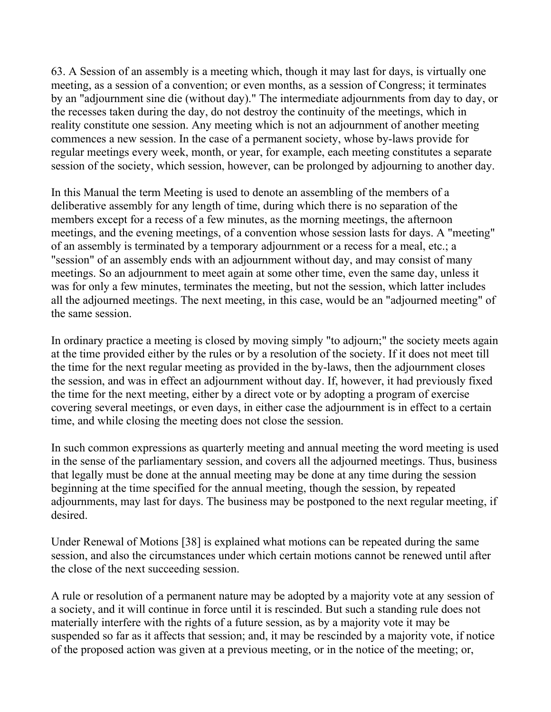63. A Session of an assembly is a meeting which, though it may last for days, is virtually one meeting, as a session of a convention; or even months, as a session of Congress; it terminates by an "adjournment sine die (without day)." The intermediate adjournments from day to day, or the recesses taken during the day, do not destroy the continuity of the meetings, which in reality constitute one session. Any meeting which is not an adjournment of another meeting commences a new session. In the case of a permanent society, whose by-laws provide for regular meetings every week, month, or year, for example, each meeting constitutes a separate session of the society, which session, however, can be prolonged by adjourning to another day.

In this Manual the term Meeting is used to denote an assembling of the members of a deliberative assembly for any length of time, during which there is no separation of the members except for a recess of a few minutes, as the morning meetings, the afternoon meetings, and the evening meetings, of a convention whose session lasts for days. A "meeting" of an assembly is terminated by a temporary adjournment or a recess for a meal, etc.; a "session" of an assembly ends with an adjournment without day, and may consist of many meetings. So an adjournment to meet again at some other time, even the same day, unless it was for only a few minutes, terminates the meeting, but not the session, which latter includes all the adjourned meetings. The next meeting, in this case, would be an "adjourned meeting" of the same session.

In ordinary practice a meeting is closed by moving simply "to adjourn;" the society meets again at the time provided either by the rules or by a resolution of the society. If it does not meet till the time for the next regular meeting as provided in the by-laws, then the adjournment closes the session, and was in effect an adjournment without day. If, however, it had previously fixed the time for the next meeting, either by a direct vote or by adopting a program of exercise covering several meetings, or even days, in either case the adjournment is in effect to a certain time, and while closing the meeting does not close the session.

In such common expressions as quarterly meeting and annual meeting the word meeting is used in the sense of the parliamentary session, and covers all the adjourned meetings. Thus, business that legally must be done at the annual meeting may be done at any time during the session beginning at the time specified for the annual meeting, though the session, by repeated adjournments, may last for days. The business may be postponed to the next regular meeting, if desired.

Under Renewal of Motions [38] is explained what motions can be repeated during the same session, and also the circumstances under which certain motions cannot be renewed until after the close of the next succeeding session.

A rule or resolution of a permanent nature may be adopted by a majority vote at any session of a society, and it will continue in force until it is rescinded. But such a standing rule does not materially interfere with the rights of a future session, as by a majority vote it may be suspended so far as it affects that session; and, it may be rescinded by a majority vote, if notice of the proposed action was given at a previous meeting, or in the notice of the meeting; or,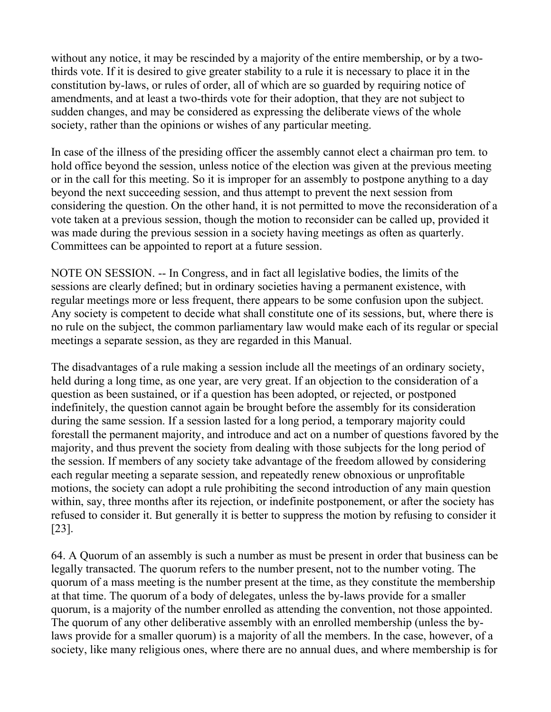without any notice, it may be rescinded by a majority of the entire membership, or by a twothirds vote. If it is desired to give greater stability to a rule it is necessary to place it in the constitution by-laws, or rules of order, all of which are so guarded by requiring notice of amendments, and at least a two-thirds vote for their adoption, that they are not subject to sudden changes, and may be considered as expressing the deliberate views of the whole society, rather than the opinions or wishes of any particular meeting.

In case of the illness of the presiding officer the assembly cannot elect a chairman pro tem. to hold office beyond the session, unless notice of the election was given at the previous meeting or in the call for this meeting. So it is improper for an assembly to postpone anything to a day beyond the next succeeding session, and thus attempt to prevent the next session from considering the question. On the other hand, it is not permitted to move the reconsideration of a vote taken at a previous session, though the motion to reconsider can be called up, provided it was made during the previous session in a society having meetings as often as quarterly. Committees can be appointed to report at a future session.

NOTE ON SESSION. -- In Congress, and in fact all legislative bodies, the limits of the sessions are clearly defined; but in ordinary societies having a permanent existence, with regular meetings more or less frequent, there appears to be some confusion upon the subject. Any society is competent to decide what shall constitute one of its sessions, but, where there is no rule on the subject, the common parliamentary law would make each of its regular or special meetings a separate session, as they are regarded in this Manual.

The disadvantages of a rule making a session include all the meetings of an ordinary society, held during a long time, as one year, are very great. If an objection to the consideration of a question as been sustained, or if a question has been adopted, or rejected, or postponed indefinitely, the question cannot again be brought before the assembly for its consideration during the same session. If a session lasted for a long period, a temporary majority could forestall the permanent majority, and introduce and act on a number of questions favored by the majority, and thus prevent the society from dealing with those subjects for the long period of the session. If members of any society take advantage of the freedom allowed by considering each regular meeting a separate session, and repeatedly renew obnoxious or unprofitable motions, the society can adopt a rule prohibiting the second introduction of any main question within, say, three months after its rejection, or indefinite postponement, or after the society has refused to consider it. But generally it is better to suppress the motion by refusing to consider it [23].

64. A Quorum of an assembly is such a number as must be present in order that business can be legally transacted. The quorum refers to the number present, not to the number voting. The quorum of a mass meeting is the number present at the time, as they constitute the membership at that time. The quorum of a body of delegates, unless the by-laws provide for a smaller quorum, is a majority of the number enrolled as attending the convention, not those appointed. The quorum of any other deliberative assembly with an enrolled membership (unless the bylaws provide for a smaller quorum) is a majority of all the members. In the case, however, of a society, like many religious ones, where there are no annual dues, and where membership is for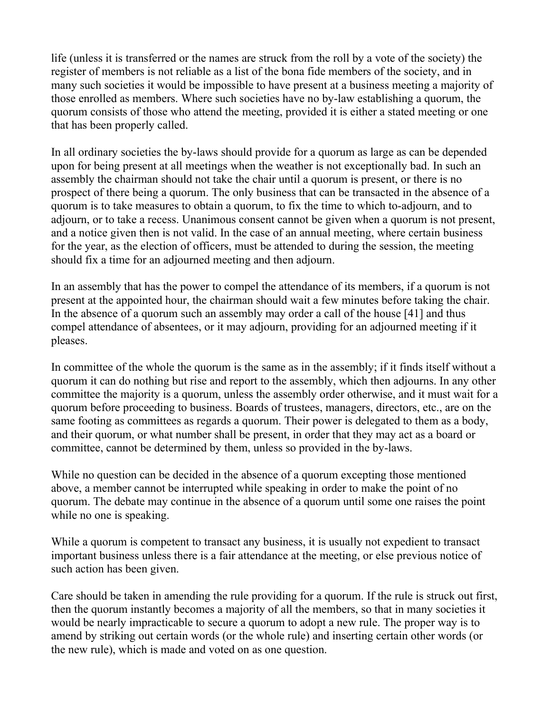life (unless it is transferred or the names are struck from the roll by a vote of the society) the register of members is not reliable as a list of the bona fide members of the society, and in many such societies it would be impossible to have present at a business meeting a majority of those enrolled as members. Where such societies have no by-law establishing a quorum, the quorum consists of those who attend the meeting, provided it is either a stated meeting or one that has been properly called.

In all ordinary societies the by-laws should provide for a quorum as large as can be depended upon for being present at all meetings when the weather is not exceptionally bad. In such an assembly the chairman should not take the chair until a quorum is present, or there is no prospect of there being a quorum. The only business that can be transacted in the absence of a quorum is to take measures to obtain a quorum, to fix the time to which to-adjourn, and to adjourn, or to take a recess. Unanimous consent cannot be given when a quorum is not present, and a notice given then is not valid. In the case of an annual meeting, where certain business for the year, as the election of officers, must be attended to during the session, the meeting should fix a time for an adjourned meeting and then adjourn.

In an assembly that has the power to compel the attendance of its members, if a quorum is not present at the appointed hour, the chairman should wait a few minutes before taking the chair. In the absence of a quorum such an assembly may order a call of the house [41] and thus compel attendance of absentees, or it may adjourn, providing for an adjourned meeting if it pleases.

In committee of the whole the quorum is the same as in the assembly; if it finds itself without a quorum it can do nothing but rise and report to the assembly, which then adjourns. In any other committee the majority is a quorum, unless the assembly order otherwise, and it must wait for a quorum before proceeding to business. Boards of trustees, managers, directors, etc., are on the same footing as committees as regards a quorum. Their power is delegated to them as a body, and their quorum, or what number shall be present, in order that they may act as a board or committee, cannot be determined by them, unless so provided in the by-laws.

While no question can be decided in the absence of a quorum excepting those mentioned above, a member cannot be interrupted while speaking in order to make the point of no quorum. The debate may continue in the absence of a quorum until some one raises the point while no one is speaking.

While a quorum is competent to transact any business, it is usually not expedient to transact important business unless there is a fair attendance at the meeting, or else previous notice of such action has been given.

Care should be taken in amending the rule providing for a quorum. If the rule is struck out first, then the quorum instantly becomes a majority of all the members, so that in many societies it would be nearly impracticable to secure a quorum to adopt a new rule. The proper way is to amend by striking out certain words (or the whole rule) and inserting certain other words (or the new rule), which is made and voted on as one question.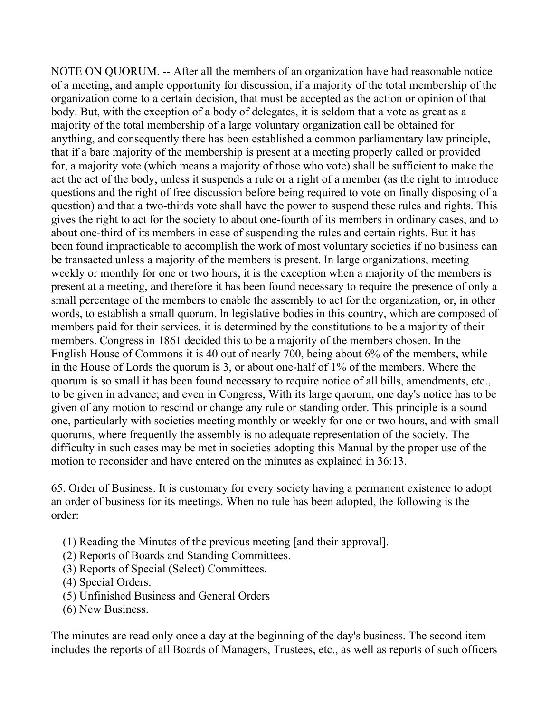NOTE ON QUORUM. -- After all the members of an organization have had reasonable notice of a meeting, and ample opportunity for discussion, if a majority of the total membership of the organization come to a certain decision, that must be accepted as the action or opinion of that body. But, with the exception of a body of delegates, it is seldom that a vote as great as a majority of the total membership of a large voluntary organization call be obtained for anything, and consequently there has been established a common parliamentary law principle, that if a bare majority of the membership is present at a meeting properly called or provided for, a majority vote (which means a majority of those who vote) shall be sufficient to make the act the act of the body, unless it suspends a rule or a right of a member (as the right to introduce questions and the right of free discussion before being required to vote on finally disposing of a question) and that a two-thirds vote shall have the power to suspend these rules and rights. This gives the right to act for the society to about one-fourth of its members in ordinary cases, and to about one-third of its members in case of suspending the rules and certain rights. But it has been found impracticable to accomplish the work of most voluntary societies if no business can be transacted unless a majority of the members is present. In large organizations, meeting weekly or monthly for one or two hours, it is the exception when a majority of the members is present at a meeting, and therefore it has been found necessary to require the presence of only a small percentage of the members to enable the assembly to act for the organization, or, in other words, to establish a small quorum. ln legislative bodies in this country, which are composed of members paid for their services, it is determined by the constitutions to be a majority of their members. Congress in 1861 decided this to be a majority of the members chosen. In the English House of Commons it is 40 out of nearly 700, being about 6% of the members, while in the House of Lords the quorum is 3, or about one-half of 1% of the members. Where the quorum is so small it has been found necessary to require notice of all bills, amendments, etc., to be given in advance; and even in Congress, With its large quorum, one day's notice has to be given of any motion to rescind or change any rule or standing order. This principle is a sound one, particularly with societies meeting monthly or weekly for one or two hours, and with small quorums, where frequently the assembly is no adequate representation of the society. The difficulty in such cases may be met in societies adopting this Manual by the proper use of the motion to reconsider and have entered on the minutes as explained in 36:13.

65. Order of Business. It is customary for every society having a permanent existence to adopt an order of business for its meetings. When no rule has been adopted, the following is the order:

- (1) Reading the Minutes of the previous meeting [and their approval].
- (2) Reports of Boards and Standing Committees.
- (3) Reports of Special (Select) Committees.
- (4) Special Orders.
- (5) Unfinished Business and General Orders
- (6) New Business.

The minutes are read only once a day at the beginning of the day's business. The second item includes the reports of all Boards of Managers, Trustees, etc., as well as reports of such officers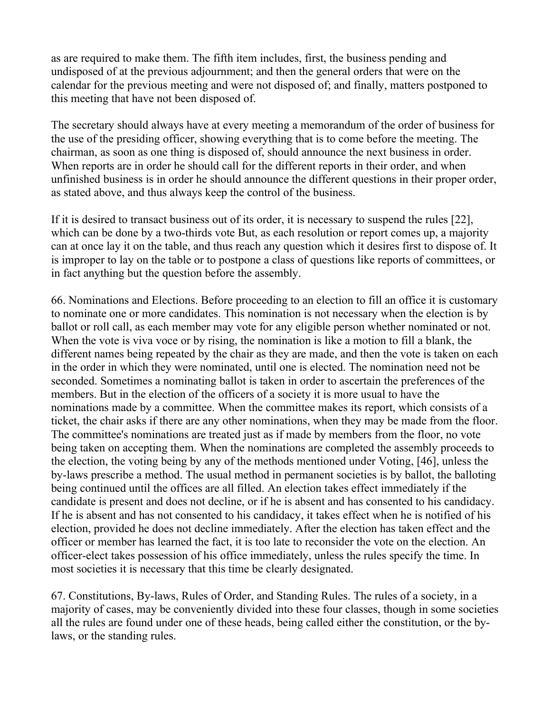as are required to make them. The fifth item includes, first, the business pending and undisposed of at the previous adjournment; and then the general orders that were on the calendar for the previous meeting and were not disposed of; and finally, matters postponed to this meeting that have not been disposed of.

The secretary should always have at every meeting a memorandum of the order of business for the use of the presiding officer, showing everything that is to come before the meeting. The chairman, as soon as one thing is disposed of, should announce the next business in order. When reports are in order he should call for the different reports in their order, and when unfinished business is in order he should announce the different questions in their proper order, as stated above, and thus always keep the control of the business.

If it is desired to transact business out of its order, it is necessary to suspend the rules [22], which can be done by a two-thirds vote But, as each resolution or report comes up, a majority can at once lay it on the table, and thus reach any question which it desires first to dispose of. It is improper to lay on the table or to postpone a class of questions like reports of committees, or in fact anything but the question before the assembly.

66. Nominations and Elections. Before proceeding to an election to fill an office it is customary to nominate one or more candidates. This nomination is not necessary when the election is by ballot or roll call, as each member may vote for any eligible person whether nominated or not. When the vote is viva voce or by rising, the nomination is like a motion to fill a blank, the different names being repeated by the chair as they are made, and then the vote is taken on each in the order in which they were nominated, until one is elected. The nomination need not be seconded. Sometimes a nominating ballot is taken in order to ascertain the preferences of the members. But in the election of the officers of a society it is more usual to have the nominations made by a committee. When the committee makes its report, which consists of a ticket, the chair asks if there are any other nominations, when they may be made from the floor. The committee's nominations are treated just as if made by members from the floor, no vote being taken on accepting them. When the nominations are completed the assembly proceeds to the election, the voting being by any of the methods mentioned under Voting, [46], unless the by-laws prescribe a method. The usual method in permanent societies is by ballot, the balloting being continued until the offices are all filled. An election takes effect immediately if the candidate is present and does not decline, or if he is absent and has consented to his candidacy. If he is absent and has not consented to his candidacy, it takes effect when he is notified of his election, provided he does not decline immediately. After the election has taken effect and the officer or member has learned the fact, it is too late to reconsider the vote on the election. An officer-elect takes possession of his office immediately, unless the rules specify the time. In most societies it is necessary that this time be clearly designated.

67. Constitutions, By-laws, Rules of Order, and Standing Rules. The rules of a society, in a majority of cases, may be conveniently divided into these four classes, though in some societies all the rules are found under one of these heads, being called either the constitution, or the bylaws, or the standing rules.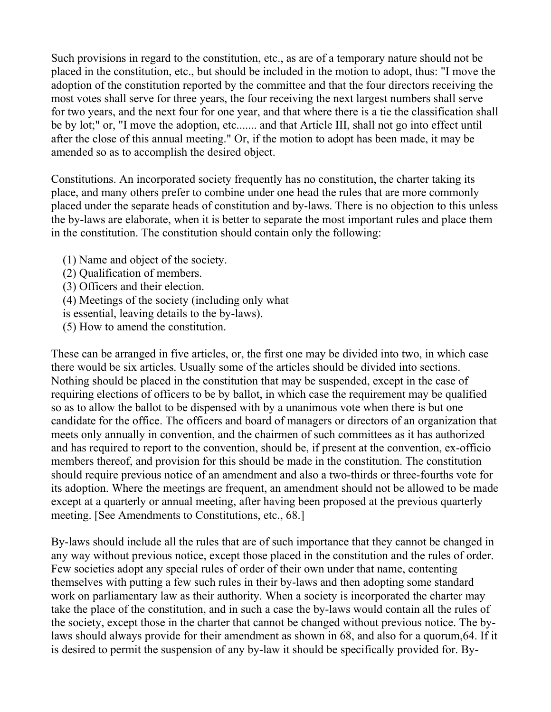Such provisions in regard to the constitution, etc., as are of a temporary nature should not be placed in the constitution, etc., but should be included in the motion to adopt, thus: "I move the adoption of the constitution reported by the committee and that the four directors receiving the most votes shall serve for three years, the four receiving the next largest numbers shall serve for two years, and the next four for one year, and that where there is a tie the classification shall be by lot;" or, "I move the adoption, etc....... and that Article III, shall not go into effect until after the close of this annual meeting." Or, if the motion to adopt has been made, it may be amended so as to accomplish the desired object.

Constitutions. An incorporated society frequently has no constitution, the charter taking its place, and many others prefer to combine under one head the rules that are more commonly placed under the separate heads of constitution and by-laws. There is no objection to this unless the by-laws are elaborate, when it is better to separate the most important rules and place them in the constitution. The constitution should contain only the following:

(1) Name and object of the society.

(2) Qualification of members.

(3) Officers and their election.

(4) Meetings of the society (including only what

is essential, leaving details to the by-laws).

(5) How to amend the constitution.

These can be arranged in five articles, or, the first one may be divided into two, in which case there would be six articles. Usually some of the articles should be divided into sections. Nothing should be placed in the constitution that may be suspended, except in the case of requiring elections of officers to be by ballot, in which case the requirement may be qualified so as to allow the ballot to be dispensed with by a unanimous vote when there is but one candidate for the office. The officers and board of managers or directors of an organization that meets only annually in convention, and the chairmen of such committees as it has authorized and has required to report to the convention, should be, if present at the convention, ex-officio members thereof, and provision for this should be made in the constitution. The constitution should require previous notice of an amendment and also a two-thirds or three-fourths vote for its adoption. Where the meetings are frequent, an amendment should not be allowed to be made except at a quarterly or annual meeting, after having been proposed at the previous quarterly meeting. [See Amendments to Constitutions, etc., 68.]

By-laws should include all the rules that are of such importance that they cannot be changed in any way without previous notice, except those placed in the constitution and the rules of order. Few societies adopt any special rules of order of their own under that name, contenting themselves with putting a few such rules in their by-laws and then adopting some standard work on parliamentary law as their authority. When a society is incorporated the charter may take the place of the constitution, and in such a case the by-laws would contain all the rules of the society, except those in the charter that cannot be changed without previous notice. The bylaws should always provide for their amendment as shown in 68, and also for a quorum,64. If it is desired to permit the suspension of any by-law it should be specifically provided for. By-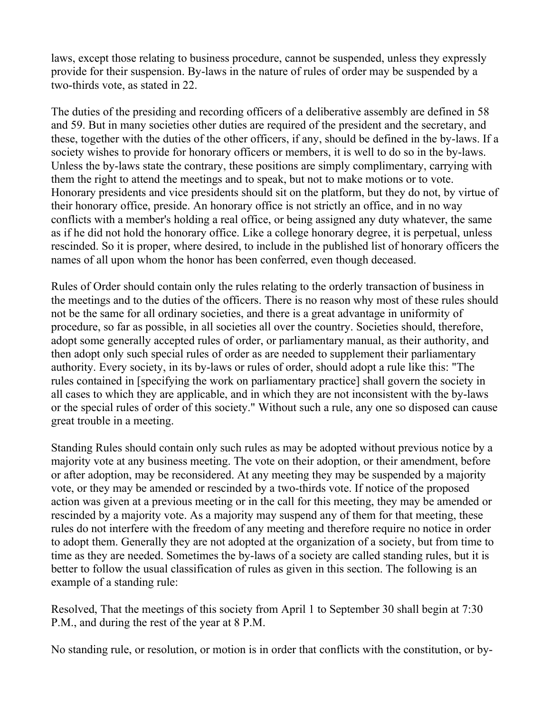laws, except those relating to business procedure, cannot be suspended, unless they expressly provide for their suspension. By-laws in the nature of rules of order may be suspended by a two-thirds vote, as stated in 22.

The duties of the presiding and recording officers of a deliberative assembly are defined in 58 and 59. But in many societies other duties are required of the president and the secretary, and these, together with the duties of the other officers, if any, should be defined in the by-laws. If a society wishes to provide for honorary officers or members, it is well to do so in the by-laws. Unless the by-laws state the contrary, these positions are simply complimentary, carrying with them the right to attend the meetings and to speak, but not to make motions or to vote. Honorary presidents and vice presidents should sit on the platform, but they do not, by virtue of their honorary office, preside. An honorary office is not strictly an office, and in no way conflicts with a member's holding a real office, or being assigned any duty whatever, the same as if he did not hold the honorary office. Like a college honorary degree, it is perpetual, unless rescinded. So it is proper, where desired, to include in the published list of honorary officers the names of all upon whom the honor has been conferred, even though deceased.

Rules of Order should contain only the rules relating to the orderly transaction of business in the meetings and to the duties of the officers. There is no reason why most of these rules should not be the same for all ordinary societies, and there is a great advantage in uniformity of procedure, so far as possible, in all societies all over the country. Societies should, therefore, adopt some generally accepted rules of order, or parliamentary manual, as their authority, and then adopt only such special rules of order as are needed to supplement their parliamentary authority. Every society, in its by-laws or rules of order, should adopt a rule like this: "The rules contained in [specifying the work on parliamentary practice] shall govern the society in all cases to which they are applicable, and in which they are not inconsistent with the by-laws or the special rules of order of this society." Without such a rule, any one so disposed can cause great trouble in a meeting.

Standing Rules should contain only such rules as may be adopted without previous notice by a majority vote at any business meeting. The vote on their adoption, or their amendment, before or after adoption, may be reconsidered. At any meeting they may be suspended by a majority vote, or they may be amended or rescinded by a two-thirds vote. If notice of the proposed action was given at a previous meeting or in the call for this meeting, they may be amended or rescinded by a majority vote. As a majority may suspend any of them for that meeting, these rules do not interfere with the freedom of any meeting and therefore require no notice in order to adopt them. Generally they are not adopted at the organization of a society, but from time to time as they are needed. Sometimes the by-laws of a society are called standing rules, but it is better to follow the usual classification of rules as given in this section. The following is an example of a standing rule:

Resolved, That the meetings of this society from April 1 to September 30 shall begin at 7:30 P.M., and during the rest of the year at 8 P.M.

No standing rule, or resolution, or motion is in order that conflicts with the constitution, or by-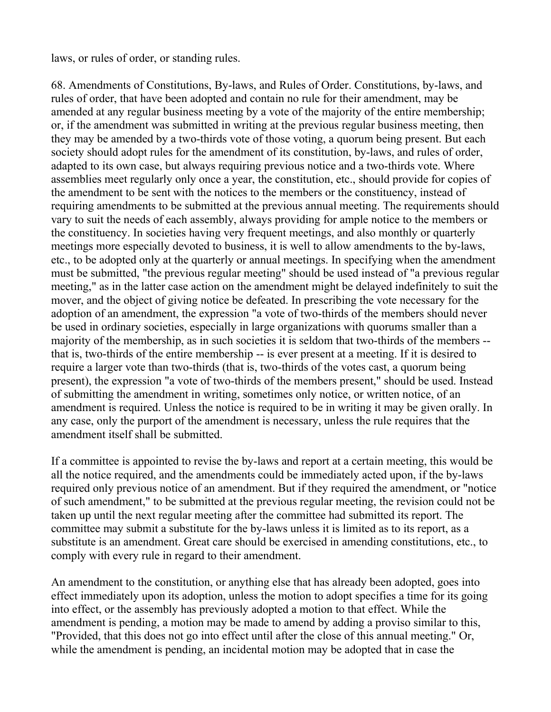laws, or rules of order, or standing rules.

68. Amendments of Constitutions, By-laws, and Rules of Order. Constitutions, by-laws, and rules of order, that have been adopted and contain no rule for their amendment, may be amended at any regular business meeting by a vote of the majority of the entire membership; or, if the amendment was submitted in writing at the previous regular business meeting, then they may be amended by a two-thirds vote of those voting, a quorum being present. But each society should adopt rules for the amendment of its constitution, by-laws, and rules of order, adapted to its own case, but always requiring previous notice and a two-thirds vote. Where assemblies meet regularly only once a year, the constitution, etc., should provide for copies of the amendment to be sent with the notices to the members or the constituency, instead of requiring amendments to be submitted at the previous annual meeting. The requirements should vary to suit the needs of each assembly, always providing for ample notice to the members or the constituency. In societies having very frequent meetings, and also monthly or quarterly meetings more especially devoted to business, it is well to allow amendments to the by-laws, etc., to be adopted only at the quarterly or annual meetings. In specifying when the amendment must be submitted, "the previous regular meeting" should be used instead of "a previous regular meeting," as in the latter case action on the amendment might be delayed indefinitely to suit the mover, and the object of giving notice be defeated. In prescribing the vote necessary for the adoption of an amendment, the expression "a vote of two-thirds of the members should never be used in ordinary societies, especially in large organizations with quorums smaller than a majority of the membership, as in such societies it is seldom that two-thirds of the members - that is, two-thirds of the entire membership -- is ever present at a meeting. If it is desired to require a larger vote than two-thirds (that is, two-thirds of the votes cast, a quorum being present), the expression "a vote of two-thirds of the members present," should be used. Instead of submitting the amendment in writing, sometimes only notice, or written notice, of an amendment is required. Unless the notice is required to be in writing it may be given orally. In any case, only the purport of the amendment is necessary, unless the rule requires that the amendment itself shall be submitted.

If a committee is appointed to revise the by-laws and report at a certain meeting, this would be all the notice required, and the amendments could be immediately acted upon, if the by-laws required only previous notice of an amendment. But if they required the amendment, or "notice of such amendment," to be submitted at the previous regular meeting, the revision could not be taken up until the next regular meeting after the committee had submitted its report. The committee may submit a substitute for the by-laws unless it is limited as to its report, as a substitute is an amendment. Great care should be exercised in amending constitutions, etc., to comply with every rule in regard to their amendment.

An amendment to the constitution, or anything else that has already been adopted, goes into effect immediately upon its adoption, unless the motion to adopt specifies a time for its going into effect, or the assembly has previously adopted a motion to that effect. While the amendment is pending, a motion may be made to amend by adding a proviso similar to this, "Provided, that this does not go into effect until after the close of this annual meeting." Or, while the amendment is pending, an incidental motion may be adopted that in case the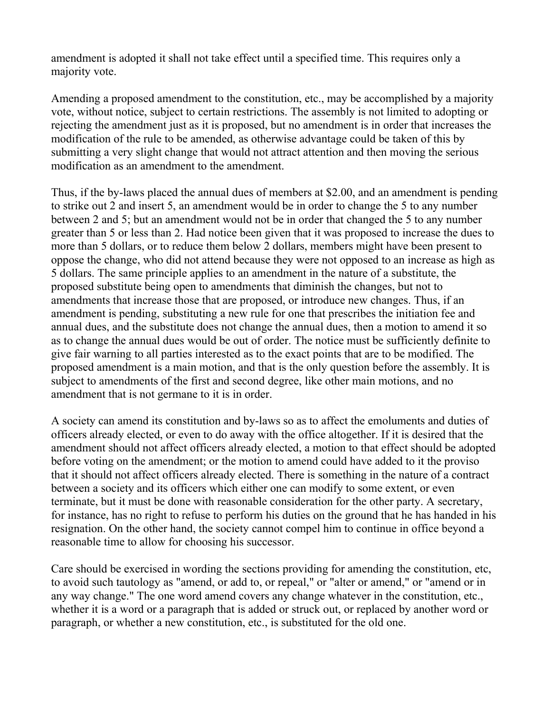amendment is adopted it shall not take effect until a specified time. This requires only a majority vote.

Amending a proposed amendment to the constitution, etc., may be accomplished by a majority vote, without notice, subject to certain restrictions. The assembly is not limited to adopting or rejecting the amendment just as it is proposed, but no amendment is in order that increases the modification of the rule to be amended, as otherwise advantage could be taken of this by submitting a very slight change that would not attract attention and then moving the serious modification as an amendment to the amendment.

Thus, if the by-laws placed the annual dues of members at \$2.00, and an amendment is pending to strike out 2 and insert 5, an amendment would be in order to change the 5 to any number between 2 and 5; but an amendment would not be in order that changed the 5 to any number greater than 5 or less than 2. Had notice been given that it was proposed to increase the dues to more than 5 dollars, or to reduce them below 2 dollars, members might have been present to oppose the change, who did not attend because they were not opposed to an increase as high as 5 dollars. The same principle applies to an amendment in the nature of a substitute, the proposed substitute being open to amendments that diminish the changes, but not to amendments that increase those that are proposed, or introduce new changes. Thus, if an amendment is pending, substituting a new rule for one that prescribes the initiation fee and annual dues, and the substitute does not change the annual dues, then a motion to amend it so as to change the annual dues would be out of order. The notice must be sufficiently definite to give fair warning to all parties interested as to the exact points that are to be modified. The proposed amendment is a main motion, and that is the only question before the assembly. It is subject to amendments of the first and second degree, like other main motions, and no amendment that is not germane to it is in order.

A society can amend its constitution and by-laws so as to affect the emoluments and duties of officers already elected, or even to do away with the office altogether. If it is desired that the amendment should not affect officers already elected, a motion to that effect should be adopted before voting on the amendment; or the motion to amend could have added to it the proviso that it should not affect officers already elected. There is something in the nature of a contract between a society and its officers which either one can modify to some extent, or even terminate, but it must be done with reasonable consideration for the other party. A secretary, for instance, has no right to refuse to perform his duties on the ground that he has handed in his resignation. On the other hand, the society cannot compel him to continue in office beyond a reasonable time to allow for choosing his successor.

Care should be exercised in wording the sections providing for amending the constitution, etc, to avoid such tautology as "amend, or add to, or repeal," or "alter or amend," or "amend or in any way change." The one word amend covers any change whatever in the constitution, etc., whether it is a word or a paragraph that is added or struck out, or replaced by another word or paragraph, or whether a new constitution, etc., is substituted for the old one.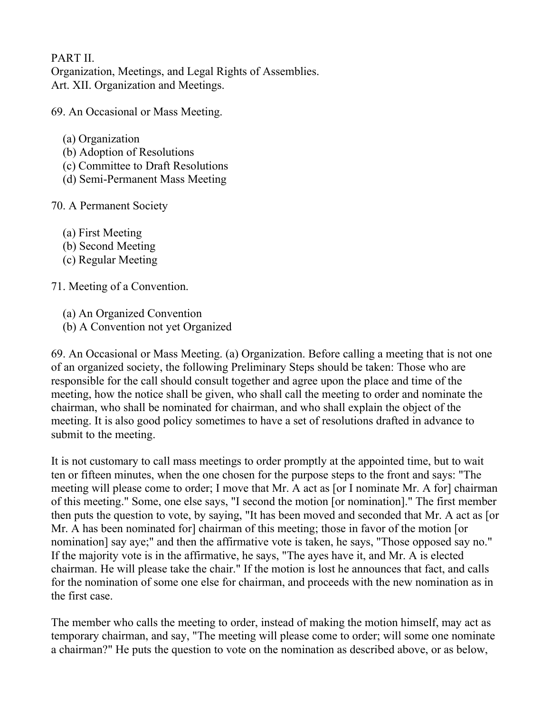## PART II.

Organization, Meetings, and Legal Rights of Assemblies. Art. XII. Organization and Meetings.

69. An Occasional or Mass Meeting.

- (a) Organization
- (b) Adoption of Resolutions
- (c) Committee to Draft Resolutions
- (d) Semi-Permanent Mass Meeting
- 70. A Permanent Society
	- (a) First Meeting
	- (b) Second Meeting
	- (c) Regular Meeting

71. Meeting of a Convention.

- (a) An Organized Convention
- (b) A Convention not yet Organized

69. An Occasional or Mass Meeting. (a) Organization. Before calling a meeting that is not one of an organized society, the following Preliminary Steps should be taken: Those who are responsible for the call should consult together and agree upon the place and time of the meeting, how the notice shall be given, who shall call the meeting to order and nominate the chairman, who shall be nominated for chairman, and who shall explain the object of the meeting. It is also good policy sometimes to have a set of resolutions drafted in advance to submit to the meeting.

It is not customary to call mass meetings to order promptly at the appointed time, but to wait ten or fifteen minutes, when the one chosen for the purpose steps to the front and says: "The meeting will please come to order; I move that Mr. A act as [or I nominate Mr. A for] chairman of this meeting." Some, one else says, "I second the motion [or nomination]." The first member then puts the question to vote, by saying, "It has been moved and seconded that Mr. A act as [or Mr. A has been nominated for] chairman of this meeting; those in favor of the motion [or nomination] say aye;" and then the affirmative vote is taken, he says, "Those opposed say no." If the majority vote is in the affirmative, he says, "The ayes have it, and Mr. A is elected chairman. He will please take the chair." If the motion is lost he announces that fact, and calls for the nomination of some one else for chairman, and proceeds with the new nomination as in the first case.

The member who calls the meeting to order, instead of making the motion himself, may act as temporary chairman, and say, "The meeting will please come to order; will some one nominate a chairman?" He puts the question to vote on the nomination as described above, or as below,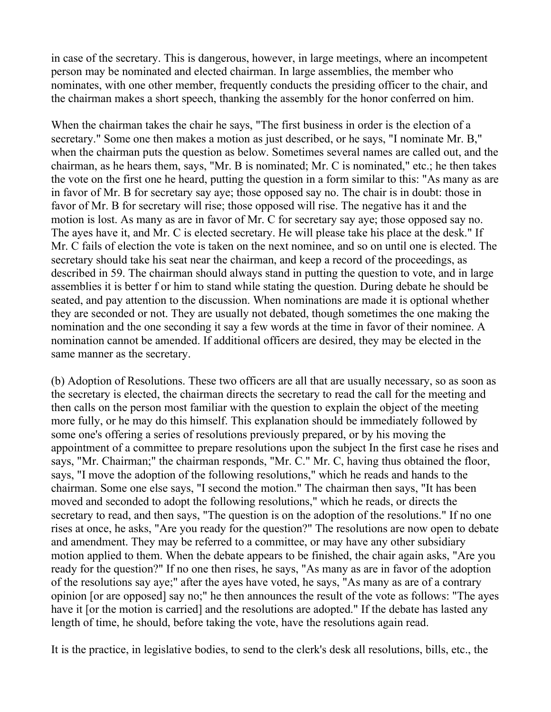in case of the secretary. This is dangerous, however, in large meetings, where an incompetent person may be nominated and elected chairman. In large assemblies, the member who nominates, with one other member, frequently conducts the presiding officer to the chair, and the chairman makes a short speech, thanking the assembly for the honor conferred on him.

When the chairman takes the chair he says, "The first business in order is the election of a secretary." Some one then makes a motion as just described, or he says, "I nominate Mr. B," when the chairman puts the question as below. Sometimes several names are called out, and the chairman, as he hears them, says, "Mr. B is nominated; Mr. C is nominated," etc.; he then takes the vote on the first one he heard, putting the question in a form similar to this: "As many as are in favor of Mr. B for secretary say aye; those opposed say no. The chair is in doubt: those in favor of Mr. B for secretary will rise; those opposed will rise. The negative has it and the motion is lost. As many as are in favor of Mr. C for secretary say aye; those opposed say no. The ayes have it, and Mr. C is elected secretary. He will please take his place at the desk." If Mr. C fails of election the vote is taken on the next nominee, and so on until one is elected. The secretary should take his seat near the chairman, and keep a record of the proceedings, as described in 59. The chairman should always stand in putting the question to vote, and in large assemblies it is better f or him to stand while stating the question. During debate he should be seated, and pay attention to the discussion. When nominations are made it is optional whether they are seconded or not. They are usually not debated, though sometimes the one making the nomination and the one seconding it say a few words at the time in favor of their nominee. A nomination cannot be amended. If additional officers are desired, they may be elected in the same manner as the secretary.

(b) Adoption of Resolutions. These two officers are all that are usually necessary, so as soon as the secretary is elected, the chairman directs the secretary to read the call for the meeting and then calls on the person most familiar with the question to explain the object of the meeting more fully, or he may do this himself. This explanation should be immediately followed by some one's offering a series of resolutions previously prepared, or by his moving the appointment of a committee to prepare resolutions upon the subject In the first case he rises and says, "Mr. Chairman;" the chairman responds, "Mr. C." Mr. C, having thus obtained the floor, says, "I move the adoption of the following resolutions," which he reads and hands to the chairman. Some one else says, "I second the motion." The chairman then says, "It has been moved and seconded to adopt the following resolutions," which he reads, or directs the secretary to read, and then says, "The question is on the adoption of the resolutions." If no one rises at once, he asks, "Are you ready for the question?" The resolutions are now open to debate and amendment. They may be referred to a committee, or may have any other subsidiary motion applied to them. When the debate appears to be finished, the chair again asks, "Are you ready for the question?" If no one then rises, he says, "As many as are in favor of the adoption of the resolutions say aye;" after the ayes have voted, he says, "As many as are of a contrary opinion [or are opposed] say no;" he then announces the result of the vote as follows: "The ayes have it [or the motion is carried] and the resolutions are adopted." If the debate has lasted any length of time, he should, before taking the vote, have the resolutions again read.

It is the practice, in legislative bodies, to send to the clerk's desk all resolutions, bills, etc., the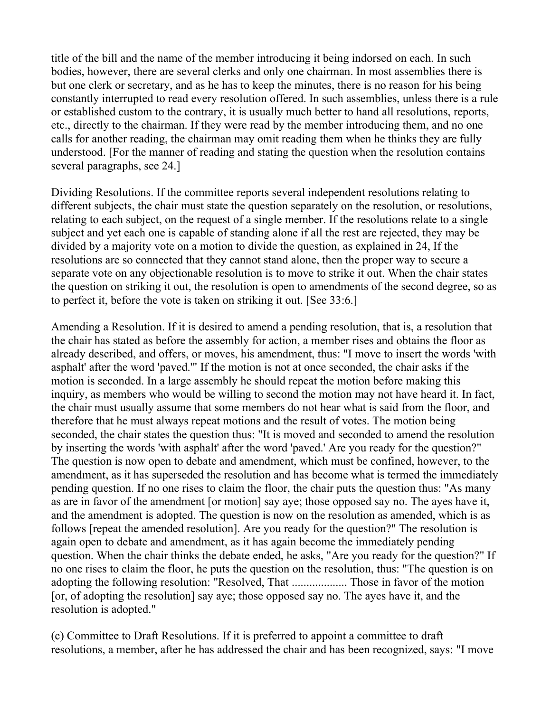title of the bill and the name of the member introducing it being indorsed on each. In such bodies, however, there are several clerks and only one chairman. In most assemblies there is but one clerk or secretary, and as he has to keep the minutes, there is no reason for his being constantly interrupted to read every resolution offered. In such assemblies, unless there is a rule or established custom to the contrary, it is usually much better to hand all resolutions, reports, etc., directly to the chairman. If they were read by the member introducing them, and no one calls for another reading, the chairman may omit reading them when he thinks they are fully understood. [For the manner of reading and stating the question when the resolution contains several paragraphs, see 24.]

Dividing Resolutions. If the committee reports several independent resolutions relating to different subjects, the chair must state the question separately on the resolution, or resolutions, relating to each subject, on the request of a single member. If the resolutions relate to a single subject and yet each one is capable of standing alone if all the rest are rejected, they may be divided by a majority vote on a motion to divide the question, as explained in 24, If the resolutions are so connected that they cannot stand alone, then the proper way to secure a separate vote on any objectionable resolution is to move to strike it out. When the chair states the question on striking it out, the resolution is open to amendments of the second degree, so as to perfect it, before the vote is taken on striking it out. [See 33:6.]

Amending a Resolution. If it is desired to amend a pending resolution, that is, a resolution that the chair has stated as before the assembly for action, a member rises and obtains the floor as already described, and offers, or moves, his amendment, thus: "I move to insert the words 'with asphalt' after the word 'paved.'" If the motion is not at once seconded, the chair asks if the motion is seconded. In a large assembly he should repeat the motion before making this inquiry, as members who would be willing to second the motion may not have heard it. In fact, the chair must usually assume that some members do not hear what is said from the floor, and therefore that he must always repeat motions and the result of votes. The motion being seconded, the chair states the question thus: "It is moved and seconded to amend the resolution by inserting the words 'with asphalt' after the word 'paved.' Are you ready for the question?" The question is now open to debate and amendment, which must be confined, however, to the amendment, as it has superseded the resolution and has become what is termed the immediately pending question. If no one rises to claim the floor, the chair puts the question thus: "As many as are in favor of the amendment [or motion] say aye; those opposed say no. The ayes have it, and the amendment is adopted. The question is now on the resolution as amended, which is as follows [repeat the amended resolution]. Are you ready for the question?" The resolution is again open to debate and amendment, as it has again become the immediately pending question. When the chair thinks the debate ended, he asks, "Are you ready for the question?" If no one rises to claim the floor, he puts the question on the resolution, thus: "The question is on adopting the following resolution: "Resolved, That ................... Those in favor of the motion [or, of adopting the resolution] say aye; those opposed say no. The ayes have it, and the resolution is adopted."

(c) Committee to Draft Resolutions. If it is preferred to appoint a committee to draft resolutions, a member, after he has addressed the chair and has been recognized, says: "I move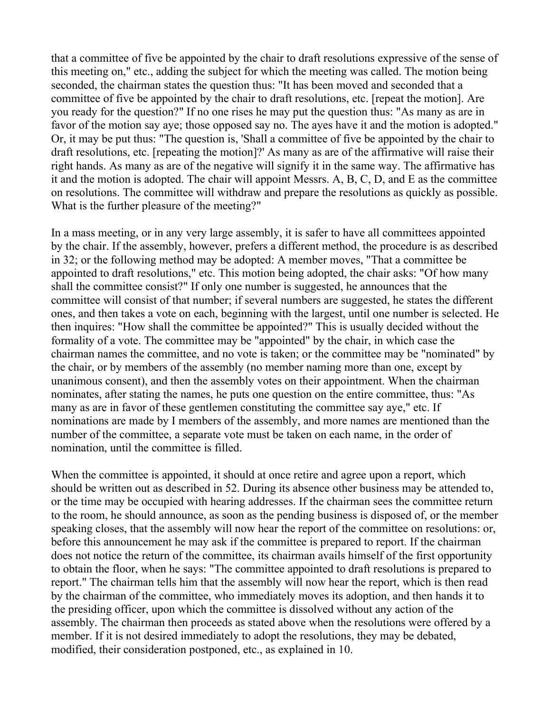that a committee of five be appointed by the chair to draft resolutions expressive of the sense of this meeting on," etc., adding the subject for which the meeting was called. The motion being seconded, the chairman states the question thus: "It has been moved and seconded that a committee of five be appointed by the chair to draft resolutions, etc. [repeat the motion]. Are you ready for the question?" If no one rises he may put the question thus: "As many as are in favor of the motion say aye; those opposed say no. The ayes have it and the motion is adopted." Or, it may be put thus: "The question is, 'Shall a committee of five be appointed by the chair to draft resolutions, etc. [repeating the motion]?' As many as are of the affirmative will raise their right hands. As many as are of the negative will signify it in the same way. The affirmative has it and the motion is adopted. The chair will appoint Messrs. A, B, C, D, and E as the committee on resolutions. The committee will withdraw and prepare the resolutions as quickly as possible. What is the further pleasure of the meeting?"

In a mass meeting, or in any very large assembly, it is safer to have all committees appointed by the chair. If the assembly, however, prefers a different method, the procedure is as described in 32; or the following method may be adopted: A member moves, "That a committee be appointed to draft resolutions," etc. This motion being adopted, the chair asks: "Of how many shall the committee consist?" If only one number is suggested, he announces that the committee will consist of that number; if several numbers are suggested, he states the different ones, and then takes a vote on each, beginning with the largest, until one number is selected. He then inquires: "How shall the committee be appointed?" This is usually decided without the formality of a vote. The committee may be "appointed" by the chair, in which case the chairman names the committee, and no vote is taken; or the committee may be "nominated" by the chair, or by members of the assembly (no member naming more than one, except by unanimous consent), and then the assembly votes on their appointment. When the chairman nominates, after stating the names, he puts one question on the entire committee, thus: "As many as are in favor of these gentlemen constituting the committee say aye," etc. If nominations are made by I members of the assembly, and more names are mentioned than the number of the committee, a separate vote must be taken on each name, in the order of nomination, until the committee is filled.

When the committee is appointed, it should at once retire and agree upon a report, which should be written out as described in 52. During its absence other business may be attended to, or the time may be occupied with hearing addresses. If the chairman sees the committee return to the room, he should announce, as soon as the pending business is disposed of, or the member speaking closes, that the assembly will now hear the report of the committee on resolutions: or, before this announcement he may ask if the committee is prepared to report. If the chairman does not notice the return of the committee, its chairman avails himself of the first opportunity to obtain the floor, when he says: "The committee appointed to draft resolutions is prepared to report." The chairman tells him that the assembly will now hear the report, which is then read by the chairman of the committee, who immediately moves its adoption, and then hands it to the presiding officer, upon which the committee is dissolved without any action of the assembly. The chairman then proceeds as stated above when the resolutions were offered by a member. If it is not desired immediately to adopt the resolutions, they may be debated, modified, their consideration postponed, etc., as explained in 10.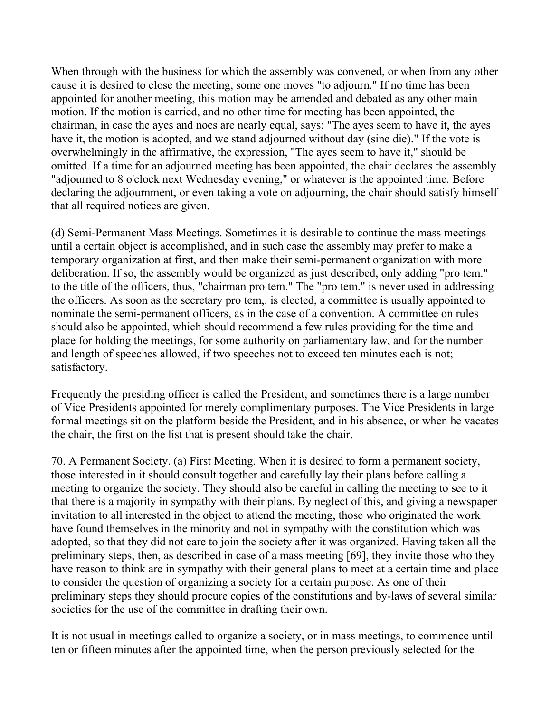When through with the business for which the assembly was convened, or when from any other cause it is desired to close the meeting, some one moves "to adjourn." If no time has been appointed for another meeting, this motion may be amended and debated as any other main motion. If the motion is carried, and no other time for meeting has been appointed, the chairman, in case the ayes and noes are nearly equal, says: "The ayes seem to have it, the ayes have it, the motion is adopted, and we stand adjourned without day (sine die)." If the vote is overwhelmingly in the affirmative, the expression, "The ayes seem to have it," should be omitted. If a time for an adjourned meeting has been appointed, the chair declares the assembly "adjourned to 8 o'clock next Wednesday evening," or whatever is the appointed time. Before declaring the adjournment, or even taking a vote on adjourning, the chair should satisfy himself that all required notices are given.

(d) Semi-Permanent Mass Meetings. Sometimes it is desirable to continue the mass meetings until a certain object is accomplished, and in such case the assembly may prefer to make a temporary organization at first, and then make their semi-permanent organization with more deliberation. If so, the assembly would be organized as just described, only adding "pro tem." to the title of the officers, thus, "chairman pro tem." The "pro tem." is never used in addressing the officers. As soon as the secretary pro tem,. is elected, a committee is usually appointed to nominate the semi-permanent officers, as in the case of a convention. A committee on rules should also be appointed, which should recommend a few rules providing for the time and place for holding the meetings, for some authority on parliamentary law, and for the number and length of speeches allowed, if two speeches not to exceed ten minutes each is not; satisfactory.

Frequently the presiding officer is called the President, and sometimes there is a large number of Vice Presidents appointed for merely complimentary purposes. The Vice Presidents in large formal meetings sit on the platform beside the President, and in his absence, or when he vacates the chair, the first on the list that is present should take the chair.

70. A Permanent Society. (a) First Meeting. When it is desired to form a permanent society, those interested in it should consult together and carefully lay their plans before calling a meeting to organize the society. They should also be careful in calling the meeting to see to it that there is a majority in sympathy with their plans. By neglect of this, and giving a newspaper invitation to all interested in the object to attend the meeting, those who originated the work have found themselves in the minority and not in sympathy with the constitution which was adopted, so that they did not care to join the society after it was organized. Having taken all the preliminary steps, then, as described in case of a mass meeting [69], they invite those who they have reason to think are in sympathy with their general plans to meet at a certain time and place to consider the question of organizing a society for a certain purpose. As one of their preliminary steps they should procure copies of the constitutions and by-laws of several similar societies for the use of the committee in drafting their own.

It is not usual in meetings called to organize a society, or in mass meetings, to commence until ten or fifteen minutes after the appointed time, when the person previously selected for the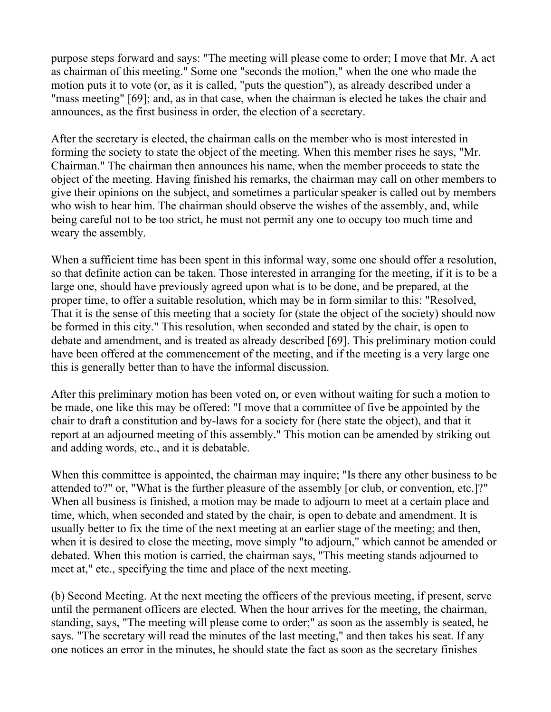purpose steps forward and says: "The meeting will please come to order; I move that Mr. A act as chairman of this meeting." Some one "seconds the motion," when the one who made the motion puts it to vote (or, as it is called, "puts the question"), as already described under a "mass meeting" [69]; and, as in that case, when the chairman is elected he takes the chair and announces, as the first business in order, the election of a secretary.

After the secretary is elected, the chairman calls on the member who is most interested in forming the society to state the object of the meeting. When this member rises he says, "Mr. Chairman." The chairman then announces his name, when the member proceeds to state the object of the meeting. Having finished his remarks, the chairman may call on other members to give their opinions on the subject, and sometimes a particular speaker is called out by members who wish to hear him. The chairman should observe the wishes of the assembly, and, while being careful not to be too strict, he must not permit any one to occupy too much time and weary the assembly.

When a sufficient time has been spent in this informal way, some one should offer a resolution, so that definite action can be taken. Those interested in arranging for the meeting, if it is to be a large one, should have previously agreed upon what is to be done, and be prepared, at the proper time, to offer a suitable resolution, which may be in form similar to this: "Resolved, That it is the sense of this meeting that a society for (state the object of the society) should now be formed in this city." This resolution, when seconded and stated by the chair, is open to debate and amendment, and is treated as already described [69]. This preliminary motion could have been offered at the commencement of the meeting, and if the meeting is a very large one this is generally better than to have the informal discussion.

After this preliminary motion has been voted on, or even without waiting for such a motion to be made, one like this may be offered: "I move that a committee of five be appointed by the chair to draft a constitution and by-laws for a society for (here state the object), and that it report at an adjourned meeting of this assembly." This motion can be amended by striking out and adding words, etc., and it is debatable.

When this committee is appointed, the chairman may inquire; "Is there any other business to be attended to?" or, "What is the further pleasure of the assembly [or club, or convention, etc.]?" When all business is finished, a motion may be made to adjourn to meet at a certain place and time, which, when seconded and stated by the chair, is open to debate and amendment. It is usually better to fix the time of the next meeting at an earlier stage of the meeting; and then, when it is desired to close the meeting, move simply "to adjourn," which cannot be amended or debated. When this motion is carried, the chairman says, "This meeting stands adjourned to meet at," etc., specifying the time and place of the next meeting.

(b) Second Meeting. At the next meeting the officers of the previous meeting, if present, serve until the permanent officers are elected. When the hour arrives for the meeting, the chairman, standing, says, "The meeting will please come to order;" as soon as the assembly is seated, he says. "The secretary will read the minutes of the last meeting," and then takes his seat. If any one notices an error in the minutes, he should state the fact as soon as the secretary finishes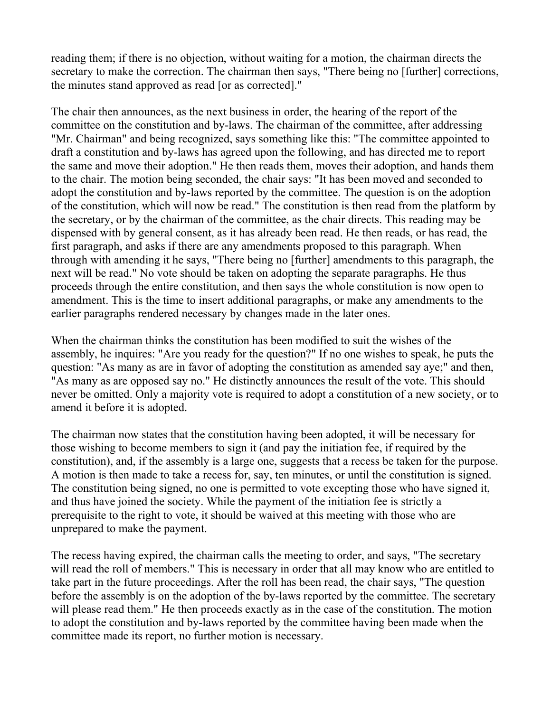reading them; if there is no objection, without waiting for a motion, the chairman directs the secretary to make the correction. The chairman then says, "There being no [further] corrections, the minutes stand approved as read [or as corrected]."

The chair then announces, as the next business in order, the hearing of the report of the committee on the constitution and by-laws. The chairman of the committee, after addressing "Mr. Chairman" and being recognized, says something like this: "The committee appointed to draft a constitution and by-laws has agreed upon the following, and has directed me to report the same and move their adoption." He then reads them, moves their adoption, and hands them to the chair. The motion being seconded, the chair says: "It has been moved and seconded to adopt the constitution and by-laws reported by the committee. The question is on the adoption of the constitution, which will now be read." The constitution is then read from the platform by the secretary, or by the chairman of the committee, as the chair directs. This reading may be dispensed with by general consent, as it has already been read. He then reads, or has read, the first paragraph, and asks if there are any amendments proposed to this paragraph. When through with amending it he says, "There being no [further] amendments to this paragraph, the next will be read." No vote should be taken on adopting the separate paragraphs. He thus proceeds through the entire constitution, and then says the whole constitution is now open to amendment. This is the time to insert additional paragraphs, or make any amendments to the earlier paragraphs rendered necessary by changes made in the later ones.

When the chairman thinks the constitution has been modified to suit the wishes of the assembly, he inquires: "Are you ready for the question?" If no one wishes to speak, he puts the question: "As many as are in favor of adopting the constitution as amended say aye;" and then, "As many as are opposed say no." He distinctly announces the result of the vote. This should never be omitted. Only a majority vote is required to adopt a constitution of a new society, or to amend it before it is adopted.

The chairman now states that the constitution having been adopted, it will be necessary for those wishing to become members to sign it (and pay the initiation fee, if required by the constitution), and, if the assembly is a large one, suggests that a recess be taken for the purpose. A motion is then made to take a recess for, say, ten minutes, or until the constitution is signed. The constitution being signed, no one is permitted to vote excepting those who have signed it, and thus have joined the society. While the payment of the initiation fee is strictly a prerequisite to the right to vote, it should be waived at this meeting with those who are unprepared to make the payment.

The recess having expired, the chairman calls the meeting to order, and says, "The secretary will read the roll of members." This is necessary in order that all may know who are entitled to take part in the future proceedings. After the roll has been read, the chair says, "The question before the assembly is on the adoption of the by-laws reported by the committee. The secretary will please read them." He then proceeds exactly as in the case of the constitution. The motion to adopt the constitution and by-laws reported by the committee having been made when the committee made its report, no further motion is necessary.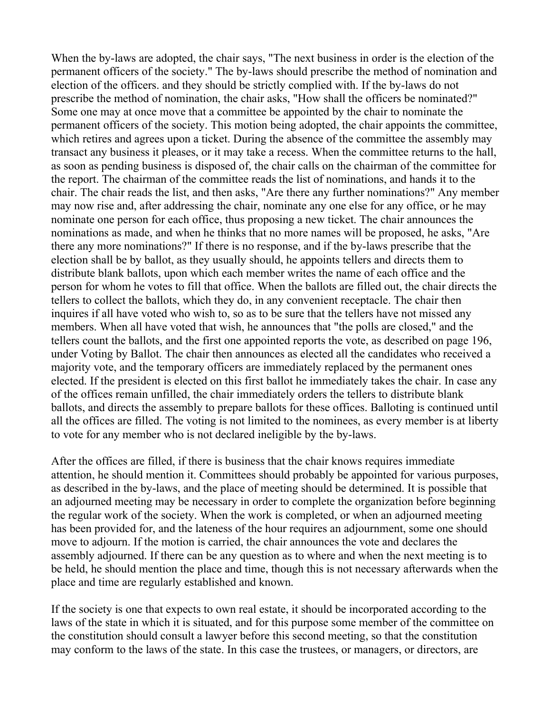When the by-laws are adopted, the chair says, "The next business in order is the election of the permanent officers of the society." The by-laws should prescribe the method of nomination and election of the officers. and they should be strictly complied with. If the by-laws do not prescribe the method of nomination, the chair asks, "How shall the officers be nominated?" Some one may at once move that a committee be appointed by the chair to nominate the permanent officers of the society. This motion being adopted, the chair appoints the committee, which retires and agrees upon a ticket. During the absence of the committee the assembly may transact any business it pleases, or it may take a recess. When the committee returns to the hall, as soon as pending business is disposed of, the chair calls on the chairman of the committee for the report. The chairman of the committee reads the list of nominations, and hands it to the chair. The chair reads the list, and then asks, "Are there any further nominations?" Any member may now rise and, after addressing the chair, nominate any one else for any office, or he may nominate one person for each office, thus proposing a new ticket. The chair announces the nominations as made, and when he thinks that no more names will be proposed, he asks, "Are there any more nominations?" If there is no response, and if the by-laws prescribe that the election shall be by ballot, as they usually should, he appoints tellers and directs them to distribute blank ballots, upon which each member writes the name of each office and the person for whom he votes to fill that office. When the ballots are filled out, the chair directs the tellers to collect the ballots, which they do, in any convenient receptacle. The chair then inquires if all have voted who wish to, so as to be sure that the tellers have not missed any members. When all have voted that wish, he announces that "the polls are closed," and the tellers count the ballots, and the first one appointed reports the vote, as described on page 196, under Voting by Ballot. The chair then announces as elected all the candidates who received a majority vote, and the temporary officers are immediately replaced by the permanent ones elected. If the president is elected on this first ballot he immediately takes the chair. In case any of the offices remain unfilled, the chair immediately orders the tellers to distribute blank ballots, and directs the assembly to prepare ballots for these offices. Balloting is continued until all the offices are filled. The voting is not limited to the nominees, as every member is at liberty to vote for any member who is not declared ineligible by the by-laws.

After the offices are filled, if there is business that the chair knows requires immediate attention, he should mention it. Committees should probably be appointed for various purposes, as described in the by-laws, and the place of meeting should be determined. It is possible that an adjourned meeting may be necessary in order to complete the organization before beginning the regular work of the society. When the work is completed, or when an adjourned meeting has been provided for, and the lateness of the hour requires an adjournment, some one should move to adjourn. If the motion is carried, the chair announces the vote and declares the assembly adjourned. If there can be any question as to where and when the next meeting is to be held, he should mention the place and time, though this is not necessary afterwards when the place and time are regularly established and known.

If the society is one that expects to own real estate, it should be incorporated according to the laws of the state in which it is situated, and for this purpose some member of the committee on the constitution should consult a lawyer before this second meeting, so that the constitution may conform to the laws of the state. In this case the trustees, or managers, or directors, are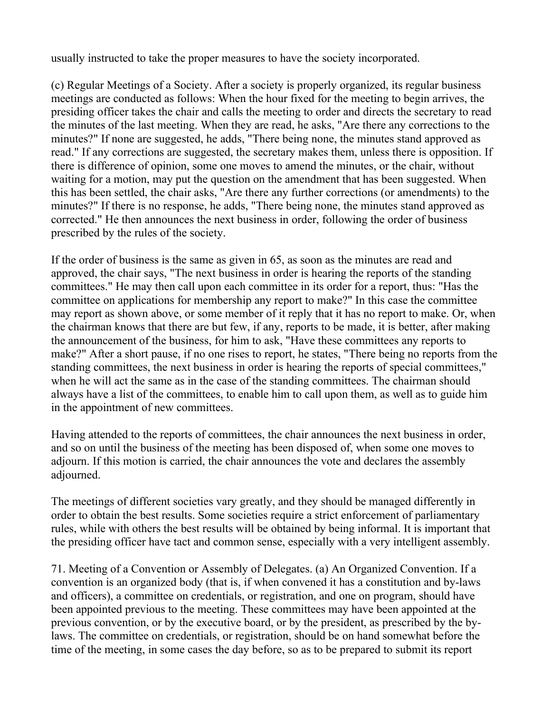usually instructed to take the proper measures to have the society incorporated.

(c) Regular Meetings of a Society. After a society is properly organized, its regular business meetings are conducted as follows: When the hour fixed for the meeting to begin arrives, the presiding officer takes the chair and calls the meeting to order and directs the secretary to read the minutes of the last meeting. When they are read, he asks, "Are there any corrections to the minutes?" If none are suggested, he adds, "There being none, the minutes stand approved as read." If any corrections are suggested, the secretary makes them, unless there is opposition. If there is difference of opinion, some one moves to amend the minutes, or the chair, without waiting for a motion, may put the question on the amendment that has been suggested. When this has been settled, the chair asks, "Are there any further corrections (or amendments) to the minutes?" If there is no response, he adds, "There being none, the minutes stand approved as corrected." He then announces the next business in order, following the order of business prescribed by the rules of the society.

If the order of business is the same as given in 65, as soon as the minutes are read and approved, the chair says, "The next business in order is hearing the reports of the standing committees." He may then call upon each committee in its order for a report, thus: "Has the committee on applications for membership any report to make?" In this case the committee may report as shown above, or some member of it reply that it has no report to make. Or, when the chairman knows that there are but few, if any, reports to be made, it is better, after making the announcement of the business, for him to ask, "Have these committees any reports to make?" After a short pause, if no one rises to report, he states, "There being no reports from the standing committees, the next business in order is hearing the reports of special committees," when he will act the same as in the case of the standing committees. The chairman should always have a list of the committees, to enable him to call upon them, as well as to guide him in the appointment of new committees.

Having attended to the reports of committees, the chair announces the next business in order, and so on until the business of the meeting has been disposed of, when some one moves to adjourn. If this motion is carried, the chair announces the vote and declares the assembly adjourned.

The meetings of different societies vary greatly, and they should be managed differently in order to obtain the best results. Some societies require a strict enforcement of parliamentary rules, while with others the best results will be obtained by being informal. It is important that the presiding officer have tact and common sense, especially with a very intelligent assembly.

71. Meeting of a Convention or Assembly of Delegates. (a) An Organized Convention. If a convention is an organized body (that is, if when convened it has a constitution and by-laws and officers), a committee on credentials, or registration, and one on program, should have been appointed previous to the meeting. These committees may have been appointed at the previous convention, or by the executive board, or by the president, as prescribed by the bylaws. The committee on credentials, or registration, should be on hand somewhat before the time of the meeting, in some cases the day before, so as to be prepared to submit its report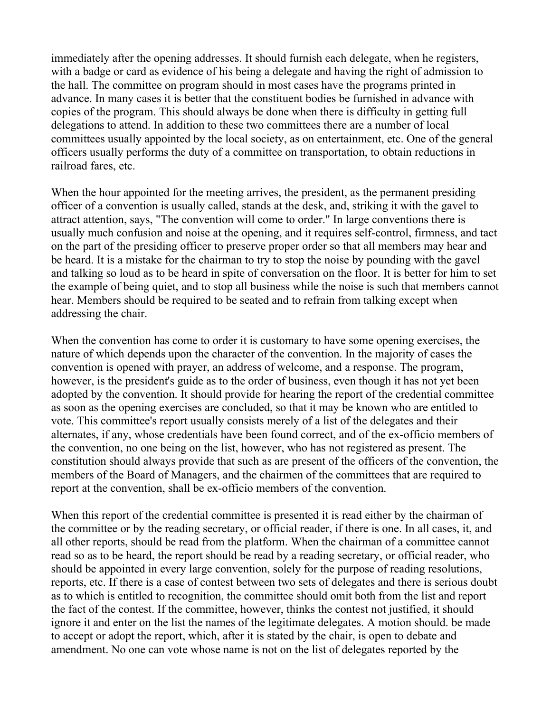immediately after the opening addresses. It should furnish each delegate, when he registers, with a badge or card as evidence of his being a delegate and having the right of admission to the hall. The committee on program should in most cases have the programs printed in advance. In many cases it is better that the constituent bodies be furnished in advance with copies of the program. This should always be done when there is difficulty in getting full delegations to attend. In addition to these two committees there are a number of local committees usually appointed by the local society, as on entertainment, etc. One of the general officers usually performs the duty of a committee on transportation, to obtain reductions in railroad fares, etc.

When the hour appointed for the meeting arrives, the president, as the permanent presiding officer of a convention is usually called, stands at the desk, and, striking it with the gavel to attract attention, says, "The convention will come to order." In large conventions there is usually much confusion and noise at the opening, and it requires self-control, firmness, and tact on the part of the presiding officer to preserve proper order so that all members may hear and be heard. It is a mistake for the chairman to try to stop the noise by pounding with the gavel and talking so loud as to be heard in spite of conversation on the floor. It is better for him to set the example of being quiet, and to stop all business while the noise is such that members cannot hear. Members should be required to be seated and to refrain from talking except when addressing the chair.

When the convention has come to order it is customary to have some opening exercises, the nature of which depends upon the character of the convention. In the majority of cases the convention is opened with prayer, an address of welcome, and a response. The program, however, is the president's guide as to the order of business, even though it has not yet been adopted by the convention. It should provide for hearing the report of the credential committee as soon as the opening exercises are concluded, so that it may be known who are entitled to vote. This committee's report usually consists merely of a list of the delegates and their alternates, if any, whose credentials have been found correct, and of the ex-officio members of the convention, no one being on the list, however, who has not registered as present. The constitution should always provide that such as are present of the officers of the convention, the members of the Board of Managers, and the chairmen of the committees that are required to report at the convention, shall be ex-officio members of the convention.

When this report of the credential committee is presented it is read either by the chairman of the committee or by the reading secretary, or official reader, if there is one. In all cases, it, and all other reports, should be read from the platform. When the chairman of a committee cannot read so as to be heard, the report should be read by a reading secretary, or official reader, who should be appointed in every large convention, solely for the purpose of reading resolutions, reports, etc. If there is a case of contest between two sets of delegates and there is serious doubt as to which is entitled to recognition, the committee should omit both from the list and report the fact of the contest. If the committee, however, thinks the contest not justified, it should ignore it and enter on the list the names of the legitimate delegates. A motion should. be made to accept or adopt the report, which, after it is stated by the chair, is open to debate and amendment. No one can vote whose name is not on the list of delegates reported by the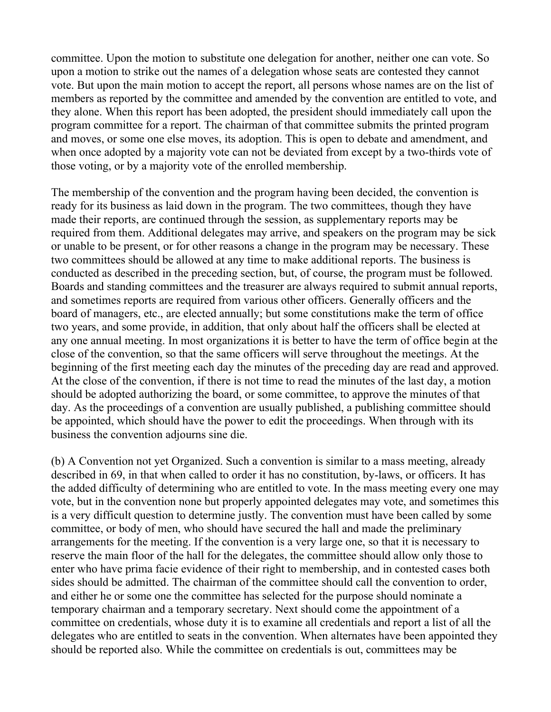committee. Upon the motion to substitute one delegation for another, neither one can vote. So upon a motion to strike out the names of a delegation whose seats are contested they cannot vote. But upon the main motion to accept the report, all persons whose names are on the list of members as reported by the committee and amended by the convention are entitled to vote, and they alone. When this report has been adopted, the president should immediately call upon the program committee for a report. The chairman of that committee submits the printed program and moves, or some one else moves, its adoption. This is open to debate and amendment, and when once adopted by a majority vote can not be deviated from except by a two-thirds vote of those voting, or by a majority vote of the enrolled membership.

The membership of the convention and the program having been decided, the convention is ready for its business as laid down in the program. The two committees, though they have made their reports, are continued through the session, as supplementary reports may be required from them. Additional delegates may arrive, and speakers on the program may be sick or unable to be present, or for other reasons a change in the program may be necessary. These two committees should be allowed at any time to make additional reports. The business is conducted as described in the preceding section, but, of course, the program must be followed. Boards and standing committees and the treasurer are always required to submit annual reports, and sometimes reports are required from various other officers. Generally officers and the board of managers, etc., are elected annually; but some constitutions make the term of office two years, and some provide, in addition, that only about half the officers shall be elected at any one annual meeting. In most organizations it is better to have the term of office begin at the close of the convention, so that the same officers will serve throughout the meetings. At the beginning of the first meeting each day the minutes of the preceding day are read and approved. At the close of the convention, if there is not time to read the minutes of the last day, a motion should be adopted authorizing the board, or some committee, to approve the minutes of that day. As the proceedings of a convention are usually published, a publishing committee should be appointed, which should have the power to edit the proceedings. When through with its business the convention adjourns sine die.

(b) A Convention not yet Organized. Such a convention is similar to a mass meeting, already described in 69, in that when called to order it has no constitution, by-laws, or officers. It has the added difficulty of determining who are entitled to vote. In the mass meeting every one may vote, but in the convention none but properly appointed delegates may vote, and sometimes this is a very difficult question to determine justly. The convention must have been called by some committee, or body of men, who should have secured the hall and made the preliminary arrangements for the meeting. If the convention is a very large one, so that it is necessary to reserve the main floor of the hall for the delegates, the committee should allow only those to enter who have prima facie evidence of their right to membership, and in contested cases both sides should be admitted. The chairman of the committee should call the convention to order, and either he or some one the committee has selected for the purpose should nominate a temporary chairman and a temporary secretary. Next should come the appointment of a committee on credentials, whose duty it is to examine all credentials and report a list of all the delegates who are entitled to seats in the convention. When alternates have been appointed they should be reported also. While the committee on credentials is out, committees may be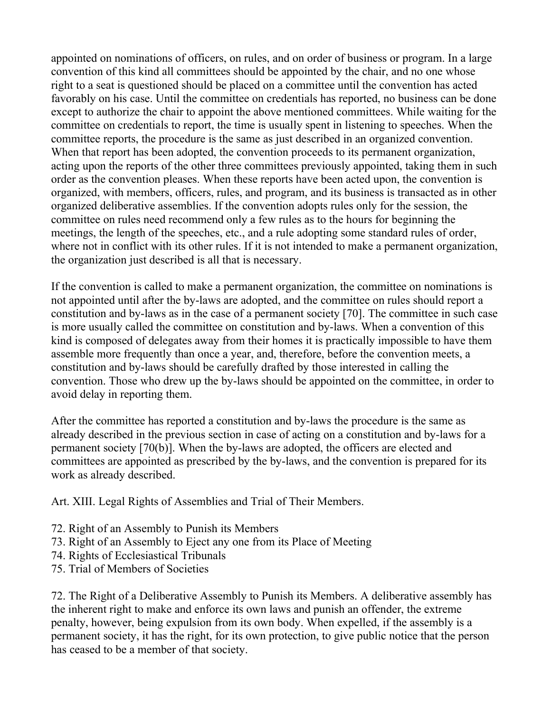appointed on nominations of officers, on rules, and on order of business or program. In a large convention of this kind all committees should be appointed by the chair, and no one whose right to a seat is questioned should be placed on a committee until the convention has acted favorably on his case. Until the committee on credentials has reported, no business can be done except to authorize the chair to appoint the above mentioned committees. While waiting for the committee on credentials to report, the time is usually spent in listening to speeches. When the committee reports, the procedure is the same as just described in an organized convention. When that report has been adopted, the convention proceeds to its permanent organization, acting upon the reports of the other three committees previously appointed, taking them in such order as the convention pleases. When these reports have been acted upon, the convention is organized, with members, officers, rules, and program, and its business is transacted as in other organized deliberative assemblies. If the convention adopts rules only for the session, the committee on rules need recommend only a few rules as to the hours for beginning the meetings, the length of the speeches, etc., and a rule adopting some standard rules of order, where not in conflict with its other rules. If it is not intended to make a permanent organization, the organization just described is all that is necessary.

If the convention is called to make a permanent organization, the committee on nominations is not appointed until after the by-laws are adopted, and the committee on rules should report a constitution and by-laws as in the case of a permanent society [70]. The committee in such case is more usually called the committee on constitution and by-laws. When a convention of this kind is composed of delegates away from their homes it is practically impossible to have them assemble more frequently than once a year, and, therefore, before the convention meets, a constitution and by-laws should be carefully drafted by those interested in calling the convention. Those who drew up the by-laws should be appointed on the committee, in order to avoid delay in reporting them.

After the committee has reported a constitution and by-laws the procedure is the same as already described in the previous section in case of acting on a constitution and by-laws for a permanent society [70(b)]. When the by-laws are adopted, the officers are elected and committees are appointed as prescribed by the by-laws, and the convention is prepared for its work as already described.

Art. XIII. Legal Rights of Assemblies and Trial of Their Members.

- 72. Right of an Assembly to Punish its Members
- 73. Right of an Assembly to Eject any one from its Place of Meeting
- 74. Rights of Ecclesiastical Tribunals
- 75. Trial of Members of Societies

72. The Right of a Deliberative Assembly to Punish its Members. A deliberative assembly has the inherent right to make and enforce its own laws and punish an offender, the extreme penalty, however, being expulsion from its own body. When expelled, if the assembly is a permanent society, it has the right, for its own protection, to give public notice that the person has ceased to be a member of that society.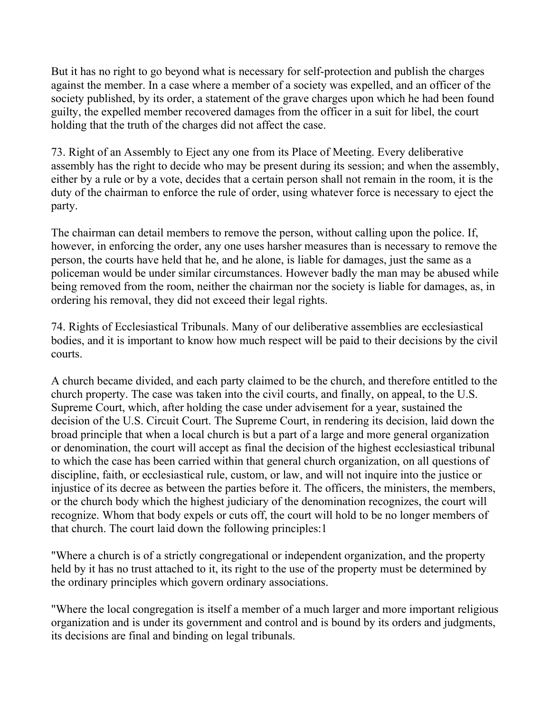But it has no right to go beyond what is necessary for self-protection and publish the charges against the member. In a case where a member of a society was expelled, and an officer of the society published, by its order, a statement of the grave charges upon which he had been found guilty, the expelled member recovered damages from the officer in a suit for libel, the court holding that the truth of the charges did not affect the case.

73. Right of an Assembly to Eject any one from its Place of Meeting. Every deliberative assembly has the right to decide who may be present during its session; and when the assembly, either by a rule or by a vote, decides that a certain person shall not remain in the room, it is the duty of the chairman to enforce the rule of order, using whatever force is necessary to eject the party.

The chairman can detail members to remove the person, without calling upon the police. If, however, in enforcing the order, any one uses harsher measures than is necessary to remove the person, the courts have held that he, and he alone, is liable for damages, just the same as a policeman would be under similar circumstances. However badly the man may be abused while being removed from the room, neither the chairman nor the society is liable for damages, as, in ordering his removal, they did not exceed their legal rights.

74. Rights of Ecclesiastical Tribunals. Many of our deliberative assemblies are ecclesiastical bodies, and it is important to know how much respect will be paid to their decisions by the civil courts.

A church became divided, and each party claimed to be the church, and therefore entitled to the church property. The case was taken into the civil courts, and finally, on appeal, to the U.S. Supreme Court, which, after holding the case under advisement for a year, sustained the decision of the U.S. Circuit Court. The Supreme Court, in rendering its decision, laid down the broad principle that when a local church is but a part of a large and more general organization or denomination, the court will accept as final the decision of the highest ecclesiastical tribunal to which the case has been carried within that general church organization, on all questions of discipline, faith, or ecclesiastical rule, custom, or law, and will not inquire into the justice or injustice of its decree as between the parties before it. The officers, the ministers, the members, or the church body which the highest judiciary of the denomination recognizes, the court will recognize. Whom that body expels or cuts off, the court will hold to be no longer members of that church. The court laid down the following principles:1

"Where a church is of a strictly congregational or independent organization, and the property held by it has no trust attached to it, its right to the use of the property must be determined by the ordinary principles which govern ordinary associations.

"Where the local congregation is itself a member of a much larger and more important religious organization and is under its government and control and is bound by its orders and judgments, its decisions are final and binding on legal tribunals.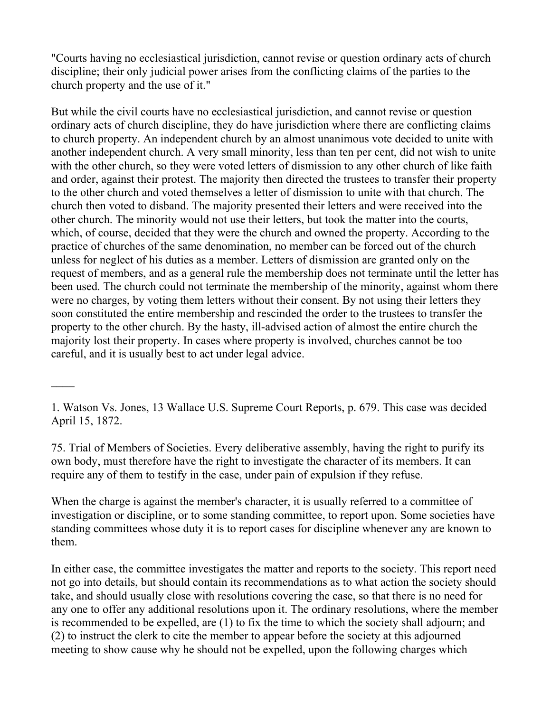"Courts having no ecclesiastical jurisdiction, cannot revise or question ordinary acts of church discipline; their only judicial power arises from the conflicting claims of the parties to the church property and the use of it."

But while the civil courts have no ecclesiastical jurisdiction, and cannot revise or question ordinary acts of church discipline, they do have jurisdiction where there are conflicting claims to church property. An independent church by an almost unanimous vote decided to unite with another independent church. A very small minority, less than ten per cent, did not wish to unite with the other church, so they were voted letters of dismission to any other church of like faith and order, against their protest. The majority then directed the trustees to transfer their property to the other church and voted themselves a letter of dismission to unite with that church. The church then voted to disband. The majority presented their letters and were received into the other church. The minority would not use their letters, but took the matter into the courts, which, of course, decided that they were the church and owned the property. According to the practice of churches of the same denomination, no member can be forced out of the church unless for neglect of his duties as a member. Letters of dismission are granted only on the request of members, and as a general rule the membership does not terminate until the letter has been used. The church could not terminate the membership of the minority, against whom there were no charges, by voting them letters without their consent. By not using their letters they soon constituted the entire membership and rescinded the order to the trustees to transfer the property to the other church. By the hasty, ill-advised action of almost the entire church the majority lost their property. In cases where property is involved, churches cannot be too careful, and it is usually best to act under legal advice.

 $\mathcal{L}_\mathcal{L}$ 

75. Trial of Members of Societies. Every deliberative assembly, having the right to purify its own body, must therefore have the right to investigate the character of its members. It can require any of them to testify in the case, under pain of expulsion if they refuse.

When the charge is against the member's character, it is usually referred to a committee of investigation or discipline, or to some standing committee, to report upon. Some societies have standing committees whose duty it is to report cases for discipline whenever any are known to them.

In either case, the committee investigates the matter and reports to the society. This report need not go into details, but should contain its recommendations as to what action the society should take, and should usually close with resolutions covering the case, so that there is no need for any one to offer any additional resolutions upon it. The ordinary resolutions, where the member is recommended to be expelled, are (1) to fix the time to which the society shall adjourn; and (2) to instruct the clerk to cite the member to appear before the society at this adjourned meeting to show cause why he should not be expelled, upon the following charges which

<sup>1.</sup> Watson Vs. Jones, 13 Wallace U.S. Supreme Court Reports, p. 679. This case was decided April 15, 1872.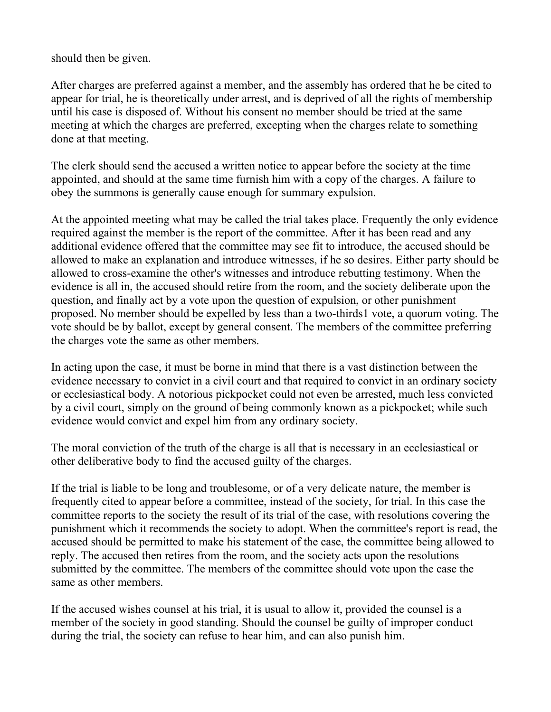should then be given.

After charges are preferred against a member, and the assembly has ordered that he be cited to appear for trial, he is theoretically under arrest, and is deprived of all the rights of membership until his case is disposed of. Without his consent no member should be tried at the same meeting at which the charges are preferred, excepting when the charges relate to something done at that meeting.

The clerk should send the accused a written notice to appear before the society at the time appointed, and should at the same time furnish him with a copy of the charges. A failure to obey the summons is generally cause enough for summary expulsion.

At the appointed meeting what may be called the trial takes place. Frequently the only evidence required against the member is the report of the committee. After it has been read and any additional evidence offered that the committee may see fit to introduce, the accused should be allowed to make an explanation and introduce witnesses, if he so desires. Either party should be allowed to cross-examine the other's witnesses and introduce rebutting testimony. When the evidence is all in, the accused should retire from the room, and the society deliberate upon the question, and finally act by a vote upon the question of expulsion, or other punishment proposed. No member should be expelled by less than a two-thirds1 vote, a quorum voting. The vote should be by ballot, except by general consent. The members of the committee preferring the charges vote the same as other members.

In acting upon the case, it must be borne in mind that there is a vast distinction between the evidence necessary to convict in a civil court and that required to convict in an ordinary society or ecclesiastical body. A notorious pickpocket could not even be arrested, much less convicted by a civil court, simply on the ground of being commonly known as a pickpocket; while such evidence would convict and expel him from any ordinary society.

The moral conviction of the truth of the charge is all that is necessary in an ecclesiastical or other deliberative body to find the accused guilty of the charges.

If the trial is liable to be long and troublesome, or of a very delicate nature, the member is frequently cited to appear before a committee, instead of the society, for trial. In this case the committee reports to the society the result of its trial of the case, with resolutions covering the punishment which it recommends the society to adopt. When the committee's report is read, the accused should be permitted to make his statement of the case, the committee being allowed to reply. The accused then retires from the room, and the society acts upon the resolutions submitted by the committee. The members of the committee should vote upon the case the same as other members.

If the accused wishes counsel at his trial, it is usual to allow it, provided the counsel is a member of the society in good standing. Should the counsel be guilty of improper conduct during the trial, the society can refuse to hear him, and can also punish him.